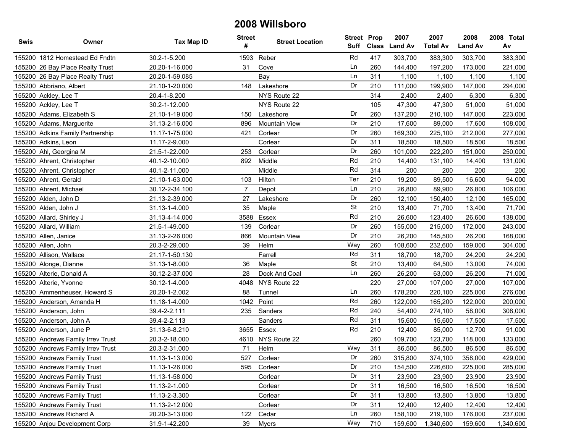| Swis | Owner                             | <b>Tax Map ID</b> | <b>Street</b><br># | <b>Street Location</b> | <b>Street Prop</b><br>Suff | <b>Class</b> | 2007<br><b>Land Av</b> | 2007<br><b>Total Av</b> | 2008<br><b>Land Av</b> | 2008 Total<br>Av |
|------|-----------------------------------|-------------------|--------------------|------------------------|----------------------------|--------------|------------------------|-------------------------|------------------------|------------------|
|      | 155200 1812 Homestead Ed Fndtn    | 30.2-1-5.200      | 1593               | Reber                  | Rd                         | 417          | 303,700                | 383,300                 | 303,700                | 383,300          |
|      | 155200 26 Bay Place Realty Trust  | 20.20-1-16.000    | 31                 | Cove                   | Ln                         | 260          | 144,400                | 197,200                 | 173,000                | 221,000          |
|      | 155200 26 Bay Place Realty Trust  | 20.20-1-59.085    |                    | Bay                    | Ln                         | 311          | 1,100                  | 1,100                   | 1,100                  | 1,100            |
|      | 155200 Abbriano, Albert           | 21.10-1-20.000    | 148                | Lakeshore              | Dr                         | 210          | 111,000                | 199,900                 | 147,000                | 294,000          |
|      | 155200 Ackley, Lee T              | 20.4-1-8.200      |                    | NYS Route 22           |                            | 314          | 2,400                  | 2,400                   | 6,300                  | 6,300            |
|      | 155200 Ackley, Lee T              | 30.2-1-12.000     |                    | NYS Route 22           |                            | 105          | 47,300                 | 47,300                  | 51,000                 | 51,000           |
|      | 155200 Adams, Elizabeth S         | 21.10-1-19.000    | 150                | Lakeshore              | Dr                         | 260          | 137,200                | 210,100                 | 147,000                | 223,000          |
|      | 155200 Adams, Marguerite          | 31.13-2-16.000    | 896                | Mountain View          | Dr                         | 210          | 17,600                 | 89,000                  | 17,600                 | 108,000          |
|      | 155200 Adkins Family Partnership  | 11.17-1-75.000    | 421                | Corlear                | Dr                         | 260          | 169,300                | 225,100                 | 212,000                | 277,000          |
|      | 155200 Adkins, Leon               | 11.17-2-9.000     |                    | Corlear                | Dr                         | 311          | 18,500                 | 18,500                  | 18,500                 | 18,500           |
|      | 155200 Ahl, Georgina M            | 21.5-1-22.000     | 253                | Corlear                | Dr                         | 260          | 101,000                | 222,200                 | 151,000                | 250,000          |
|      | 155200 Ahrent, Christopher        | 40.1-2-10.000     | 892                | Middle                 | Rd                         | 210          | 14,400                 | 131,100                 | 14,400                 | 131,000          |
|      | 155200 Ahrent, Christopher        | 40.1-2-11.000     |                    | Middle                 | Rd                         | 314          | 200                    | 200                     | 200                    | 200              |
|      | 155200 Ahrent, Gerald             | 21.10-1-63.000    | 103                | Hilton                 | Ter                        | 210          | 19,200                 | 89,500                  | 16,600                 | 94,000           |
|      | 155200 Ahrent, Michael            | 30.12-2-34.100    | $\overline{7}$     | Depot                  | Ln                         | 210          | 26,800                 | 89,900                  | 26,800                 | 106,000          |
|      | 155200 Alden, John D              | 21.13-2-39.000    | 27                 | Lakeshore              | Dr                         | 260          | 12,100                 | 150,400                 | 12,100                 | 165,000          |
|      | 155200 Alden, John J              | 31.13-1-4.000     | 35                 | Maple                  | <b>St</b>                  | 210          | 13,400                 | 71,700                  | 13,400                 | 71,700           |
|      | 155200 Allard, Shirley J          | 31.13-4-14.000    | 3588               | Essex                  | Rd                         | 210          | 26,600                 | 123,400                 | 26,600                 | 138,000          |
|      | 155200 Allard, William            | 21.5-1-49.000     | 139                | Corlear                | Dr                         | 260          | 155,000                | 215,000                 | 172,000                | 243,000          |
|      | 155200 Allen, Janice              | 31.13-2-26.000    | 866                | Mountain View          | Dr                         | 210          | 26,200                 | 145,500                 | 26,200                 | 168,000          |
|      | 155200 Allen, John                | 20.3-2-29.000     | 39                 | Helm                   | Way                        | 260          | 108,600                | 232,600                 | 159,000                | 304,000          |
|      | 155200 Allison, Wallace           | 21.17-1-50.130    |                    | Farrell                | Rd                         | 311          | 18,700                 | 18,700                  | 24,200                 | 24,200           |
|      | 155200 Alonge, Dianne             | 31.13-1-8.000     | 36                 | Maple                  | <b>St</b>                  | 210          | 13,400                 | 64,500                  | 13,000                 | 74,000           |
|      | 155200 Alterie, Donald A          | 30.12-2-37.000    | 28                 | Dock And Coal          | Ln                         | 260          | 26,200                 | 63,000                  | 26,200                 | 71,000           |
|      | 155200 Alterie, Yvonne            | 30.12-1-4.000     | 4048               | NYS Route 22           |                            | 220          | 27,000                 | 107,000                 | 27,000                 | 107,000          |
|      | 155200 Ammenheuser, Howard S      | 20.20-1-2.002     | 88                 | Tunnel                 | Ln                         | 260          | 178,200                | 220,100                 | 225,000                | 276,000          |
|      | 155200 Anderson, Amanda H         | 11.18-1-4.000     | 1042               | Point                  | Rd                         | 260          | 122,000                | 165,200                 | 122,000                | 200,000          |
|      | 155200 Anderson, John             | 39.4-2-2.111      | 235                | Sanders                | Rd                         | 240          | 54,400                 | 274,100                 | 58,000                 | 308,000          |
|      | 155200 Anderson, John A           | 39.4-2-2.113      |                    | Sanders                | Rd                         | 311          | 15,600                 | 15,600                  | 17,500                 | 17,500           |
|      | 155200 Anderson, June P           | 31.13-6-8.210     | 3655               | Essex                  | Rd                         | 210          | 12,400                 | 85,000                  | 12,700                 | 91,000           |
|      | 155200 Andrews Family Irrev Trust | 20.3-2-18.000     | 4610               | NYS Route 22           |                            | 260          | 109,700                | 123,700                 | 118,000                | 133,000          |
|      | 155200 Andrews Family Irrev Trust | 20.3-2-31.000     | 71                 | Helm                   | Way                        | 311          | 86,500                 | 86,500                  | 86,500                 | 86,500           |
|      | 155200 Andrews Family Trust       | 11.13-1-13.000    | 527                | Corlear                | Dr                         | 260          | 315,800                | 374,100                 | 358,000                | 429,000          |
|      | 155200 Andrews Family Trust       | 11.13-1-26.000    | 595                | Corlear                | Dr                         | 210          | 154,500                | 226,600                 | 225,000                | 285,000          |
|      | 155200 Andrews Family Trust       | 11.13-1-58.000    |                    | Corlear                | Dr                         | 311          | 23,900                 | 23,900                  | 23,900                 | 23,900           |
|      | 155200 Andrews Family Trust       | 11.13-2-1.000     |                    | Corlear                | Dr                         | 311          | 16,500                 | 16,500                  | 16,500                 | 16,500           |
|      | 155200 Andrews Family Trust       | 11.13-2-3.300     |                    | Corlear                | Dr                         | 311          | 13,800                 | 13,800                  | 13,800                 | 13,800           |
|      | 155200 Andrews Family Trust       | 11.13-2-12.000    |                    | Corlear                | Dr                         | 311          | 12,400                 | 12,400                  | 12,400                 | 12,400           |
|      | 155200 Andrews Richard A          | 20.20-3-13.000    | 122                | Cedar                  | Ln                         | 260          | 158,100                | 219,100                 | 176,000                | 237,000          |
|      | 155200 Anjou Development Corp     | 31.9-1-42.200     | 39                 | Myers                  | Way                        | 710          | 159,600                | 1,340,600               | 159,600                | 1,340,600        |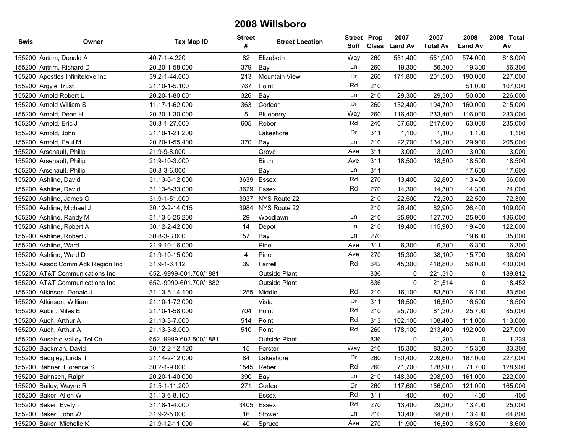| Swis | Owner                            | <b>Tax Map ID</b>      | <b>Street</b><br># | <b>Street Location</b> | <b>Street Prop</b><br>Suff | <b>Class</b> | 2007<br><b>Land Av</b> | 2007<br><b>Total Av</b> | 2008<br><b>Land Av</b> | 2008 Total<br>Av |
|------|----------------------------------|------------------------|--------------------|------------------------|----------------------------|--------------|------------------------|-------------------------|------------------------|------------------|
|      | 155200 Antrim, Donald A          | 40.7-1-4.220           | 82                 | Elizabeth              | Way                        | 260          | 531,400                | 551,900                 | 574,000                | 618,000          |
|      | 155200 Antrim, Richard D         | 20.20-1-58.000         | 379                | Bay                    | Ln                         | 260          | 19,300                 | 56,300                  | 19,300                 | 56,300           |
|      | 155200 Apostles Infinitelove Inc | 39.2-1-44.000          | 213                | Mountain View          | Dr                         | 260          | 171,800                | 201,500                 | 190,000                | 227,000          |
|      | 155200 Argyle Trust              | 21.10-1-5.100          | 767                | Point                  | Rd                         | 210          |                        |                         | 51,000                 | 107,000          |
|      | 155200 Arnold Robert L           | 20.20-1-80.001         | 326                | Bay                    | Ln                         | 210          | 29,300                 | 29,300                  | 50,000                 | 226,000          |
|      | 155200 Arnold William S          | 11.17-1-62.000         | 363                | Corlear                | Dr                         | 260          | 132,400                | 194,700                 | 160,000                | 215,000          |
|      | 155200 Arnold, Dean H            | 20.20-1-30.000         | 5                  | Blueberry              | Way                        | 260          | 116,400                | 233,400                 | 116,000                | 233,000          |
|      | 155200 Arnold, Eric J            | 30.3-1-27.000          | 605                | Reber                  | Rd                         | 240          | 57,600                 | 217,600                 | 63,000                 | 235,000          |
|      | 155200 Arnold, John              | 21.10-1-21.200         |                    | Lakeshore              | Dr                         | 311          | 1,100                  | 1,100                   | 1,100                  | 1,100            |
|      | 155200 Arnold, Paul M            | 20.20-1-55.400         | 370                | Bay                    | Ln                         | 210          | 22,700                 | 134,200                 | 29,900                 | 205,000          |
|      | 155200 Arsenault, Philip         | 21.9-9-8.000           |                    | Grove                  | Ave                        | 311          | 3,000                  | 3,000                   | 3,000                  | 3,000            |
|      | 155200 Arsenault, Philip         | 21.9-10-3.000          |                    | <b>Birch</b>           | Ave                        | 311          | 18,500                 | 18,500                  | 18,500                 | 18,500           |
|      | 155200 Arsenault, Philip         | 30.8-3-6.000           |                    | Bay                    | Ln                         | 311          |                        |                         | 17,600                 | 17,600           |
|      | 155200 Ashline, David            | 31.13-6-12.000         | 3639               | Essex                  | Rd                         | 270          | 13,400                 | 62,800                  | 13,400                 | 56,000           |
|      | 155200 Ashline, David            | 31.13-6-33.000         | 3629               | Essex                  | Rd                         | 270          | 14,300                 | 14,300                  | 14,300                 | 24,000           |
|      | 155200 Ashline, James G          | 31.9-1-51.000          | 3937               | NYS Route 22           |                            | 210          | 22,500                 | 72,300                  | 22,500                 | 72,300           |
|      | 155200 Ashline, Michael J        | 30.12-2-14.015         | 3984               | NYS Route 22           |                            | 210          | 26,400                 | 82,900                  | 26,400                 | 109,000          |
|      | 155200 Ashline, Randy M          | 31.13-6-25.200         | 29                 | Woodlawn               | Ln                         | 210          | 25,900                 | 127,700                 | 25,900                 | 136,000          |
|      | 155200 Ashline, Robert A         | 30.12-2-42.000         | 14                 | Depot                  | Ln                         | 210          | 19,400                 | 115,900                 | 19,400                 | 122,000          |
|      | 155200 Ashline, Robert J         | 30.8-3-3.000           | 57                 | Bay                    | Ln                         | 270          |                        |                         | 19,600                 | 35,000           |
|      | 155200 Ashline, Ward             | 21.9-10-16.000         |                    | Pine                   | Ave                        | 311          | 6,300                  | 6,300                   | 6,300                  | 6,300            |
|      | 155200 Ashline, Ward D           | 21.9-10-15.000         | $\overline{4}$     | Pine                   | Ave                        | 270          | 15,300                 | 38,100                  | 15,700                 | 38,000           |
|      | 155200 Assoc Comm Adk Region Inc | 31.9-1-6.112           | 39                 | Farrell                | Rd                         | 642          | 45,300                 | 418,800                 | 56,000                 | 430,000          |
|      | 155200 AT&T Communications Inc   | 652.-9999-601.700/1881 |                    | Outside Plant          |                            | 836          | 0                      | 221,310                 | 0                      | 189,812          |
|      | 155200 AT&T Communications Inc   | 652.-9999-601.700/1882 |                    | Outside Plant          |                            | 836          | 0                      | 21,514                  | 0                      | 18,452           |
|      | 155200 Atkinson, Donald J        | 31.13-5-14.100         |                    | 1255 Middle            | Rd                         | 210          | 16,100                 | 83,500                  | 16,100                 | 83,500           |
|      | 155200 Atkinson, William         | 21.10-1-72.000         |                    | Vista                  | Dr                         | 311          | 16,500                 | 16,500                  | 16,500                 | 16,500           |
|      | 155200 Aubin, Miles E            | 21.10-1-58.000         | 704                | Point                  | Rd                         | 210          | 25,700                 | 81,300                  | 25,700                 | 85,000           |
|      | 155200 Auch, Arthur A            | 21.13-3-7.000          | 514                | Point                  | Rd                         | 313          | 102,100                | 108,400                 | 111,000                | 113,000          |
|      | 155200 Auch, Arthur A            | 21.13-3-8.000          | 510                | Point                  | Rd                         | 260          | 178,100                | 213,400                 | 192,000                | 227,000          |
|      | 155200 Ausable Valley Tel Co     | 652.-9999-602.500/1881 |                    | <b>Outside Plant</b>   |                            | 836          | 0                      | 1,203                   | 0                      | 1,239            |
|      | 155200 Backman, David            | 30.12-2-12.120         | 15                 | Forster                | Way                        | 210          | 15,300                 | 83,300                  | 15,300                 | 83,300           |
|      | 155200 Badgley, Linda T          | 21.14-2-12.000         | 84                 | Lakeshore              | Dr                         | 260          | 150,400                | 209,600                 | 167,000                | 227,000          |
|      | 155200 Bahner, Florence S        | 30.2-1-9.000           |                    | 1545 Reber             | Rd                         | 260          | 71,700                 | 128,900                 | 71,700                 | 128,900          |
|      | 155200 Bahnsen, Ralph            | 20.20-1-40.000         | 390                | Bay                    | Ln                         | 210          | 148,300                | 208,900                 | 161,000                | 222,000          |
|      | 155200 Bailey, Wayne R           | 21.5-1-11.200          | 271                | Corlear                | Dr                         | 260          | 117,600                | 156,000                 | 121,000                | 165,000          |
|      | 155200 Baker, Allen W            | 31.13-6-8.100          |                    | Essex                  | Rd                         | 311          | 400                    | 400                     | 400                    | 400              |
|      | 155200 Baker, Evelyn             | 31.18-1-4.000          |                    | 3405 Essex             | Rd                         | 270          | 13,400                 | 29,200                  | 13,400                 | 25,000           |
|      | 155200 Baker, John W             | 31.9-2-5.000           | 16                 | Stower                 | Ln                         | 210          | 13,400                 | 64,800                  | 13,400                 | 64,800           |
|      | 155200 Baker, Michelle K         | 21.9-12-11.000         | 40                 | Spruce                 | Ave                        | 270          | 11,900                 | 16,500                  | 18,500                 | 18,600           |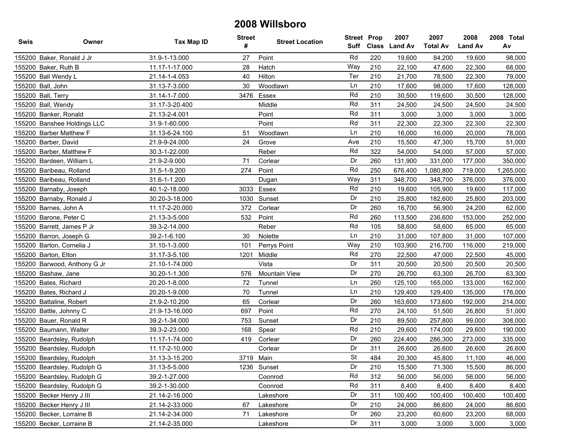| Swis | Owner                        | Tax Map ID     | <b>Street</b><br># | <b>Street Location</b> | <b>Street Prop</b> |     | 2007<br>Suff Class Land Av | 2007<br><b>Total Av</b> | 2008<br><b>Land Av</b> | 2008 Total<br>Av |
|------|------------------------------|----------------|--------------------|------------------------|--------------------|-----|----------------------------|-------------------------|------------------------|------------------|
|      | 155200 Baker, Ronald J Jr    | 31.9-1-13.000  | 27                 | Point                  | Rd                 | 220 | 19,600                     | 84,200                  | 19,600                 | 98,000           |
|      | 155200 Baker, Ruth B         | 11.17-1-17.000 | 28                 | Hatch                  | Way                | 210 | 22,100                     | 47,600                  | 22,300                 | 68,000           |
|      | 155200 Ball Wendy L          | 21.14-1-4.053  | 40                 | Hilton                 | Ter                | 210 | 21,700                     | 78,500                  | 22,300                 | 79,000           |
|      | 155200 Ball, John            | 31.13-7-3.000  | 30                 | Woodlawn               | Ln                 | 210 | 17,600                     | 98,000                  | 17,600                 | 128,000          |
|      | 155200 Ball, Terry           | 31.14-1-7.000  | 3476               | Essex                  | Rd                 | 210 | 30,500                     | 119,600                 | 30,500                 | 128,000          |
|      | 155200 Ball, Wendy           | 31.17-3-20.400 |                    | Middle                 | Rd                 | 311 | 24,500                     | 24,500                  | 24,500                 | 24,500           |
|      | 155200 Banker, Ronald        | 21.13-2-4.001  |                    | Point                  | Rd                 | 311 | 3,000                      | 3,000                   | 3,000                  | 3,000            |
|      | 155200 Banshee Holdings LLC  | 31.9-1-60.000  |                    | Point                  | Rd                 | 311 | 22,300                     | 22,300                  | 22,300                 | 22,300           |
|      | 155200 Barber Matthew F      | 31.13-6-24.100 | 51                 | Woodlawn               | Ln                 | 210 | 16,000                     | 16,000                  | 20,000                 | 78,000           |
|      | 155200 Barber, David         | 21.9-9-24.000  | 24                 | Grove                  | Ave                | 210 | 15,500                     | 47,300                  | 15,700                 | 51,000           |
|      | 155200 Barber, Matthew F     | 30.3-1-22.000  |                    | Reber                  | Rd                 | 322 | 54,000                     | 54,000                  | 57,000                 | 57,000           |
|      | 155200 Bardeen, William L    | 21.9-2-9.000   | 71                 | Corlear                | Dr                 | 260 | 131,900                    | 331,000                 | 177,000                | 350,000          |
|      | 155200 Baribeau, Rolland     | 31.5-1-9.200   | 274                | Point                  | Rd                 | 250 | 676,400                    | 1,080,800               | 719,000                | 1,265,000        |
|      | 155200 Baribeau, Rolland     | 31.6-1-1.200   |                    | Dugan                  | Way                | 311 | 348,700                    | 348,700                 | 376,000                | 376,000          |
|      | 155200 Barnaby, Joseph       | 40.1-2-18.000  | 3033               | Essex                  | Rd                 | 210 | 19,600                     | 105,900                 | 19,600                 | 117,000          |
|      | 155200 Barnaby, Ronald J     | 30.20-3-18.000 | 1030               | Sunset                 | Dr                 | 210 | 25,800                     | 182,600                 | 25,800                 | 203,000          |
|      | 155200 Barnes, John A        | 11.17-2-20.000 | 372                | Corlear                | Dr                 | 260 | 16,700                     | 56,900                  | 24,200                 | 62,000           |
|      | 155200 Barone, Peter C       | 21.13-3-5.000  | 532                | Point                  | Rd                 | 260 | 113,500                    | 236,600                 | 153,000                | 252,000          |
|      | 155200 Barrett, James P Jr   | 39.3-2-14.000  |                    | Reber                  | Rd                 | 105 | 58,600                     | 58,600                  | 65,000                 | 65,000           |
|      | 155200 Barron, Joseph G      | 39.2-1-6.100   | 30                 | Nolette                | Ln                 | 210 | 31,000                     | 107,800                 | 31,000                 | 107,000          |
|      | 155200 Barton, Cornelia J    | 31.10-1-3.000  | 101                | Perrys Point           | Way                | 210 | 103,900                    | 216,700                 | 116,000                | 219,000          |
|      | 155200 Barton, Elton         | 31.17-3-5.100  | 1201               | Middle                 | Rd                 | 270 | 22,500                     | 47,000                  | 22,500                 | 45,000           |
|      | 155200 Barwood, Anthony G Jr | 21.10-1-74.000 |                    | Vista                  | Dr                 | 311 | 20,500                     | 20,500                  | 20,500                 | 20,500           |
|      | 155200 Bashaw, Jane          | 30.20-1-1.300  | 576                | <b>Mountain View</b>   | Dr                 | 270 | 26,700                     | 63,300                  | 26,700                 | 63,300           |
|      | 155200 Bates, Richard        | 20.20-1-8.000  | 72                 | Tunnel                 | Ln                 | 260 | 125,100                    | 165,000                 | 133,000                | 162,000          |
|      | 155200 Bates, Richard J      | 20.20-1-9.000  | 70                 | Tunnel                 | Ln                 | 210 | 129,400                    | 129,400                 | 135,000                | 176,000          |
|      | 155200 Battaline, Robert     | 21.9-2-10.200  | 65                 | Corlear                | Dr                 | 260 | 163,600                    | 173,600                 | 192,000                | 214,000          |
|      | 155200 Battle, Johnny C      | 21.9-13-16.000 | 697                | Point                  | Rd                 | 270 | 24,100                     | 51,500                  | 26,800                 | 51,000           |
|      | 155200 Bauer, Ronald R       | 39.2-1-34.000  | 753                | Sunset                 | Dr                 | 210 | 89,500                     | 257,800                 | 99,000                 | 308,000          |
|      | 155200 Baumann, Walter       | 39.3-2-23.000  | 168                | Spear                  | Rd                 | 210 | 29,600                     | 174,000                 | 29,600                 | 190,000          |
|      | 155200 Beardsley, Rudolph    | 11.17-1-74.000 | 419                | Corlear                | Dr                 | 260 | 224,400                    | 286,300                 | 273,000                | 335,000          |
|      | 155200 Beardsley, Rudolph    | 11.17-2-10.000 |                    | Corlear                | Dr                 | 311 | 26,600                     | 26,600                  | 26,600                 | 26,600           |
|      | 155200 Beardslev. Rudolph    | 31.13-3-15.200 |                    | 3719 Main              | <b>St</b>          | 484 | 20,300                     | 45,800                  | 11,100                 | 46,000           |
|      | 155200 Beardsley, Rudolph G  | 31.13-5-5.000  |                    | 1236 Sunset            | Dr                 | 210 | 15,500                     | 71,300                  | 15,500                 | 86,000           |
|      | 155200 Beardsley, Rudolph G  | 39.2-1-27.000  |                    | Coonrod                | Rd                 | 312 | 56,000                     | 56,000                  | 56,000                 | 56,000           |
|      | 155200 Beardsley, Rudolph G  | 39.2-1-30.000  |                    | Coonrod                | Rd                 | 311 | 8,400                      | 8,400                   | 8,400                  | 8,400            |
|      | 155200 Becker Henry J III    | 21.14-2-16.000 |                    | Lakeshore              | Dr                 | 311 | 100,400                    | 100,400                 | 100,400                | 100,400          |
|      | 155200 Becker Henry J III    | 21.14-2-33.000 | 67                 | Lakeshore              | Dr                 | 210 | 24,000                     | 86,600                  | 24,000                 | 86,600           |
|      | 155200 Becker, Lorraine B    | 21.14-2-34.000 | 71                 | Lakeshore              | Dr                 | 260 | 23,200                     | 60,600                  | 23,200                 | 68,000           |
|      | 155200 Becker, Lorraine B    | 21.14-2-35.000 |                    | Lakeshore              | Dr                 | 311 | 3,000                      | 3,000                   | 3,000                  | 3,000            |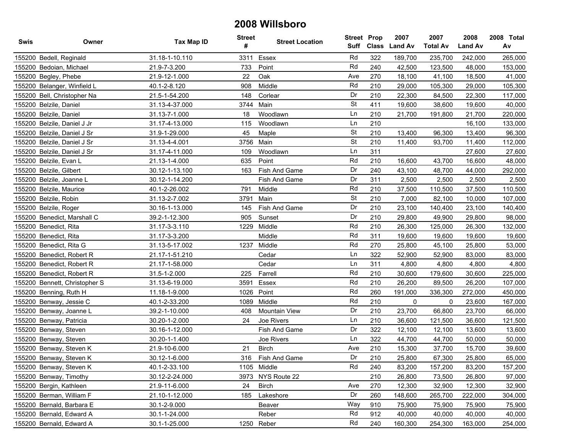| Swis | Owner                         | Tax Map ID     | <b>Street</b><br># | <b>Street Location</b> | <b>Street Prop</b> |     | 2007<br>Suff Class Land Av | 2007<br><b>Total Av</b> | 2008<br><b>Land Av</b> | 2008 Total<br>Av |
|------|-------------------------------|----------------|--------------------|------------------------|--------------------|-----|----------------------------|-------------------------|------------------------|------------------|
|      | 155200 Bedell, Reginald       | 31.18-1-10.110 | 3311               | Essex                  | Rd                 | 322 | 189,700                    | 235,700                 | 242,000                | 265,000          |
|      | 155200 Bedoian, Michael       | 21.9-7-3.200   | 733                | Point                  | Rd                 | 240 | 42,500                     | 123,500                 | 48,000                 | 153,000          |
|      | 155200 Begley, Phebe          | 21.9-12-1.000  | 22                 | Oak                    | Ave                | 270 | 18,100                     | 41,100                  | 18,500                 | 41,000           |
|      | 155200 Belanger, Winfield L   | 40.1-2-8.120   | 908                | Middle                 | Rd                 | 210 | 29,000                     | 105,300                 | 29,000                 | 105,300          |
|      | 155200 Bell, Christopher Na   | 21.5-1-54.200  | 148                | Corlear                | Dr                 | 210 | 22,300                     | 84,500                  | 22,300                 | 117,000          |
|      | 155200 Belzile, Daniel        | 31.13-4-37.000 | 3744               | Main                   | <b>St</b>          | 411 | 19,600                     | 38,600                  | 19,600                 | 40,000           |
|      | 155200 Belzile, Daniel        | 31.13-7-1.000  | 18                 | Woodlawn               | Ln                 | 210 | 21,700                     | 191,800                 | 21,700                 | 220,000          |
|      | 155200 Belzile, Daniel J Jr   | 31.17-4-13.000 | 115                | Woodlawn               | Ln                 | 210 |                            |                         | 16,100                 | 133,000          |
|      | 155200 Belzile, Daniel J Sr   | 31.9-1-29.000  | 45                 | Maple                  | <b>St</b>          | 210 | 13,400                     | 96,300                  | 13,400                 | 96,300           |
|      | 155200 Belzile, Daniel J Sr   | 31.13-4-4.001  | 3756               | Main                   | <b>St</b>          | 210 | 11,400                     | 93,700                  | 11,400                 | 112,000          |
|      | 155200 Belzile, Daniel J Sr   | 31.17-4-11.000 | 109                | Woodlawn               | Ln                 | 311 |                            |                         | 27,600                 | 27,600           |
|      | 155200 Belzile, Evan L        | 21.13-1-4.000  | 635                | Point                  | Rd                 | 210 | 16,600                     | 43,700                  | 16,600                 | 48,000           |
|      | 155200 Belzile, Gilbert       | 30.12-1-13.100 | 163                | Fish And Game          | Dr                 | 240 | 43,100                     | 48,700                  | 44,000                 | 292,000          |
|      | 155200 Belzile, Joanne L      | 30.12-1-14.200 |                    | Fish And Game          | Dr                 | 311 | 2,500                      | 2,500                   | 2,500                  | 2,500            |
|      | 155200 Belzile, Maurice       | 40.1-2-26.002  | 791                | Middle                 | Rd                 | 210 | 37,500                     | 110,500                 | 37,500                 | 110,500          |
|      | 155200 Belzile, Robin         | 31.13-2-7.002  | 3791               | Main                   | <b>St</b>          | 210 | 7,000                      | 82,100                  | 10,000                 | 107,000          |
|      | 155200 Belzile, Roger         | 30.16-1-13.000 | 145                | Fish And Game          | Dr                 | 210 | 23,100                     | 140,400                 | 23,100                 | 140,400          |
|      | 155200 Benedict, Marshall C   | 39.2-1-12.300  | 905                | Sunset                 | Dr                 | 210 | 29,800                     | 49,900                  | 29,800                 | 98,000           |
|      | 155200 Benedict, Rita         | 31.17-3-3.110  | 1229               | Middle                 | Rd                 | 210 | 26,300                     | 125,000                 | 26,300                 | 132,000          |
|      | 155200 Benedict, Rita         | 31.17-3-3.200  |                    | Middle                 | Rd                 | 311 | 19,600                     | 19,600                  | 19,600                 | 19,600           |
|      | 155200 Benedict, Rita G       | 31.13-5-17.002 | 1237               | Middle                 | Rd                 | 270 | 25,800                     | 45,100                  | 25,800                 | 53,000           |
|      | 155200 Benedict, Robert R     | 21.17-1-51.210 |                    | Cedar                  | Ln                 | 322 | 52,900                     | 52,900                  | 83,000                 | 83,000           |
|      | 155200 Benedict, Robert R     | 21.17-1-58.000 |                    | Cedar                  | Ln                 | 311 | 4,800                      | 4,800                   | 4,800                  | 4,800            |
|      | 155200 Benedict, Robert R     | 31.5-1-2.000   | 225                | Farrell                | Rd                 | 210 | 30,600                     | 179,600                 | 30,600                 | 225,000          |
|      | 155200 Bennett, Christopher S | 31.13-6-19.000 | 3591               | Essex                  | Rd                 | 210 | 26,200                     | 89,500                  | 26,200                 | 107,000          |
|      | 155200 Benning, Ruth H        | 11.18-1-9.000  | 1026               | Point                  | Rd                 | 260 | 191,000                    | 336,300                 | 272,000                | 450,000          |
|      | 155200 Benway, Jessie C       | 40.1-2-33.200  | 1089               | Middle                 | Rd                 | 210 | 0                          | 0                       | 23,600                 | 167,000          |
|      | 155200 Benway, Joanne L       | 39.2-1-10.000  | 408                | Mountain View          | Dr                 | 210 | 23,700                     | 66,800                  | 23,700                 | 66,000           |
|      | 155200 Benway, Patricia       | 30.20-1-2.000  | 24                 | Joe Rivers             | Ln                 | 210 | 36,600                     | 121,500                 | 36,600                 | 121,500          |
|      | 155200 Benway, Steven         | 30.16-1-12.000 |                    | Fish And Game          | Dr                 | 322 | 12,100                     | 12,100                  | 13,600                 | 13,600           |
|      | 155200 Benway, Steven         | 30.20-1-1.400  |                    | Joe Rivers             | Ln                 | 322 | 44,700                     | 44,700                  | 50,000                 | 50,000           |
|      | 155200 Benway, Steven K       | 21.9-10-6.000  | 21                 | <b>Birch</b>           | Ave                | 210 | 15,300                     | 37,700                  | 15,700                 | 39,600           |
|      | 155200 Benway, Steven K       | 30.12-1-6.000  | 316                | Fish And Game          | Dr                 | 210 | 25.800                     | 67,300                  | 25,800                 | 65,000           |
|      | 155200 Benway, Steven K       | 40.1-2-33.100  |                    | 1105 Middle            | Rd                 | 240 | 83,200                     | 157,200                 | 83,200                 | 157,200          |
|      | 155200 Benway, Timothy        | 30.12-2-24.000 |                    | 3973 NYS Route 22      |                    | 210 | 26,800                     | 73,500                  | 26,800                 | 97,000           |
|      | 155200 Bergin, Kathleen       | 21.9-11-6.000  | 24                 | Birch                  | Ave                | 270 | 12,300                     | 32,900                  | 12,300                 | 32,900           |
|      | 155200 Berman, William F      | 21.10-1-12.000 | 185                | Lakeshore              | Dr                 | 260 | 148,600                    | 265,700                 | 222,000                | 304,000          |
|      | 155200 Bernald, Barbara E     | 30.1-2-9.000   |                    | Beaver                 | Way                | 910 | 75,900                     | 75,900                  | 75,900                 | 75,900           |
|      | 155200 Bernald, Edward A      | 30.1-1-24.000  |                    | Reber                  | Rd                 | 912 | 40,000                     | 40,000                  | 40,000                 | 40,000           |
|      | 155200 Bernald, Edward A      | 30.1-1-25.000  |                    | 1250 Reber             | Rd                 | 240 | 160,300                    | 254,300                 | 163,000                | 254,000          |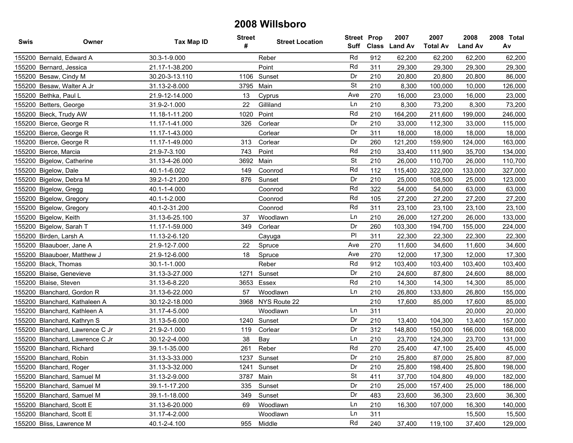| Swis | Owner                           | <b>Tax Map ID</b> | <b>Street</b><br># | <b>Street Location</b> | <b>Street Prop</b><br>Suff |     | 2007<br>Class Land Av | 2007<br><b>Total Av</b> | 2008<br><b>Land Av</b> | 2008 Total<br>Av |
|------|---------------------------------|-------------------|--------------------|------------------------|----------------------------|-----|-----------------------|-------------------------|------------------------|------------------|
|      | 155200 Bernald, Edward A        | 30.3-1-9.000      |                    | Reber                  | Rd                         | 912 | 62,200                | 62,200                  | 62,200                 | 62,200           |
|      | 155200 Bernard, Jessica         | 21.17-1-38.200    |                    | Point                  | Rd                         | 311 | 29,300                | 29,300                  | 29,300                 | 29,300           |
|      | 155200 Besaw, Cindy M           | 30.20-3-13.110    | 1106               | Sunset                 | Dr                         | 210 | 20,800                | 20,800                  | 20,800                 | 86,000           |
|      | 155200 Besaw, Walter A Jr       | 31.13-2-8.000     | 3795               | Main                   | <b>St</b>                  | 210 | 8,300                 | 100,000                 | 10,000                 | 126,000          |
|      | 155200 Bethka, Paul L           | 21.9-12-14.000    | 13                 | Cyprus                 | Ave                        | 270 | 16,000                | 23,000                  | 16,000                 | 23,000           |
|      | 155200 Betters, George          | 31.9-2-1.000      | 22                 | Gilliland              | Ln                         | 210 | 8,300                 | 73,200                  | 8,300                  | 73,200           |
|      | 155200 Bieck, Trudy AW          | 11.18-1-11.200    | 1020               | Point                  | Rd                         | 210 | 164,200               | 211,600                 | 199,000                | 246,000          |
|      | 155200 Bierce, George R         | 11.17-1-41.000    | 326                | Corlear                | Dr                         | 210 | 33,000                | 112,300                 | 33,000                 | 115,000          |
|      | 155200 Bierce, George R         | 11.17-1-43.000    |                    | Corlear                | Dr                         | 311 | 18,000                | 18,000                  | 18,000                 | 18,000           |
|      | 155200 Bierce, George R         | 11.17-1-49.000    | 313                | Corlear                | Dr                         | 260 | 121,200               | 159,900                 | 124,000                | 163,000          |
|      | 155200 Bierce, Marcia           | 21.9-7-3.100      | 743                | Point                  | Rd                         | 210 | 33,400                | 111,900                 | 35,700                 | 134,000          |
|      | 155200 Bigelow, Catherine       | 31.13-4-26.000    | 3692               | Main                   | <b>St</b>                  | 210 | 26,000                | 110,700                 | 26,000                 | 110,700          |
|      | 155200 Bigelow, Dale            | 40.1-1-6.002      | 149                | Coonrod                | Rd                         | 112 | 115,400               | 322,000                 | 133,000                | 327,000          |
|      | 155200 Bigelow, Debra M         | 39.2-1-21.200     | 876                | Sunset                 | Dr                         | 210 | 25,000                | 108,500                 | 25,000                 | 123,000          |
|      | 155200 Bigelow, Gregg           | 40.1-1-4.000      |                    | Coonrod                | Rd                         | 322 | 54,000                | 54,000                  | 63,000                 | 63,000           |
|      | 155200 Bigelow, Gregory         | 40.1-1-2.000      |                    | Coonrod                | Rd                         | 105 | 27,200                | 27,200                  | 27,200                 | 27,200           |
|      | 155200 Bigelow, Gregory         | 40.1-2-31.200     |                    | Coonrod                | Rd                         | 311 | 23,100                | 23,100                  | 23,100                 | 23,100           |
|      | 155200 Bigelow, Keith           | 31.13-6-25.100    | 37                 | Woodlawn               | Ln                         | 210 | 26,000                | 127,200                 | 26,000                 | 133,000          |
|      | 155200 Bigelow, Sarah T         | 11.17-1-59.000    | 349                | Corlear                | Dr                         | 260 | 103,300               | 194,700                 | 155,000                | 224,000          |
|      | 155200 Birden, Larsh A          | 11.13-2-6.120     |                    | Cayuga                 | P                          | 311 | 22,300                | 22,300                  | 22,300                 | 22,300           |
|      | 155200 Blaauboer, Jane A        | 21.9-12-7.000     | 22                 | Spruce                 | Ave                        | 270 | 11,600                | 34,600                  | 11,600                 | 34,600           |
|      | 155200 Blaauboer, Matthew J     | 21.9-12-6.000     | 18                 | Spruce                 | Ave                        | 270 | 12,000                | 17,300                  | 12,000                 | 17,300           |
|      | 155200 Black, Thomas            | 30.1-1-1.000      |                    | Reber                  | Rd                         | 912 | 103,400               | 103,400                 | 103,400                | 103,400          |
|      | 155200 Blaise, Genevieve        | 31.13-3-27.000    | 1271               | Sunset                 | Dr                         | 210 | 24,600                | 87,800                  | 24,600                 | 88,000           |
|      | 155200 Blaise, Steven           | 31.13-6-8.220     | 3653               | Essex                  | Rd                         | 210 | 14,300                | 14,300                  | 14,300                 | 85,000           |
|      | 155200 Blanchard, Gordon R      | 31.13-6-22.000    | 57                 | Woodlawn               | Ln                         | 210 | 26,800                | 133,800                 | 26,800                 | 155,000          |
|      | 155200 Blanchard, Kathaleen A   | 30.12-2-18.000    |                    | 3968 NYS Route 22      |                            | 210 | 17,600                | 85,000                  | 17,600                 | 85,000           |
|      | 155200 Blanchard, Kathleen A    | 31.17-4-5.000     |                    | Woodlawn               | Ln                         | 311 |                       |                         | 20,000                 | 20,000           |
|      | 155200 Blanchard, Kathryn S     | 31.13-5-6.000     | 1240               | Sunset                 | Dr                         | 210 | 13,400                | 104,300                 | 13,400                 | 157,000          |
|      | 155200 Blanchard, Lawrence C Jr | 21.9-2-1.000      | 119                | Corlear                | Dr                         | 312 | 148,800               | 150,000                 | 166,000                | 168,000          |
|      | 155200 Blanchard, Lawrence C Jr | 30.12-2-4.000     | 38                 | Bay                    | Ln                         | 210 | 23,700                | 124,300                 | 23,700                 | 131,000          |
|      | 155200 Blanchard, Richard       | 39.1-1-35.000     | 261                | Reber                  | Rd                         | 270 | 25,400                | 47,100                  | 25,400                 | 45,000           |
|      | 155200 Blanchard, Robin         | 31.13-3-33.000    |                    | 1237 Sunset            | Dr                         | 210 | 25,800                | 87,000                  | 25,800                 | 87,000           |
|      | 155200 Blanchard, Roger         | 31.13-3-32.000    |                    | 1241 Sunset            | Dr                         | 210 | 25,800                | 198,400                 | 25,800                 | 198,000          |
|      | 155200 Blanchard, Samuel M      | 31.13-2-9.000     | 3787               | Main                   | <b>St</b>                  | 411 | 37,700                | 104,800                 | 49,000                 | 182,000          |
|      | 155200 Blanchard, Samuel M      | 39.1-1-17.200     | 335                | Sunset                 | Dr                         | 210 | 25,000                | 157,400                 | 25,000                 | 186,000          |
|      | 155200 Blanchard, Samuel M      | 39.1-1-18.000     | 349                | Sunset                 | Dr                         | 483 | 23,600                | 36,300                  | 23,600                 | 36,300           |
|      | 155200 Blanchard, Scott E       | 31.13-6-20.000    | 69                 | Woodlawn               | Ln                         | 210 | 16,300                | 107,000                 | 16,300                 | 140,000          |
|      | 155200 Blanchard, Scott E       | 31.17-4-2.000     |                    | Woodlawn               | Ln                         | 311 |                       |                         | 15,500                 | 15,500           |
|      | 155200 Bliss, Lawrence M        | 40.1-2-4.100      | 955                | Middle                 | Rd                         | 240 | 37,400                | 119,100                 | 37,400                 | 129,000          |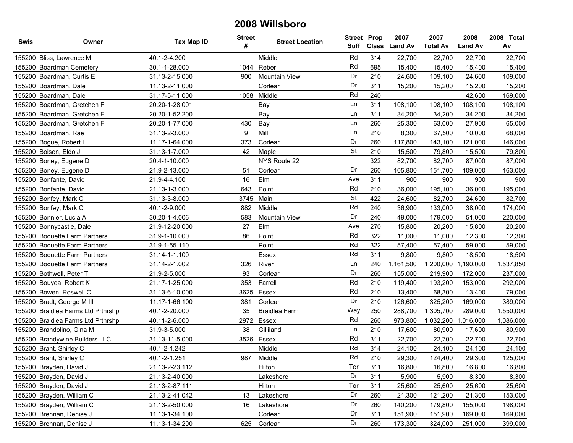| Swis | Owner                              | Tax Map ID     | <b>Street</b><br># | <b>Street Location</b> | <b>Street Prop</b><br>Suff | <b>Class</b> | 2007<br><b>Land Av</b> | 2007<br><b>Total Av</b> | 2008<br><b>Land Av</b> | 2008 Total<br>Av |
|------|------------------------------------|----------------|--------------------|------------------------|----------------------------|--------------|------------------------|-------------------------|------------------------|------------------|
|      | 155200 Bliss, Lawrence M           | 40.1-2-4.200   |                    | Middle                 | Rd                         | 314          | 22.700                 | 22,700                  | 22.700                 | 22,700           |
|      | 155200 Boardman Cemetery           | 30.1-1-28.000  | 1044               | Reber                  | Rd                         | 695          | 15,400                 | 15,400                  | 15,400                 | 15,400           |
|      | 155200 Boardman, Curtis E          | 31.13-2-15.000 | 900                | <b>Mountain View</b>   | Dr                         | 210          | 24,600                 | 109,100                 | 24,600                 | 109,000          |
|      | 155200 Boardman, Dale              | 11.13-2-11.000 |                    | Corlear                | Dr                         | 311          | 15,200                 | 15,200                  | 15,200                 | 15,200           |
|      | 155200 Boardman, Dale              | 31.17-5-11.000 |                    | 1058 Middle            | Rd                         | 240          |                        |                         | 42,600                 | 169,000          |
|      | 155200 Boardman, Gretchen F        | 20.20-1-28.001 |                    | Bay                    | Ln                         | 311          | 108,100                | 108,100                 | 108,100                | 108,100          |
|      | 155200 Boardman, Gretchen F        | 20.20-1-52.200 |                    | Bay                    | Ln                         | 311          | 34,200                 | 34,200                  | 34,200                 | 34,200           |
|      | 155200 Boardman, Gretchen F        | 20.20-1-77.000 | 430                | Bay                    | Ln                         | 260          | 25,300                 | 63,000                  | 27,900                 | 65,000           |
|      | 155200 Boardman, Rae               | 31.13-2-3.000  | 9                  | Mill                   | Ln                         | 210          | 8,300                  | 67,500                  | 10,000                 | 68,000           |
|      | 155200 Bogue, Robert L             | 11.17-1-64.000 | 373                | Corlear                | Dr                         | 260          | 117,800                | 143,100                 | 121,000                | 146,000          |
|      | 155200 Boisen, Eldo J              | 31.13-1-7.000  | 42                 | Maple                  | <b>St</b>                  | 210          | 15,500                 | 79,800                  | 15,500                 | 79,800           |
|      | 155200 Boney, Eugene D             | 20.4-1-10.000  |                    | NYS Route 22           |                            | 322          | 82,700                 | 82,700                  | 87,000                 | 87,000           |
|      | 155200 Boney, Eugene D             | 21.9-2-13.000  | 51                 | Corlear                | Dr                         | 260          | 105,800                | 151,700                 | 109,000                | 163,000          |
|      | 155200 Bonfante, David             | 21.9-4-4.100   | 16                 | Elm                    | Ave                        | 311          | 900                    | 900                     | 900                    | 900              |
|      | 155200 Bonfante, David             | 21.13-1-3.000  | 643                | Point                  | Rd                         | 210          | 36,000                 | 195,100                 | 36,000                 | 195,000          |
|      | 155200 Bonfey, Mark C              | 31.13-3-8.000  | 3745               | Main                   | <b>St</b>                  | 422          | 24,600                 | 82,700                  | 24,600                 | 82,700           |
|      | 155200 Bonfey, Mark C              | 40.1-2-9.000   | 882                | Middle                 | Rd                         | 240          | 36,900                 | 133,000                 | 38,000                 | 174,000          |
|      | 155200 Bonnier, Lucia A            | 30.20-1-4.006  | 583                | <b>Mountain View</b>   | Dr                         | 240          | 49,000                 | 179,000                 | 51,000                 | 220,000          |
|      | 155200 Bonnycastle, Dale           | 21.9-12-20.000 | 27                 | Elm                    | Ave                        | 270          | 15,800                 | 20,200                  | 15,800                 | 20,200           |
|      | 155200 Boquette Farm Partners      | 31.9-1-10.000  | 86                 | Point                  | Rd                         | 322          | 11,000                 | 11,000                  | 12,300                 | 12,300           |
|      | 155200 Boquette Farm Partners      | 31.9-1-55.110  |                    | Point                  | Rd                         | 322          | 57,400                 | 57,400                  | 59,000                 | 59,000           |
|      | 155200 Boquette Farm Partners      | 31.14-1-1.100  |                    | Essex                  | Rd                         | 311          | 9,800                  | 9,800                   | 18,500                 | 18,500           |
|      | 155200 Boquette Farm Partners      | 31.14-2-1.002  | 326                | River                  | Ln                         | 240          | 1,161,500              | 1,200,000               | 1,190,000              | 1,537,850        |
|      | 155200 Bothwell, Peter T           | 21.9-2-5.000   | 93                 | Corlear                | Dr                         | 260          | 155,000                | 219,900                 | 172,000                | 237,000          |
|      | 155200 Bouyea, Robert K            | 21.17-1-25.000 | 353                | Farrell                | Rd                         | 210          | 119,400                | 193,200                 | 153,000                | 292,000          |
|      | 155200 Bowen, Roswell O            | 31.13-6-10.000 | 3625               | Essex                  | Rd                         | 210          | 13,400                 | 68,300                  | 13,400                 | 79,000           |
|      | 155200 Bradt, George M III         | 11.17-1-66.100 | 381                | Corlear                | Dr                         | 210          | 126,600                | 325,200                 | 169,000                | 389,000          |
|      | 155200 Braidlea Farms Ltd Prtnrshp | 40.1-2-20.000  | 35                 | <b>Braidlea Farm</b>   | Way                        | 250          | 288,700                | 1,305,700               | 289,000                | 1,550,000        |
|      | 155200 Braidlea Farms Ltd Prtnrshp | 40.11-2-6.000  | 2972               | Essex                  | Rd                         | 260          | 973,800                | 1,032,200               | 1,016,000              | 1,086,000        |
|      | 155200 Brandolino, Gina M          | 31.9-3-5.000   | 38                 | Gilliland              | Ln                         | 210          | 17,600                 | 80,900                  | 17,600                 | 80,900           |
|      | 155200 Brandywine Builders LLC     | 31.13-11-5.000 | 3526               | Essex                  | Rd                         | 311          | 22,700                 | 22,700                  | 22,700                 | 22,700           |
|      | 155200 Brant, Shirley C            | 40.1-2-1.242   |                    | Middle                 | Rd                         | 314          | 24,100                 | 24,100                  | 24,100                 | 24,100           |
|      | 155200 Brant, Shirley C            | 40.1-2-1.251   | 987                | Middle                 | Rd                         | 210          | 29,300                 | 124,400                 | 29.300                 | 125,000          |
|      | 155200 Brayden, David J            | 21.13-2-23.112 |                    | Hilton                 | Ter                        | 311          | 16,800                 | 16,800                  | 16,800                 | 16,800           |
|      | 155200 Brayden, David J            | 21.13-2-40.000 |                    | Lakeshore              | Dr                         | 311          | 5,900                  | 5,900                   | 8,300                  | 8,300            |
|      | 155200 Brayden, David J            | 21.13-2-87.111 |                    | Hilton                 | Ter                        | 311          | 25,600                 | 25,600                  | 25,600                 | 25,600           |
|      | 155200 Brayden, William C          | 21.13-2-41.042 | 13                 | Lakeshore              | Dr                         | 260          | 21,300                 | 121,200                 | 21,300                 | 153,000          |
|      | 155200 Brayden, William C          | 21.13-2-50.000 | 16                 | Lakeshore              | Dr                         | 260          | 140,200                | 179,800                 | 155,000                | 198,000          |
|      | 155200 Brennan, Denise J           | 11.13-1-34.100 |                    | Corlear                | Dr                         | 311          | 151,900                | 151,900                 | 169,000                | 169,000          |
|      | 155200 Brennan, Denise J           | 11.13-1-34.200 | 625                | Corlear                | Dr                         | 260          | 173,300                | 324,000                 | 251,000                | 399,000          |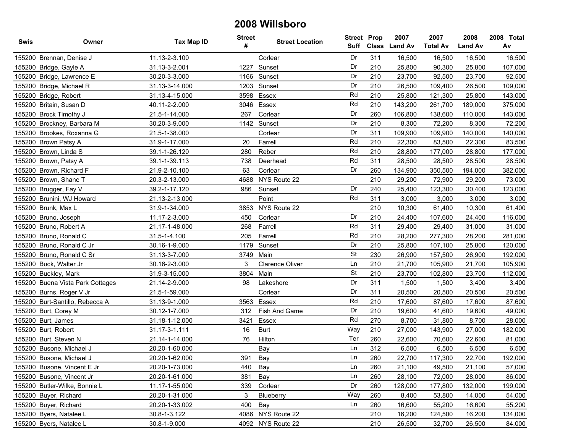| Swis | Owner                            | Tax Map ID     | <b>Street</b><br># | <b>Street Location</b> | <b>Street Prop</b><br>Suff |     | 2007<br>Class Land Av | 2007<br><b>Total Av</b> | 2008<br><b>Land Av</b> | 2008 Total<br>Av |
|------|----------------------------------|----------------|--------------------|------------------------|----------------------------|-----|-----------------------|-------------------------|------------------------|------------------|
|      | 155200 Brennan, Denise J         | 11.13-2-3.100  |                    | Corlear                | Dr                         | 311 | 16,500                | 16,500                  | 16,500                 | 16,500           |
|      | 155200 Bridge, Gayle A           | 31.13-3-2.001  | 1227               | Sunset                 | Dr                         | 210 | 25,800                | 90,300                  | 25,800                 | 107,000          |
|      | 155200 Bridge, Lawrence E        | 30.20-3-3.000  |                    | 1166 Sunset            | Dr                         | 210 | 23,700                | 92,500                  | 23,700                 | 92,500           |
|      | 155200 Bridge, Michael R         | 31.13-3-14.000 | 1203               | Sunset                 | Dr                         | 210 | 26,500                | 109,400                 | 26,500                 | 109,000          |
|      | 155200 Bridge, Robert            | 31.13-4-15.000 | 3598               | Essex                  | Rd                         | 210 | 25,800                | 121,300                 | 25,800                 | 143,000          |
|      | 155200 Britain, Susan D          | 40.11-2-2.000  |                    | 3046 Essex             | Rd                         | 210 | 143,200               | 261,700                 | 189,000                | 375,000          |
|      | 155200 Brock Timothy J           | 21.5-1-14.000  | 267                | Corlear                | Dr                         | 260 | 106,800               | 138,600                 | 110,000                | 143,000          |
|      | 155200 Brockney, Barbara M       | 30.20-3-9.000  | 1142               | Sunset                 | Dr                         | 210 | 8,300                 | 72,200                  | 8,300                  | 72,200           |
|      | 155200 Brookes, Roxanna G        | 21.5-1-38.000  |                    | Corlear                | Dr                         | 311 | 109,900               | 109,900                 | 140,000                | 140,000          |
|      | 155200 Brown Patsy A             | 31.9-1-17.000  | 20                 | Farrell                | Rd                         | 210 | 22,300                | 83,500                  | 22,300                 | 83,500           |
|      | 155200 Brown, Linda S            | 39.1-1-26.120  | 280                | Reber                  | Rd                         | 210 | 28,800                | 177,000                 | 28,800                 | 177,000          |
|      | 155200 Brown, Patsy A            | 39.1-1-39.113  | 738                | Deerhead               | Rd                         | 311 | 28,500                | 28,500                  | 28,500                 | 28,500           |
|      | 155200 Brown, Richard F          | 21.9-2-10.100  | 63                 | Corlear                | Dr                         | 260 | 134,900               | 350,500                 | 194,000                | 382,000          |
|      | 155200 Brown, Shane T            | 20.3-2-13.000  | 4688               | NYS Route 22           |                            | 210 | 29,200                | 72,900                  | 29,200                 | 73,000           |
|      | 155200 Brugger, Fay V            | 39.2-1-17.120  | 986                | Sunset                 | Dr                         | 240 | 25,400                | 123,300                 | 30,400                 | 123,000          |
|      | 155200 Brunini, WJ Howard        | 21.13-2-13.000 |                    | Point                  | Rd                         | 311 | 3,000                 | 3,000                   | 3,000                  | 3,000            |
|      | 155200 Brunk, Max L              | 31.9-1-34.000  | 3853               | NYS Route 22           |                            | 210 | 10,300                | 61,400                  | 10,300                 | 61,400           |
|      | 155200 Bruno, Joseph             | 11.17-2-3.000  | 450                | Corlear                | Dr                         | 210 | 24,400                | 107,600                 | 24,400                 | 116,000          |
|      | 155200 Bruno, Robert A           | 21.17-1-48.000 | 268                | Farrell                | Rd                         | 311 | 29,400                | 29,400                  | 31,000                 | 31,000           |
|      | 155200 Bruno, Ronald C           | 31.5-1-4.100   | 205                | Farrell                | Rd                         | 210 | 28,200                | 277,300                 | 28,200                 | 281,000          |
|      | 155200 Bruno, Ronald C Jr        | 30.16-1-9.000  | 1179               | Sunset                 | Dr                         | 210 | 25,800                | 107,100                 | 25,800                 | 120,000          |
|      | 155200 Bruno, Ronald C Sr        | 31.13-3-7.000  | 3749               | Main                   | <b>St</b>                  | 230 | 26,900                | 157,500                 | 26,900                 | 192,000          |
|      | 155200 Buck, Walter Jr           | 30.16-2-3.000  | 3                  | <b>Clarence Oliver</b> | Ln                         | 210 | 21,700                | 105,900                 | 21,700                 | 105,900          |
|      | 155200 Buckley, Mark             | 31.9-3-15.000  | 3804               | Main                   | <b>St</b>                  | 210 | 23,700                | 102,800                 | 23,700                 | 112,000          |
|      | 155200 Buena Vista Park Cottages | 21.14-2-9.000  | 98                 | Lakeshore              | Dr                         | 311 | 1,500                 | 1,500                   | 3,400                  | 3,400            |
|      | 155200 Burns, Roger V Jr         | 21.5-1-59.000  |                    | Corlear                | Dr                         | 311 | 20,500                | 20,500                  | 20,500                 | 20,500           |
|      | 155200 Burt-Santillo, Rebecca A  | 31.13-9-1.000  | 3563               | Essex                  | Rd                         | 210 | 17,600                | 87,600                  | 17,600                 | 87,600           |
|      | 155200 Burt, Corey M             | 30.12-1-7.000  | 312                | Fish And Game          | Dr                         | 210 | 19,600                | 41,600                  | 19,600                 | 49,000           |
|      | 155200 Burt, James               | 31.18-1-12.000 | 3421               | Essex                  | Rd                         | 270 | 8,700                 | 31,800                  | 8,700                  | 28,000           |
|      | 155200 Burt, Robert              | 31.17-3-1.111  | 16                 | <b>Burt</b>            | Way                        | 210 | 27,000                | 143,900                 | 27,000                 | 182,000          |
|      | 155200 Burt, Steven N            | 21.14-1-14.000 | 76                 | Hilton                 | Ter                        | 260 | 22,600                | 70,600                  | 22,600                 | 81,000           |
|      | 155200 Busone, Michael J         | 20.20-1-60.000 |                    | Bay                    | Ln                         | 312 | 6,500                 | 6,500                   | 6,500                  | 6,500            |
|      | 155200 Busone, Michael J         | 20.20-1-62.000 | 391                | Bay                    | Ln                         | 260 | 22,700                | 117,300                 | 22,700                 | 192,000          |
|      | 155200 Busone, Vincent E Jr      | 20.20-1-73.000 | 440                | Bay                    | Ln                         | 260 | 21,100                | 49,500                  | 21,100                 | 57,000           |
|      | 155200 Busone, Vincent Jr        | 20.20-1-61.000 | 381                | Bay                    | Ln                         | 260 | 28,100                | 72,000                  | 28,000                 | 86,000           |
|      | 155200 Butler-Wilke, Bonnie L    | 11.17-1-55.000 | 339                | Corlear                | Dr                         | 260 | 128,000               | 177,800                 | 132,000                | 199,000          |
|      | 155200 Buyer, Richard            | 20.20-1-31.000 | 3                  | Blueberry              | Way                        | 260 | 8,400                 | 53,800                  | 14,000                 | 54,000           |
|      | 155200 Buyer, Richard            | 20.20-1-33.002 | 400                | Bay                    | Ln                         | 260 | 16,600                | 55,200                  | 16,600                 | 55,200           |
|      | 155200 Byers, Natalee L          | 30.8-1-3.122   | 4086               | NYS Route 22           |                            | 210 | 16,200                | 124,500                 | 16,200                 | 134,000          |
|      | 155200 Byers, Natalee L          | 30.8-1-9.000   |                    | 4092 NYS Route 22      |                            | 210 | 26,500                | 32,700                  | 26,500                 | 84,000           |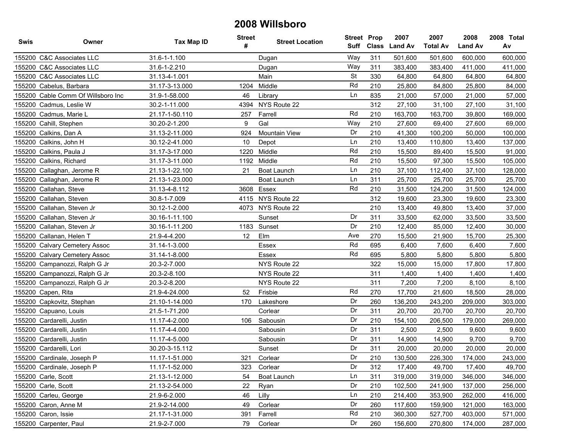| <b>Swis</b> | Owner                              | <b>Tax Map ID</b> | <b>Street</b><br># | <b>Street Location</b> | <b>Street Prop</b><br>Suff | <b>Class</b> | 2007<br><b>Land Av</b> | 2007<br><b>Total Av</b> | 2008<br><b>Land Av</b> | 2008 Total<br>Av |
|-------------|------------------------------------|-------------------|--------------------|------------------------|----------------------------|--------------|------------------------|-------------------------|------------------------|------------------|
|             | 155200 C&C Associates LLC          | 31.6-1-1.100      |                    | Dugan                  | Way                        | 311          | 501,600                | 501,600                 | 600,000                | 600,000          |
|             | 155200 C&C Associates LLC          | 31.6-1-2.210      |                    | Dugan                  | Way                        | 311          | 383,400                | 383,400                 | 411,000                | 411,000          |
|             | 155200 C&C Associates LLC          | 31.13-4-1.001     |                    | Main                   | <b>St</b>                  | 330          | 64,800                 | 64,800                  | 64,800                 | 64,800           |
|             | 155200 Cabelus, Barbara            | 31.17-3-13.000    | 1204               | Middle                 | Rd                         | 210          | 25,800                 | 84,800                  | 25,800                 | 84,000           |
|             | 155200 Cable Comm Of Willsboro Inc | 31.9-1-58.000     | 46                 | Library                | Ln                         | 835          | 21,000                 | 57,000                  | 21,000                 | 57,000           |
| 155200      | Cadmus, Leslie W                   | 30.2-1-11.000     | 4394               | NYS Route 22           |                            | 312          | 27,100                 | 31,100                  | 27,100                 | 31,100           |
|             | 155200 Cadmus, Marie L             | 21.17-1-50.110    | 257                | Farrell                | Rd                         | 210          | 163,700                | 163,700                 | 39,800                 | 169,000          |
| 155200      | Cahill, Stephen                    | 30.20-2-1.200     | 9                  | Gal                    | Way                        | 210          | 27,600                 | 69,400                  | 27,600                 | 69,000           |
| 155200      | Calkins, Dan A                     | 31.13-2-11.000    | 924                | <b>Mountain View</b>   | Dr                         | 210          | 41,300                 | 100,200                 | 50,000                 | 100,000          |
| 155200      | Calkins, John H                    | 30.12-2-41.000    | 10                 | Depot                  | Ln                         | 210          | 13,400                 | 110,800                 | 13,400                 | 137,000          |
| 155200      | Calkins, Paula J                   | 31.17-3-17.000    | 1220               | Middle                 | Rd                         | 210          | 15,500                 | 89,400                  | 15,500                 | 91,000           |
|             | 155200 Calkins, Richard            | 31.17-3-11.000    |                    | 1192 Middle            | Rd                         | 210          | 15,500                 | 97,300                  | 15,500                 | 105,000          |
| 155200      | Callaghan, Jerome R                | 21.13-1-22.100    | 21                 | Boat Launch            | Ln                         | 210          | 37,100                 | 112,400                 | 37,100                 | 128,000          |
|             | 155200 Callaghan, Jerome R         | 21.13-1-23.000    |                    | Boat Launch            | Ln                         | 311          | 25,700                 | 25,700                  | 25,700                 | 25,700           |
|             | 155200 Callahan, Steve             | 31.13-4-8.112     |                    | 3608 Essex             | Rd                         | 210          | 31,500                 | 124,200                 | 31,500                 | 124,000          |
| 155200      | Callahan, Steven                   | 30.8-1-7.009      |                    | 4115 NYS Route 22      |                            | 312          | 19,600                 | 23,300                  | 19,600                 | 23,300           |
| 155200      | Callahan, Steven Jr                | 30.12-1-2.000     |                    | 4073 NYS Route 22      |                            | 210          | 13,400                 | 49,800                  | 13,400                 | 37,000           |
|             | 155200 Callahan, Steven Jr         | 30.16-1-11.100    |                    | Sunset                 | Dr                         | 311          | 33,500                 | 62,000                  | 33,500                 | 33,500           |
| 155200      | Callahan, Steven Jr                | 30.16-1-11.200    |                    | 1183 Sunset            | Dr                         | 210          | 12,400                 | 85,000                  | 12,400                 | 30,000           |
| 155200      | Callanan, Helen T                  | 21.9-4-4.200      | 12                 | Elm                    | Ave                        | 270          | 15,500                 | 21,900                  | 15,700                 | 25,300           |
| 155200      | <b>Calvary Cemetery Assoc</b>      | 31.14-1-3.000     |                    | Essex                  | Rd                         | 695          | 6,400                  | 7,600                   | 6,400                  | 7,600            |
| 155200      | <b>Calvary Cemetery Assoc</b>      | 31.14-1-8.000     |                    | Essex                  | Rd                         | 695          | 5,800                  | 5,800                   | 5,800                  | 5,800            |
| 155200      | Campanozzi, Ralph G Jr             | 20.3-2-7.000      |                    | NYS Route 22           |                            | 322          | 15,000                 | 15,000                  | 17,800                 | 17,800           |
| 155200      | Campanozzi, Ralph G Jr             | 20.3-2-8.100      |                    | NYS Route 22           |                            | 311          | 1,400                  | 1,400                   | 1,400                  | 1,400            |
|             | 155200 Campanozzi, Ralph G Jr      | 20.3-2-8.200      |                    | NYS Route 22           |                            | 311          | 7,200                  | 7,200                   | 8,100                  | 8,100            |
|             | 155200 Capen, Rita                 | 21.9-4-24.000     | 52                 | Frisbie                | Rd                         | 270          | 17,700                 | 21,600                  | 18,500                 | 28,000           |
|             | 155200 Capkovitz, Stephan          | 21.10-1-14.000    | 170                | Lakeshore              | Dr                         | 260          | 136,200                | 243,200                 | 209,000                | 303,000          |
|             | 155200 Capuano, Louis              | 21.5-1-71.200     |                    | Corlear                | Dr                         | 311          | 20,700                 | 20,700                  | 20,700                 | 20,700           |
|             | 155200 Cardarelli, Justin          | 11.17-4-2.000     | 106                | Sabousin               | Dr                         | 210          | 154,100                | 206,500                 | 179,000                | 269,000          |
|             | 155200 Cardarelli, Justin          | 11.17-4-4.000     |                    | Sabousin               | Dr                         | 311          | 2,500                  | 2,500                   | 9,600                  | 9,600            |
|             | 155200 Cardarelli, Justin          | 11.17-4-5.000     |                    | Sabousin               | Dr                         | 311          | 14,900                 | 14,900                  | 9,700                  | 9,700            |
|             | 155200 Cardarelli, Lori            | 30.20-3-15.112    |                    | Sunset                 | Dr                         | 311          | 20,000                 | 20,000                  | 20,000                 | 20,000           |
|             | 155200 Cardinale, Joseph P         | 11.17-1-51.000    | 321                | Corlear                | Dr                         | 210          | 130,500                | 226,300                 | 174,000                | 243,000          |
|             | 155200 Cardinale, Joseph P         | 11.17-1-52.000    | 323                | Corlear                | Dr                         | 312          | 17,400                 | 49,700                  | 17,400                 | 49,700           |
|             | 155200 Carle, Scott                | 21.13-1-12.000    | 54                 | Boat Launch            | Ln                         | 311          | 319,000                | 319,000                 | 346,000                | 346,000          |
|             | 155200 Carle, Scott                | 21.13-2-54.000    | 22                 | Ryan                   | Dr                         | 210          | 102,500                | 241,900                 | 137,000                | 256,000          |
|             | 155200 Carleu, George              | 21.9-6-2.000      | 46                 | Lilly                  | Ln                         | 210          | 214,400                | 353,900                 | 262,000                | 416,000          |
|             | 155200 Caron, Anne M               | 21.9-2-14.000     | 49                 | Corlear                | Dr                         | 260          | 117,600                | 159,900                 | 121,000                | 163,000          |
|             | 155200 Caron, Issie                | 21.17-1-31.000    | 391                | Farrell                | Rd                         | 210          | 360,300                | 527,700                 | 403,000                | 571,000          |
|             | 155200 Carpenter, Paul             | 21.9-2-7.000      | 79                 | Corlear                | Dr                         | 260          | 156,600                | 270,800                 | 174,000                | 287,000          |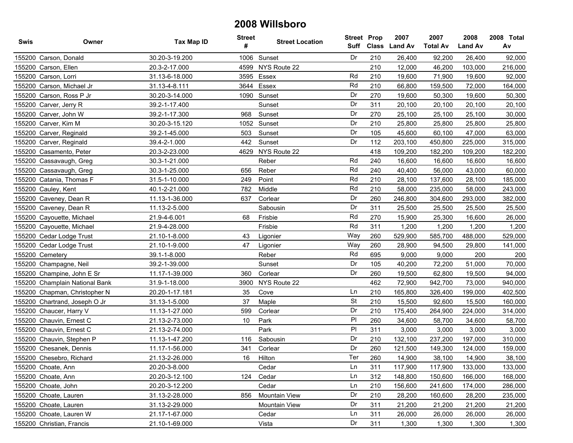| Swis   | Owner                          | Tax Map ID     | <b>Street</b><br># | <b>Street Location</b> | <b>Street Prop</b><br>Suff |     | 2007<br>Class Land Av | 2007<br><b>Total Av</b> | 2008<br><b>Land Av</b> | 2008 Total<br>Av |
|--------|--------------------------------|----------------|--------------------|------------------------|----------------------------|-----|-----------------------|-------------------------|------------------------|------------------|
|        | 155200 Carson, Donald          | 30.20-3-19.200 | 1006               | Sunset                 | Dr                         | 210 | 26,400                | 92,200                  | 26,400                 | 92,000           |
|        | 155200 Carson, Ellen           | 20.3-2-17.000  | 4599               | NYS Route 22           |                            | 210 | 12,000                | 46,200                  | 103,000                | 216,000          |
|        | 155200 Carson, Lorri           | 31.13-6-18.000 | 3595               | Essex                  | Rd                         | 210 | 19,600                | 71,900                  | 19,600                 | 92,000           |
|        | 155200 Carson, Michael Jr      | 31.13-4-8.111  | 3644               | Essex                  | Rd                         | 210 | 66,800                | 159,500                 | 72,000                 | 164,000          |
|        | 155200 Carson, Ross P Jr       | 30.20-3-14.000 |                    | 1090 Sunset            | Dr                         | 270 | 19,600                | 50,300                  | 19,600                 | 50,300           |
|        | 155200 Carver, Jerry R         | 39.2-1-17.400  |                    | Sunset                 | Dr                         | 311 | 20,100                | 20,100                  | 20,100                 | 20,100           |
|        | 155200 Carver, John W          | 39.2-1-17.300  | 968                | Sunset                 | Dr                         | 270 | 25,100                | 25,100                  | 25,100                 | 30,000           |
|        | 155200 Carver, Kim M           | 30.20-3-15.120 | 1052               | Sunset                 | Dr                         | 210 | 25,800                | 25,800                  | 25,800                 | 25,800           |
|        | 155200 Carver, Reginald        | 39.2-1-45.000  | 503                | Sunset                 | Dr                         | 105 | 45,600                | 60,100                  | 47,000                 | 63,000           |
|        | 155200 Carver, Reginald        | 39.4-2-1.000   | 442                | Sunset                 | Dr                         | 112 | 203,100               | 450,800                 | 225,000                | 315,000          |
|        | 155200 Casamento, Peter        | 20.3-2-23.000  |                    | 4629 NYS Route 22      |                            | 418 | 109,200               | 182,200                 | 109,200                | 182,200          |
|        | 155200 Cassavaugh, Greg        | 30.3-1-21.000  |                    | Reber                  | Rd                         | 240 | 16,600                | 16,600                  | 16,600                 | 16,600           |
| 155200 | Cassavaugh, Greg               | 30.3-1-25.000  | 656                | Reber                  | Rd                         | 240 | 40,400                | 56,000                  | 43,000                 | 60,000           |
|        | 155200 Catania, Thomas F       | 31.5-1-10.000  | 249                | Point                  | Rd                         | 210 | 28,100                | 137,600                 | 28,100                 | 185,000          |
|        | 155200 Cauley, Kent            | 40.1-2-21.000  | 782                | Middle                 | Rd                         | 210 | 58,000                | 235,000                 | 58,000                 | 243,000          |
|        | 155200 Caveney, Dean R         | 11.13-1-36.000 | 637                | Corlear                | Dr                         | 260 | 246,800               | 304,600                 | 293,000                | 382,000          |
|        | 155200 Caveney, Dean R         | 11.13-2-5.000  |                    | Sabousin               | Dr                         | 311 | 25,500                | 25,500                  | 25,500                 | 25,500           |
|        | 155200 Cayouette, Michael      | 21.9-4-6.001   | 68                 | Frisbie                | Rd                         | 270 | 15,900                | 25,300                  | 16,600                 | 26,000           |
|        | 155200 Cayouette, Michael      | 21.9-4-28.000  |                    | Frisbie                | Rd                         | 311 | 1,200                 | 1,200                   | 1,200                  | 1,200            |
|        | 155200 Cedar Lodge Trust       | 21.10-1-8.000  | 43                 | Ligonier               | Way                        | 260 | 529,900               | 585,700                 | 488,000                | 529,000          |
|        | 155200 Cedar Lodge Trust       | 21.10-1-9.000  | 47                 | Ligonier               | Way                        | 260 | 28,900                | 94,500                  | 29,800                 | 141,000          |
|        | 155200 Cemetery                | 39.1-1-8.000   |                    | Reber                  | Rd                         | 695 | 9,000                 | 9,000                   | 200                    | 200              |
|        | 155200 Champagne, Neil         | 39.2-1-39.000  |                    | Sunset                 | Dr                         | 105 | 40,200                | 72,200                  | 51,000                 | 70,000           |
|        | 155200 Champine, John E Sr     | 11.17-1-39.000 | 360                | Corlear                | Dr                         | 260 | 19,500                | 62,800                  | 19,500                 | 94,000           |
|        | 155200 Champlain National Bank | 31.9-1-18.000  | 3900               | NYS Route 22           |                            | 462 | 72,900                | 942,700                 | 73,000                 | 940,000          |
|        | 155200 Chapman, Christopher N  | 20.20-1-17.181 | 35                 | Cove                   | Ln                         | 210 | 165,800               | 326,400                 | 199,000                | 402,500          |
|        | 155200 Chartrand, Joseph O Jr  | 31.13-1-5.000  | 37                 | Maple                  | St                         | 210 | 15,500                | 92,600                  | 15,500                 | 160,000          |
|        | 155200 Chaucer, Harry V        | 11.13-1-27.000 | 599                | Corlear                | Dr                         | 210 | 175,400               | 264,900                 | 224,000                | 314,000          |
|        | 155200 Chauvin, Ernest C       | 21.13-2-73.000 | 10                 | Park                   | PI                         | 260 | 34,600                | 58,700                  | 34,600                 | 58,700           |
|        | 155200 Chauvin, Ernest C       | 21.13-2-74.000 |                    | Park                   | P                          | 311 | 3,000                 | 3,000                   | 3,000                  | 3,000            |
|        | 155200 Chauvin, Stephen P      | 11.13-1-47.200 | 116                | Sabousin               | Dr                         | 210 | 132,100               | 237,200                 | 197,000                | 310,000          |
|        | 155200 Chesanek, Dennis        | 11.17-1-56.000 | 341                | Corlear                | Dr                         | 260 | 121,500               | 149,300                 | 124,000                | 159,000          |
|        | 155200 Chesebro, Richard       | 21.13-2-26.000 | 16                 | Hilton                 | Ter                        | 260 | 14.900                | 38,100                  | 14.900                 | 38,100           |
|        | 155200 Choate, Ann             | 20.20-3-8.000  |                    | Cedar                  | Ln                         | 311 | 117,900               | 117,900                 | 133,000                | 133,000          |
|        | 155200 Choate, Ann             | 20.20-3-12.100 | 124                | Cedar                  | Ln                         | 312 | 148,800               | 150,600                 | 166,000                | 168,000          |
|        | 155200 Choate, John            | 20.20-3-12.200 |                    | Cedar                  | Ln                         | 210 | 156,600               | 241,600                 | 174,000                | 286,000          |
|        | 155200 Choate, Lauren          | 31.13-2-28.000 | 856                | <b>Mountain View</b>   | Dr                         | 210 | 28,200                | 160,600                 | 28,200                 | 235,000          |
|        | 155200 Choate, Lauren          | 31.13-2-29.000 |                    | Mountain View          | Dr                         | 311 | 21,200                | 21,200                  | 21,200                 | 21,200           |
|        | 155200 Choate, Lauren W        | 21.17-1-67.000 |                    | Cedar                  | Ln                         | 311 | 26,000                | 26,000                  | 26,000                 | 26,000           |
|        | 155200 Christian, Francis      | 21.10-1-69.000 |                    | Vista                  | Dr                         | 311 | 1,300                 | 1,300                   | 1,300                  | 1,300            |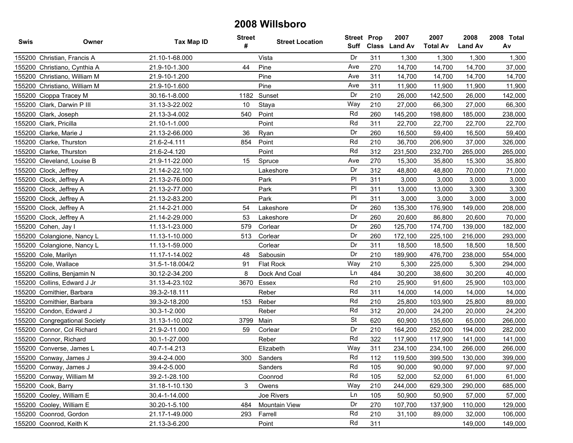| Swis   | Owner                         | <b>Tax Map ID</b> | <b>Street</b><br># | <b>Street Location</b> | <b>Street Prop</b><br>Suff |     | 2007<br>Class Land Av | 2007<br><b>Total Av</b> | 2008<br><b>Land Av</b> | 2008 Total<br>Av |
|--------|-------------------------------|-------------------|--------------------|------------------------|----------------------------|-----|-----------------------|-------------------------|------------------------|------------------|
|        | 155200 Christian, Francis A   | 21.10-1-68.000    |                    | Vista                  | Dr                         | 311 | 1,300                 | 1,300                   | 1,300                  | 1,300            |
|        | 155200 Christiano, Cynthia A  | 21.9-10-1.300     | 44                 | Pine                   | Ave                        | 270 | 14,700                | 14,700                  | 14,700                 | 37,000           |
|        | 155200 Christiano, William M  | 21.9-10-1.200     |                    | Pine                   | Ave                        | 311 | 14,700                | 14,700                  | 14,700                 | 14,700           |
|        | 155200 Christiano, William M  | 21.9-10-1.600     |                    | Pine                   | Ave                        | 311 | 11,900                | 11,900                  | 11,900                 | 11,900           |
|        | 155200 Cioppa Tracey M        | 30.16-1-8.000     | 1182               | Sunset                 | Dr                         | 210 | 26,000                | 142,500                 | 26,000                 | 142,000          |
|        | 155200 Clark, Darwin P III    | 31.13-3-22.002    | 10                 | Staya                  | Way                        | 210 | 27,000                | 66,300                  | 27,000                 | 66,300           |
|        | 155200 Clark, Joseph          | 21.13-3-4.002     | 540                | Point                  | Rd                         | 260 | 145,200               | 198,800                 | 185,000                | 238,000          |
|        | 155200 Clark, Pricilla        | 21.10-1-1.000     |                    | Point                  | Rd                         | 311 | 22,700                | 22,700                  | 22,700                 | 22,700           |
|        | 155200 Clarke, Marie J        | 21.13-2-66.000    | 36                 | Ryan                   | Dr                         | 260 | 16,500                | 59,400                  | 16,500                 | 59,400           |
|        | 155200 Clarke, Thurston       | 21.6-2-4.111      | 854                | Point                  | Rd                         | 210 | 36,700                | 206,900                 | 37,000                 | 326,000          |
|        | 155200 Clarke, Thurston       | 21.6-2-4.120      |                    | Point                  | Rd                         | 312 | 231,500               | 232,700                 | 265,000                | 265,000          |
|        | 155200 Cleveland, Louise B    | 21.9-11-22.000    | 15                 | Spruce                 | Ave                        | 270 | 15,300                | 35,800                  | 15,300                 | 35,800           |
|        | 155200 Clock, Jeffrey         | 21.14-2-22.100    |                    | Lakeshore              | Dr                         | 312 | 48,800                | 48,800                  | 70,000                 | 71,000           |
|        | 155200 Clock, Jeffrey A       | 21.13-2-76.000    |                    | Park                   | PI                         | 311 | 3,000                 | 3,000                   | 3,000                  | 3,000            |
|        | 155200 Clock, Jeffrey A       | 21.13-2-77.000    |                    | Park                   | PI                         | 311 | 13,000                | 13,000                  | 3,300                  | 3,300            |
|        | 155200 Clock, Jeffrey A       | 21.13-2-83.200    |                    | Park                   | PI                         | 311 | 3,000                 | 3,000                   | 3,000                  | 3,000            |
|        | 155200 Clock, Jeffrey A       | 21.14-2-21.000    | 54                 | Lakeshore              | Dr                         | 260 | 135,300               | 176,900                 | 149,000                | 208,000          |
|        | 155200 Clock, Jeffrey A       | 21.14-2-29.000    | 53                 | Lakeshore              | Dr                         | 260 | 20,600                | 86,800                  | 20,600                 | 70,000           |
|        | 155200 Cohen, Jay I           | 11.13-1-23.000    | 579                | Corlear                | Dr                         | 260 | 125,700               | 174,700                 | 139,000                | 182,000          |
|        | 155200 Colangione, Nancy L    | 11.13-1-10.000    | 513                | Corlear                | Dr                         | 260 | 172,100               | 225,100                 | 216,000                | 293,000          |
|        | 155200 Colangione, Nancy L    | 11.13-1-59.000    |                    | Corlear                | Dr                         | 311 | 18,500                | 18,500                  | 18,500                 | 18,500           |
|        | 155200 Cole, Marilyn          | 11.17-1-14.002    | 48                 | Sabousin               | Dr                         | 210 | 189,900               | 476,700                 | 238,000                | 554,000          |
|        | 155200 Cole, Wallace          | 31.5-1-18.004/2   | 91                 | <b>Flat Rock</b>       | Way                        | 210 | 5,300                 | 225,000                 | 5,300                  | 294,000          |
| 155200 | Collins, Benjamin N           | 30.12-2-34.200    | 8                  | Dock And Coal          | Ln                         | 484 | 30,200                | 38,600                  | 30,200                 | 40,000           |
| 155200 | Collins, Edward J Jr          | 31.13-4-23.102    | 3670               | Essex                  | Rd                         | 210 | 25,900                | 91,600                  | 25,900                 | 103,000          |
|        | 155200 Comithier, Barbara     | 39.3-2-18.111     |                    | Reber                  | Rd                         | 311 | 14,000                | 14,000                  | 14,000                 | 14,000           |
|        | 155200 Comithier, Barbara     | 39.3-2-18.200     | 153                | Reber                  | Rd                         | 210 | 25,800                | 103,900                 | 25,800                 | 89,000           |
|        | 155200 Condon, Edward J       | 30.3-1-2.000      |                    | Reber                  | Rd                         | 312 | 20,000                | 24,200                  | 20,000                 | 24,200           |
|        | 155200 Congregational Society | 31.13-1-10.002    | 3799               | Main                   | <b>St</b>                  | 620 | 60,900                | 135,600                 | 65,000                 | 266,000          |
|        | 155200 Connor, Col Richard    | 21.9-2-11.000     | 59                 | Corlear                | Dr                         | 210 | 164,200               | 252,000                 | 194,000                | 282,000          |
|        | 155200 Connor, Richard        | 30.1-1-27.000     |                    | Reber                  | Rd                         | 322 | 117,900               | 117,900                 | 141,000                | 141,000          |
|        | 155200 Converse, James L      | 40.7-1-4.213      |                    | Elizabeth              | Way                        | 311 | 234,100               | 234,100                 | 266,000                | 266,000          |
|        | 155200 Conway, James J        | 39.4-2-4.000      |                    | 300 Sanders            | Rd                         | 112 | 119.500               | 399,500                 | 130.000                | 399,000          |
|        | 155200 Conway, James J        | 39.4-2-5.000      |                    | Sanders                | Rd                         | 105 | 90,000                | 90,000                  | 97,000                 | 97,000           |
|        | 155200 Conway, William M      | 39.2-1-28.100     |                    | Coonrod                | Rd                         | 105 | 52,000                | 52,000                  | 61,000                 | 61,000           |
|        | 155200 Cook, Barry            | 31.18-1-10.130    | 3                  | Owens                  | Way                        | 210 | 244,000               | 629,300                 | 290,000                | 685,000          |
|        | 155200 Cooley, William E      | 30.4-1-14.000     |                    | Joe Rivers             | Ln                         | 105 | 50,900                | 50,900                  | 57,000                 | 57,000           |
|        | 155200 Cooley, William E      | 30.20-1-5.100     | 484                | Mountain View          | Dr                         | 270 | 107,700               | 137,900                 | 110,000                | 129,000          |
|        | 155200 Coonrod, Gordon        | 21.17-1-49.000    | 293                | Farrell                | Rd                         | 210 | 31,100                | 89,000                  | 32,000                 | 106,000          |
|        | 155200 Coonrod, Keith K       | 21.13-3-6.200     |                    | Point                  | Rd                         | 311 |                       |                         | 149,000                | 149,000          |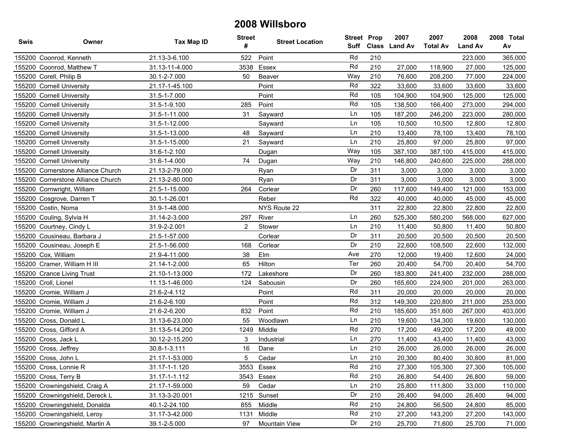| Swis   | Owner                              | Tax Map ID     | <b>Street</b><br># | <b>Street Location</b> | <b>Street Prop</b> |     | 2007<br>Suff Class Land Av | 2007<br><b>Total Av</b> | 2008<br><b>Land Av</b> | 2008 Total<br>Av |
|--------|------------------------------------|----------------|--------------------|------------------------|--------------------|-----|----------------------------|-------------------------|------------------------|------------------|
|        | 155200 Coonrod, Kenneth            | 21.13-3-6.100  | 522                | Point                  | Rd                 | 210 |                            |                         | 223,000                | 365,000          |
|        | 155200 Coonrod, Matthew T          | 31.13-11-4.000 | 3538               | Essex                  | Rd                 | 210 | 27,000                     | 118,900                 | 27,000                 | 125,000          |
|        | 155200 Corell, Philip B            | 30.1-2-7.000   | 50                 | Beaver                 | Way                | 210 | 76,600                     | 208,200                 | 77,000                 | 224,000          |
|        | 155200 Cornell University          | 21.17-1-45.100 |                    | Point                  | Rd                 | 322 | 33,600                     | 33,600                  | 33,600                 | 33,600           |
|        | 155200 Cornell University          | 31.5-1-7.000   |                    | Point                  | Rd                 | 105 | 104,900                    | 104,900                 | 125,000                | 125,000          |
| 155200 | <b>Cornell University</b>          | 31.5-1-9.100   | 285                | Point                  | Rd                 | 105 | 138,500                    | 166,400                 | 273,000                | 294,000          |
|        | 155200 Cornell University          | 31.5-1-11.000  | 31                 | Sayward                | Ln                 | 105 | 187,200                    | 246,200                 | 223,000                | 280,000          |
|        | 155200 Cornell University          | 31.5-1-12.000  |                    | Sayward                | Ln                 | 105 | 10,500                     | 10,500                  | 12,800                 | 12,800           |
|        | 155200 Cornell University          | 31.5-1-13.000  | 48                 | Sayward                | Ln                 | 210 | 13,400                     | 78,100                  | 13,400                 | 78,100           |
|        | 155200 Cornell University          | 31.5-1-15.000  | 21                 | Sayward                | Ln                 | 210 | 25,800                     | 97,000                  | 25,800                 | 97,000           |
|        | 155200 Cornell University          | 31.6-1-2.100   |                    | Dugan                  | Way                | 105 | 387,100                    | 387,100                 | 415,000                | 415,000          |
|        | 155200 Cornell University          | 31.6-1-4.000   | 74                 | Dugan                  | Way                | 210 | 146,800                    | 240,600                 | 225,000                | 288,000          |
| 155200 | Cornerstone Alliance Church        | 21.13-2-79.000 |                    | Ryan                   | Dr                 | 311 | 3,000                      | 3,000                   | 3,000                  | 3,000            |
|        | 155200 Cornerstone Alliance Church | 21.13-2-80.000 |                    | Ryan                   | Dr                 | 311 | 3,000                      | 3,000                   | 3,000                  | 3,000            |
|        | 155200 Cornwright, William         | 21.5-1-15.000  | 264                | Corlear                | Dr                 | 260 | 117,600                    | 149,400                 | 121,000                | 153,000          |
|        | 155200 Cosgrove, Darren T          | 30.1-1-26.001  |                    | Reber                  | Rd                 | 322 | 40,000                     | 40,000                  | 45,000                 | 45,000           |
|        | 155200 Costin, Noma                | 31.9-1-48.000  |                    | NYS Route 22           |                    | 311 | 22,800                     | 22,800                  | 22,800                 | 22,800           |
|        | 155200 Couling, Sylvia H           | 31.14-2-3.000  | 297                | River                  | Ln                 | 260 | 525,300                    | 580,200                 | 568,000                | 627,000          |
|        | 155200 Courtney, Cindy L           | 31.9-2-2.001   | 2                  | Stower                 | Ln                 | 210 | 11,400                     | 50,800                  | 11,400                 | 50,800           |
|        | 155200 Cousineau, Barbara J        | 21.5-1-57.000  |                    | Corlear                | Dr                 | 311 | 20,500                     | 20,500                  | 20,500                 | 20,500           |
|        | 155200 Cousineau, Joseph E         | 21.5-1-56.000  | 168                | Corlear                | Dr                 | 210 | 22,600                     | 108,500                 | 22,600                 | 132,000          |
|        | 155200 Cox, William                | 21.9-4-11.000  | 38                 | Elm                    | Ave                | 270 | 12,000                     | 19,400                  | 12,600                 | 24,000           |
|        | 155200 Cramer, William H III       | 21.14-1-2.000  | 65                 | Hilton                 | Ter                | 260 | 20,400                     | 54,700                  | 20,400                 | 54,700           |
|        | 155200 Crance Living Trust         | 21.10-1-13.000 | 172                | Lakeshore              | Dr                 | 260 | 183,800                    | 241,400                 | 232,000                | 288,000          |
|        | 155200 Croll, Lionel               | 11.13-1-46.000 | 124                | Sabousin               | Dr                 | 260 | 165,600                    | 224,900                 | 201,000                | 263,000          |
|        | 155200 Cromie, William J           | 21.6-2-4.112   |                    | Point                  | Rd                 | 311 | 20,000                     | 20,000                  | 20,000                 | 20,000           |
|        | 155200 Cromie, William J           | 21.6-2-6.100   |                    | Point                  | Rd                 | 312 | 149,300                    | 220,800                 | 211,000                | 253,000          |
|        | 155200 Cromie, William J           | 21.6-2-6.200   | 832                | Point                  | Rd                 | 210 | 185,600                    | 351,600                 | 267,000                | 403,000          |
|        | 155200 Cross, Donald L             | 31.13-6-23.000 | 55                 | Woodlawn               | Ln                 | 210 | 19,600                     | 134,300                 | 19,600                 | 130,000          |
|        | 155200 Cross, Gifford A            | 31.13-5-14.200 | 1249               | Middle                 | Rd                 | 270 | 17,200                     | 49,200                  | 17,200                 | 49,000           |
|        | 155200 Cross, Jack L               | 30.12-2-15.200 | 3                  | Industrial             | Ln                 | 270 | 11,400                     | 43,400                  | 11,400                 | 43,000           |
|        | 155200 Cross, Jeffrey              | 30.8-1-3.111   | 16                 | Dane                   | Ln                 | 210 | 26,000                     | 26,000                  | 26,000                 | 26,000           |
|        | 155200 Cross. John L               | 21.17-1-53.000 | 5                  | Cedar                  | Ln                 | 210 | 20,300                     | 80.400                  | 30,800                 | 81,000           |
|        | 155200 Cross, Lonnie R             | 31.17-1-1.120  |                    | 3553 Essex             | Rd                 | 210 | 27,300                     | 105,300                 | 27,300                 | 105,000          |
|        | 155200 Cross, Terry B              | 31.17-1-1.112  |                    | 3543 Essex             | Rd                 | 210 | 26,800                     | 54,400                  | 26,800                 | 59,000           |
|        | 155200 Crowningshield, Craig A     | 21.17-1-59.000 | 59                 | Cedar                  | Ln                 | 210 | 25,800                     | 111,800                 | 33,000                 | 110,000          |
|        | 155200 Crowningshield, Dereck L    | 31.13-3-20.001 |                    | 1215 Sunset            | Dr                 | 210 | 26,400                     | 94,000                  | 26,400                 | 94,000           |
|        | 155200 Crowningshield, Donalda     | 40.1-2-24.100  | 855                | Middle                 | Rd                 | 210 | 24,800                     | 56,500                  | 24,800                 | 85,000           |
|        | 155200 Crowningshield, Leroy       | 31.17-3-42.000 | 1131               | Middle                 | Rd                 | 210 | 27,200                     | 143,200                 | 27,200                 | 143,000          |
|        | 155200 Crowningshield, Martin A    | 39.1-2-5.000   | 97                 | Mountain View          | Dr                 | 210 | 25,700                     | 71,600                  | 25,700                 | 71,000           |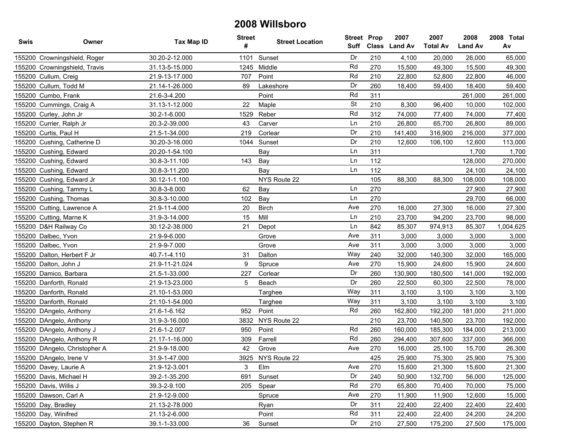| <b>Swis</b> | Owner                         | <b>Tax Map ID</b> | <b>Street</b><br># | <b>Street Location</b> | Suff      | <b>Street Prop</b><br>Class | 2007<br><b>Land Av</b> | 2007<br><b>Total Av</b> | 2008<br><b>Land Av</b> | 2008 Total<br>Av |
|-------------|-------------------------------|-------------------|--------------------|------------------------|-----------|-----------------------------|------------------------|-------------------------|------------------------|------------------|
|             | 155200 Crowningshield, Roger  | 30.20-2-12.000    | 1101               | Sunset                 | Dr        | 210                         | 4,100                  | 20,000                  | 26,000                 | 65,000           |
|             | 155200 Crowningshield, Travis | 31.13-5-15.000    | 1245               | Middle                 | Rd        | 270                         | 15,500                 | 49,300                  | 15,500                 | 49,300           |
|             | 155200 Cullum, Creig          | 21.9-13-17.000    | 707                | Point                  | Rd        | 210                         | 22,800                 | 52,800                  | 22,800                 | 46,000           |
|             | 155200 Cullum, Todd M         | 21.14-1-26.000    | 89                 | Lakeshore              | Dr        | 260                         | 18,400                 | 59,400                  | 18,400                 | 59,400           |
|             | 155200 Cumbo, Frank           | 21.6-3-4.200      |                    | Point                  | Rd        | 311                         |                        |                         | 261,000                | 261,000          |
|             | 155200 Cummings, Craig A      | 31.13-1-12.000    | 22                 | Maple                  | <b>St</b> | 210                         | 8,300                  | 96,400                  | 10,000                 | 102,000          |
|             | 155200 Curley, John Jr        | 30.2-1-6.000      | 1529               | Reber                  | Rd        | 312                         | 74,000                 | 77,400                  | 74,000                 | 77,400           |
|             | 155200 Currier, Ralph Jr      | 20.3-2-39.000     | 43                 | Carver                 | Ln        | 210                         | 26,800                 | 65,700                  | 26,800                 | 89,000           |
|             | 155200 Curtis, Paul H         | 21.5-1-34.000     | 219                | Corlear                | Dr        | 210                         | 141,400                | 316,900                 | 216,000                | 377,000          |
|             | 155200 Cushing, Catherine D   | 30.20-3-16.000    | 1044               | Sunset                 | Dr        | 210                         | 12,600                 | 106,100                 | 12,600                 | 113,000          |
|             | 155200 Cushing, Edward        | 20.20-1-54.100    |                    | Bay                    | Ln        | 311                         |                        |                         | 1,700                  | 1,700            |
|             | 155200 Cushing, Edward        | 30.8-3-11.100     | 143                | Bay                    | Ln        | 112                         |                        |                         | 128,000                | 270,000          |
|             | 155200 Cushing, Edward        | 30.8-3-11.200     |                    | Bay                    | Ln        | 112                         |                        |                         | 24,100                 | 24,100           |
|             | 155200 Cushing, Edward Jr     | 30.12-1-1.100     |                    | NYS Route 22           |           | 105                         | 88,300                 | 88,300                  | 108,000                | 108,000          |
|             | 155200 Cushing, Tammy L       | 30.8-3-8.000      | 62                 | Bay                    | Ln        | 270                         |                        |                         | 27,900                 | 27,900           |
|             | 155200 Cushing, Thomas        | 30.8-3-10.000     | 102                | Bay                    | Ln        | 270                         |                        |                         | 29,700                 | 66,000           |
|             | 155200 Cutting, Lawrence A    | 21.9-11-4.000     | 20                 | <b>Birch</b>           | Ave       | 270                         | 16,000                 | 27,300                  | 16,000                 | 27,300           |
|             | 155200 Cutting, Marne K       | 31.9-3-14.000     | 15                 | Mill                   | Ln        | 210                         | 23,700                 | 94,200                  | 23,700                 | 98,000           |
|             | 155200 D&H Railway Co         | 30.12-2-38.000    | 21                 | Depot                  | Ln        | 842                         | 85,307                 | 974,913                 | 85,307                 | 1,004,625        |
|             | 155200 Dalbec, Yvon           | 21.9-9-6.000      |                    | Grove                  | Ave       | 311                         | 3,000                  | 3,000                   | 3,000                  | 3,000            |
|             | 155200 Dalbec, Yvon           | 21.9-9-7.000      |                    | Grove                  | Ave       | 311                         | 3,000                  | 3,000                   | 3,000                  | 3,000            |
|             | 155200 Dalton, Herbert F Jr   | 40.7-1-4.110      | 31                 | Dalton                 | Way       | 240                         | 32,000                 | 140,300                 | 32,000                 | 165,000          |
|             | 155200 Dalton, John J         | 21.9-11-21.024    | 9                  | Spruce                 | Ave       | 270                         | 15,900                 | 24,600                  | 15,900                 | 24,600           |
|             | 155200 Damico, Barbara        | 21.5-1-33.000     | 227                | Corlear                | Dr        | 260                         | 130,900                | 180,500                 | 141,000                | 192,000          |
|             | 155200 Danforth, Ronald       | 21.9-13-23.000    | 5                  | Beach                  | Dr        | 260                         | 22,500                 | 60,300                  | 22,500                 | 78,000           |
|             | 155200 Danforth, Ronald       | 21.10-1-53.000    |                    | Targhee                | Way       | 311                         | 3,100                  | 3,100                   | 3,100                  | 3,100            |
|             | 155200 Danforth, Ronald       | 21.10-1-54.000    |                    | Targhee                | Way       | 311                         | 3,100                  | 3,100                   | 3,100                  | 3,100            |
|             | 155200 DAngelo, Anthony       | 21.6-1-6.162      | 952                | Point                  | Rd        | 260                         | 162,800                | 192,200                 | 181,000                | 211,000          |
|             | 155200 DAngelo, Anthony       | 31.9-3-16.000     | 3832               | NYS Route 22           |           | 210                         | 23,700                 | 140,500                 | 23,700                 | 192,000          |
|             | 155200 DAngelo, Anthony J     | 21.6-1-2.007      | 950                | Point                  | Rd        | 260                         | 160,000                | 185,300                 | 184,000                | 213,000          |
|             | 155200 DAngelo, Anthony R     | 21.17-1-16.000    | 309                | Farrell                | Rd        | 260                         | 294,400                | 307,600                 | 337,000                | 366,000          |
|             | 155200 DAngelo, Christopher A | 21.9-9-18.000     | 42                 | Grove                  | Ave       | 270                         | 16,000                 | 25,100                  | 15,700                 | 26,300           |
|             | 155200 DAngelo, Irene V       | 31.9-1-47.000     |                    | 3925 NYS Route 22      |           | 425                         | 25,900                 | 75,300                  | 25,900                 | 75,300           |
|             | 155200 Davey, Laurie A        | 21.9-12-3.001     | 3                  | Elm                    | Ave       | 270                         | 15,600                 | 21,300                  | 15,600                 | 21,300           |
|             | 155200 Davis, Michael H       | 39.2-1-35.200     | 691                | Sunset                 | Dr        | 240                         | 50,900                 | 132,700                 | 56,000                 | 125,000          |
|             | 155200 Davis, Willis J        | 39.3-2-9.100      | 205                | Spear                  | Rd        | 270                         | 65,800                 | 70,400                  | 70,000                 | 75,000           |
|             | 155200 Dawson, Carl A         | 21.9-12-9.000     |                    | Spruce                 | Ave       | 270                         | 11,900                 | 11,900                  | 12,600                 | 15,000           |
|             | 155200 Day, Bradley           | 21.13-2-78.000    |                    | Ryan                   | Dr        | 311                         | 22,400                 | 22,400                  | 22,400                 | 22,400           |
|             | 155200 Day, Winifred          | 21.13-2-6.000     |                    | Point                  | Rd        | 311                         | 22,400                 | 22,400                  | 24,200                 | 24,200           |
|             | 155200 Dayton, Stephen R      | 39.1-1-33.000     | 36                 | Sunset                 | Dr        | 210                         | 27,500                 | 175,200                 | 27,500                 | 175,000          |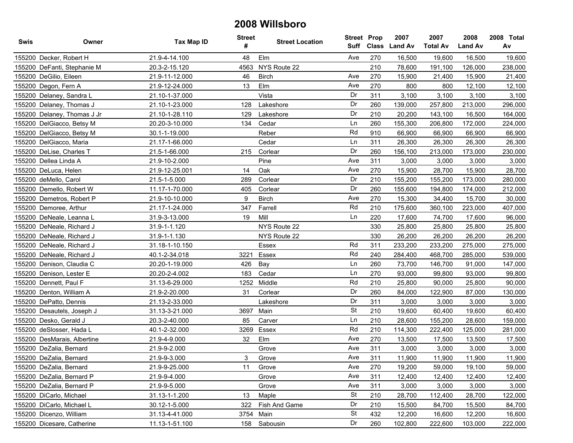| Swis | Owner                       | <b>Tax Map ID</b> | <b>Street</b><br># | <b>Street Location</b> | <b>Street Prop</b><br>Suff |     | 2007<br>Class Land Av | 2007<br><b>Total Av</b> | 2008<br><b>Land Av</b> | 2008 Total<br>Av |
|------|-----------------------------|-------------------|--------------------|------------------------|----------------------------|-----|-----------------------|-------------------------|------------------------|------------------|
|      | 155200 Decker, Robert H     | 21.9-4-14.100     | 48                 | Elm                    | Ave                        | 270 | 16,500                | 19,600                  | 16,500                 | 19,600           |
|      | 155200 DeFanti, Stephanie M | 20.3-2-15.120     | 4563               | NYS Route 22           |                            | 210 | 78,600                | 191,100                 | 126,000                | 238,000          |
|      | 155200 DeGilio, Eileen      | 21.9-11-12.000    | 46                 | <b>Birch</b>           | Ave                        | 270 | 15,900                | 21,400                  | 15,900                 | 21,400           |
|      | 155200 Degon, Fern A        | 21.9-12-24.000    | 13                 | Elm                    | Ave                        | 270 | 800                   | 800                     | 12,100                 | 12,100           |
|      | 155200 Delaney, Sandra L    | 21.10-1-37.000    |                    | Vista                  | Dr                         | 311 | 3,100                 | 3,100                   | 3,100                  | 3,100            |
|      | 155200 Delaney, Thomas J    | 21.10-1-23.000    | 128                | Lakeshore              | Dr                         | 260 | 139,000               | 257,800                 | 213,000                | 296,000          |
|      | 155200 Delaney, Thomas J Jr | 21.10-1-28.110    | 129                | Lakeshore              | Dr                         | 210 | 20,200                | 143,100                 | 16,500                 | 164,000          |
|      | 155200 DelGiacco, Betsy M   | 20.20-3-10.000    | 134                | Cedar                  | Ln                         | 260 | 155,300               | 206,800                 | 172,000                | 224,000          |
|      | 155200 DelGiacco, Betsy M   | 30.1-1-19.000     |                    | Reber                  | Rd                         | 910 | 66,900                | 66,900                  | 66,900                 | 66,900           |
|      | 155200 DelGiacco, Maria     | 21.17-1-66.000    |                    | Cedar                  | Ln                         | 311 | 26,300                | 26,300                  | 26,300                 | 26,300           |
|      | 155200 DeLise, Charles T    | 21.5-1-66.000     | 215                | Corlear                | Dr                         | 260 | 156,100               | 213,000                 | 173,000                | 230,000          |
|      | 155200 Dellea Linda A       | 21.9-10-2.000     |                    | Pine                   | Ave                        | 311 | 3,000                 | 3,000                   | 3,000                  | 3,000            |
|      | 155200 DeLuca, Helen        | 21.9-12-25.001    | 14                 | Oak                    | Ave                        | 270 | 15,900                | 28,700                  | 15,900                 | 28,700           |
|      | 155200 deMello, Carol       | 21.5-1-5.000      | 289                | Corlear                | Dr                         | 210 | 155,200               | 155,200                 | 173,000                | 280,000          |
|      | 155200 Demello, Robert W    | 11.17-1-70.000    | 405                | Corlear                | Dr                         | 260 | 155,600               | 194,800                 | 174,000                | 212,000          |
|      | 155200 Demetros, Robert P   | 21.9-10-10.000    | 9                  | <b>Birch</b>           | Ave                        | 270 | 15,300                | 34,400                  | 15,700                 | 30,000           |
|      | 155200 Demoree, Arthur      | 21.17-1-24.000    | 347                | Farrell                | Rd                         | 210 | 175,600               | 360,100                 | 223,000                | 407,000          |
|      | 155200 DeNeale, Leanna L    | 31.9-3-13.000     | 19                 | Mill                   | Ln                         | 220 | 17,600                | 74,700                  | 17,600                 | 96,000           |
|      | 155200 DeNeale, Richard J   | 31.9-1-1.120      |                    | NYS Route 22           |                            | 330 | 25,800                | 25,800                  | 25,800                 | 25,800           |
|      | 155200 DeNeale, Richard J   | 31.9-1-1.130      |                    | NYS Route 22           |                            | 330 | 26,200                | 26,200                  | 26,200                 | 26,200           |
|      | 155200 DeNeale, Richard J   | 31.18-1-10.150    |                    | Essex                  | Rd                         | 311 | 233,200               | 233,200                 | 275,000                | 275,000          |
|      | 155200 DeNeale, Richard J   | 40.1-2-34.018     | 3221               | Essex                  | Rd                         | 240 | 284,400               | 468,700                 | 285,000                | 539,000          |
|      | 155200 Denison, Claudia C   | 20.20-1-19.000    | 426                | Bay                    | Ln                         | 260 | 73,700                | 146,700                 | 91,000                 | 147,000          |
|      | 155200 Denison, Lester E    | 20.20-2-4.002     | 183                | Cedar                  | Ln                         | 270 | 93,000                | 99,800                  | 93,000                 | 99,800           |
|      | 155200 Dennett, Paul F      | 31.13-6-29.000    | 1252               | Middle                 | Rd                         | 210 | 25,800                | 90,000                  | 25,800                 | 90,000           |
|      | 155200 Denton, William A    | 21.9-2-20.000     | 31                 | Corlear                | Dr                         | 260 | 84,000                | 122,900                 | 87,000                 | 130,000          |
|      | 155200 DePatto, Dennis      | 21.13-2-33.000    |                    | Lakeshore              | Dr                         | 311 | 3,000                 | 3,000                   | 3,000                  | 3,000            |
|      | 155200 Desautels, Joseph J  | 31.13-3-21.000    | 3697               | Main                   | <b>St</b>                  | 210 | 19,600                | 60,400                  | 19,600                 | 60,400           |
|      | 155200 Desko, Gerald J      | 20.3-2-40.000     | 85                 | Carver                 | Ln                         | 210 | 28,600                | 155,200                 | 28,600                 | 159,000          |
|      | 155200 deSlosser, Hada L    | 40.1-2-32.000     | 3269               | Essex                  | Rd                         | 210 | 114,300               | 222,400                 | 125,000                | 281,000          |
|      | 155200 DesMarais, Albertine | 21.9-4-9.000      | 32                 | Elm                    | Ave                        | 270 | 13,500                | 17,500                  | 13,500                 | 17,500           |
|      | 155200 DeZalia, Bernard     | 21.9-9-2.000      |                    | Grove                  | Ave                        | 311 | 3,000                 | 3,000                   | 3,000                  | 3,000            |
|      | 155200 DeZalia, Bernard     | 21.9-9-3.000      | 3                  | Grove                  | Ave                        | 311 | 11,900                | 11,900                  | 11.900                 | 11,900           |
|      | 155200 DeZalia, Bernard     | 21.9-9-25.000     | 11                 | Grove                  | Ave                        | 270 | 19,200                | 59,000                  | 19,100                 | 59,000           |
|      | 155200 DeZalia, Bernard P   | 21.9-9-4.000      |                    | Grove                  | Ave                        | 311 | 12,400                | 12,400                  | 12,400                 | 12,400           |
|      | 155200 DeZalia, Bernard P   | 21.9-9-5.000      |                    | Grove                  | Ave                        | 311 | 3,000                 | 3,000                   | 3,000                  | 3,000            |
|      | 155200 DiCarlo, Michael     | 31.13-1-1.200     | 13                 | Maple                  | <b>St</b>                  | 210 | 28,700                | 112,400                 | 28,700                 | 122,000          |
|      | 155200 DiCarlo, Michael L   | 30.12-1-5.000     | 322                | Fish And Game          | Dr                         | 210 | 15,500                | 84,700                  | 15,500                 | 84,700           |
|      | 155200 Dicenzo, William     | 31.13-4-41.000    | 3754               | Main                   | <b>St</b>                  | 432 | 12,200                | 16,600                  | 12,200                 | 16,600           |
|      | 155200 Dicesare, Catherine  | 11.13-1-51.100    | 158                | Sabousin               | Dr                         | 260 | 102,800               | 222,600                 | 103,000                | 222,000          |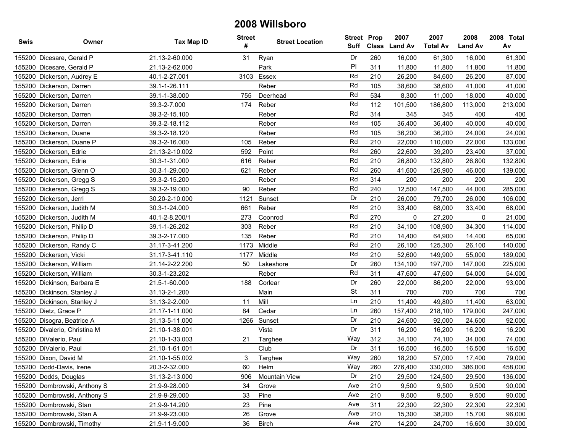| Swis | Owner                         | <b>Tax Map ID</b> | <b>Street</b><br># | <b>Street Location</b> | <b>Street Prop</b> |     | 2007<br>Suff Class Land Av | 2007<br><b>Total Av</b> | 2008<br><b>Land Av</b> | 2008 Total<br>Av |
|------|-------------------------------|-------------------|--------------------|------------------------|--------------------|-----|----------------------------|-------------------------|------------------------|------------------|
|      | 155200 Dicesare, Gerald P     | 21.13-2-60.000    | 31                 | Ryan                   | Dr                 | 260 | 16.000                     | 61,300                  | 16.000                 | 61,300           |
|      | 155200 Dicesare, Gerald P     | 21.13-2-62.000    |                    | Park                   | PI                 | 311 | 11,800                     | 11,800                  | 11,800                 | 11,800           |
|      | 155200 Dickerson, Audrey E    | 40.1-2-27.001     |                    | 3103 Essex             | Rd                 | 210 | 26,200                     | 84,600                  | 26,200                 | 87,000           |
|      | 155200 Dickerson, Darren      | 39.1-1-26.111     |                    | Reber                  | Rd                 | 105 | 38,600                     | 38,600                  | 41,000                 | 41,000           |
|      | 155200 Dickerson, Darren      | 39.1-1-38.000     | 755                | Deerhead               | Rd                 | 534 | 8,300                      | 11,000                  | 18,000                 | 40,000           |
|      | 155200 Dickerson, Darren      | 39.3-2-7.000      | 174                | Reber                  | Rd                 | 112 | 101,500                    | 186,800                 | 113,000                | 213,000          |
|      | 155200 Dickerson, Darren      | 39.3-2-15.100     |                    | Reber                  | Rd                 | 314 | 345                        | 345                     | 400                    | 400              |
|      | 155200 Dickerson, Darren      | 39.3-2-18.112     |                    | Reber                  | Rd                 | 105 | 36,400                     | 36,400                  | 40,000                 | 40,000           |
|      | 155200 Dickerson, Duane       | 39.3-2-18.120     |                    | Reber                  | Rd                 | 105 | 36,200                     | 36,200                  | 24,000                 | 24,000           |
|      | 155200 Dickerson, Duane P     | 39.3-2-16.000     | 105                | Reber                  | Rd                 | 210 | 22,000                     | 110,000                 | 22,000                 | 133,000          |
|      | 155200 Dickerson, Edrie       | 21.13-2-10.002    | 592                | Point                  | Rd                 | 260 | 22,600                     | 39,200                  | 23,400                 | 37,000           |
|      | 155200 Dickerson, Edrie       | 30.3-1-31.000     | 616                | Reber                  | Rd                 | 210 | 26,800                     | 132,800                 | 26,800                 | 132,800          |
|      | 155200 Dickerson, Glenn O     | 30.3-1-29.000     | 621                | Reber                  | Rd                 | 260 | 41,600                     | 126,900                 | 46,000                 | 139,000          |
|      | 155200 Dickerson, Gregg S     | 39.3-2-15.200     |                    | Reber                  | Rd                 | 314 | 200                        | 200                     | 200                    | 200              |
|      | 155200 Dickerson, Gregg S     | 39.3-2-19.000     | 90                 | Reber                  | Rd                 | 240 | 12,500                     | 147,500                 | 44,000                 | 285,000          |
|      | 155200 Dickerson, Jerri       | 30.20-2-10.000    | 1121               | Sunset                 | Dr                 | 210 | 26,000                     | 79,700                  | 26,000                 | 106,000          |
|      | 155200 Dickerson, Judith M    | 30.3-1-24.000     | 661                | Reber                  | Rd                 | 210 | 33,400                     | 68,000                  | 33,400                 | 68,000           |
|      | 155200 Dickerson, Judith M    | 40.1-2-8.200/1    | 273                | Coonrod                | Rd                 | 270 | 0                          | 27,200                  | 0                      | 21,000           |
|      | 155200 Dickerson, Philip D    | 39.1-1-26.202     | 303                | Reber                  | Rd                 | 210 | 34,100                     | 108,900                 | 34,300                 | 114,000          |
|      | 155200 Dickerson, Philip D    | 39.3-2-17.000     | 135                | Reber                  | Rd                 | 210 | 14,400                     | 64,900                  | 14,400                 | 65,000           |
|      | 155200 Dickerson, Randy C     | 31.17-3-41.200    | 1173               | Middle                 | Rd                 | 210 | 26,100                     | 125,300                 | 26,100                 | 140,000          |
|      | 155200 Dickerson, Vicki       | 31.17-3-41.110    | 1177               | Middle                 | Rd                 | 210 | 52,600                     | 149,900                 | 55,000                 | 189,000          |
|      | 155200 Dickerson, William     | 21.14-2-22.200    | 50                 | Lakeshore              | Dr                 | 260 | 134,100                    | 197,700                 | 147,000                | 225,000          |
|      | 155200 Dickerson, William     | 30.3-1-23.202     |                    | Reber                  | Rd                 | 311 | 47,600                     | 47,600                  | 54,000                 | 54,000           |
|      | 155200 Dickinson, Barbara E   | 21.5-1-60.000     | 188                | Corlear                | Dr                 | 260 | 22,000                     | 86,200                  | 22,000                 | 93,000           |
|      | 155200 Dickinson, Stanley J   | 31.13-2-1.200     |                    | Main                   | <b>St</b>          | 311 | 700                        | 700                     | 700                    | 700              |
|      | 155200 Dickinson, Stanley J   | 31.13-2-2.000     | 11                 | Mill                   | Ln                 | 210 | 11,400                     | 49,800                  | 11,400                 | 63,000           |
|      | 155200 Dietz, Grace P         | 21.17-1-11.000    | 84                 | Cedar                  | Ln                 | 260 | 157,400                    | 218,100                 | 179,000                | 247,000          |
|      | 155200 Disogra, Beatrice A    | 31.13-5-11.000    | 1266               | Sunset                 | Dr                 | 210 | 24,600                     | 92,000                  | 24,600                 | 92,000           |
|      | 155200 Divalerio, Christina M | 21.10-1-38.001    |                    | Vista                  | Dr                 | 311 | 16,200                     | 16,200                  | 16,200                 | 16,200           |
|      | 155200 DiValerio, Paul        | 21.10-1-33.003    | 21                 | Targhee                | Way                | 312 | 34,100                     | 74,100                  | 34,000                 | 74,000           |
|      | 155200 DiValerio, Paul        | 21.10-1-61.001    |                    | Club                   | Dr                 | 311 | 16,500                     | 16,500                  | 16,500                 | 16,500           |
|      | 155200 Dixon. David M         | 21.10-1-55.002    | 3                  | Targhee                | Way                | 260 | 18,200                     | 57,000                  | 17,400                 | 79,000           |
|      | 155200 Dodd-Davis, Irene      | 20.3-2-32.000     | 60                 | Helm                   | Way                | 260 | 276,400                    | 330,000                 | 386,000                | 458,000          |
|      | 155200 Dodds, Douglas         | 31.13-2-13.000    | 906                | <b>Mountain View</b>   | Dr                 | 210 | 29,500                     | 124,500                 | 29,500                 | 136,000          |
|      | 155200 Dombrowski, Anthony S  | 21.9-9-28.000     | 34                 | Grove                  | Ave                | 210 | 9,500                      | 9,500                   | 9,500                  | 90,000           |
|      | 155200 Dombrowski, Anthony S  | 21.9-9-29.000     | 33                 | Pine                   | Ave                | 210 | 9,500                      | 9,500                   | 9,500                  | 90,000           |
|      | 155200 Dombrowski, Stan       | 21.9-9-14.200     | 23                 | Pine                   | Ave                | 311 | 22,300                     | 22,300                  | 22,300                 | 22,300           |
|      | 155200 Dombrowski, Stan A     | 21.9-9-23.000     | 26                 | Grove                  | Ave                | 210 | 15,300                     | 38,200                  | 15,700                 | 96,000           |
|      | 155200 Dombrowski, Timothy    | 21.9-11-9.000     | 36                 | <b>Birch</b>           | Ave                | 270 | 14,200                     | 24,700                  | 16,600                 | 30,000           |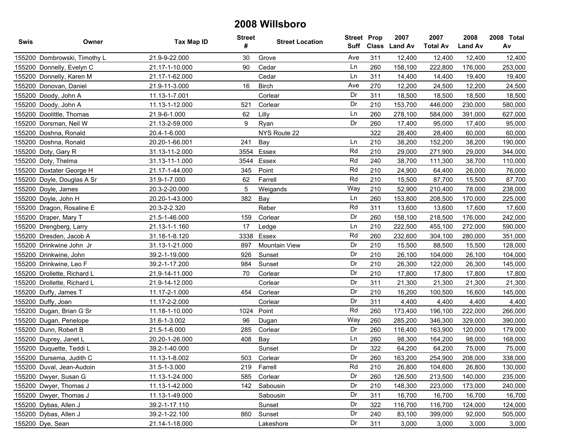| <b>Swis</b> | Owner                        | <b>Tax Map ID</b> | <b>Street</b><br># | <b>Street Location</b> | Suff | <b>Street Prop</b><br><b>Class</b> | 2007<br><b>Land Av</b> | 2007<br><b>Total Av</b> | 2008<br><b>Land Av</b> | 2008 Total<br>Av |
|-------------|------------------------------|-------------------|--------------------|------------------------|------|------------------------------------|------------------------|-------------------------|------------------------|------------------|
|             | 155200 Dombrowski, Timothy L | 21.9-9-22.000     | 30                 | Grove                  | Ave  | 311                                | 12,400                 | 12,400                  | 12,400                 | 12,400           |
|             | 155200 Donnelly, Evelyn C    | 21.17-1-10.000    | 90                 | Cedar                  | Ln   | 260                                | 158,100                | 222,800                 | 176,000                | 253,000          |
|             | 155200 Donnelly, Karen M     | 21.17-1-62.000    |                    | Cedar                  | Ln   | 311                                | 14,400                 | 14,400                  | 19,400                 | 19,400           |
|             | 155200 Donovan, Daniel       | 21.9-11-3.000     | 16                 | <b>Birch</b>           | Ave  | 270                                | 12,200                 | 24,500                  | 12,200                 | 24,500           |
|             | 155200 Doody, John A         | 11.13-1-7.001     |                    | Corlear                | Dr   | 311                                | 18,500                 | 18,500                  | 18,500                 | 18,500           |
|             | 155200 Doody, John A         | 11.13-1-12.000    | 521                | Corlear                | Dr   | 210                                | 153,700                | 446,000                 | 230,000                | 580,000          |
|             | 155200 Doolittle, Thomas     | 21.9-6-1.000      | 62                 | Lilly                  | Ln   | 260                                | 278,100                | 584,000                 | 391,000                | 627,000          |
|             | 155200 Dorsman, Neil W       | 21.13-2-59.000    | 9                  | Ryan                   | Dr   | 260                                | 17,400                 | 95,000                  | 17,400                 | 95,000           |
|             | 155200 Doshna, Ronald        | 20.4-1-6.000      |                    | NYS Route 22           |      | 322                                | 28,400                 | 28,400                  | 60,000                 | 60,000           |
|             | 155200 Doshna, Ronald        | 20.20-1-66.001    | 241                | Bay                    | Ln   | 210                                | 38,200                 | 152,200                 | 38,200                 | 190,000          |
|             | 155200 Doty, Gary R          | 31.13-11-2.000    | 3554               | Essex                  | Rd   | 210                                | 29,000                 | 271,900                 | 29,000                 | 344,000          |
|             | 155200 Doty, Thelma          | 31.13-11-1.000    |                    | 3544 Essex             | Rd   | 240                                | 38,700                 | 111,300                 | 38,700                 | 110,000          |
|             | 155200 Doxtater George H     | 21.17-1-44.000    | 345                | Point                  | Rd   | 210                                | 24,900                 | 64,400                  | 26,000                 | 76,000           |
|             | 155200 Doyle, Douglas A Sr   | 31.9-1-7.000      | 62                 | Farrell                | Rd   | 210                                | 15,500                 | 87,700                  | 15,500                 | 87,700           |
|             | 155200 Doyle, James          | 20.3-2-20.000     | 5                  | Weigands               | Way  | 210                                | 52,900                 | 210,400                 | 78,000                 | 238,000          |
|             | 155200 Doyle, John H         | 20.20-1-43.000    | 382                | Bay                    | Ln   | 260                                | 153,800                | 208,500                 | 170,000                | 225,000          |
|             | 155200 Dragon, Rosaline E    | 20.3-2-2.320      |                    | Reber                  | Rd   | 311                                | 13,600                 | 13,600                  | 17,600                 | 17,600           |
|             | 155200 Draper, Mary T        | 21.5-1-46.000     | 159                | Corlear                | Dr   | 260                                | 158,100                | 218,500                 | 176,000                | 242,000          |
|             | 155200 Drengberg, Larry      | 21.13-1-1.160     | 17                 | Ledge                  | Ln   | 210                                | 222,500                | 455,100                 | 272,000                | 590,000          |
|             | 155200 Dresden, Jacob A      | 31.18-1-8.120     | 3338               | Essex                  | Rd   | 260                                | 232,600                | 304,100                 | 280,000                | 351,000          |
|             | 155200 Drinkwine John Jr     | 31.13-1-21.000    | 897                | <b>Mountain View</b>   | Dr   | 210                                | 15,500                 | 88,500                  | 15,500                 | 128,000          |
|             | 155200 Drinkwine, John       | 39.2-1-19.000     | 926                | Sunset                 | Dr   | 210                                | 26,100                 | 104,000                 | 26,100                 | 104,000          |
|             | 155200 Drinkwine, Leo F      | 39.2-1-17.200     | 984                | Sunset                 | Dr   | 210                                | 26,300                 | 122,000                 | 26,300                 | 145,000          |
|             | 155200 Drollette, Richard L  | 21.9-14-11.000    | 70                 | Corlear                | Dr   | 210                                | 17,800                 | 17,800                  | 17,800                 | 17,800           |
|             | 155200 Drollette, Richard L  | 21.9-14-12.000    |                    | Corlear                | Dr   | 311                                | 21,300                 | 21,300                  | 21,300                 | 21,300           |
|             | 155200 Duffy, James T        | 11.17-2-1.000     | 454                | Corlear                | Dr   | 210                                | 16,200                 | 100,500                 | 16,600                 | 145,000          |
|             | 155200 Duffy, Joan           | 11.17-2-2.000     |                    | Corlear                | Dr   | 311                                | 4,400                  | 4,400                   | 4,400                  | 4,400            |
|             | 155200 Dugan, Brian G Sr     | 11.18-1-10.000    | 1024               | Point                  | Rd   | 260                                | 173,400                | 196,100                 | 222,000                | 266,000          |
|             | 155200 Dugan, Penelope       | 31.6-1-3.002      | 96                 | Dugan                  | Way  | 260                                | 285,200                | 346,300                 | 329,000                | 390,000          |
|             | 155200 Dunn, Robert B        | 21.5-1-6.000      | 285                | Corlear                | Dr   | 260                                | 116,400                | 163,900                 | 120,000                | 179,000          |
|             | 155200 Duprey, Janet L       | 20.20-1-26.000    | 408                | Bay                    | Ln   | 260                                | 98,300                 | 164,200                 | 98,000                 | 168,000          |
|             | 155200 Duquette, Teddi L     | 39.2-1-40.000     |                    | Sunset                 | Dr   | 322                                | 64,200                 | 64,200                  | 75,000                 | 75,000           |
|             | 155200 Dursema, Judith C     | 11.13-1-8.002     | 503                | Corlear                | Dr   | 260                                | 163,200                | 254,900                 | 208.000                | 338,000          |
|             | 155200 Duval, Jean-Audoin    | 31.5-1-3.000      | 219                | Farrell                | Rd   | 210                                | 26,800                 | 104,600                 | 26,800                 | 130,000          |
|             | 155200 Dwyer, Susan G        | 11.13-1-24.000    | 585                | Corlear                | Dr   | 260                                | 126,500                | 213,500                 | 140,000                | 235,000          |
|             | 155200 Dwyer, Thomas J       | 11.13-1-42.000    | 142                | Sabousin               | Dr   | 210                                | 148,300                | 223,000                 | 173,000                | 240,000          |
|             | 155200 Dwyer, Thomas J       | 11.13-1-49.000    |                    | Sabousin               | Dr   | 311                                | 16,700                 | 16,700                  | 16,700                 | 16,700           |
|             | 155200 Dybas, Allen J        | 39.2-1-17.110     |                    | Sunset                 | Dr   | 322                                | 116,700                | 116,700                 | 124,000                | 124,000          |
|             | 155200 Dybas, Allen J        | 39.2-1-22.100     | 860                | Sunset                 | Dr   | 240                                | 83,100                 | 399,000                 | 92,000                 | 505,000          |
|             | 155200 Dye, Sean             | 21.14-1-18.000    |                    | Lakeshore              | Dr   | 311                                | 3,000                  | 3,000                   | 3,000                  | 3,000            |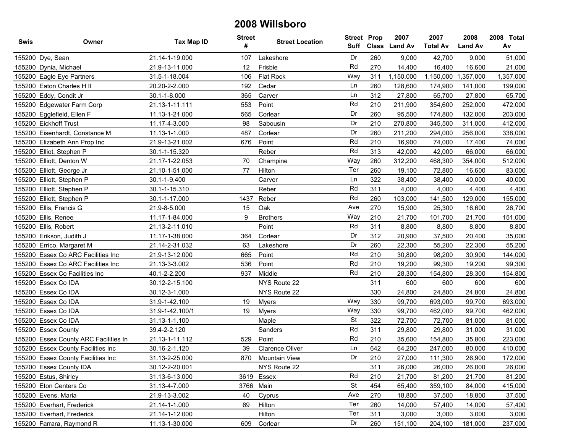| Swis | Owner                                 | <b>Tax Map ID</b> | <b>Street</b><br># | <b>Street Location</b> | <b>Street Prop</b><br>Suff |     | 2007<br>Class Land Av | 2007<br><b>Total Av</b> | 2008<br><b>Land Av</b> | 2008 Total<br>Av |
|------|---------------------------------------|-------------------|--------------------|------------------------|----------------------------|-----|-----------------------|-------------------------|------------------------|------------------|
|      | 155200 Dye, Sean                      | 21.14-1-19.000    | 107                | Lakeshore              | Dr                         | 260 | 9,000                 | 42,700                  | 9,000                  | 51,000           |
|      | 155200 Dynia, Michael                 | 21.9-13-11.000    | 12                 | Frisbie                | Rd                         | 270 | 14,400                | 16,400                  | 16,600                 | 21,000           |
|      | 155200 Eagle Eye Partners             | 31.5-1-18.004     | 106                | Flat Rock              | Way                        | 311 | 1,150,000             | 1,150,000               | 1,357,000              | 1,357,000        |
|      | 155200 Eaton Charles H II             | 20.20-2-2.000     | 192                | Cedar                  | Ln                         | 260 | 128,600               | 174,900                 | 141,000                | 199,000          |
|      | 155200 Eddy, Condit Jr                | 30.1-1-8.000      | 365                | Carver                 | Ln                         | 312 | 27,800                | 65,700                  | 27,800                 | 65,700           |
|      | 155200 Edgewater Farm Corp            | 21.13-1-11.111    | 553                | Point                  | Rd                         | 210 | 211,900               | 354,600                 | 252,000                | 472,000          |
|      | 155200 Egglefield, Ellen F            | 11.13-1-21.000    | 565                | Corlear                | Dr                         | 260 | 95,500                | 174,800                 | 132,000                | 203,000          |
|      | 155200 Eickhoff Trust                 | 11.17-4-3.000     | 98                 | Sabousin               | Dr                         | 210 | 270,800               | 345,500                 | 311,000                | 412,000          |
|      | 155200 Eisenhardt, Constance M        | 11.13-1-1.000     | 487                | Corlear                | Dr                         | 260 | 211,200               | 294,000                 | 256,000                | 338,000          |
|      | 155200 Elizabeth Ann Prop Inc         | 21.9-13-21.002    | 676                | Point                  | Rd                         | 210 | 16,900                | 74,000                  | 17,400                 | 74,000           |
|      | 155200 Elliot, Stephen P              | 30.1-1-15.320     |                    | Reber                  | Rd                         | 313 | 42,000                | 42,000                  | 66,000                 | 66,000           |
|      | 155200 Elliott, Denton W              | 21.17-1-22.053    | 70                 | Champine               | Way                        | 260 | 312,200               | 468,300                 | 354,000                | 512,000          |
|      | 155200 Elliott, George Jr             | 21.10-1-51.000    | 77                 | Hilton                 | Ter                        | 260 | 19,100                | 72,800                  | 16,600                 | 83,000           |
|      | 155200 Elliott, Stephen P             | 30.1-1-9.400      |                    | Carver                 | Ln                         | 322 | 38,400                | 38,400                  | 40,000                 | 40,000           |
|      | 155200 Elliott, Stephen P             | 30.1-1-15.310     |                    | Reber                  | Rd                         | 311 | 4,000                 | 4,000                   | 4,400                  | 4,400            |
|      | 155200 Elliott, Stephen P             | 30.1-1-17.000     | 1437               | Reber                  | Rd                         | 260 | 103,000               | 141,500                 | 129,000                | 155,000          |
|      | 155200 Ellis, Francis G               | 21.9-8-5.000      | 15                 | Oak                    | Ave                        | 270 | 15,900                | 25,300                  | 16,600                 | 26,700           |
|      | 155200 Ellis, Renee                   | 11.17-1-84.000    | 9                  | <b>Brothers</b>        | Way                        | 210 | 21,700                | 101,700                 | 21,700                 | 151,000          |
|      | 155200 Ellis, Robert                  | 21.13-2-11.010    |                    | Point                  | Rd                         | 311 | 8,800                 | 8,800                   | 8,800                  | 8,800            |
|      | 155200 Erikson, Judith J              | 11.17-1-38.000    | 364                | Corlear                | Dr                         | 312 | 20,900                | 37,500                  | 20,400                 | 35,000           |
|      | 155200 Errico, Margaret M             | 21.14-2-31.032    | 63                 | Lakeshore              | Dr                         | 260 | 22,300                | 55,200                  | 22,300                 | 55,200           |
|      | 155200 Essex Co ARC Facilities Inc    | 21.9-13-12.000    | 665                | Point                  | Rd                         | 210 | 30,800                | 98,200                  | 30,900                 | 144,000          |
|      | 155200 Essex Co ARC Facilities Inc    | 21.13-3-3.002     | 536                | Point                  | Rd                         | 210 | 19,200                | 99,300                  | 19,200                 | 99,300           |
|      | 155200 Essex Co Facilities Inc        | 40.1-2-2.200      | 937                | Middle                 | Rd                         | 210 | 28,300                | 154,800                 | 28,300                 | 154,800          |
|      | 155200 Essex Co IDA                   | 30.12-2-15.100    |                    | NYS Route 22           |                            | 311 | 600                   | 600                     | 600                    | 600              |
|      | 155200 Essex Co IDA                   | 30.12-3-1.000     |                    | NYS Route 22           |                            | 330 | 24,800                | 24,800                  | 24,800                 | 24,800           |
|      | 155200 Essex Co IDA                   | 31.9-1-42.100     | 19                 | Myers                  | Way                        | 330 | 99,700                | 693,000                 | 99,700                 | 693,000          |
|      | 155200 Essex Co IDA                   | 31.9-1-42.100/1   | 19                 | Myers                  | Way                        | 330 | 99,700                | 462,000                 | 99,700                 | 462,000          |
|      | 155200 Essex Co IDA                   | 31.13-1-1.100     |                    | Maple                  | <b>St</b>                  | 322 | 72,700                | 72,700                  | 81,000                 | 81,000           |
|      | 155200 Essex County                   | 39.4-2-2.120      |                    | Sanders                | Rd                         | 311 | 29,800                | 29,800                  | 31,000                 | 31,000           |
|      | 155200 Essex County ARC Facilities In | 21.13-1-11.112    | 529                | Point                  | Rd                         | 210 | 35,600                | 154,800                 | 35,800                 | 223,000          |
|      | 155200 Essex County Facilities Inc    | 30.16-2-1.120     | 39                 | <b>Clarence Oliver</b> | Ln                         | 642 | 64,200                | 247,000                 | 80,000                 | 410,000          |
|      | 155200 Essex County Facilities Inc    | 31.13-2-25.000    | 870                | <b>Mountain View</b>   | Dr                         | 210 | 27,000                | 111,300                 | 26.900                 | 172,000          |
|      | 155200 Essex County IDA               | 30.12-2-20.001    |                    | NYS Route 22           |                            | 311 | 26,000                | 26,000                  | 26,000                 | 26,000           |
|      | 155200 Estus, Shirley                 | 31.13-6-13.000    |                    | 3619 Essex             | Rd                         | 210 | 21,700                | 81,200                  | 21,700                 | 81,200           |
|      | 155200 Eton Centers Co                | 31.13-4-7.000     |                    | 3766 Main              | <b>St</b>                  | 454 | 65,400                | 359,100                 | 84,000                 | 415,000          |
|      | 155200 Evens, Maria                   | 21.9-13-3.002     | 40                 | Cyprus                 | Ave                        | 270 | 18,800                | 37,500                  | 18,800                 | 37,500           |
|      | 155200 Everhart, Frederick            | 21.14-1-1.000     | 69                 | Hilton                 | Ter                        | 260 | 14,000                | 57,400                  | 14,000                 | 57,400           |
|      | 155200 Everhart, Frederick            | 21.14-1-12.000    |                    | Hilton                 | Ter                        | 311 | 3,000                 | 3,000                   | 3,000                  | 3,000            |
|      | 155200 Farrara, Raymond R             | 11.13-1-30.000    | 609                | Corlear                | Dr                         | 260 | 151,100               | 204,100                 | 181,000                | 237,000          |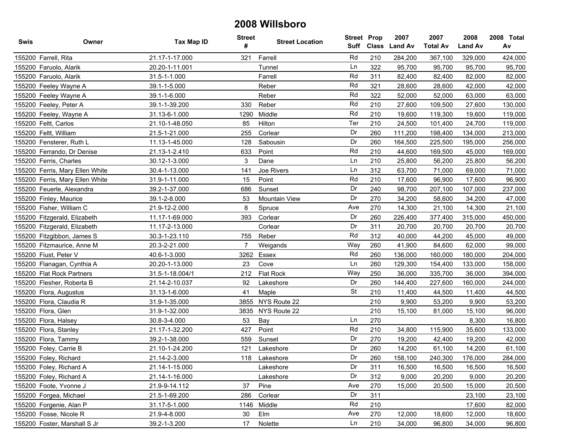| <b>Swis</b> | Owner                           | <b>Tax Map ID</b> | <b>Street</b><br># | <b>Street Location</b> | <b>Street Prop</b><br>Suff | Class | 2007<br><b>Land Av</b> | 2007<br><b>Total Av</b> | 2008<br><b>Land Av</b> | 2008 Total<br>Av |
|-------------|---------------------------------|-------------------|--------------------|------------------------|----------------------------|-------|------------------------|-------------------------|------------------------|------------------|
|             | 155200 Farrell, Rita            | 21.17-1-17.000    | 321                | Farrell                | Rd                         | 210   | 284,200                | 367,100                 | 329,000                | 424,000          |
|             | 155200 Faruolo, Alarik          | 20.20-1-11.001    |                    | Tunnel                 | Ln                         | 322   | 95,700                 | 95,700                  | 95,700                 | 95,700           |
|             | 155200 Faruolo, Alarik          | 31.5-1-1.000      |                    | Farrell                | Rd                         | 311   | 82,400                 | 82,400                  | 82,000                 | 82,000           |
|             | 155200 Feeley Wayne A           | 39.1-1-5.000      |                    | Reber                  | Rd                         | 321   | 28,600                 | 28,600                  | 42,000                 | 42,000           |
|             | 155200 Feeley Wayne A           | 39.1-1-6.000      |                    | Reber                  | Rd                         | 322   | 52,000                 | 52,000                  | 63,000                 | 63,000           |
|             | 155200 Feeley, Peter A          | 39.1-1-39.200     | 330                | Reber                  | Rd                         | 210   | 27,600                 | 109,500                 | 27,600                 | 130,000          |
|             | 155200 Feeley, Wayne A          | 31.13-6-1.000     | 1290               | Middle                 | Rd                         | 210   | 19,600                 | 119,300                 | 19,600                 | 119,000          |
|             | 155200 Feltt, Carlos            | 21.10-1-48.050    | 85                 | Hilton                 | Ter                        | 210   | 24,500                 | 101,400                 | 24,700                 | 119,000          |
|             | 155200 Feltt, William           | 21.5-1-21.000     | 255                | Corlear                | Dr                         | 260   | 111,200                | 198,400                 | 134,000                | 213,000          |
|             | 155200 Fensterer, Ruth L        | 11.13-1-45.000    | 128                | Sabousin               | Dr                         | 260   | 164,500                | 225,500                 | 195,000                | 256,000          |
|             | 155200 Ferrando, Dr Denise      | 21.13-1-2.410     | 633                | Point                  | Rd                         | 210   | 44,600                 | 169,500                 | 45,000                 | 169,000          |
|             | 155200 Ferris, Charles          | 30.12-1-3.000     | 3                  | Dane                   | Ln                         | 210   | 25,800                 | 56,200                  | 25,800                 | 56,200           |
|             | 155200 Ferris, Mary Ellen White | 30.4-1-13.000     | 141                | Joe Rivers             | Ln                         | 312   | 63,700                 | 71,000                  | 69,000                 | 71,000           |
|             | 155200 Ferris, Mary Ellen White | 31.9-1-11.000     | 15                 | Point                  | Rd                         | 210   | 17,600                 | 96,900                  | 17,600                 | 96,900           |
|             | 155200 Feuerle, Alexandra       | 39.2-1-37.000     | 686                | Sunset                 | Dr                         | 240   | 98,700                 | 207,100                 | 107,000                | 237,000          |
|             | 155200 Finley, Maurice          | 39.1-2-8.000      | 53                 | <b>Mountain View</b>   | Dr                         | 270   | 34,200                 | 58,600                  | 34,200                 | 47,000           |
|             | 155200 Fisher, William C        | 21.9-12-2.000     | 8                  | Spruce                 | Ave                        | 270   | 14,300                 | 21,100                  | 14,300                 | 21,100           |
|             | 155200 Fitzgerald, Elizabeth    | 11.17-1-69.000    | 393                | Corlear                | Dr                         | 260   | 226,400                | 377,400                 | 315,000                | 450,000          |
|             | 155200 Fitzgerald, Elizabeth    | 11.17-2-13.000    |                    | Corlear                | Dr                         | 311   | 20,700                 | 20,700                  | 20,700                 | 20,700           |
|             | 155200 Fitzgibbon, James S      | 30.3-1-23.110     | 755                | Reber                  | Rd                         | 312   | 40,000                 | 44,200                  | 45,000                 | 49,000           |
|             | 155200 Fitzmaurice, Anne M      | 20.3-2-21.000     | $\overline{7}$     | Weigands               | Way                        | 260   | 41,900                 | 84,600                  | 62,000                 | 99,000           |
|             | 155200 Fiust, Peter V           | 40.6-1-3.000      | 3262               | Essex                  | Rd                         | 260   | 136,000                | 160,000                 | 180,000                | 204,000          |
|             | 155200 Flanagan, Cynthia A      | 20.20-1-13.000    | 23                 | Cove                   | Ln                         | 260   | 129,300                | 154,400                 | 133,000                | 158,000          |
|             | 155200 Flat Rock Partners       | 31.5-1-18.004/1   | 212                | Flat Rock              | Way                        | 250   | 36,000                 | 335,700                 | 36,000                 | 394,000          |
|             | 155200 Flesher, Roberta B       | 21.14-2-10.037    | 92                 | Lakeshore              | Dr                         | 260   | 144,400                | 227,600                 | 160,000                | 244,000          |
|             | 155200 Flora, Augustus          | 31.13-1-6.000     | 41                 | Maple                  | <b>St</b>                  | 210   | 11,400                 | 44,500                  | 11,400                 | 44,500           |
|             | 155200 Flora, Claudia R         | 31.9-1-35.000     | 3855               | NYS Route 22           |                            | 210   | 9,900                  | 53,200                  | 9,900                  | 53,200           |
|             | 155200 Flora, Glen              | 31.9-1-32.000     |                    | 3835 NYS Route 22      |                            | 210   | 15,100                 | 81,000                  | 15,100                 | 96,000           |
|             | 155200 Flora, Halsey            | 30.8-3-4.000      | 53                 | Bay                    | Ln                         | 270   |                        |                         | 8,300                  | 16,800           |
|             | 155200 Flora, Stanley           | 21.17-1-32.200    | 427                | Point                  | Rd                         | 210   | 34,800                 | 115,900                 | 35,600                 | 133,000          |
|             | 155200 Flora, Tammy             | 39.2-1-38.000     | 559                | Sunset                 | Dr                         | 270   | 19,200                 | 42,400                  | 19,200                 | 42,000           |
|             | 155200 Foley, Carrie B          | 21.10-1-24.200    | 121                | Lakeshore              | Dr                         | 260   | 14,200                 | 61,100                  | 14,200                 | 61,100           |
|             | 155200 Foley, Richard           | 21.14-2-3.000     | 118                | Lakeshore              | Dr                         | 260   | 158,100                | 240,300                 | 176,000                | 284,000          |
|             | 155200 Foley, Richard A         | 21.14-1-15.000    |                    | Lakeshore              | Dr                         | 311   | 16,500                 | 16,500                  | 16,500                 | 16,500           |
|             | 155200 Foley, Richard A         | 21.14-1-16.000    |                    | Lakeshore              | Dr                         | 312   | 9,000                  | 20,200                  | 9,000                  | 20,200           |
|             | 155200 Foote, Yvonne J          | 21.9-9-14.112     | 37                 | Pine                   | Ave                        | 270   | 15,000                 | 20,500                  | 15,000                 | 20,500           |
|             | 155200 Forgea, Michael          | 21.5-1-69.200     | 286                | Corlear                | Dr                         | 311   |                        |                         | 23,100                 | 23,100           |
|             | 155200 Forgenie, Alan P         | 31.17-5-1.000     |                    | 1146 Middle            | Rd                         | 210   |                        |                         | 17,600                 | 82,000           |
|             | 155200 Fosse, Nicole R          | 21.9-4-8.000      | 30                 | Elm                    | Ave                        | 270   | 12,000                 | 18,600                  | 12,000                 | 18,600           |
|             | 155200 Foster, Marshall S Jr    | 39.2-1-3.200      | 17                 | Nolette                | Ln                         | 210   | 34,000                 | 96,800                  | 34,000                 | 96,800           |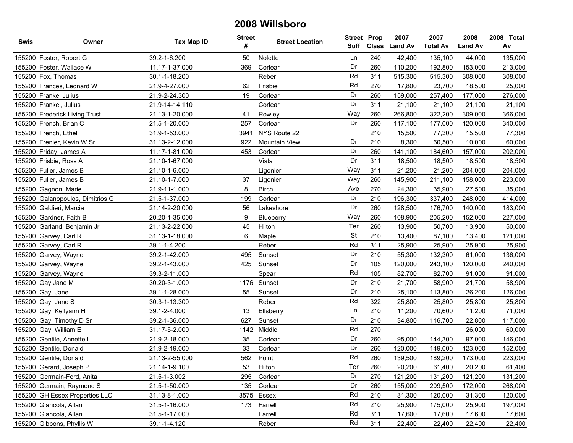| <b>Swis</b> | Owner                            | <b>Tax Map ID</b> | <b>Street</b><br># | <b>Street Location</b> | <b>Street Prop</b><br>Suff | <b>Class</b> | 2007<br><b>Land Av</b> | 2007<br><b>Total Av</b> | 2008<br><b>Land Av</b> | 2008 Total<br>Av |
|-------------|----------------------------------|-------------------|--------------------|------------------------|----------------------------|--------------|------------------------|-------------------------|------------------------|------------------|
|             | 155200 Foster, Robert G          | 39.2-1-6.200      | 50                 | Nolette                | Ln                         | 240          | 42,400                 | 135,100                 | 44,000                 | 135,000          |
|             | 155200 Foster, Wallace W         | 11.17-1-37.000    | 369                | Corlear                | Dr                         | 260          | 110,200                | 192,800                 | 153,000                | 213,000          |
|             | 155200 Fox, Thomas               | 30.1-1-18.200     |                    | Reber                  | Rd                         | 311          | 515,300                | 515,300                 | 308,000                | 308,000          |
|             | 155200 Frances, Leonard W        | 21.9-4-27.000     | 62                 | Frisbie                | Rd                         | 270          | 17,800                 | 23,700                  | 18,500                 | 25,000           |
|             | 155200 Frankel Julius            | 21.9-2-24.300     | 19                 | Corlear                | Dr                         | 260          | 159,000                | 257,400                 | 177,000                | 276,000          |
|             | 155200 Frankel, Julius           | 21.9-14-14.110    |                    | Corlear                | Dr                         | 311          | 21,100                 | 21,100                  | 21,100                 | 21,100           |
|             | 155200 Frederick Living Trust    | 21.13-1-20.000    | 41                 | Rowley                 | Way                        | 260          | 266,800                | 322,200                 | 309,000                | 366,000          |
|             | 155200 French, Brian C           | 21.5-1-20.000     | 257                | Corlear                | Dr                         | 260          | 117,100                | 177,000                 | 120,000                | 340,000          |
|             | 155200 French, Ethel             | 31.9-1-53.000     | 3941               | NYS Route 22           |                            | 210          | 15,500                 | 77,300                  | 15,500                 | 77,300           |
|             | 155200 Frenier, Kevin W Sr       | 31.13-2-12.000    | 922                | Mountain View          | Dr                         | 210          | 8,300                  | 60,500                  | 10,000                 | 60,000           |
|             | 155200 Friday, James A           | 11.17-1-81.000    | 453                | Corlear                | Dr                         | 260          | 141,100                | 184,600                 | 157,000                | 202,000          |
|             | 155200 Frisbie, Ross A           | 21.10-1-67.000    |                    | Vista                  | Dr                         | 311          | 18,500                 | 18,500                  | 18,500                 | 18,500           |
|             | 155200 Fuller, James B           | 21.10-1-6.000     |                    | Ligonier               | Way                        | 311          | 21,200                 | 21,200                  | 204,000                | 204,000          |
|             | 155200 Fuller, James B           | 21.10-1-7.000     | 37                 | Ligonier               | Way                        | 260          | 145,900                | 211,100                 | 158,000                | 223,000          |
|             | 155200 Gagnon, Marie             | 21.9-11-1.000     | 8                  | <b>Birch</b>           | Ave                        | 270          | 24,300                 | 35,900                  | 27,500                 | 35,000           |
|             | 155200 Galanopoulos, Dimitrios G | 21.5-1-37.000     | 199                | Corlear                | Dr                         | 210          | 196,300                | 337,400                 | 248,000                | 414,000          |
|             | 155200 Galdieri, Marcia          | 21.14-2-20.000    | 56                 | Lakeshore              | Dr                         | 260          | 128,500                | 176,700                 | 140,000                | 183,000          |
|             | 155200 Gardner, Faith B          | 20.20-1-35.000    | 9                  | Blueberry              | Way                        | 260          | 108,900                | 205,200                 | 152,000                | 227,000          |
|             | 155200 Garland, Benjamin Jr      | 21.13-2-22.000    | 45                 | Hilton                 | Ter                        | 260          | 13,900                 | 50,700                  | 13,900                 | 50,000           |
|             | 155200 Garvey, Carl R            | 31.13-1-18.000    | 6                  | Maple                  | <b>St</b>                  | 210          | 13,400                 | 87,100                  | 13,400                 | 121,000          |
|             | 155200 Garvey, Carl R            | 39.1-1-4.200      |                    | Reber                  | Rd                         | 311          | 25,900                 | 25,900                  | 25,900                 | 25,900           |
|             | 155200 Garvey, Wayne             | 39.2-1-42.000     | 495                | Sunset                 | Dr                         | 210          | 55,300                 | 132,300                 | 61,000                 | 136,000          |
|             | 155200 Garvey, Wayne             | 39.2-1-43.000     | 425                | Sunset                 | Dr                         | 105          | 120,000                | 243,100                 | 120,000                | 240,000          |
|             | 155200 Garvey, Wayne             | 39.3-2-11.000     |                    | Spear                  | Rd                         | 105          | 82,700                 | 82,700                  | 91,000                 | 91,000           |
|             | 155200 Gay Jane M                | 30.20-3-1.000     | 1176               | Sunset                 | Dr                         | 210          | 21,700                 | 58,900                  | 21,700                 | 58,900           |
|             | 155200 Gay, Jane                 | 39.1-1-28.000     | 55                 | Sunset                 | Dr                         | 210          | 25,100                 | 113,800                 | 26,200                 | 126,000          |
|             | 155200 Gay, Jane S               | 30.3-1-13.300     |                    | Reber                  | Rd                         | 322          | 25,800                 | 25,800                  | 25,800                 | 25,800           |
|             | 155200 Gay, Kellyann H           | 39.1-2-4.000      | 13                 | Ellsberry              | Ln                         | 210          | 11,200                 | 70,600                  | 11,200                 | 71,000           |
|             | 155200 Gay, Timothy D Sr         | 39.2-1-36.000     | 627                | Sunset                 | Dr                         | 210          | 34,800                 | 116,700                 | 22,800                 | 117,000          |
|             | 155200 Gay, William E            | 31.17-5-2.000     | 1142               | Middle                 | Rd                         | 270          |                        |                         | 26,000                 | 60,000           |
|             | 155200 Gentile, Annette L        | 21.9-2-18.000     | 35                 | Corlear                | Dr                         | 260          | 95,000                 | 144,300                 | 97,000                 | 146,000          |
|             | 155200 Gentile, Donald           | 21.9-2-19.000     | 33                 | Corlear                | Dr                         | 260          | 120,000                | 149,000                 | 123,000                | 152,000          |
|             | 155200 Gentile, Donald           | 21.13-2-55.000    | 562                | Point                  | Rd                         | 260          | 139,500                | 189,200                 | 173,000                | 223,000          |
|             | 155200 Gerard, Joseph P          | 21.14-1-9.100     | 53                 | Hilton                 | Ter                        | 260          | 20,200                 | 61,400                  | 20,200                 | 61,400           |
|             | 155200 Germain-Ford, Anita       | 21.5-1-3.002      | 295                | Corlear                | Dr                         | 270          | 121,200                | 131,200                 | 121,200                | 131,200          |
|             | 155200 Germain, Raymond S        | 21.5-1-50.000     | 135                | Corlear                | Dr                         | 260          | 155,000                | 209,500                 | 172,000                | 268,000          |
|             | 155200 GH Essex Properties LLC   | 31.13-8-1.000     |                    | 3575 Essex             | Rd                         | 210          | 31,300                 | 120,000                 | 31,300                 | 120,000          |
|             | 155200 Giancola, Allan           | 31.5-1-16.000     | 173                | Farrell                | Rd                         | 210          | 25,900                 | 175,000                 | 25,900                 | 197,000          |
|             | 155200 Giancola, Allan           | 31.5-1-17.000     |                    | Farrell                | Rd                         | 311          | 17,600                 | 17,600                  | 17,600                 | 17,600           |
|             | 155200 Gibbons, Phyllis W        | 39.1-1-4.120      |                    | Reber                  | Rd                         | 311          | 22,400                 | 22,400                  | 22,400                 | 22,400           |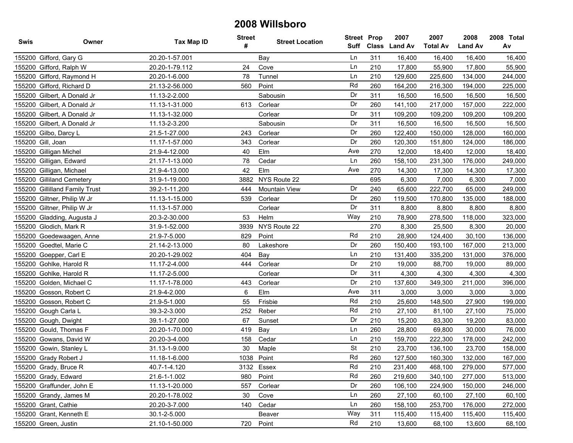| <b>Swis</b> | Owner                          | <b>Tax Map ID</b> | <b>Street</b><br># | <b>Street Location</b> | <b>Street Prop</b><br>Suff |     | 2007<br>Class Land Av | 2007<br><b>Total Av</b> | 2008<br><b>Land Av</b> | 2008 Total<br>Av |
|-------------|--------------------------------|-------------------|--------------------|------------------------|----------------------------|-----|-----------------------|-------------------------|------------------------|------------------|
|             | 155200 Gifford, Gary G         | 20.20-1-57.001    |                    | Bay                    | Ln                         | 311 | 16,400                | 16,400                  | 16,400                 | 16,400           |
|             | 155200 Gifford, Ralph W        | 20.20-1-79.112    | 24                 | Cove                   | Ln                         | 210 | 17,800                | 55,900                  | 17,800                 | 55,900           |
|             | 155200 Gifford, Raymond H      | 20.20-1-6.000     | 78                 | Tunnel                 | Ln                         | 210 | 129,600               | 225,600                 | 134,000                | 244,000          |
| 155200      | Gifford, Richard D             | 21.13-2-56.000    | 560                | Point                  | Rd                         | 260 | 164,200               | 216,300                 | 194,000                | 225,000          |
|             | 155200 Gilbert, A Donald Jr    | 11.13-2-2.000     |                    | Sabousin               | Dr                         | 311 | 16,500                | 16,500                  | 16,500                 | 16,500           |
|             | 155200 Gilbert, A Donald Jr    | 11.13-1-31.000    | 613                | Corlear                | Dr                         | 260 | 141,100               | 217,000                 | 157,000                | 222,000          |
| 155200      | Gilbert, A Donald Jr           | 11.13-1-32.000    |                    | Corlear                | Dr                         | 311 | 109,200               | 109,200                 | 109,200                | 109,200          |
|             | 155200 Gilbert, A Donald Jr    | 11.13-2-3.200     |                    | Sabousin               | Dr                         | 311 | 16,500                | 16,500                  | 16,500                 | 16,500           |
|             | 155200 Gilbo, Darcy L          | 21.5-1-27.000     | 243                | Corlear                | Dr                         | 260 | 122,400               | 150,000                 | 128,000                | 160,000          |
| 155200      | Gill, Joan                     | 11.17-1-57.000    | 343                | Corlear                | Dr                         | 260 | 120,300               | 151,800                 | 124,000                | 186,000          |
| 155200      | Gilligan Michel                | 21.9-4-12.000     | 40                 | Elm                    | Ave                        | 270 | 12,000                | 18,400                  | 12,000                 | 18,400           |
|             | 155200 Gilligan, Edward        | 21.17-1-13.000    | 78                 | Cedar                  | Ln                         | 260 | 158,100               | 231,300                 | 176,000                | 249,000          |
| 155200      | Gilligan, Michael              | 21.9-4-13.000     | 42                 | Elm                    | Ave                        | 270 | 14,300                | 17,300                  | 14,300                 | 17,300           |
|             | 155200 Gilliland Cemetery      | 31.9-1-19.000     | 3882               | NYS Route 22           |                            | 695 | 6,300                 | 7,000                   | 6,300                  | 7,000            |
|             | 155200 Gillilland Family Trust | 39.2-1-11.200     | 444                | Mountain View          | Dr                         | 240 | 65,600                | 222,700                 | 65,000                 | 249,000          |
| 155200      | Giltner, Philip W Jr           | 11.13-1-15.000    | 539                | Corlear                | Dr                         | 260 | 119,500               | 170,800                 | 135,000                | 188,000          |
|             | 155200 Giltner, Philip W Jr    | 11.13-1-57.000    |                    | Corlear                | Dr                         | 311 | 8,800                 | 8,800                   | 8,800                  | 8,800            |
|             | 155200 Gladding, Augusta J     | 20.3-2-30.000     | 53                 | Helm                   | Way                        | 210 | 78,900                | 278,500                 | 118,000                | 323,000          |
| 155200      | Glodich, Mark R                | 31.9-1-52.000     | 3939               | NYS Route 22           |                            | 270 | 8,300                 | 25,500                  | 8,300                  | 20,000           |
| 155200      | Goedewaagen, Anne              | 21.9-7-5.000      | 829                | Point                  | Rd                         | 210 | 28,900                | 124,400                 | 30,100                 | 136,000          |
| 155200      | Goedtel, Marie C               | 21.14-2-13.000    | 80                 | Lakeshore              | Dr                         | 260 | 150,400               | 193,100                 | 167,000                | 213,000          |
| 155200      | Goepper, Carl E                | 20.20-1-29.002    | 404                | Bay                    | Ln                         | 210 | 131,400               | 335,200                 | 131,000                | 376,000          |
|             | 155200 Gohlke, Harold R        | 11.17-2-4.000     | 444                | Corlear                | Dr                         | 210 | 19,000                | 88,700                  | 19,000                 | 89,000           |
| 155200      | Gohlke, Harold R               | 11.17-2-5.000     |                    | Corlear                | Dr                         | 311 | 4,300                 | 4,300                   | 4,300                  | 4,300            |
| 155200      | Golden, Michael C              | 11.17-1-78.000    | 443                | Corlear                | Dr                         | 210 | 137,600               | 349,300                 | 211,000                | 396,000          |
| 155200      | Gosson, Robert C               | 21.9-4-2.000      | 6                  | Elm                    | Ave                        | 311 | 3,000                 | 3,000                   | 3,000                  | 3,000            |
|             | 155200 Gosson, Robert C        | 21.9-5-1.000      | 55                 | Frisbie                | Rd                         | 210 | 25,600                | 148,500                 | 27,900                 | 199,000          |
|             | 155200 Gough Carla L           | 39.3-2-3.000      | 252                | Reber                  | Rd                         | 210 | 27,100                | 81,100                  | 27,100                 | 75,000           |
|             | 155200 Gough, Dwight           | 39.1-1-27.000     | 67                 | Sunset                 | Dr                         | 210 | 15,200                | 83,300                  | 19,200                 | 83,000           |
|             | 155200 Gould, Thomas F         | 20.20-1-70.000    | 419                | Bay                    | Ln                         | 260 | 28,800                | 69,800                  | 30,000                 | 76,000           |
|             | 155200 Gowans, David W         | 20.20-3-4.000     | 158                | Cedar                  | Ln                         | 210 | 159,700               | 222,300                 | 178,000                | 242,000          |
|             | 155200 Gowin, Stanley L        | 31.13-1-9.000     | 30                 | Maple                  | <b>St</b>                  | 210 | 23,700                | 136,100                 | 23,700                 | 158,000          |
|             | 155200 Grady Robert J          | 11.18-1-6.000     |                    | 1038 Point             | Rd                         | 260 | 127.500               | 160,300                 | 132,000                | 167.000          |
|             | 155200 Grady, Bruce R          | 40.7-1-4.120      |                    | 3132 Essex             | Rd                         | 210 | 231,400               | 468,100                 | 279,000                | 577,000          |
|             | 155200 Grady, Edward           | 21.6-1-1.002      | 980                | Point                  | Rd                         | 260 | 219,600               | 340,100                 | 277,000                | 513,000          |
|             | 155200 Graffunder, John E      | 11.13-1-20.000    | 557                | Corlear                | Dr                         | 260 | 106,100               | 224,900                 | 150,000                | 246,000          |
|             | 155200 Grandy, James M         | 20.20-1-78.002    | 30                 | Cove                   | Ln                         | 260 | 27,100                | 60,100                  | 27,100                 | 60,100           |
|             | 155200 Grant, Cathie           | 20.20-3-7.000     | 140                | Cedar                  | Ln                         | 260 | 158,100               | 253,700                 | 176,000                | 272,000          |
|             | 155200 Grant, Kenneth E        | 30.1-2-5.000      |                    | Beaver                 | Way                        | 311 | 115,400               | 115,400                 | 115,400                | 115,400          |
|             | 155200 Green, Justin           | 21.10-1-50.000    | 720                | Point                  | Rd                         | 210 | 13,600                | 68,100                  | 13,600                 | 68,100           |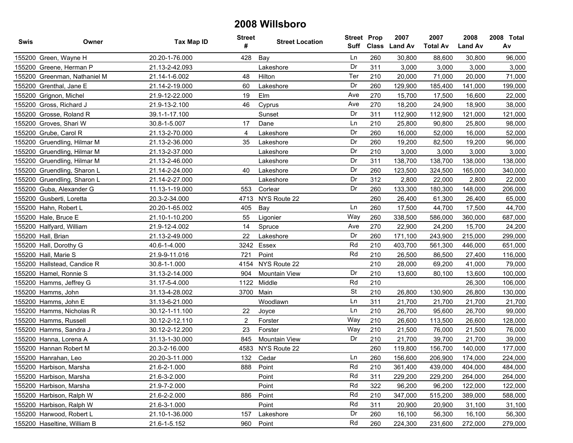| Swis   | Owner                        | Tax Map ID     | <b>Street</b><br># | <b>Street Location</b> | <b>Street Prop</b><br><b>Suff</b> |     | 2007<br>Class Land Av | 2007<br><b>Total Av</b> | 2008<br><b>Land Av</b> | 2008 Total<br>Av |
|--------|------------------------------|----------------|--------------------|------------------------|-----------------------------------|-----|-----------------------|-------------------------|------------------------|------------------|
|        | 155200 Green, Wayne H        | 20.20-1-76.000 | 428                | Bay                    | Ln                                | 260 | 30,800                | 88,600                  | 30,800                 | 96,000           |
|        | 155200 Greene, Herman P      | 21.13-2-42.093 |                    | Lakeshore              | Dr                                | 311 | 3,000                 | 3,000                   | 3,000                  | 3,000            |
|        | 155200 Greenman, Nathaniel M | 21.14-1-6.002  | 48                 | Hilton                 | Ter                               | 210 | 20,000                | 71,000                  | 20,000                 | 71,000           |
|        | 155200 Grenthal, Jane E      | 21.14-2-19.000 | 60                 | Lakeshore              | Dr                                | 260 | 129,900               | 185,400                 | 141,000                | 199,000          |
|        | 155200 Grignon, Michel       | 21.9-12-22.000 | 19                 | Elm                    | Ave                               | 270 | 15,700                | 17,500                  | 16,600                 | 22,000           |
| 155200 | Gross, Richard J             | 21.9-13-2.100  | 46                 | Cyprus                 | Ave                               | 270 | 18,200                | 24,900                  | 18,900                 | 38,000           |
|        | 155200 Grosse, Roland R      | 39.1-1-17.100  |                    | Sunset                 | Dr                                | 311 | 112,900               | 112,900                 | 121,000                | 121,000          |
|        | 155200 Groves, Shari W       | 30.8-1-5.007   | 17                 | Dane                   | Ln                                | 210 | 25,800                | 90,800                  | 25,800                 | 98,000           |
|        | 155200 Grube, Carol R        | 21.13-2-70.000 | 4                  | Lakeshore              | Dr                                | 260 | 16,000                | 52,000                  | 16,000                 | 52,000           |
|        | 155200 Gruendling, Hilmar M  | 21.13-2-36.000 | 35                 | Lakeshore              | Dr                                | 260 | 19,200                | 82,500                  | 19,200                 | 96,000           |
|        | 155200 Gruendling, Hilmar M  | 21.13-2-37.000 |                    | Lakeshore              | Dr                                | 210 | 3,000                 | 3,000                   | 3,000                  | 3,000            |
|        | 155200 Gruendling, Hilmar M  | 21.13-2-46.000 |                    | Lakeshore              | Dr                                | 311 | 138,700               | 138,700                 | 138,000                | 138,000          |
|        | 155200 Gruendling, Sharon L  | 21.14-2-24.000 | 40                 | Lakeshore              | Dr                                | 260 | 123,500               | 324,500                 | 165,000                | 340,000          |
|        | 155200 Gruendling, Sharon L  | 21.14-2-27.000 |                    | Lakeshore              | Dr                                | 312 | 2,800                 | 22,000                  | 2,800                  | 22,000           |
|        | 155200 Guba, Alexander G     | 11.13-1-19.000 | 553                | Corlear                | Dr                                | 260 | 133,300               | 180,300                 | 148,000                | 206,000          |
|        | 155200 Gusberti, Loretta     | 20.3-2-34.000  | 4713               | NYS Route 22           |                                   | 260 | 26,400                | 61,300                  | 26,400                 | 65,000           |
|        | 155200 Hahn, Robert L        | 20.20-1-65.002 | 405                | Bay                    | Ln                                | 260 | 17,500                | 44,700                  | 17,500                 | 44,700           |
|        | 155200 Hale, Bruce E         | 21.10-1-10.200 | 55                 | Ligonier               | Way                               | 260 | 338,500               | 586,000                 | 360,000                | 687,000          |
|        | 155200 Halfyard, William     | 21.9-12-4.002  | 14                 | Spruce                 | Ave                               | 270 | 22,900                | 24,200                  | 15,700                 | 24,200           |
|        | 155200 Hall, Brian           | 21.13-2-49.000 | 22                 | Lakeshore              | Dr                                | 260 | 171,100               | 243,900                 | 215,000                | 299,000          |
|        | 155200 Hall, Dorothy G       | 40.6-1-4.000   | 3242               | Essex                  | Rd                                | 210 | 403,700               | 561,300                 | 446,000                | 651,000          |
|        | 155200 Hall, Marie S         | 21.9-9-11.016  | 721                | Point                  | Rd                                | 210 | 26,500                | 86,500                  | 27,400                 | 116,000          |
|        | 155200 Hallstead, Candice R  | 30.8-1-1.000   | 4154               | NYS Route 22           |                                   | 210 | 28,000                | 69,200                  | 41,000                 | 79,000           |
|        | 155200 Hamel, Ronnie S       | 31.13-2-14.000 | 904                | <b>Mountain View</b>   | Dr                                | 210 | 13,600                | 80,100                  | 13,600                 | 100,000          |
|        | 155200 Hamms, Jeffrey G      | 31.17-5-4.000  | 1122               | Middle                 | Rd                                | 210 |                       |                         | 26,300                 | 106,000          |
|        | 155200 Hamms, John           | 31.13-4-28.002 |                    | 3700 Main              | <b>St</b>                         | 210 | 26,800                | 130,900                 | 26,800                 | 130,000          |
|        | 155200 Hamms, John E         | 31.13-6-21.000 |                    | Woodlawn               | Ln                                | 311 | 21,700                | 21,700                  | 21,700                 | 21,700           |
|        | 155200 Hamms, Nicholas R     | 30.12-1-11.100 | 22                 | Joyce                  | Ln                                | 210 | 26,700                | 95,600                  | 26,700                 | 99,000           |
|        | 155200 Hamms, Russell        | 30.12-2-12.110 | 2                  | Forster                | Way                               | 210 | 26,600                | 113,500                 | 26,600                 | 128,000          |
|        | 155200 Hamms, Sandra J       | 30.12-2-12.200 | 23                 | Forster                | Way                               | 210 | 21,500                | 76,000                  | 21,500                 | 76,000           |
|        | 155200 Hanna, Lorena A       | 31.13-1-30.000 | 845                | <b>Mountain View</b>   | Dr                                | 210 | 21,700                | 39,700                  | 21,700                 | 39,000           |
|        | 155200 Hannan Robert M       | 20.3-2-16.000  |                    | 4583 NYS Route 22      |                                   | 260 | 119,800               | 156,700                 | 140,000                | 177,000          |
|        | 155200 Hanrahan, Leo         | 20.20-3-11.000 |                    | 132 Cedar              | Ln                                | 260 | 156,600               | 206,900                 | 174,000                | 224,000          |
|        | 155200 Harbison, Marsha      | 21.6-2-1.000   | 888                | Point                  | Rd                                | 210 | 361,400               | 439,000                 | 404,000                | 484,000          |
|        | 155200 Harbison, Marsha      | 21.6-3-2.000   |                    | Point                  | Rd                                | 311 | 229,200               | 229,200                 | 264,000                | 264,000          |
|        | 155200 Harbison, Marsha      | 21.9-7-2.000   |                    | Point                  | Rd                                | 322 | 96,200                | 96,200                  | 122,000                | 122,000          |
|        | 155200 Harbison, Ralph W     | 21.6-2-2.000   | 886                | Point                  | Rd                                | 210 | 347,000               | 515,200                 | 389,000                | 588,000          |
|        | 155200 Harbison, Ralph W     | 21.6-3-1.000   |                    | Point                  | Rd                                | 311 | 20,900                | 20,900                  | 31,100                 | 31,100           |
|        | 155200 Harwood, Robert L     | 21.10-1-36.000 | 157                | Lakeshore              | Dr                                | 260 | 16,100                | 56,300                  | 16,100                 | 56,300           |
|        | 155200 Haseltine, William B  | 21.6-1-5.152   | 960                | Point                  | Rd                                | 260 | 224,300               | 231,600                 | 272,000                | 279,000          |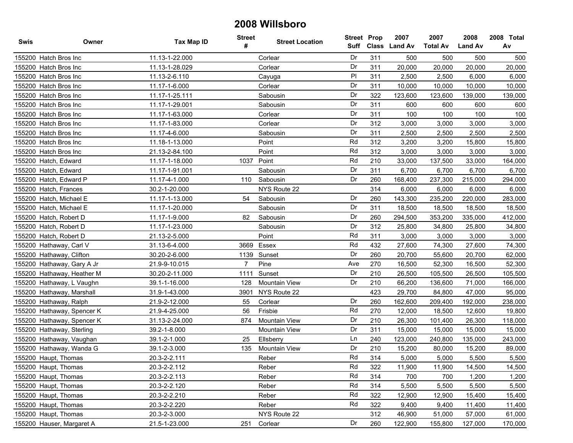| <b>Swis</b>              | Owner                      | <b>Tax Map ID</b> | <b>Street</b><br># | <b>Street Location</b> | <b>Street Prop</b> |     | 2007<br>Suff Class Land Av | 2007<br><b>Total Av</b> | 2008<br><b>Land Av</b> | 2008 Total<br>Av |
|--------------------------|----------------------------|-------------------|--------------------|------------------------|--------------------|-----|----------------------------|-------------------------|------------------------|------------------|
| 155200 Hatch Bros Inc    |                            | 11.13-1-22.000    |                    | Corlear                | Dr                 | 311 | 500                        | 500                     | 500                    | 500              |
| 155200 Hatch Bros Inc    |                            | 11.13-1-28.029    |                    | Corlear                | Dr                 | 311 | 20,000                     | 20,000                  | 20,000                 | 20,000           |
| 155200 Hatch Bros Inc    |                            | 11.13-2-6.110     |                    | Cayuga                 | PI                 | 311 | 2,500                      | 2,500                   | 6,000                  | 6,000            |
| 155200 Hatch Bros Inc    |                            | 11.17-1-6.000     |                    | Corlear                | Dr                 | 311 | 10,000                     | 10,000                  | 10,000                 | 10,000           |
| 155200 Hatch Bros Inc    |                            | 11.17-1-25.111    |                    | Sabousin               | Dr                 | 322 | 123,600                    | 123,600                 | 139,000                | 139,000          |
| 155200 Hatch Bros Inc    |                            | 11.17-1-29.001    |                    | Sabousin               | Dr                 | 311 | 600                        | 600                     | 600                    | 600              |
| 155200 Hatch Bros Inc    |                            | 11.17-1-63.000    |                    | Corlear                | Dr                 | 311 | 100                        | 100                     | 100                    | 100              |
| 155200 Hatch Bros Inc    |                            | 11.17-1-83.000    |                    | Corlear                | Dr                 | 312 | 3,000                      | 3,000                   | 3,000                  | 3,000            |
| 155200 Hatch Bros Inc    |                            | 11.17-4-6.000     |                    | Sabousin               | Dr                 | 311 | 2,500                      | 2,500                   | 2,500                  | 2,500            |
| 155200 Hatch Bros Inc    |                            | 11.18-1-13.000    |                    | Point                  | Rd                 | 312 | 3,200                      | 3,200                   | 15,800                 | 15,800           |
| 155200 Hatch Bros Inc    |                            | 21.13-2-84.100    |                    | Point                  | Rd                 | 312 | 3,000                      | 3,000                   | 3,000                  | 3,000            |
| 155200 Hatch, Edward     |                            | 11.17-1-18.000    | 1037               | Point                  | Rd                 | 210 | 33,000                     | 137,500                 | 33,000                 | 164,000          |
| 155200 Hatch, Edward     |                            | 11.17-1-91.001    |                    | Sabousin               | Dr                 | 311 | 6,700                      | 6,700                   | 6,700                  | 6,700            |
| 155200 Hatch, Edward P   |                            | 11.17-4-1.000     | 110                | Sabousin               | Dr                 | 260 | 168,400                    | 237,300                 | 215,000                | 294,000          |
| 155200 Hatch, Frances    |                            | 30.2-1-20.000     |                    | NYS Route 22           |                    | 314 | 6,000                      | 6,000                   | 6,000                  | 6,000            |
| 155200 Hatch, Michael E  |                            | 11.17-1-13.000    | 54                 | Sabousin               | Dr                 | 260 | 143,300                    | 235,200                 | 220,000                | 283,000          |
| 155200 Hatch, Michael E  |                            | 11.17-1-20.000    |                    | Sabousin               | Dr                 | 311 | 18,500                     | 18,500                  | 18,500                 | 18,500           |
| 155200 Hatch, Robert D   |                            | 11.17-1-9.000     | 82                 | Sabousin               | Dr                 | 260 | 294,500                    | 353,200                 | 335,000                | 412,000          |
| 155200 Hatch, Robert D   |                            | 11.17-1-23.000    |                    | Sabousin               | Dr                 | 312 | 25,800                     | 34,800                  | 25,800                 | 34,800           |
| 155200 Hatch, Robert D   |                            | 21.13-2-5.000     |                    | Point                  | Rd                 | 311 | 3,000                      | 3,000                   | 3,000                  | 3,000            |
| 155200 Hathaway, Carl V  |                            | 31.13-6-4.000     | 3669               | Essex                  | Rd                 | 432 | 27,600                     | 74,300                  | 27,600                 | 74,300           |
| 155200 Hathaway, Clifton |                            | 30.20-2-6.000     | 1139               | Sunset                 | Dr                 | 260 | 20,700                     | 55,600                  | 20,700                 | 62,000           |
|                          | 155200 Hathaway, Gary A Jr | 21.9-9-10.015     | $\overline{7}$     | Pine                   | Ave                | 270 | 16,500                     | 52,300                  | 16,500                 | 52,300           |
|                          | 155200 Hathaway, Heather M | 30.20-2-11.000    | 1111               | Sunset                 | Dr                 | 210 | 26,500                     | 105,500                 | 26,500                 | 105,500          |
|                          | 155200 Hathaway, L Vaughn  | 39.1-1-16.000     | 128                | <b>Mountain View</b>   | Dr                 | 210 | 66,200                     | 136,600                 | 71,000                 | 166,000          |
|                          | 155200 Hathaway, Marshall  | 31.9-1-43.000     | 3901               | NYS Route 22           |                    | 423 | 29,700                     | 84,800                  | 47,000                 | 95,000           |
| 155200 Hathaway, Ralph   |                            | 21.9-2-12.000     | 55                 | Corlear                | Dr                 | 260 | 162,600                    | 209,400                 | 192,000                | 238,000          |
|                          | 155200 Hathaway, Spencer K | 21.9-4-25.000     | 56                 | Frisbie                | Rd                 | 270 | 12,000                     | 18,500                  | 12,600                 | 19,800           |
|                          | 155200 Hathaway, Spencer K | 31.13-2-24.000    | 874                | <b>Mountain View</b>   | Dr                 | 210 | 26,300                     | 101,400                 | 26,300                 | 118,000          |
|                          | 155200 Hathaway, Sterling  | 39.2-1-8.000      |                    | <b>Mountain View</b>   | Dr                 | 311 | 15,000                     | 15,000                  | 15,000                 | 15,000           |
|                          | 155200 Hathaway, Vaughan   | 39.1-2-1.000      | 25                 | Ellsberry              | Ln                 | 240 | 123,000                    | 240,800                 | 135,000                | 243,000          |
|                          | 155200 Hathaway, Wanda G   | 39.1-2-3.000      | 135                | <b>Mountain View</b>   | Dr                 | 210 | 15,200                     | 80,000                  | 15,200                 | 89,000           |
| 155200 Haupt, Thomas     |                            | 20.3-2-2.111      |                    | Reber                  | Rd                 | 314 | 5,000                      | 5,000                   | 5,500                  | 5.500            |
| 155200 Haupt, Thomas     |                            | 20.3-2-2.112      |                    | Reber                  | Rd                 | 322 | 11,900                     | 11,900                  | 14,500                 | 14,500           |
| 155200 Haupt, Thomas     |                            | 20.3-2-2.113      |                    | Reber                  | Rd                 | 314 | 700                        | 700                     | 1,200                  | 1,200            |
| 155200 Haupt, Thomas     |                            | 20.3-2-2.120      |                    | Reber                  | Rd                 | 314 | 5,500                      | 5,500                   | 5,500                  | 5,500            |
| 155200 Haupt, Thomas     |                            | 20.3-2-2.210      |                    | Reber                  | Rd                 | 322 | 12,900                     | 12,900                  | 15,400                 | 15,400           |
| 155200 Haupt, Thomas     |                            | 20.3-2-2.220      |                    | Reber                  | Rd                 | 322 | 9,400                      | 9,400                   | 11,400                 | 11,400           |
| 155200 Haupt, Thomas     |                            | 20.3-2-3.000      |                    | NYS Route 22           |                    | 312 | 46,900                     | 51,000                  | 57,000                 | 61,000           |
|                          | 155200 Hauser, Margaret A  | 21.5-1-23.000     | 251                | Corlear                | Dr                 | 260 | 122,900                    | 155,800                 | 127,000                | 170,000          |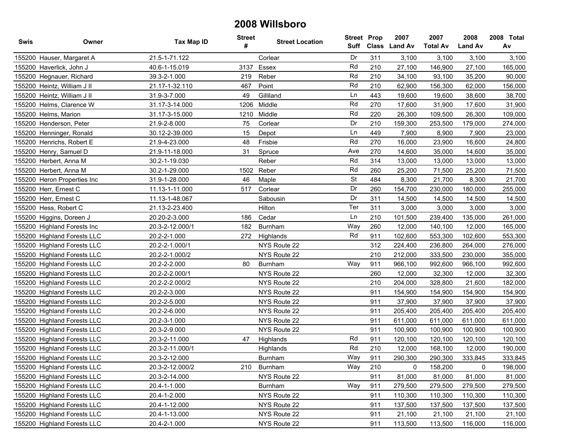| <b>Swis</b> | Owner                       | <b>Tax Map ID</b> | <b>Street</b><br># | <b>Street Location</b> | <b>Street Prop</b><br>Suff |     | 2007<br>Class Land Av | 2007<br><b>Total Av</b> | 2008<br><b>Land Av</b> | 2008 Total<br>Av |
|-------------|-----------------------------|-------------------|--------------------|------------------------|----------------------------|-----|-----------------------|-------------------------|------------------------|------------------|
|             | 155200 Hauser, Margaret A   | 21.5-1-71.122     |                    | Corlear                | Dr                         | 311 | 3,100                 | 3,100                   | 3,100                  | 3,100            |
|             | 155200 Haverlick, John J    | 40.6-1-15.019     | 3137               | Essex                  | Rd                         | 210 | 27,100                | 146,900                 | 27,100                 | 165,000          |
|             | 155200 Hegnauer, Richard    | 39.3-2-1.000      | 219                | Reber                  | Rd                         | 210 | 34,100                | 93,100                  | 35,200                 | 90,000           |
|             | 155200 Heintz, William J II | 21.17-1-32.110    | 467                | Point                  | Rd                         | 210 | 62,900                | 156,300                 | 62,000                 | 156,000          |
|             | 155200 Heintz, William J II | 31.9-3-7.000      | 49                 | Gilliland              | Ln                         | 443 | 19,600                | 19,600                  | 38,600                 | 38,700           |
|             | 155200 Helms, Clarence W    | 31.17-3-14.000    | 1206               | Middle                 | Rd                         | 270 | 17,600                | 31,900                  | 17,600                 | 31,900           |
|             | 155200 Helms, Marion        | 31.17-3-15.000    | 1210               | Middle                 | Rd                         | 220 | 26,300                | 109,500                 | 26,300                 | 109,000          |
|             | 155200 Henderson, Peter     | 21.9-2-8.000      | 75                 | Corlear                | Dr                         | 210 | 159,300               | 253,500                 | 179,000                | 274,000          |
|             | 155200 Henninger, Ronald    | 30.12-2-39.000    | 15                 | Depot                  | Ln                         | 449 | 7,900                 | 8,900                   | 7,900                  | 23,000           |
|             | 155200 Henrichs, Robert E   | 21.9-4-23.000     | 48                 | Frisbie                | Rd                         | 270 | 16,000                | 23,900                  | 16,600                 | 24,800           |
|             | 155200 Henry, Samuel D      | 21.9-11-18.000    | 31                 | Spruce                 | Ave                        | 270 | 14,600                | 35,000                  | 14,600                 | 35,000           |
|             | 155200 Herbert, Anna M      | 30.2-1-19.030     |                    | Reber                  | Rd                         | 314 | 13,000                | 13,000                  | 13,000                 | 13,000           |
|             | 155200 Herbert, Anna M      | 30.2-1-29.000     | 1502               | Reber                  | Rd                         | 260 | 25,200                | 71,500                  | 25,200                 | 71,500           |
|             | 155200 Heron Properties Inc | 31.9-1-28.000     | 46                 | Maple                  | <b>St</b>                  | 484 | 8,300                 | 21,700                  | 8,300                  | 21,700           |
|             | 155200 Herr, Ernest C       | 11.13-1-11.000    | 517                | Corlear                | Dr                         | 260 | 154,700               | 230,000                 | 180,000                | 255,000          |
|             | 155200 Herr, Ernest C       | 11.13-1-48.067    |                    | Sabousin               | Dr                         | 311 | 14,500                | 14,500                  | 14,500                 | 14,500           |
|             | 155200 Hess, Robert C       | 21.13-2-23.400    |                    | Hilton                 | Ter                        | 311 | 3,000                 | 3,000                   | 3,000                  | 3,000            |
|             | 155200 Higgins, Doreen J    | 20.20-2-3.000     | 186                | Cedar                  | Ln                         | 210 | 101,500               | 239,400                 | 135,000                | 261,000          |
|             | 155200 Highland Forests Inc | 20.3-2-12.000/1   | 182                | Burnham                | Way                        | 260 | 12,000                | 140,100                 | 12,000                 | 165,000          |
|             | 155200 Highland Forests LLC | 20.2-2-1.000      | 272                | Highlands              | Rd                         | 911 | 102,600               | 553,300                 | 102,600                | 553,300          |
|             | 155200 Highland Forests LLC | 20.2-2-1.000/1    |                    | NYS Route 22           |                            | 312 | 224,400               | 236,800                 | 264,000                | 276,000          |
|             | 155200 Highland Forests LLC | 20.2-2-1.000/2    |                    | NYS Route 22           |                            | 210 | 212,000               | 333,500                 | 230,000                | 355,000          |
|             | 155200 Highland Forests LLC | 20.2-2-2.000      | 80                 | <b>Burnham</b>         | Way                        | 911 | 966,100               | 992,600                 | 966,100                | 992,600          |
|             | 155200 Highland Forests LLC | 20.2-2-2.000/1    |                    | NYS Route 22           |                            | 260 | 12,000                | 32,300                  | 12,000                 | 32,300           |
|             | 155200 Highland Forests LLC | 20.2-2-2.000/2    |                    | NYS Route 22           |                            | 210 | 204,000               | 328,800                 | 21,600                 | 182,000          |
|             | 155200 Highland Forests LLC | 20.2-2-3.000      |                    | NYS Route 22           |                            | 911 | 154,900               | 154,900                 | 154,900                | 154,900          |
|             | 155200 Highland Forests LLC | 20.2-2-5.000      |                    | NYS Route 22           |                            | 911 | 37,900                | 37,900                  | 37,900                 | 37,900           |
|             | 155200 Highland Forests LLC | 20.2-2-6.000      |                    | NYS Route 22           |                            | 911 | 205,400               | 205,400                 | 205,400                | 205,400          |
|             | 155200 Highland Forests LLC | 20.2-3-1.000      |                    | NYS Route 22           |                            | 911 | 611,000               | 611,000                 | 611,000                | 611,000          |
|             | 155200 Highland Forests LLC | 20.3-2-9.000      |                    | NYS Route 22           |                            | 911 | 100,900               | 100,900                 | 100,900                | 100,900          |
|             | 155200 Highland Forests LLC | 20.3-2-11.000     | 47                 | Highlands              | Rd                         | 911 | 120,100               | 120,100                 | 120,100                | 120,100          |
|             | 155200 Highland Forests LLC | 20.3-2-11.000/1   |                    | Highlands              | Rd                         | 210 | 12,000                | 168,100                 | 12,000                 | 190,000          |
|             | 155200 Highland Forests LLC | 20.3-2-12.000     |                    | <b>Burnham</b>         | Way                        | 911 | 290.300               | 290.300                 | 333.845                | 333,845          |
|             | 155200 Highland Forests LLC | 20.3-2-12.000/2   | 210                | Burnham                | Way                        | 210 | 0                     | 158,200                 | 0                      | 198,000          |
|             | 155200 Highland Forests LLC | 20.3-2-14.000     |                    | NYS Route 22           |                            | 911 | 81,000                | 81,000                  | 81,000                 | 81,000           |
|             | 155200 Highland Forests LLC | 20.4-1-1.000      |                    | <b>Burnham</b>         | Way                        | 911 | 279,500               | 279,500                 | 279,500                | 279,500          |
|             | 155200 Highland Forests LLC | 20.4-1-2.000      |                    | NYS Route 22           |                            | 911 | 110,300               | 110,300                 | 110,300                | 110,300          |
|             | 155200 Highland Forests LLC | 20.4-1-12.000     |                    | NYS Route 22           |                            | 911 | 137,500               | 137,500                 | 137,500                | 137,500          |
|             | 155200 Highland Forests LLC | 20.4-1-13.000     |                    | NYS Route 22           |                            | 911 | 21,100                | 21,100                  | 21,100                 | 21,100           |
|             | 155200 Highland Forests LLC | 20.4-2-1.000      |                    | NYS Route 22           |                            | 911 | 113,500               | 113,500                 | 116,000                | 116,000          |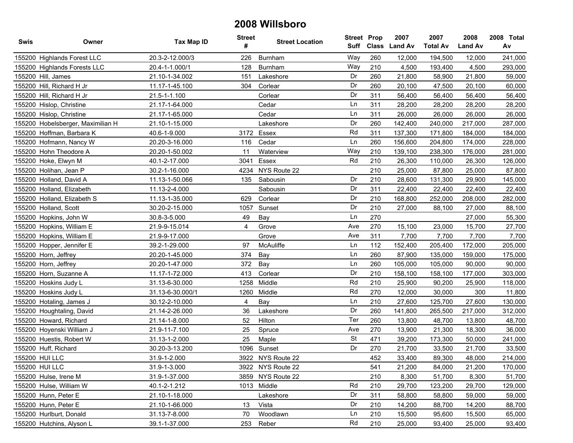| <b>Swis</b> | Owner                             | <b>Tax Map ID</b> | <b>Street</b><br># | <b>Street Location</b> | <b>Street Prop</b><br>Suff | <b>Class</b> | 2007<br><b>Land Av</b> | 2007<br><b>Total Av</b> | 2008<br><b>Land Av</b> | 2008 Total<br>Av |
|-------------|-----------------------------------|-------------------|--------------------|------------------------|----------------------------|--------------|------------------------|-------------------------|------------------------|------------------|
|             | 155200 Highlands Forest LLC       | 20.3-2-12.000/3   | 226                | Burnham                | Way                        | 260          | 12,000                 | 194,500                 | 12,000                 | 241,000          |
|             | 155200 Highlands Forests LLC      | 20.4-1-1.000/1    | 128                | Burnham                | Way                        | 210          | 4,500                  | 193,400                 | 4,500                  | 293,000          |
|             | 155200 Hill, James                | 21.10-1-34.002    | 151                | Lakeshore              | Dr                         | 260          | 21,800                 | 58,900                  | 21,800                 | 59,000           |
|             | 155200 Hill, Richard H Jr         | 11.17-1-45.100    | 304                | Corlear                | Dr                         | 260          | 20,100                 | 47,500                  | 20,100                 | 60,000           |
|             | 155200 Hill, Richard H Jr         | 21.5-1-1.100      |                    | Corlear                | Dr                         | 311          | 56,400                 | 56,400                  | 56,400                 | 56,400           |
|             | 155200 Hislop, Christine          | 21.17-1-64.000    |                    | Cedar                  | Ln                         | 311          | 28,200                 | 28,200                  | 28,200                 | 28,200           |
|             | 155200 Hislop, Christine          | 21.17-1-65.000    |                    | Cedar                  | Ln                         | 311          | 26,000                 | 26,000                  | 26,000                 | 26,000           |
|             | 155200 Hobelsberger, Maximilian H | 21.10-1-15.000    |                    | Lakeshore              | Dr                         | 260          | 142,400                | 240,000                 | 217,000                | 287,000          |
|             | 155200 Hoffman, Barbara K         | 40.6-1-9.000      | 3172               | Essex                  | Rd                         | 311          | 137,300                | 171,800                 | 184,000                | 184,000          |
|             | 155200 Hofmann, Nancy W           | 20.20-3-16.000    | 116                | Cedar                  | Ln                         | 260          | 156,600                | 204,800                 | 174,000                | 228,000          |
|             | 155200 Hohn Theodore A            | 20.20-1-50.002    | 11                 | Waterview              | Way                        | 210          | 139,100                | 238,300                 | 176,000                | 281,000          |
|             | 155200 Hoke, Elwyn M              | 40.1-2-17.000     | 3041               | Essex                  | Rd                         | 210          | 26,300                 | 110,000                 | 26,300                 | 126,000          |
|             | 155200 Holihan, Jean P            | 30.2-1-16.000     | 4234               | NYS Route 22           |                            | 210          | 25,000                 | 87,800                  | 25,000                 | 87,800           |
|             | 155200 Holland, David A           | 11.13-1-50.066    | 135                | Sabousin               | Dr                         | 210          | 28,600                 | 131,300                 | 29,900                 | 145,000          |
|             | 155200 Holland, Elizabeth         | 11.13-2-4.000     |                    | Sabousin               | Dr                         | 311          | 22,400                 | 22,400                  | 22,400                 | 22,400           |
|             | 155200 Holland, Elizabeth S       | 11.13-1-35.000    | 629                | Corlear                | Dr                         | 210          | 168,800                | 252,000                 | 208,000                | 282,000          |
|             | 155200 Holland, Scott             | 30.20-2-15.000    | 1057               | Sunset                 | Dr                         | 210          | 27,000                 | 88,100                  | 27,000                 | 88,100           |
|             | 155200 Hopkins, John W            | 30.8-3-5.000      | 49                 | Bay                    | Ln                         | 270          |                        |                         | 27,000                 | 55,300           |
|             | 155200 Hopkins, William E         | 21.9-9-15.014     | 4                  | Grove                  | Ave                        | 270          | 15,100                 | 23,000                  | 15,700                 | 27,700           |
|             | 155200 Hopkins, William E         | 21.9-9-17.000     |                    | Grove                  | Ave                        | 311          | 7,700                  | 7,700                   | 7,700                  | 7,700            |
|             | 155200 Hopper, Jennifer E         | 39.2-1-29.000     | 97                 | McAuliffe              | Ln                         | 112          | 152,400                | 205,400                 | 172,000                | 205,000          |
|             | 155200 Horn, Jeffrey              | 20.20-1-45.000    | 374                | Bay                    | Ln                         | 260          | 87,900                 | 135,000                 | 159,000                | 175,000          |
|             | 155200 Horn, Jeffrey              | 20.20-1-47.000    | 372                | Bay                    | Ln                         | 260          | 105,000                | 105,000                 | 90,000                 | 90,000           |
|             | 155200 Horn, Suzanne A            | 11.17-1-72.000    | 413                | Corlear                | Dr                         | 210          | 158,100                | 158,100                 | 177,000                | 303,000          |
|             | 155200 Hoskins Judy L             | 31.13-6-30.000    | 1258               | Middle                 | Rd                         | 210          | 25,900                 | 90,200                  | 25,900                 | 118,000          |
|             | 155200 Hoskins Judy L             | 31.13-6-30.000/1  | 1260               | Middle                 | Rd                         | 270          | 12,000                 | 30,000                  | 300                    | 11,800           |
|             | 155200 Hotaling, James J          | 30.12-2-10.000    | 4                  | Bay                    | Ln                         | 210          | 27,600                 | 125,700                 | 27,600                 | 130,000          |
|             | 155200 Houghtaling, David         | 21.14-2-26.000    | 36                 | Lakeshore              | Dr                         | 260          | 141,800                | 265,500                 | 217,000                | 312,000          |
|             | 155200 Howard, Richard            | 21.14-1-8.000     | 52                 | Hilton                 | Ter                        | 260          | 13,800                 | 48,700                  | 13,800                 | 48,700           |
|             | 155200 Hoyenski William J         | 21.9-11-7.100     | 25                 | Spruce                 | Ave                        | 270          | 13,900                 | 21,300                  | 18,300                 | 36,000           |
|             | 155200 Huestis, Robert W          | 31.13-1-2.000     | 25                 | Maple                  | <b>St</b>                  | 471          | 39,200                 | 173,300                 | 50,000                 | 241,000          |
|             | 155200 Huff, Richard              | 30.20-3-13.200    | 1096               | Sunset                 | Dr                         | 270          | 21,700                 | 33,500                  | 21,700                 | 33,500           |
|             | 155200 HUI LLC                    | 31.9-1-2.000      |                    | 3922 NYS Route 22      |                            | 452          | 33,400                 | 89,300                  | 48,000                 | 214,000          |
|             | 155200 HUI LLC                    | 31.9-1-3.000      |                    | 3922 NYS Route 22      |                            | 541          | 21,200                 | 84,000                  | 21,200                 | 170,000          |
|             | 155200 Hulse, Irene M             | 31.9-1-37.000     |                    | 3859 NYS Route 22      |                            | 210          | 8,300                  | 51,700                  | 8,300                  | 51,700           |
|             | 155200 Hulse, William W           | 40.1-2-1.212      |                    | 1013 Middle            | Rd                         | 210          | 29,700                 | 123,200                 | 29,700                 | 129,000          |
|             | 155200 Hunn, Peter E              | 21.10-1-18.000    |                    | Lakeshore              | Dr                         | 311          | 58,800                 | 58,800                  | 59,000                 | 59,000           |
|             | 155200 Hunn, Peter E              | 21.10-1-66.000    | 13                 | Vista                  | Dr                         | 210          | 14,200                 | 88,700                  | 14,200                 | 88,700           |
|             | 155200 Hurlburt, Donald           | 31.13-7-8.000     | 70                 | Woodlawn               | Ln                         | 210          | 15,500                 | 95,600                  | 15,500                 | 65,000           |
|             | 155200 Hutchins, Alyson L         | 39.1-1-37.000     |                    | 253 Reber              | Rd                         | 210          | 25,000                 | 93,400                  | 25,000                 | 93,400           |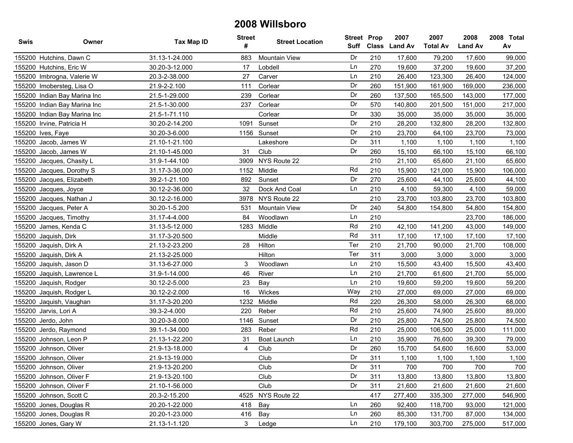| Swis | Owner                        | Tax Map ID     | <b>Street</b><br># | <b>Street Location</b> | <b>Street Prop</b><br>Suff |     | 2007<br>Class Land Av | 2007<br><b>Total Av</b> | 2008<br><b>Land Av</b> | 2008 Total<br>Av |
|------|------------------------------|----------------|--------------------|------------------------|----------------------------|-----|-----------------------|-------------------------|------------------------|------------------|
|      | 155200 Hutchins, Dawn C      | 31.13-1-24.000 | 883                | <b>Mountain View</b>   | Dr                         | 210 | 17,600                | 79,200                  | 17,600                 | 99,000           |
|      | 155200 Hutchins, Eric W      | 30.20-3-12.000 | 17                 | Lobdell                | Ln                         | 270 | 19,600                | 37,200                  | 19,600                 | 37,200           |
|      | 155200 Imbrogna, Valerie W   | 20.3-2-38.000  | 27                 | Carver                 | Ln                         | 210 | 26,400                | 123,300                 | 26,400                 | 124,000          |
|      | 155200 Imobersteg, Lisa O    | 21.9-2-2.100   | 111                | Corlear                | Dr                         | 260 | 151,900               | 161,900                 | 169,000                | 236,000          |
|      | 155200 Indian Bay Marina Inc | 21.5-1-29.000  | 239                | Corlear                | Dr                         | 260 | 137,500               | 165,500                 | 143,000                | 177,000          |
|      | 155200 Indian Bay Marina Inc | 21.5-1-30.000  | 237                | Corlear                | Dr                         | 570 | 140,800               | 201,500                 | 151,000                | 217,000          |
|      | 155200 Indian Bay Marina Inc | 21.5-1-71.110  |                    | Corlear                | Dr                         | 330 | 35,000                | 35,000                  | 35,000                 | 35,000           |
|      | 155200 Irvine, Patricia H    | 30.20-2-14.200 | 1091               | Sunset                 | Dr                         | 210 | 28,200                | 132,800                 | 28,200                 | 132,800          |
|      | 155200 Ives, Faye            | 30.20-3-6.000  |                    | 1156 Sunset            | Dr                         | 210 | 23,700                | 64,100                  | 23,700                 | 73,000           |
|      | 155200 Jacob, James W        | 21.10-1-21.100 |                    | Lakeshore              | Dr                         | 311 | 1,100                 | 1,100                   | 1,100                  | 1,100            |
|      | 155200 Jacob, James W        | 21.10-1-45.000 | 31                 | Club                   | Dr                         | 260 | 15,100                | 66,100                  | 15,100                 | 66,100           |
|      | 155200 Jacques, Chasity L    | 31.9-1-44.100  |                    | 3909 NYS Route 22      |                            | 210 | 21,100                | 65,600                  | 21,100                 | 65,600           |
|      | 155200 Jacques, Dorothy S    | 31.17-3-36.000 | 1152               | Middle                 | Rd                         | 210 | 15,900                | 121,000                 | 15,900                 | 106,000          |
|      | 155200 Jacques, Elizabeth    | 39.2-1-21.100  | 892                | Sunset                 | Dr                         | 270 | 25,600                | 44,100                  | 25,600                 | 44,100           |
|      | 155200 Jacques, Joyce        | 30.12-2-36.000 | 32                 | Dock And Coal          | Ln                         | 210 | 4,100                 | 59,300                  | 4,100                  | 59,000           |
|      | 155200 Jacques, Nathan J     | 30.12-2-16.000 | 3978               | NYS Route 22           |                            | 210 | 23,700                | 103,800                 | 23,700                 | 103,800          |
|      | 155200 Jacques, Peter A      | 30.20-1-5.200  | 531                | <b>Mountain View</b>   | Dr                         | 240 | 54,800                | 154,800                 | 54,800                 | 154,800          |
|      | 155200 Jacques, Timothy      | 31.17-4-4.000  | 84                 | Woodlawn               | Ln                         | 210 |                       |                         | 23,700                 | 186,000          |
|      | 155200 James, Kenda C        | 31.13-5-12.000 | 1283               | Middle                 | Rd                         | 210 | 42,100                | 141,200                 | 43,000                 | 149,000          |
|      | 155200 Jaquish, Dirk         | 31.17-3-20.500 |                    | Middle                 | Rd                         | 311 | 17,100                | 17,100                  | 17,100                 | 17,100           |
|      | 155200 Jaquish, Dirk A       | 21.13-2-23.200 | 28                 | Hilton                 | Ter                        | 210 | 21,700                | 90,000                  | 21,700                 | 108,000          |
|      | 155200 Jaquish, Dirk A       | 21.13-2-25.000 |                    | Hilton                 | Ter                        | 311 | 3,000                 | 3,000                   | 3,000                  | 3,000            |
|      | 155200 Jaquish, Jason D      | 31.13-6-27.000 | 3                  | Woodlawn               | Ln                         | 210 | 15,500                | 43,400                  | 15,500                 | 43,400           |
|      | 155200 Jaquish, Lawrence L   | 31.9-1-14.000  | 46                 | River                  | Ln                         | 210 | 21,700                | 61,600                  | 21,700                 | 55,000           |
|      | 155200 Jaquish, Rodger       | 30.12-2-5.000  | 23                 | Bay                    | Ln                         | 210 | 19,600                | 59,200                  | 19,600                 | 59,200           |
|      | 155200 Jaquish, Rodger L     | 30.12-2-2.000  | 16                 | Wickes                 | Way                        | 210 | 27,000                | 69,000                  | 27,000                 | 69,000           |
|      | 155200 Jaquish, Vaughan      | 31.17-3-20.200 | 1232               | Middle                 | Rd                         | 220 | 26,300                | 58,000                  | 26,300                 | 68,000           |
|      | 155200 Jarvis, Lori A        | 39.3-2-4.000   | 220                | Reber                  | Rd                         | 210 | 25,600                | 74,900                  | 25,600                 | 89,000           |
|      | 155200 Jerdo, John           | 30.20-3-8.000  | 1146               | Sunset                 | Dr                         | 210 | 25,800                | 74,500                  | 25,800                 | 74,500           |
|      | 155200 Jerdo, Raymond        | 39.1-1-34.000  | 283                | Reber                  | Rd                         | 210 | 25,000                | 106,500                 | 25,000                 | 111,000          |
|      | 155200 Johnson, Leon P       | 21.13-1-22.200 | 31                 | Boat Launch            | Ln                         | 210 | 35,900                | 76,600                  | 39,300                 | 79,000           |
|      | 155200 Johnson, Oliver       | 21.9-13-18.000 | 4                  | Club                   | Dr                         | 260 | 15,700                | 54,600                  | 16,600                 | 53,000           |
|      | 155200 Johnson, Oliver       | 21.9-13-19.000 |                    | Club                   | Dr                         | 311 | 1,100                 | 1,100                   | 1.100                  | 1,100            |
|      | 155200 Johnson, Oliver       | 21.9-13-20.200 |                    | Club                   | Dr                         | 311 | 700                   | 700                     | 700                    | 700              |
|      | 155200 Johnson, Oliver F     | 21.9-13-20.100 |                    | Club                   | Dr                         | 311 | 13,800                | 13,800                  | 13,800                 | 13,800           |
|      | 155200 Johnson, Oliver F     | 21.10-1-56.000 |                    | Club                   | Dr                         | 311 | 21,600                | 21,600                  | 21,600                 | 21,600           |
|      | 155200 Johnson, Scott C      | 20.3-2-15.200  | 4525               | NYS Route 22           |                            | 417 | 277,400               | 335,300                 | 277,000                | 546,900          |
|      | 155200 Jones, Douglas R      | 20.20-1-22.000 | 418                | Bay                    | Ln                         | 260 | 92,400                | 118,700                 | 93,000                 | 121,000          |
|      | 155200 Jones, Douglas R      | 20.20-1-23.000 | 416                | Bay                    | Ln                         | 260 | 85,300                | 131,700                 | 87,000                 | 134,000          |
|      | 155200 Jones, Gary W         | 21.13-1-1.120  | 3                  | Ledge                  | Ln                         | 210 | 179,100               | 303,700                 | 275,000                | 517,000          |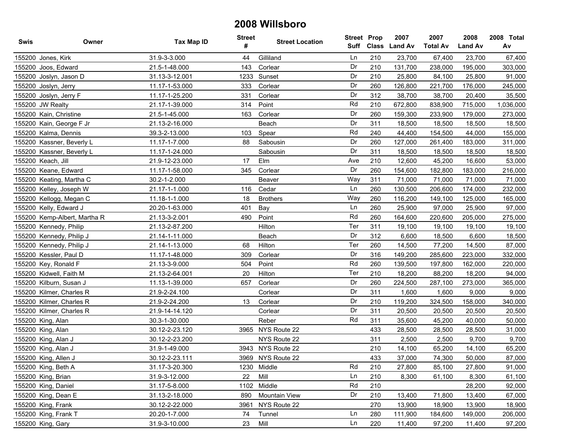| Swis | Owner                        | Tax Map ID     | <b>Street</b><br># | <b>Street Location</b> | <b>Street Prop</b> |     | 2007<br>Suff Class Land Av | 2007<br><b>Total Av</b> | 2008<br><b>Land Av</b> | 2008 Total<br>Av |
|------|------------------------------|----------------|--------------------|------------------------|--------------------|-----|----------------------------|-------------------------|------------------------|------------------|
|      | 155200 Jones, Kirk           | 31.9-3-3.000   | 44                 | Gilliland              | Ln                 | 210 | 23,700                     | 67,400                  | 23,700                 | 67,400           |
|      | 155200 Joos, Edward          | 21.5-1-48.000  | 143                | Corlear                | Dr                 | 210 | 131,700                    | 238,000                 | 195,000                | 303,000          |
|      | 155200 Joslyn, Jason D       | 31.13-3-12.001 | 1233               | Sunset                 | Dr                 | 210 | 25,800                     | 84,100                  | 25,800                 | 91,000           |
|      | 155200 Joslyn, Jerry         | 11.17-1-53.000 | 333                | Corlear                | Dr                 | 260 | 126,800                    | 221,700                 | 176,000                | 245,000          |
|      | 155200 Joslyn, Jerry F       | 11.17-1-25.200 | 331                | Corlear                | Dr                 | 312 | 38,700                     | 38,700                  | 20,400                 | 35,500           |
|      | 155200 JW Realty             | 21.17-1-39.000 | 314                | Point                  | Rd                 | 210 | 672,800                    | 838,900                 | 715,000                | 1,036,000        |
|      | 155200 Kain, Christine       | 21.5-1-45.000  | 163                | Corlear                | Dr                 | 260 | 159,300                    | 233,900                 | 179,000                | 273,000          |
|      | 155200 Kain, George F Jr     | 21.13-2-16.000 |                    | Beach                  | Dr                 | 311 | 18,500                     | 18,500                  | 18,500                 | 18,500           |
|      | 155200 Kalma, Dennis         | 39.3-2-13.000  | 103                | Spear                  | Rd                 | 240 | 44,400                     | 154,500                 | 44,000                 | 155,000          |
|      | 155200 Kassner, Beverly L    | 11.17-1-7.000  | 88                 | Sabousin               | Dr                 | 260 | 127,000                    | 261,400                 | 183,000                | 311,000          |
|      | 155200 Kassner, Beverly L    | 11.17-1-24.000 |                    | Sabousin               | Dr                 | 311 | 18,500                     | 18,500                  | 18,500                 | 18,500           |
|      | 155200 Keach, Jill           | 21.9-12-23.000 | 17                 | Elm                    | Ave                | 210 | 12,600                     | 45,200                  | 16,600                 | 53,000           |
|      | 155200 Keane, Edward         | 11.17-1-58.000 | 345                | Corlear                | Dr                 | 260 | 154,600                    | 182,800                 | 183,000                | 216,000          |
|      | 155200 Keating, Martha C     | 30.2-1-2.000   |                    | Beaver                 | Way                | 311 | 71,000                     | 71,000                  | 71,000                 | 71,000           |
|      | 155200 Kelley, Joseph W      | 21.17-1-1.000  | 116                | Cedar                  | Ln                 | 260 | 130,500                    | 206,600                 | 174,000                | 232,000          |
|      | 155200 Kellogg, Megan C      | 11.18-1-1.000  | 18                 | <b>Brothers</b>        | Way                | 260 | 116,200                    | 149,100                 | 125,000                | 165,000          |
|      | 155200 Kelly, Edward J       | 20.20-1-63.000 | 401                | Bay                    | Ln                 | 260 | 25,900                     | 97,000                  | 25,900                 | 97,000           |
|      | 155200 Kemp-Albert, Martha R | 21.13-3-2.001  | 490                | Point                  | Rd                 | 260 | 164,600                    | 220,600                 | 205,000                | 275,000          |
|      | 155200 Kennedy, Philip       | 21.13-2-87.200 |                    | Hilton                 | Ter                | 311 | 19,100                     | 19,100                  | 19,100                 | 19,100           |
|      | 155200 Kennedy, Philip J     | 21.14-1-11.000 |                    | Beach                  | Dr                 | 312 | 6,600                      | 18,500                  | 6,600                  | 18,500           |
|      | 155200 Kennedy, Philip J     | 21.14-1-13.000 | 68                 | Hilton                 | Ter                | 260 | 14,500                     | 77,200                  | 14,500                 | 87,000           |
|      | 155200 Kessler, Paul D       | 11.17-1-48.000 | 309                | Corlear                | Dr                 | 316 | 149,200                    | 285,600                 | 223,000                | 332,000          |
|      | 155200 Key, Ronald F         | 21.13-3-9.000  | 504                | Point                  | Rd                 | 260 | 139,500                    | 197,800                 | 162,000                | 220,000          |
|      | 155200 Kidwell, Faith M      | 21.13-2-64.001 | 20                 | Hilton                 | Ter                | 210 | 18,200                     | 88,200                  | 18,200                 | 94,000           |
|      | 155200 Kilburn, Susan J      | 11.13-1-39.000 | 657                | Corlear                | Dr                 | 260 | 224,500                    | 287,100                 | 273,000                | 365,000          |
|      | 155200 Kilmer, Charles R     | 21.9-2-24.100  |                    | Corlear                | Dr                 | 311 | 1,600                      | 1,600                   | 9,000                  | 9,000            |
|      | 155200 Kilmer, Charles R     | 21.9-2-24.200  | 13                 | Corlear                | Dr                 | 210 | 119,200                    | 324,500                 | 158,000                | 340,000          |
|      | 155200 Kilmer, Charles R     | 21.9-14-14.120 |                    | Corlear                | Dr                 | 311 | 20,500                     | 20,500                  | 20,500                 | 20,500           |
|      | 155200 King, Alan            | 30.3-1-30.000  |                    | Reber                  | Rd                 | 311 | 35,600                     | 45,200                  | 40,000                 | 50,000           |
|      | 155200 King, Alan            | 30.12-2-23.120 |                    | 3965 NYS Route 22      |                    | 433 | 28,500                     | 28,500                  | 28,500                 | 31,000           |
|      | 155200 King, Alan J          | 30.12-2-23.200 |                    | NYS Route 22           |                    | 311 | 2,500                      | 2,500                   | 9,700                  | 9,700            |
|      | 155200 King, Alan J          | 31.9-1-49.000  |                    | 3943 NYS Route 22      |                    | 210 | 14,100                     | 65,200                  | 14,100                 | 65,200           |
|      | 155200 King, Allen J         | 30.12-2-23.111 |                    | 3969 NYS Route 22      |                    | 433 | 37,000                     | 74,300                  | 50,000                 | 87,000           |
|      | 155200 King, Beth A          | 31.17-3-20.300 |                    | 1230 Middle            | Rd                 | 210 | 27,800                     | 85,100                  | 27,800                 | 91,000           |
|      | 155200 King, Brian           | 31.9-3-12.000  | 22                 | Mill                   | Ln                 | 210 | 8,300                      | 61,100                  | 8,300                  | 61,100           |
|      | 155200 King, Daniel          | 31.17-5-8.000  |                    | 1102 Middle            | Rd                 | 210 |                            |                         | 28,200                 | 92,000           |
|      | 155200 King, Dean E          | 31.13-2-18.000 | 890                | Mountain View          | Dr                 | 210 | 13,400                     | 71,800                  | 13,400                 | 67,000           |
|      | 155200 King, Frank           | 30.12-2-22.000 | 3961               | NYS Route 22           |                    | 270 | 13,900                     | 18,900                  | 13,900                 | 18,900           |
|      | 155200 King, Frank T         | 20.20-1-7.000  | 74                 | Tunnel                 | Ln                 | 280 | 111,900                    | 184,600                 | 149,000                | 206,000          |
|      | 155200 King, Gary            | 31.9-3-10.000  | 23                 | Mill                   | Ln                 | 220 | 11,400                     | 97,200                  | 11,400                 | 97,200           |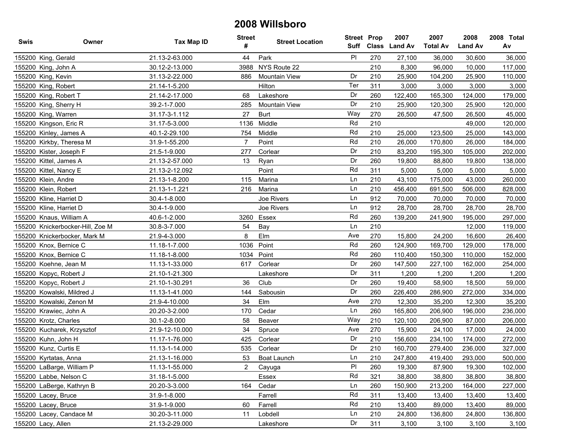| Swis | Owner                            | Tax Map ID     | <b>Street</b><br># | <b>Street Location</b> | Suff           | <b>Street Prop</b> | 2007<br>Class Land Av | 2007<br><b>Total Av</b> | 2008<br><b>Land Av</b> | 2008 Total<br>Av |
|------|----------------------------------|----------------|--------------------|------------------------|----------------|--------------------|-----------------------|-------------------------|------------------------|------------------|
|      | 155200 King, Gerald              | 21.13-2-63.000 | 44                 | Park                   | P <sub>1</sub> | 270                | 27,100                | 36,000                  | 30,600                 | 36,000           |
|      | 155200 King, John A              | 30.12-2-13.000 | 3988               | NYS Route 22           |                | 210                | 8,300                 | 96,000                  | 10,000                 | 117,000          |
|      | 155200 King, Kevin               | 31.13-2-22.000 | 886                | <b>Mountain View</b>   | Dr             | 210                | 25,900                | 104,200                 | 25,900                 | 110,000          |
|      | 155200 King, Robert              | 21.14-1-5.200  |                    | Hilton                 | Ter            | 311                | 3,000                 | 3,000                   | 3,000                  | 3,000            |
|      | 155200 King, Robert T            | 21.14-2-17.000 | 68                 | Lakeshore              | Dr             | 260                | 122,400               | 165,300                 | 124,000                | 179,000          |
|      | 155200 King, Sherry H            | 39.2-1-7.000   | 285                | <b>Mountain View</b>   | Dr             | 210                | 25,900                | 120,300                 | 25,900                 | 120,000          |
|      | 155200 King, Warren              | 31.17-3-1.112  | 27                 | <b>Burt</b>            | Way            | 270                | 26,500                | 47,500                  | 26,500                 | 45,000           |
|      | 155200 Kingson, Eric R           | 31.17-5-3.000  | 1136               | Middle                 | Rd             | 210                |                       |                         | 49,000                 | 120,000          |
|      | 155200 Kinley, James A           | 40.1-2-29.100  | 754                | Middle                 | Rd             | 210                | 25,000                | 123,500                 | 25,000                 | 143,000          |
|      | 155200 Kirkby, Theresa M         | 31.9-1-55.200  | $\overline{7}$     | Point                  | Rd             | 210                | 26,000                | 170,800                 | 26,000                 | 184,000          |
|      | 155200 Kister, Joseph F          | 21.5-1-9.000   | 277                | Corlear                | Dr             | 210                | 83,200                | 195,300                 | 105,000                | 202,000          |
|      | 155200 Kittel, James A           | 21.13-2-57.000 | 13                 | Ryan                   | Dr             | 260                | 19,800                | 88,800                  | 19,800                 | 138,000          |
|      | 155200 Kittel, Nancy E           | 21.13-2-12.092 |                    | Point                  | Rd             | 311                | 5,000                 | 5,000                   | 5,000                  | 5,000            |
|      | 155200 Klein, Andre              | 21.13-1-8.200  | 115                | Marina                 | Ln             | 210                | 43,100                | 175,000                 | 43,000                 | 260,000          |
|      | 155200 Klein, Robert             | 21.13-1-1.221  | 216                | Marina                 | Ln             | 210                | 456,400               | 691,500                 | 506,000                | 828,000          |
|      | 155200 Kline, Harriet D          | 30.4-1-8.000   |                    | Joe Rivers             | Ln             | 912                | 70,000                | 70,000                  | 70,000                 | 70,000           |
|      | 155200 Kline, Harriet D          | 30.4-1-9.000   |                    | Joe Rivers             | Ln             | 912                | 28,700                | 28,700                  | 28,700                 | 28,700           |
|      | 155200 Knaus, William A          | 40.6-1-2.000   | 3260               | Essex                  | Rd             | 260                | 139,200               | 241,900                 | 195,000                | 297,000          |
|      | 155200 Knickerbocker-Hill, Zoe M | 30.8-3-7.000   | 54                 | Bay                    | Ln             | 210                |                       |                         | 12,000                 | 119,000          |
|      | 155200 Knickerbocker, Mark M     | 21.9-4-3.000   | 8                  | Elm                    | Ave            | 270                | 15,800                | 24,200                  | 16,600                 | 26,400           |
|      | 155200 Knox, Bernice C           | 11.18-1-7.000  | 1036               | Point                  | Rd             | 260                | 124,900               | 169,700                 | 129,000                | 178,000          |
|      | 155200 Knox, Bernice C           | 11.18-1-8.000  | 1034               | Point                  | Rd             | 260                | 110,400               | 150,300                 | 110,000                | 152,000          |
|      | 155200 Koehne, Jean M            | 11.13-1-33.000 | 617                | Corlear                | Dr             | 260                | 147,500               | 227,100                 | 162,000                | 254,000          |
|      | 155200 Kopyc, Robert J           | 21.10-1-21.300 |                    | Lakeshore              | Dr             | 311                | 1,200                 | 1,200                   | 1,200                  | 1,200            |
|      | 155200 Kopyc, Robert J           | 21.10-1-30.291 | 36                 | Club                   | Dr             | 260                | 19,400                | 58,900                  | 18,500                 | 59,000           |
|      | 155200 Kowalski, Mildred J       | 11.13-1-41.000 | 144                | Sabousin               | Dr             | 260                | 226,400               | 286,900                 | 272,000                | 334,000          |
|      | 155200 Kowalski, Zenon M         | 21.9-4-10.000  | 34                 | Elm                    | Ave            | 270                | 12,300                | 35,200                  | 12,300                 | 35,200           |
|      | 155200 Krawiec, John A           | 20.20-3-2.000  | 170                | Cedar                  | Ln             | 260                | 165,800               | 206,900                 | 196,000                | 236,000          |
|      | 155200 Krotz, Charles            | 30.1-2-8.000   | 58                 | Beaver                 | Way            | 210                | 120,100               | 206,900                 | 87,000                 | 206,000          |
|      | 155200 Kucharek, Krzysztof       | 21.9-12-10.000 | 34                 | Spruce                 | Ave            | 270                | 15,900                | 24,100                  | 17,000                 | 24,000           |
|      | 155200 Kuhn, John H              | 11.17-1-76.000 | 425                | Corlear                | Dr             | 210                | 156,600               | 234,100                 | 174,000                | 272,000          |
|      | 155200 Kunz, Curtis E            | 11.13-1-14.000 | 535                | Corlear                | Dr             | 210                | 160,700               | 279,400                 | 236,000                | 327,000          |
|      | 155200 Kyrtatas, Anna            | 21.13-1-16.000 | 53                 | Boat Launch            | Ln             | 210                | 247,800               | 419,400                 | 293,000                | 500,000          |
|      | 155200 LaBarge, William P        | 11.13-1-55.000 | $2^{\circ}$        | Cayuga                 | PI             | 260                | 19,300                | 87,900                  | 19,300                 | 102,000          |
|      | 155200 Labbe, Nelson C           | 31.18-1-5.000  |                    | Essex                  | Rd             | 321                | 38,800                | 38,800                  | 38,800                 | 38,800           |
|      | 155200 LaBerge, Kathryn B        | 20.20-3-3.000  | 164                | Cedar                  | Ln             | 260                | 150,900               | 213,200                 | 164,000                | 227,000          |
|      | 155200 Lacey, Bruce              | 31.9-1-8.000   |                    | Farrell                | Rd             | 311                | 13,400                | 13,400                  | 13,400                 | 13,400           |
|      | 155200 Lacey, Bruce              | 31.9-1-9.000   | 60                 | Farrell                | Rd             | 210                | 13,400                | 89,000                  | 13,400                 | 89,000           |
|      | 155200 Lacey, Candace M          | 30.20-3-11.000 | 11                 | Lobdell                | Ln             | 210                | 24,800                | 136,800                 | 24,800                 | 136,800          |
|      | 155200 Lacy, Allen               | 21.13-2-29.000 |                    | Lakeshore              | Dr             | 311                | 3,100                 | 3,100                   | 3,100                  | 3,100            |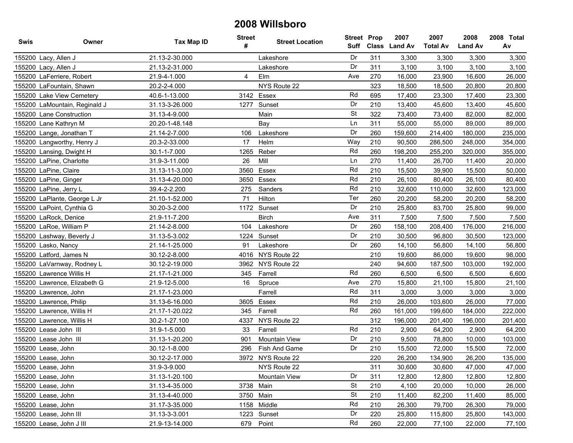| <b>Swis</b> | Owner                         | <b>Tax Map ID</b> | <b>Street</b><br># | <b>Street Location</b> | <b>Street Prop</b><br>Suff |     | 2007<br>Class Land Av | 2007<br><b>Total Av</b> | 2008<br><b>Land Av</b> | 2008 Total<br>Av |
|-------------|-------------------------------|-------------------|--------------------|------------------------|----------------------------|-----|-----------------------|-------------------------|------------------------|------------------|
|             | 155200 Lacy, Allen J          | 21.13-2-30.000    |                    | Lakeshore              | Dr                         | 311 | 3,300                 | 3,300                   | 3,300                  | 3,300            |
|             | 155200 Lacy, Allen J          | 21.13-2-31.000    |                    | Lakeshore              | Dr                         | 311 | 3,100                 | 3,100                   | 3,100                  | 3,100            |
|             | 155200 LaFerriere, Robert     | 21.9-4-1.000      | 4                  | Elm                    | Ave                        | 270 | 16,000                | 23,900                  | 16,600                 | 26,000           |
|             | 155200 LaFountain, Shawn      | 20.2-2-4.000      |                    | NYS Route 22           |                            | 323 | 18,500                | 18,500                  | 20,800                 | 20,800           |
|             | 155200 Lake View Cemetery     | 40.6-1-13.000     |                    | 3142 Essex             | Rd                         | 695 | 17,400                | 23,300                  | 17,400                 | 23,300           |
|             | 155200 LaMountain, Reginald J | 31.13-3-26.000    | 1277               | Sunset                 | Dr                         | 210 | 13,400                | 45,600                  | 13,400                 | 45,600           |
|             | 155200 Lane Construction      | 31.13-4-9.000     |                    | Main                   | <b>St</b>                  | 322 | 73,400                | 73,400                  | 82,000                 | 82,000           |
|             | 155200 Lane Kathryn M         | 20.20-1-48.148    |                    | Bay                    | Ln                         | 311 | 55,000                | 55,000                  | 89,000                 | 89,000           |
|             | 155200 Lange, Jonathan T      | 21.14-2-7.000     | 106                | Lakeshore              | Dr                         | 260 | 159,600               | 214,400                 | 180,000                | 235,000          |
|             | 155200 Langworthy, Henry J    | 20.3-2-33.000     | 17                 | Helm                   | Way                        | 210 | 90,500                | 286,500                 | 248,000                | 354,000          |
|             | 155200 Lansing, Dwight H      | 30.1-1-7.000      | 1265               | Reber                  | Rd                         | 260 | 198,200               | 255,200                 | 320,000                | 355,000          |
|             | 155200 LaPine, Charlotte      | 31.9-3-11.000     | 26                 | Mill                   | Ln                         | 270 | 11,400                | 26,700                  | 11,400                 | 20,000           |
|             | 155200 LaPine, Claire         | 31.13-11-3.000    | 3560               | Essex                  | Rd                         | 210 | 15,500                | 39,900                  | 15,500                 | 50,000           |
|             | 155200 LaPine, Ginger         | 31.13-4-20.000    | 3650               | Essex                  | Rd                         | 210 | 26,100                | 80,400                  | 26,100                 | 80,400           |
|             | 155200 LaPine, Jerry L        | 39.4-2-2.200      | 275                | Sanders                | Rd                         | 210 | 32,600                | 110,000                 | 32,600                 | 123,000          |
|             | 155200 LaPlante, George L Jr  | 21.10-1-52.000    | 71                 | Hilton                 | Ter                        | 260 | 20,200                | 58,200                  | 20,200                 | 58,200           |
|             | 155200 LaPoint, Cynthia G     | 30.20-3-2.000     | 1172               | Sunset                 | Dr                         | 210 | 25,800                | 83,700                  | 25,800                 | 99,000           |
|             | 155200 LaRock, Denice         | 21.9-11-7.200     |                    | <b>Birch</b>           | Ave                        | 311 | 7,500                 | 7,500                   | 7,500                  | 7,500            |
|             | 155200 LaRoe, William P       | 21.14-2-8.000     | 104                | Lakeshore              | Dr                         | 260 | 158,100               | 208,400                 | 176,000                | 216,000          |
|             | 155200 Lashway, Beverly J     | 31.13-5-3.002     | 1224               | Sunset                 | Dr                         | 210 | 30,500                | 96,800                  | 30,500                 | 123,000          |
|             | 155200 Lasko, Nancy           | 21.14-1-25.000    | 91                 | Lakeshore              | Dr                         | 260 | 14,100                | 56,800                  | 14,100                 | 56,800           |
|             | 155200 Latford, James N       | 30.12-2-8.000     | 4016               | NYS Route 22           |                            | 210 | 19,600                | 86,000                  | 19,600                 | 98,000           |
|             | 155200 LaVarnway, Rodney L    | 30.12-2-19.000    |                    | 3962 NYS Route 22      |                            | 240 | 94,600                | 187,500                 | 103,000                | 192,000          |
|             | 155200 Lawrence Willis H      | 21.17-1-21.000    | 345                | Farrell                | Rd                         | 260 | 6,500                 | 6,500                   | 6,500                  | 6,600            |
|             | 155200 Lawrence, Elizabeth G  | 21.9-12-5.000     | 16                 | Spruce                 | Ave                        | 270 | 15,800                | 21,100                  | 15,800                 | 21,100           |
|             | 155200 Lawrence, John         | 21.17-1-23.000    |                    | Farrell                | Rd                         | 311 | 3,000                 | 3,000                   | 3,000                  | 3,000            |
|             | 155200 Lawrence, Philip       | 31.13-6-16.000    | 3605               | Essex                  | Rd                         | 210 | 26,000                | 103,600                 | 26,000                 | 77,000           |
|             | 155200 Lawrence, Willis H     | 21.17-1-20.022    | 345                | Farrell                | Rd                         | 260 | 161,000               | 199,600                 | 184,000                | 222,000          |
|             | 155200 Lawrence, Willis H     | 30.2-1-27.100     | 4337               | NYS Route 22           |                            | 312 | 196,000               | 201,400                 | 196,000                | 201,400          |
|             | 155200 Lease John III         | 31.9-1-5.000      | 33                 | Farrell                | Rd                         | 210 | 2,900                 | 64,200                  | 2,900                  | 64,200           |
|             | 155200 Lease John III         | 31.13-1-20.200    | 901                | <b>Mountain View</b>   | Dr                         | 210 | 9,500                 | 78,800                  | 10,000                 | 103,000          |
|             | 155200 Lease, John            | 30.12-1-8.000     | 296                | Fish And Game          | Dr                         | 210 | 15,500                | 72,000                  | 15,500                 | 72,000           |
|             | 155200 Lease, John            | 30.12-2-17.000    |                    | 3972 NYS Route 22      |                            | 220 | 26,200                | 134,900                 | 26,200                 | 135,000          |
|             | 155200 Lease, John            | 31.9-3-9.000      |                    | NYS Route 22           |                            | 311 | 30,600                | 30,600                  | 47,000                 | 47,000           |
|             | 155200 Lease, John            | 31.13-1-20.100    |                    | Mountain View          | Dr                         | 311 | 12,800                | 12,800                  | 12,800                 | 12,800           |
|             | 155200 Lease, John            | 31.13-4-35.000    |                    | 3738 Main              | St                         | 210 | 4,100                 | 20,000                  | 10,000                 | 26,000           |
|             | 155200 Lease, John            | 31.13-4-40.000    |                    | 3750 Main              | <b>St</b>                  | 210 | 11,400                | 82,200                  | 11,400                 | 85,000           |
|             | 155200 Lease, John            | 31.17-3-35.000    |                    | 1158 Middle            | Rd                         | 210 | 26,300                | 79,700                  | 26,300                 | 79,000           |
|             | 155200 Lease, John III        | 31.13-3-3.001     |                    | 1223 Sunset            | Dr                         | 220 | 25,800                | 115,800                 | 25,800                 | 143,000          |
|             | 155200 Lease, John J III      | 21.9-13-14.000    |                    | 679 Point              | Rd                         | 260 | 22,000                | 77,100                  | 22,000                 | 77,100           |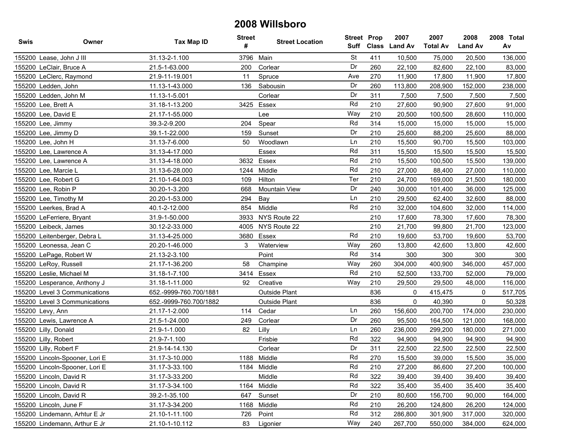| <b>Swis</b> | Owner                          | Tax Map ID             | <b>Street</b><br># | <b>Street Location</b> | <b>Street Prop</b> |     | 2007<br>Suff Class Land Av | 2007<br><b>Total Av</b> | 2008<br><b>Land Av</b> | 2008 Total<br>Av |
|-------------|--------------------------------|------------------------|--------------------|------------------------|--------------------|-----|----------------------------|-------------------------|------------------------|------------------|
|             | 155200 Lease, John J III       | 31.13-2-1.100          | 3796               | Main                   | <b>St</b>          | 411 | 10,500                     | 75,000                  | 20.500                 | 136,000          |
|             | 155200 LeClair, Bruce A        | 21.5-1-63.000          | 200                | Corlear                | Dr                 | 260 | 22,100                     | 82,600                  | 22,100                 | 83,000           |
|             | 155200 LeClerc, Raymond        | 21.9-11-19.001         | 11                 | Spruce                 | Ave                | 270 | 11,900                     | 17,800                  | 11,900                 | 17,800           |
|             | 155200 Ledden, John            | 11.13-1-43.000         | 136                | Sabousin               | Dr                 | 260 | 113,800                    | 208,900                 | 152,000                | 238,000          |
|             | 155200 Ledden, John M          | 11.13-1-5.001          |                    | Corlear                | Dr                 | 311 | 7,500                      | 7,500                   | 7,500                  | 7,500            |
|             | 155200 Lee, Brett A            | 31.18-1-13.200         |                    | 3425 Essex             | Rd                 | 210 | 27,600                     | 90,900                  | 27,600                 | 91,000           |
|             | 155200 Lee, David E            | 21.17-1-55.000         |                    | Lee                    | Way                | 210 | 20,500                     | 100,500                 | 28,600                 | 110,000          |
|             | 155200 Lee, Jimmy              | 39.3-2-9.200           | 204                | Spear                  | Rd                 | 314 | 15,000                     | 15,000                  | 15,000                 | 15,000           |
|             | 155200 Lee, Jimmy D            | 39.1-1-22.000          | 159                | Sunset                 | Dr                 | 210 | 25,600                     | 88,200                  | 25,600                 | 88,000           |
|             | 155200 Lee, John H             | 31.13-7-6.000          | 50                 | Woodlawn               | Ln                 | 210 | 15,500                     | 90,700                  | 15,500                 | 103,000          |
|             | 155200 Lee, Lawrence A         | 31.13-4-17.000         |                    | Essex                  | Rd                 | 311 | 15,500                     | 15,500                  | 15,500                 | 15,500           |
|             | 155200 Lee, Lawrence A         | 31.13-4-18.000         |                    | 3632 Essex             | Rd                 | 210 | 15,500                     | 100,500                 | 15,500                 | 139,000          |
|             | 155200 Lee, Marcie L           | 31.13-6-28.000         | 1244               | Middle                 | Rd                 | 210 | 27,000                     | 88,400                  | 27,000                 | 110,000          |
|             | 155200 Lee, Robert G           | 21.10-1-64.003         | 109                | Hilton                 | Ter                | 210 | 24,700                     | 169,000                 | 21,500                 | 180,000          |
|             | 155200 Lee, Robin P            | 30.20-1-3.200          | 668                | <b>Mountain View</b>   | Dr                 | 240 | 30,000                     | 101,400                 | 36,000                 | 125,000          |
|             | 155200 Lee, Timothy M          | 20.20-1-53.000         | 294                | Bay                    | Ln                 | 210 | 29,500                     | 62,400                  | 32,600                 | 88,000           |
|             | 155200 Leerkes, Brad A         | 40.1-2-12.000          | 854                | Middle                 | Rd                 | 210 | 32,000                     | 104,600                 | 32,000                 | 114,000          |
|             | 155200 LeFerriere, Bryant      | 31.9-1-50.000          |                    | 3933 NYS Route 22      |                    | 210 | 17,600                     | 78,300                  | 17,600                 | 78,300           |
|             | 155200 Leibeck, James          | 30.12-2-33.000         | 4005               | NYS Route 22           |                    | 210 | 21,700                     | 99,800                  | 21,700                 | 123,000          |
|             | 155200 Leitenberger, Debra L   | 31.13-4-25.000         | 3680               | Essex                  | Rd                 | 210 | 19,600                     | 53,700                  | 19,600                 | 53,700           |
|             | 155200 Leonessa, Jean C        | 20.20-1-46.000         | 3                  | Waterview              | Way                | 260 | 13,800                     | 42,600                  | 13,800                 | 42,600           |
|             | 155200 LePage, Robert W        | 21.13-2-3.100          |                    | Point                  | Rd                 | 314 | 300                        | 300                     | 300                    | 300              |
|             | 155200 LeRoy, Russell          | 21.17-1-36.200         | 58                 | Champine               | Way                | 260 | 304,000                    | 400,900                 | 346,000                | 457,000          |
|             | 155200 Leslie, Michael M       | 31.18-1-7.100          | 3414               | Essex                  | Rd                 | 210 | 52,500                     | 133,700                 | 52,000                 | 79,000           |
|             | 155200 Lesperance, Anthony J   | 31.18-1-11.000         | 92                 | Creative               | Way                | 210 | 29,500                     | 29,500                  | 48,000                 | 116,000          |
|             | 155200 Level 3 Communications  | 652.-9999-760.700/1881 |                    | Outside Plant          |                    | 836 | 0                          | 415,475                 | 0                      | 517,705          |
|             | 155200 Level 3 Communications  | 652.-9999-760.700/1882 |                    | Outside Plant          |                    | 836 | 0                          | 40,390                  | 0                      | 50,328           |
|             | 155200 Levy, Ann               | 21.17-1-2.000          | 114                | Cedar                  | Ln                 | 260 | 156,600                    | 200,700                 | 174,000                | 230,000          |
|             | 155200 Lewis, Lawrence A       | 21.5-1-24.000          | 249                | Corlear                | Dr                 | 260 | 95,500                     | 164,500                 | 121,000                | 168,000          |
|             | 155200 Lilly, Donald           | 21.9-1-1.000           | 82                 | Lilly                  | Ln                 | 260 | 236,000                    | 299,200                 | 180,000                | 271,000          |
|             | 155200 Lilly, Robert           | 21.9-7-1.100           |                    | Frisbie                | Rd                 | 322 | 94,900                     | 94,900                  | 94,900                 | 94,900           |
|             | 155200 Lilly, Robert F         | 21.9-14-14.130         |                    | Corlear                | Dr                 | 311 | 22,500                     | 22,500                  | 22,500                 | 22,500           |
|             | 155200 Lincoln-Spooner, Lori E | 31.17-3-10.000         |                    | 1188 Middle            | Rd                 | 270 | 15,500                     | 39.000                  | 15,500                 | 35,000           |
|             | 155200 Lincoln-Spooner, Lori E | 31.17-3-33.100         |                    | 1184 Middle            | Rd                 | 210 | 27,200                     | 86,600                  | 27,200                 | 100,000          |
|             | 155200 Lincoln, David R        | 31.17-3-33.200         |                    | Middle                 | Rd                 | 322 | 39,400                     | 39,400                  | 39,400                 | 39,400           |
|             | 155200 Lincoln, David R        | 31.17-3-34.100         |                    | 1164 Middle            | Rd                 | 322 | 35,400                     | 35,400                  | 35,400                 | 35,400           |
|             | 155200 Lincoln, David R        | 39.2-1-35.100          | 647                | Sunset                 | Dr                 | 210 | 80,600                     | 156,700                 | 90,000                 | 164,000          |
|             | 155200 Lincoln, June F         | 31.17-3-34.200         | 1168               | Middle                 | Rd                 | 210 | 26,200                     | 124,800                 | 26,200                 | 124,000          |
|             | 155200 Lindemann, Arhtur E Jr  | 21.10-1-11.100         | 726                | Point                  | Rd                 | 312 | 286,800                    | 301,900                 | 317,000                | 320,000          |
|             | 155200 Lindemann, Arthur E Jr  | 21.10-1-10.112         | 83                 | Ligonier               | Way                | 240 | 267,700                    | 550,000                 | 384,000                | 624,000          |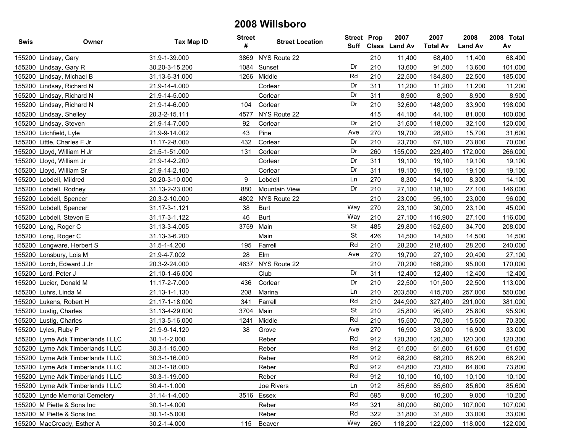| <b>Swis</b> | Owner                             | <b>Tax Map ID</b> | <b>Street</b><br># | <b>Street Location</b> | <b>Street Prop</b> | Suff Class | 2007<br><b>Land Av</b> | 2007<br><b>Total Av</b> | 2008<br><b>Land Av</b> | 2008 Total<br>Av |
|-------------|-----------------------------------|-------------------|--------------------|------------------------|--------------------|------------|------------------------|-------------------------|------------------------|------------------|
|             | 155200 Lindsay, Gary              | 31.9-1-39.000     | 3869               | NYS Route 22           |                    | 210        | 11,400                 | 68,400                  | 11,400                 | 68,400           |
|             | 155200 Lindsay, Gary R            | 30.20-3-15.200    | 1084               | Sunset                 | Dr                 | 210        | 13,600                 | 91,500                  | 13,600                 | 101,000          |
|             | 155200 Lindsay, Michael B         | 31.13-6-31.000    | 1266               | Middle                 | Rd                 | 210        | 22,500                 | 184,800                 | 22,500                 | 185,000          |
|             | 155200 Lindsay, Richard N         | 21.9-14-4.000     |                    | Corlear                | Dr                 | 311        | 11,200                 | 11,200                  | 11,200                 | 11,200           |
|             | 155200 Lindsay, Richard N         | 21.9-14-5.000     |                    | Corlear                | Dr                 | 311        | 8,900                  | 8,900                   | 8,900                  | 8,900            |
|             | 155200 Lindsay, Richard N         | 21.9-14-6.000     | 104                | Corlear                | Dr                 | 210        | 32,600                 | 148,900                 | 33,900                 | 198,000          |
|             | 155200 Lindsay, Shelley           | 20.3-2-15.111     | 4577               | NYS Route 22           |                    | 415        | 44,100                 | 44,100                  | 81,000                 | 100,000          |
|             | 155200 Lindsay, Steven            | 21.9-14-7.000     | 92                 | Corlear                | Dr                 | 210        | 31,600                 | 118,000                 | 32,100                 | 120,000          |
|             | 155200 Litchfield, Lyle           | 21.9-9-14.002     | 43                 | Pine                   | Ave                | 270        | 19,700                 | 28,900                  | 15,700                 | 31,600           |
|             | 155200 Little, Charles F Jr       | 11.17-2-8.000     | 432                | Corlear                | Dr                 | 210        | 23,700                 | 67,100                  | 23,800                 | 70,000           |
|             | 155200 Lloyd, William H Jr        | 21.5-1-51.000     | 131                | Corlear                | Dr                 | 260        | 155,000                | 229,400                 | 172,000                | 266,000          |
|             | 155200 Lloyd, William Jr          | 21.9-14-2.200     |                    | Corlear                | Dr                 | 311        | 19,100                 | 19,100                  | 19,100                 | 19,100           |
|             | 155200 Lloyd, William Sr          | 21.9-14-2.100     |                    | Corlear                | Dr                 | 311        | 19,100                 | 19,100                  | 19,100                 | 19,100           |
|             | 155200 Lobdell, Mildred           | 30.20-3-10.000    | 9                  | Lobdell                | Ln                 | 270        | 8,300                  | 14,100                  | 8,300                  | 14,100           |
|             | 155200 Lobdell, Rodney            | 31.13-2-23.000    | 880                | Mountain View          | Dr                 | 210        | 27,100                 | 118,100                 | 27,100                 | 146,000          |
|             | 155200 Lobdell, Spencer           | 20.3-2-10.000     | 4802               | NYS Route 22           |                    | 210        | 23,000                 | 95,100                  | 23,000                 | 96,000           |
|             | 155200 Lobdell, Spencer           | 31.17-3-1.121     | 38                 | <b>Burt</b>            | Way                | 270        | 23,100                 | 30,000                  | 23,100                 | 45,000           |
|             | 155200 Lobdell, Steven E          | 31.17-3-1.122     | 46                 | <b>Burt</b>            | Way                | 210        | 27,100                 | 116,900                 | 27,100                 | 116,000          |
|             | 155200 Long, Roger C              | 31.13-3-4.005     | 3759               | Main                   | <b>St</b>          | 485        | 29,800                 | 162,600                 | 34,700                 | 208,000          |
|             | 155200 Long, Roger C              | 31.13-3-6.200     |                    | Main                   | <b>St</b>          | 426        | 14,500                 | 14,500                  | 14,500                 | 14,500           |
|             | 155200 Longware, Herbert S        | 31.5-1-4.200      | 195                | Farrell                | Rd                 | 210        | 28,200                 | 218,400                 | 28,200                 | 240,000          |
|             | 155200 Lonsbury, Lois M           | 21.9-4-7.002      | 28                 | Elm                    | Ave                | 270        | 19,700                 | 27,100                  | 20,400                 | 27,100           |
|             | 155200 Lorch, Edward J Jr         | 20.3-2-24.000     | 4637               | NYS Route 22           |                    | 210        | 70,200                 | 168,200                 | 95,000                 | 170,000          |
|             | 155200 Lord, Peter J              | 21.10-1-46.000    |                    | Club                   | Dr                 | 311        | 12,400                 | 12,400                  | 12,400                 | 12,400           |
|             | 155200 Lucier, Donald M           | 11.17-2-7.000     | 436                | Corlear                | Dr                 | 210        | 22,500                 | 101,500                 | 22,500                 | 113,000          |
|             | 155200 Luhrs, Linda M             | 21.13-1-1.130     | 208                | Marina                 | Ln                 | 210        | 203,500                | 415,700                 | 257,000                | 550,000          |
|             | 155200 Lukens, Robert H           | 21.17-1-18.000    | 341                | Farrell                | Rd                 | 210        | 244,900                | 327,400                 | 291,000                | 381,000          |
|             | 155200 Lustig, Charles            | 31.13-4-29.000    | 3704               | Main                   | <b>St</b>          | 210        | 25,800                 | 95,900                  | 25,800                 | 95,900           |
|             | 155200 Lustig, Charles            | 31.13-5-16.000    | 1241               | Middle                 | Rd                 | 210        | 15,500                 | 70,300                  | 15,500                 | 70,300           |
|             | 155200 Lyles, Ruby P              | 21.9-9-14.120     | 38                 | Grove                  | Ave                | 270        | 16,900                 | 33,000                  | 16,900                 | 33,000           |
|             | 155200 Lyme Adk Timberlands I LLC | 30.1-1-2.000      |                    | Reber                  | Rd                 | 912        | 120,300                | 120,300                 | 120,300                | 120,300          |
|             | 155200 Lyme Adk Timberlands I LLC | 30.3-1-15.000     |                    | Reber                  | Rd                 | 912        | 61,600                 | 61,600                  | 61,600                 | 61,600           |
|             | 155200 Lyme Adk Timberlands I LLC | 30.3-1-16.000     |                    | Reber                  | Rd                 | 912        | 68,200                 | 68,200                  | 68,200                 | 68,200           |
|             | 155200 Lyme Adk Timberlands I LLC | 30.3-1-18.000     |                    | Reber                  | Rd                 | 912        | 64,800                 | 73,800                  | 64,800                 | 73,800           |
|             | 155200 Lyme Adk Timberlands I LLC | 30.3-1-19.000     |                    | Reber                  | Rd                 | 912        | 10,100                 | 10,100                  | 10,100                 | 10,100           |
|             | 155200 Lyme Adk Timberlands I LLC | 30.4-1-1.000      |                    | Joe Rivers             | Ln                 | 912        | 85,600                 | 85,600                  | 85,600                 | 85,600           |
|             | 155200 Lynde Memorial Cemetery    | 31.14-1-4.000     |                    | 3516 Essex             | Rd                 | 695        | 9,000                  | 10,200                  | 9,000                  | 10,200           |
|             | 155200 M Piette & Sons Inc        | 30.1-1-4.000      |                    | Reber                  | Rd                 | 321        | 80,000                 | 80,000                  | 107,000                | 107,000          |
|             | 155200 M Piette & Sons Inc        | 30.1-1-5.000      |                    | Reber                  | Rd                 | 322        | 31,800                 | 31,800                  | 33,000                 | 33,000           |
|             | 155200 MacCready, Esther A        | 30.2-1-4.000      | 115                | Beaver                 | Way                | 260        | 118,200                | 122,000                 | 118,000                | 122,000          |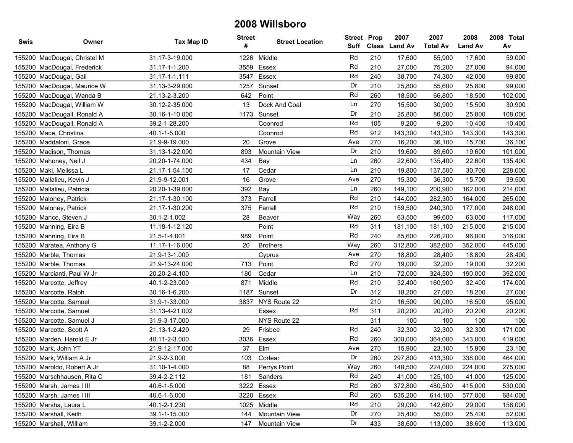| Swis | Owner                        | Tax Map ID     | <b>Street</b><br># | <b>Street Location</b> | <b>Street Prop</b><br>Suff |     | 2007<br>Class Land Av | 2007<br><b>Total Av</b> | 2008<br><b>Land Av</b> | 2008 Total<br>Av |
|------|------------------------------|----------------|--------------------|------------------------|----------------------------|-----|-----------------------|-------------------------|------------------------|------------------|
|      | 155200 MacDougal, Christel M | 31.17-3-19.000 | 1226               | Middle                 | Rd                         | 210 | 17,600                | 55,900                  | 17,600                 | 59,000           |
|      | 155200 MacDougal, Frederick  | 31.17-1-1.200  | 3559               | Essex                  | Rd                         | 210 | 27,000                | 75,200                  | 27,000                 | 94,000           |
|      | 155200 MacDougal, Gail       | 31.17-1-1.111  | 3547               | Essex                  | Rd                         | 240 | 38,700                | 74,300                  | 42,000                 | 99,800           |
|      | 155200 MacDougal, Maurice W  | 31.13-3-29.000 | 1257               | Sunset                 | Dr                         | 210 | 25,800                | 85,600                  | 25,800                 | 99,000           |
|      | 155200 MacDougal, Wanda B    | 21.13-2-3.200  | 642                | Point                  | Rd                         | 260 | 18,500                | 66,800                  | 18,500                 | 102,000          |
|      | 155200 MacDougal, William W  | 30.12-2-35.000 | 13                 | Dock And Coal          | Ln                         | 270 | 15,500                | 30,900                  | 15,500                 | 30,900           |
|      | 155200 MacDougall, Ronald A  | 30.16-1-10.000 | 1173               | Sunset                 | Dr                         | 210 | 25,800                | 86,000                  | 25,800                 | 108,000          |
|      | 155200 MacDougall, Ronald A  | 39.2-1-28.200  |                    | Coonrod                | Rd                         | 105 | 9,200                 | 9,200                   | 10,400                 | 10,400           |
|      | 155200 Mace, Christina       | 40.1-1-5.000   |                    | Coonrod                | Rd                         | 912 | 143,300               | 143,300                 | 143,300                | 143,300          |
|      | 155200 Maddaloni, Grace      | 21.9-9-19.000  | 20                 | Grove                  | Ave                        | 270 | 16,200                | 36,100                  | 15,700                 | 36,100           |
|      | 155200 Madison, Thomas       | 31.13-1-22.000 | 893                | <b>Mountain View</b>   | Dr                         | 210 | 19,600                | 89,600                  | 19,600                 | 101,000          |
|      | 155200 Mahoney, Neil J       | 20.20-1-74.000 | 434                | Bay                    | Ln                         | 260 | 22,600                | 135,400                 | 22,600                 | 135,400          |
|      | 155200 Maki, Melissa L       | 21.17-1-54.100 | 17                 | Cedar                  | Ln                         | 210 | 19,800                | 137,500                 | 30,700                 | 228,000          |
|      | 155200 Mallalieu, Kevin J    | 21.9-9-12.001  | 16                 | Grove                  | Ave                        | 270 | 15,300                | 36,300                  | 15,700                 | 39,500           |
|      | 155200 Mallalieu, Patricia   | 20.20-1-39.000 | 392                | Bay                    | Ln                         | 260 | 149,100               | 200,900                 | 162,000                | 214,000          |
|      | 155200 Maloney, Patrick      | 21.17-1-30.100 | 373                | Farrell                | Rd                         | 210 | 144,000               | 282,300                 | 164,000                | 265,000          |
|      | 155200 Maloney, Patrick      | 21.17-1-30.200 | 375                | Farrell                | Rd                         | 210 | 159,500               | 240,300                 | 177,000                | 248,000          |
|      | 155200 Mance, Steven J       | 30.1-2-1.002   | 28                 | Beaver                 | Way                        | 260 | 63,500                | 99,600                  | 63,000                 | 117,000          |
|      | 155200 Manning, Eira B       | 11.18-1-12.120 |                    | Point                  | Rd                         | 311 | 181,100               | 181,100                 | 215,000                | 215,000          |
|      | 155200 Manning, Eira B       | 21.5-1-4.001   | 989                | Point                  | Rd                         | 240 | 85,600                | 226,200                 | 96,000                 | 316,000          |
|      | 155200 Maratea, Anthony G    | 11.17-1-16.000 | 20                 | <b>Brothers</b>        | Way                        | 260 | 312,800               | 382,600                 | 352,000                | 445,000          |
|      | 155200 Marble, Thomas        | 21.9-13-1.000  |                    | Cyprus                 | Ave                        | 270 | 18,800                | 28,400                  | 18,800                 | 28,400           |
|      | 155200 Marble, Thomas        | 21.9-13-24.000 | 713                | Point                  | Rd                         | 270 | 19,000                | 32,200                  | 19,000                 | 32,200           |
|      | 155200 Marcianti, Paul W Jr  | 20.20-2-4.100  | 180                | Cedar                  | Ln                         | 210 | 72,000                | 324,500                 | 190,000                | 392,000          |
|      | 155200 Marcotte, Jeffrey     | 40.1-2-23.000  | 871                | Middle                 | Rd                         | 210 | 32,400                | 160,900                 | 32,400                 | 174,000          |
|      | 155200 Marcotte, Ralph       | 30.16-1-6.200  | 1187               | Sunset                 | Dr                         | 312 | 18,200                | 27,000                  | 18,200                 | 27,000           |
|      | 155200 Marcotte, Samuel      | 31.9-1-33.000  | 3837               | NYS Route 22           |                            | 210 | 16,500                | 90,000                  | 16,500                 | 95,000           |
|      | 155200 Marcotte, Samuel      | 31.13-4-21.002 |                    | Essex                  | Rd                         | 311 | 20,200                | 20,200                  | 20,200                 | 20,200           |
|      | 155200 Marcotte, Samuel J    | 31.9-3-17.000  |                    | NYS Route 22           |                            | 311 | 100                   | 100                     | 100                    | 100              |
|      | 155200 Marcotte, Scott A     | 21.13-1-2.420  | 29                 | Frisbee                | Rd                         | 240 | 32,300                | 32,300                  | 32,300                 | 171,000          |
|      | 155200 Marden, Harold E Jr   | 40.11-2-3.000  | 3036               | Essex                  | Rd                         | 260 | 300,000               | 364,000                 | 343,000                | 419,000          |
|      | 155200 Mark, John YT         | 21.9-12-17.000 | 37                 | Elm                    | Ave                        | 270 | 15,900                | 23,100                  | 15,900                 | 23,100           |
|      | 155200 Mark, William A Jr    | 21.9-2-3.000   | 103                | Corlear                | Dr                         | 260 | 297.800               | 413,300                 | 338,000                | 464,000          |
|      | 155200 Maroldo, Robert A Jr  | 31.10-1-4.000  | 88                 | Perrys Point           | Way                        | 260 | 148,500               | 224,000                 | 224,000                | 275,000          |
|      | 155200 Marschhausen, Rita C  | 39.4-2-2.112   | 181                | Sanders                | Rd                         | 240 | 41,000                | 125,100                 | 41,000                 | 125,000          |
|      | 155200 Marsh, James I III    | 40.6-1-5.000   |                    | 3222 Essex             | Rd                         | 260 | 372,800               | 480,500                 | 415,000                | 530,000          |
|      | 155200 Marsh, James I III    | 40.6-1-6.000   |                    | 3220 Essex             | Rd                         | 260 | 535,200               | 614,100                 | 577,000                | 684,000          |
|      | 155200 Marsha, Laura L       | 40.1-2-1.230   | 1025               | Middle                 | Rd                         | 210 | 29,000                | 142,600                 | 29,000                 | 158,000          |
|      | 155200 Marshall, Keith       | 39.1-1-15.000  | 144                | Mountain View          | Dr                         | 270 | 25,400                | 55,000                  | 25,400                 | 52,000           |
|      | 155200 Marshall, William     | 39.1-2-2.000   | 147                | Mountain View          | Dr                         | 433 | 38,600                | 113,000                 | 38,600                 | 113,000          |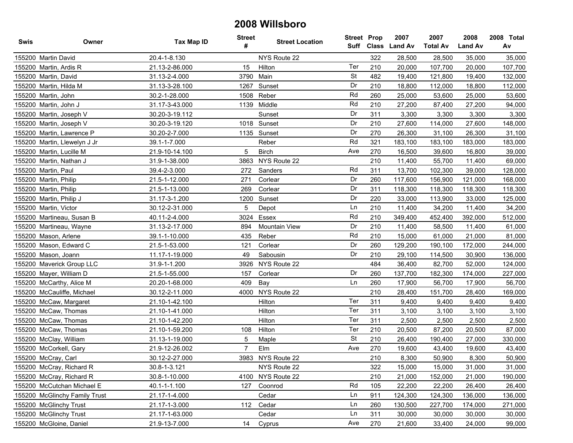| Swis | Owner                         | <b>Tax Map ID</b> | <b>Street</b><br># | <b>Street Location</b> | <b>Street Prop</b> |     | 2007<br>Suff Class Land Av | 2007<br><b>Total Av</b> | 2008<br><b>Land Av</b> | 2008 Total<br>Av |
|------|-------------------------------|-------------------|--------------------|------------------------|--------------------|-----|----------------------------|-------------------------|------------------------|------------------|
|      | 155200 Martin David           | 20.4-1-8.130      |                    | NYS Route 22           |                    | 322 | 28,500                     | 28,500                  | 35,000                 | 35,000           |
|      | 155200 Martin, Ardis R        | 21.13-2-86.000    | 15                 | Hilton                 | Ter                | 210 | 20,000                     | 107,700                 | 20,000                 | 107,700          |
|      | 155200 Martin, David          | 31.13-2-4.000     |                    | 3790 Main              | <b>St</b>          | 482 | 19,400                     | 121,800                 | 19,400                 | 132,000          |
|      | 155200 Martin, Hilda M        | 31.13-3-28.100    | 1267               | Sunset                 | Dr                 | 210 | 18,800                     | 112,000                 | 18,800                 | 112,000          |
|      | 155200 Martin, John           | 30.2-1-28.000     |                    | 1508 Reber             | Rd                 | 260 | 25,000                     | 53,600                  | 25,000                 | 53,600           |
|      | 155200 Martin, John J         | 31.17-3-43.000    |                    | 1139 Middle            | Rd                 | 210 | 27,200                     | 87,400                  | 27,200                 | 94,000           |
|      | 155200 Martin, Joseph V       | 30.20-3-19.112    |                    | Sunset                 | Dr                 | 311 | 3,300                      | 3,300                   | 3,300                  | 3,300            |
|      | 155200 Martin, Joseph V       | 30.20-3-19.120    |                    | 1018 Sunset            | Dr                 | 210 | 27,600                     | 114,000                 | 27,600                 | 148,000          |
|      | 155200 Martin, Lawrence P     | 30.20-2-7.000     |                    | 1135 Sunset            | Dr                 | 270 | 26,300                     | 31,100                  | 26,300                 | 31,100           |
|      | 155200 Martin, Llewelyn J Jr  | 39.1-1-7.000      |                    | Reber                  | Rd                 | 321 | 183,100                    | 183,100                 | 183,000                | 183,000          |
|      | 155200 Martin, Lucille M      | 21.9-10-14.100    | 5                  | <b>Birch</b>           | Ave                | 270 | 16,500                     | 39,600                  | 16,800                 | 39,000           |
|      | 155200 Martin, Nathan J       | 31.9-1-38.000     | 3863               | NYS Route 22           |                    | 210 | 11,400                     | 55,700                  | 11,400                 | 69,000           |
|      | 155200 Martin, Paul           | 39.4-2-3.000      | 272                | Sanders                | Rd                 | 311 | 13,700                     | 102,300                 | 39,000                 | 128,000          |
|      | 155200 Martin, Philip         | 21.5-1-12.000     | 271                | Corlear                | Dr                 | 260 | 117,600                    | 156,900                 | 121,000                | 168,000          |
|      | 155200 Martin, Philip         | 21.5-1-13.000     | 269                | Corlear                | Dr                 | 311 | 118,300                    | 118,300                 | 118,300                | 118,300          |
|      | 155200 Martin, Philip J       | 31.17-3-1.200     | 1200               | Sunset                 | Dr                 | 220 | 33,000                     | 113,900                 | 33,000                 | 125,000          |
|      | 155200 Martin, Victor         | 30.12-2-31.000    | 5                  | Depot                  | Ln                 | 210 | 11,400                     | 34,200                  | 11,400                 | 34,200           |
|      | 155200 Martineau, Susan B     | 40.11-2-4.000     | 3024               | Essex                  | Rd                 | 210 | 349,400                    | 452,400                 | 392,000                | 512,000          |
|      | 155200 Martineau, Wayne       | 31.13-2-17.000    | 894                | <b>Mountain View</b>   | Dr                 | 210 | 11,400                     | 58,500                  | 11,400                 | 61,000           |
|      | 155200 Mason, Arlene          | 39.1-1-10.000     | 435                | Reber                  | Rd                 | 210 | 15,000                     | 61,000                  | 21,000                 | 81,000           |
|      | 155200 Mason, Edward C        | 21.5-1-53.000     | 121                | Corlear                | Dr                 | 260 | 129,200                    | 190,100                 | 172,000                | 244,000          |
|      | 155200 Mason, Joann           | 11.17-1-19.000    | 49                 | Sabousin               | Dr                 | 210 | 29,100                     | 114,500                 | 30,900                 | 136,000          |
|      | 155200 Maverick Group LLC     | 31.9-1-1.200      | 3926               | NYS Route 22           |                    | 484 | 36,400                     | 82,700                  | 52,000                 | 124,000          |
|      | 155200 Mayer, William D       | 21.5-1-55.000     | 157                | Corlear                | Dr                 | 260 | 137,700                    | 182,300                 | 174,000                | 227,000          |
|      | 155200 McCarthy, Alice M      | 20.20-1-68.000    | 409                | Bay                    | Ln                 | 260 | 17,900                     | 56,700                  | 17,900                 | 56,700           |
|      | 155200 McCauliffe, Michael    | 30.12-2-11.000    | 4000               | NYS Route 22           |                    | 210 | 28,400                     | 151,700                 | 28,400                 | 169,000          |
|      | 155200 McCaw, Margaret        | 21.10-1-42.100    |                    | Hilton                 | Ter                | 311 | 9,400                      | 9,400                   | 9,400                  | 9,400            |
|      | 155200 McCaw, Thomas          | 21.10-1-41.000    |                    | Hilton                 | Ter                | 311 | 3,100                      | 3,100                   | 3,100                  | 3,100            |
|      | 155200 McCaw, Thomas          | 21.10-1-42.200    |                    | Hilton                 | Ter                | 311 | 2,500                      | 2,500                   | 2,500                  | 2,500            |
|      | 155200 McCaw, Thomas          | 21.10-1-59.200    | 108                | Hilton                 | Ter                | 210 | 20,500                     | 87,200                  | 20,500                 | 87,000           |
|      | 155200 McClay, William        | 31.13-1-19.000    | 5                  | Maple                  | <b>St</b>          | 210 | 26,400                     | 190,400                 | 27,000                 | 330,000          |
|      | 155200 McCorkell, Gary        | 21.9-12-26.002    | $\overline{7}$     | Elm                    | Ave                | 270 | 19,600                     | 43,400                  | 19,600                 | 43,400           |
|      | 155200 McCray, Carl           | 30.12-2-27.000    | 3983               | NYS Route 22           |                    | 210 | 8.300                      | 50,900                  | 8,300                  | 50,900           |
|      | 155200 McCray, Richard R      | 30.8-1-3.121      |                    | NYS Route 22           |                    | 322 | 15,000                     | 15,000                  | 31,000                 | 31,000           |
|      | 155200 McCray, Richard R      | 30.8-1-10.000     |                    | 4100 NYS Route 22      |                    | 210 | 21,000                     | 152,000                 | 21,000                 | 190,000          |
|      | 155200 McCutchan Michael E    | 40.1-1-1.100      | 127                | Coonrod                | Rd                 | 105 | 22,200                     | 22,200                  | 26,400                 | 26,400           |
|      | 155200 McGlinchy Family Trust | 21.17-1-4.000     |                    | Cedar                  | Ln                 | 911 | 124,300                    | 124,300                 | 136,000                | 136,000          |
|      | 155200 McGlinchy Trust        | 21.17-1-3.000     | 112                | Cedar                  | Ln                 | 260 | 130,500                    | 227,700                 | 174,000                | 271,000          |
|      | 155200 McGlinchy Trust        | 21.17-1-63.000    |                    | Cedar                  | Ln                 | 311 | 30,000                     | 30,000                  | 30,000                 | 30,000           |
|      | 155200 McGloine, Daniel       | 21.9-13-7.000     | 14                 | Cyprus                 | Ave                | 270 | 21,600                     | 33,400                  | 24,000                 | 99,000           |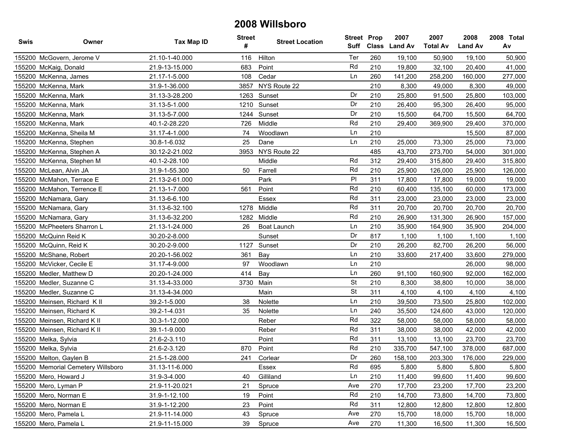| Swis | Owner                              | Tax Map ID     | <b>Street</b><br># | <b>Street Location</b> | <b>Street Prop</b><br>Suff |     | 2007<br>Class Land Av | 2007<br><b>Total Av</b> | 2008<br><b>Land Av</b> | 2008 Total<br>Av |
|------|------------------------------------|----------------|--------------------|------------------------|----------------------------|-----|-----------------------|-------------------------|------------------------|------------------|
|      | 155200 McGovern, Jerome V          | 21.10-1-40.000 | 116                | Hilton                 | Ter                        | 260 | 19,100                | 50,900                  | 19,100                 | 50,900           |
|      | 155200 McKaig, Donald              | 21.9-13-15.000 | 683                | Point                  | Rd                         | 210 | 19,800                | 32,100                  | 20,400                 | 41,000           |
|      | 155200 McKenna, James              | 21.17-1-5.000  | 108                | Cedar                  | Ln                         | 260 | 141,200               | 258,200                 | 160,000                | 277,000          |
|      | 155200 McKenna, Mark               | 31.9-1-36.000  | 3857               | NYS Route 22           |                            | 210 | 8,300                 | 49,000                  | 8,300                  | 49,000           |
|      | 155200 McKenna, Mark               | 31.13-3-28.200 | 1263               | Sunset                 | Dr                         | 210 | 25,800                | 91,500                  | 25,800                 | 103,000          |
|      | 155200 McKenna, Mark               | 31.13-5-1.000  |                    | 1210 Sunset            | Dr                         | 210 | 26,400                | 95,300                  | 26,400                 | 95,000           |
|      | 155200 McKenna, Mark               | 31.13-5-7.000  |                    | 1244 Sunset            | Dr                         | 210 | 15,500                | 64,700                  | 15,500                 | 64,700           |
|      | 155200 McKenna, Mark               | 40.1-2-28.220  | 726                | Middle                 | Rd                         | 210 | 29,400                | 369,900                 | 29,400                 | 370,000          |
|      | 155200 McKenna, Sheila M           | 31.17-4-1.000  | 74                 | Woodlawn               | Ln                         | 210 |                       |                         | 15,500                 | 87,000           |
|      | 155200 McKenna, Stephen            | 30.8-1-6.032   | 25                 | Dane                   | Ln                         | 210 | 25,000                | 73,300                  | 25,000                 | 73,000           |
|      | 155200 McKenna, Stephen A          | 30.12-2-21.002 | 3953               | NYS Route 22           |                            | 485 | 43,700                | 273,700                 | 54,000                 | 301,000          |
|      | 155200 McKenna, Stephen M          | 40.1-2-28.100  |                    | Middle                 | Rd                         | 312 | 29,400                | 315,800                 | 29,400                 | 315,800          |
|      | 155200 McLean, Alvin JA            | 31.9-1-55.300  | 50                 | Farrell                | Rd                         | 210 | 25,900                | 126,000                 | 25,900                 | 126,000          |
|      | 155200 McMahon, Terrace E          | 21.13-2-61.000 |                    | Park                   | P                          | 311 | 17,800                | 17,800                  | 19,000                 | 19,000           |
|      | 155200 McMahon, Terrence E         | 21.13-1-7.000  | 561                | Point                  | Rd                         | 210 | 60,400                | 135,100                 | 60,000                 | 173,000          |
|      | 155200 McNamara, Gary              | 31.13-6-6.100  |                    | Essex                  | Rd                         | 311 | 23,000                | 23,000                  | 23,000                 | 23,000           |
|      | 155200 McNamara, Gary              | 31.13-6-32.100 |                    | 1278 Middle            | Rd                         | 311 | 20,700                | 20,700                  | 20,700                 | 20,700           |
|      | 155200 McNamara, Gary              | 31.13-6-32.200 |                    | 1282 Middle            | Rd                         | 210 | 26,900                | 131,300                 | 26,900                 | 157,000          |
|      | 155200 McPheeters Sharron L        | 21.13-1-24.000 | 26                 | Boat Launch            | Ln                         | 210 | 35,900                | 164,900                 | 35,900                 | 204,000          |
|      | 155200 McQuinn Reid K              | 30.20-2-8.000  |                    | Sunset                 | Dr                         | 817 | 1,100                 | 1,100                   | 1,100                  | 1,100            |
|      | 155200 McQuinn, Reid K             | 30.20-2-9.000  | 1127               | Sunset                 | Dr                         | 210 | 26,200                | 82,700                  | 26,200                 | 56,000           |
|      | 155200 McShane, Robert             | 20.20-1-56.002 | 361                | Bay                    | Ln                         | 210 | 33,600                | 217,400                 | 33,600                 | 279,000          |
|      | 155200 McVicker, Cecile E          | 31.17-4-9.000  | 97                 | Woodlawn               | Ln                         | 210 |                       |                         | 26,000                 | 98,000           |
|      | 155200 Medler, Matthew D           | 20.20-1-24.000 | 414                | Bay                    | Ln                         | 260 | 91,100                | 160,900                 | 92,000                 | 162,000          |
|      | 155200 Medler, Suzanne C           | 31.13-4-33.000 | 3730               | Main                   | <b>St</b>                  | 210 | 8,300                 | 38,800                  | 10,000                 | 38,000           |
|      | 155200 Medler, Suzanne C           | 31.13-4-34.000 |                    | Main                   | <b>St</b>                  | 311 | 4,100                 | 4,100                   | 4,100                  | 4,100            |
|      | 155200 Meinsen, Richard K II       | 39.2-1-5.000   | 38                 | Nolette                | Ln                         | 210 | 39,500                | 73,500                  | 25,800                 | 102,000          |
|      | 155200 Meinsen, Richard K          | 39.2-1-4.031   | 35                 | Nolette                | Ln                         | 240 | 35,500                | 124,600                 | 43,000                 | 120,000          |
|      | 155200 Meinsen, Richard K II       | 30.3-1-12.000  |                    | Reber                  | Rd                         | 322 | 58,000                | 58,000                  | 58,000                 | 58,000           |
|      | 155200 Meinsen, Richard K II       | 39.1-1-9.000   |                    | Reber                  | Rd                         | 311 | 38,000                | 38,000                  | 42,000                 | 42,000           |
|      | 155200 Melka, Sylvia               | 21.6-2-3.110   |                    | Point                  | Rd                         | 311 | 13,100                | 13,100                  | 23,700                 | 23,700           |
|      | 155200 Melka, Sylvia               | 21.6-2-3.120   | 870                | Point                  | Rd                         | 210 | 335,700               | 547,100                 | 378,000                | 687,000          |
|      | 155200 Melton, Gaylen B            | 21.5-1-28.000  | 241                | Corlear                | Dr                         | 260 | 158,100               | 203,300                 | 176,000                | 229,000          |
|      | 155200 Memorial Cemetery Willsboro | 31.13-11-6.000 |                    | Essex                  | Rd                         | 695 | 5,800                 | 5,800                   | 5,800                  | 5,800            |
|      | 155200 Mero, Howard J              | 31.9-3-4.000   | 40                 | Gilliland              | Ln                         | 210 | 11,400                | 99,600                  | 11,400                 | 99,600           |
|      | 155200 Mero, Lyman P               | 21.9-11-20.021 | 21                 | Spruce                 | Ave                        | 270 | 17,700                | 23,200                  | 17,700                 | 23,200           |
|      | 155200 Mero, Norman E              | 31.9-1-12.100  | 19                 | Point                  | Rd                         | 210 | 14,700                | 73,800                  | 14,700                 | 73,800           |
|      | 155200 Mero, Norman E              | 31.9-1-12.200  | 23                 | Point                  | Rd                         | 311 | 12,800                | 12,800                  | 12,800                 | 12,800           |
|      | 155200 Mero, Pamela L              | 21.9-11-14.000 | 43                 | Spruce                 | Ave                        | 270 | 15,700                | 18,000                  | 15,700                 | 18,000           |
|      | 155200 Mero, Pamela L              | 21.9-11-15.000 | 39                 | Spruce                 | Ave                        | 270 | 11,300                | 16,500                  | 11,300                 | 16,500           |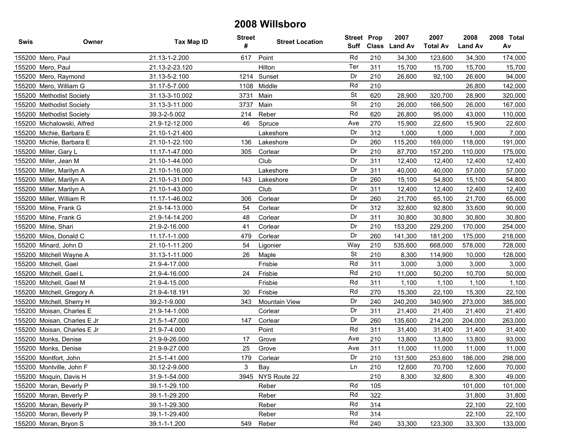| <b>Swis</b> | Owner                       | Tax Map ID     | <b>Street</b><br># | <b>Street Location</b> | <b>Street Prop</b> |     | 2007<br>Suff Class Land Av | 2007<br><b>Total Av</b> | 2008<br><b>Land Av</b> | 2008 Total<br>Av |
|-------------|-----------------------------|----------------|--------------------|------------------------|--------------------|-----|----------------------------|-------------------------|------------------------|------------------|
|             | 155200 Mero, Paul           | 21.13-1-2.200  | 617                | Point                  | Rd                 | 210 | 34,300                     | 123,600                 | 34,300                 | 174,000          |
|             | 155200 Mero, Paul           | 21.13-2-23.120 |                    | Hilton                 | Ter                | 311 | 15,700                     | 15,700                  | 15,700                 | 15,700           |
|             | 155200 Mero, Raymond        | 31.13-5-2.100  |                    | 1214 Sunset            | Dr                 | 210 | 26,600                     | 92,100                  | 26,600                 | 94,000           |
|             | 155200 Mero, William G      | 31.17-5-7.000  |                    | 1108 Middle            | Rd                 | 210 |                            |                         | 26,800                 | 142,000          |
|             | 155200 Methodist Society    | 31.13-3-10.002 | 3731               | Main                   | <b>St</b>          | 620 | 28,900                     | 320,700                 | 28,900                 | 320,000          |
|             | 155200 Methodist Society    | 31.13-3-11.000 | 3737               | Main                   | <b>St</b>          | 210 | 26,000                     | 166,500                 | 26,000                 | 167,000          |
|             | 155200 Methodist Society    | 39.3-2-5.002   | 214                | Reber                  | Rd                 | 620 | 26,800                     | 95,000                  | 43,000                 | 110,000          |
|             | 155200 Michalowski, Alfred  | 21.9-12-12.000 | 46                 | Spruce                 | Ave                | 270 | 15,900                     | 22,600                  | 15,900                 | 22,600           |
|             | 155200 Michie, Barbara E    | 21.10-1-21.400 |                    | Lakeshore              | Dr                 | 312 | 1,000                      | 1,000                   | 1,000                  | 7,000            |
|             | 155200 Michie, Barbara E    | 21.10-1-22.100 | 136                | Lakeshore              | Dr                 | 260 | 115,200                    | 169,000                 | 118,000                | 191,000          |
|             | 155200 Miller, Gary L       | 11.17-1-47.000 | 305                | Corlear                | Dr                 | 210 | 87,700                     | 157,200                 | 110,000                | 175,000          |
|             | 155200 Miller, Jean M       | 21.10-1-44.000 |                    | Club                   | Dr                 | 311 | 12,400                     | 12,400                  | 12,400                 | 12,400           |
|             | 155200 Miller, Marilyn A    | 21.10-1-16.000 |                    | Lakeshore              | Dr                 | 311 | 40,000                     | 40,000                  | 57,000                 | 57,000           |
|             | 155200 Miller, Marilyn A    | 21.10-1-31.000 | 143                | Lakeshore              | Dr                 | 260 | 15,100                     | 54,800                  | 15,100                 | 54,800           |
|             | 155200 Miller, Marilyn A    | 21.10-1-43.000 |                    | Club                   | Dr                 | 311 | 12,400                     | 12,400                  | 12,400                 | 12,400           |
|             | 155200 Miller, William R    | 11.17-1-46.002 | 306                | Corlear                | Dr                 | 260 | 21,700                     | 65,100                  | 21,700                 | 65,000           |
|             | 155200 Milne, Frank G       | 21.9-14-13.000 | 54                 | Corlear                | Dr                 | 312 | 32,600                     | 92,800                  | 33,600                 | 90,000           |
|             | 155200 Milne, Frank G       | 21.9-14-14.200 | 48                 | Corlear                | Dr                 | 311 | 30,800                     | 30,800                  | 30,800                 | 30,800           |
|             | 155200 Milne, Shari         | 21.9-2-16.000  | 41                 | Corlear                | Dr                 | 210 | 153,200                    | 229,200                 | 170,000                | 254,000          |
|             | 155200 Milos, Donald C      | 11.17-1-1.000  | 479                | Corlear                | Dr                 | 260 | 141,300                    | 181,200                 | 175,000                | 218,000          |
|             | 155200 Minard, John D       | 21.10-1-11.200 | 54                 | Ligonier               | Way                | 210 | 535,600                    | 668,000                 | 578,000                | 728,000          |
|             | 155200 Mitchell Wayne A     | 31.13-1-11.000 | 26                 | Maple                  | <b>St</b>          | 210 | 8,300                      | 114,900                 | 10,000                 | 128,000          |
|             | 155200 Mitchell, Gael       | 21.9-4-17.000  |                    | Frisbie                | Rd                 | 311 | 3,000                      | 3,000                   | 3,000                  | 3,000            |
|             | 155200 Mitchell, Gael L     | 21.9-4-16.000  | 24                 | Frisbie                | Rd                 | 210 | 11,000                     | 50,200                  | 10,700                 | 50,000           |
|             | 155200 Mitchell, Gael M     | 21.9-4-15.000  |                    | Frisbie                | Rd                 | 311 | 1,100                      | 1,100                   | 1,100                  | 1,100            |
|             | 155200 Mitchell, Gregory A  | 21.9-4-18.191  | 30                 | Frisbie                | Rd                 | 270 | 15,300                     | 22,100                  | 15,300                 | 22,100           |
|             | 155200 Mitchell, Sherry H   | 39.2-1-9.000   | 343                | <b>Mountain View</b>   | Dr                 | 240 | 240,200                    | 340,900                 | 273,000                | 385,000          |
|             | 155200 Moisan, Charles E    | 21.9-14-1.000  |                    | Corlear                | Dr                 | 311 | 21,400                     | 21,400                  | 21,400                 | 21,400           |
|             | 155200 Moisan, Charles E Jr | 21.5-1-47.000  | 147                | Corlear                | Dr                 | 260 | 135,600                    | 214,200                 | 204,000                | 263,000          |
|             | 155200 Moisan, Charles E Jr | 21.9-7-4.000   |                    | Point                  | Rd                 | 311 | 31,400                     | 31,400                  | 31,400                 | 31,400           |
|             | 155200 Monks, Denise        | 21.9-9-26.000  | 17                 | Grove                  | Ave                | 210 | 13,800                     | 13,800                  | 13,800                 | 93,000           |
|             | 155200 Monks, Denise        | 21.9-9-27.000  | 25                 | Grove                  | Ave                | 311 | 11,000                     | 11,000                  | 11,000                 | 11,000           |
|             | 155200 Montfort, John       | 21.5-1-41.000  | 179                | Corlear                | Dr                 | 210 | 131.500                    | 253,600                 | 186,000                | 298,000          |
|             | 155200 Montville, John F    | 30.12-2-9.000  | 3                  | Bay                    | Ln                 | 210 | 12,600                     | 70,700                  | 12,600                 | 70,000           |
|             | 155200 Moquin, Davis H      | 31.9-1-54.000  |                    | 3945 NYS Route 22      |                    | 210 | 8,300                      | 32,800                  | 8,300                  | 49,000           |
|             | 155200 Moran, Beverly P     | 39.1-1-29.100  |                    | Reber                  | Rd                 | 105 |                            |                         | 101,000                | 101,000          |
|             | 155200 Moran, Beverly P     | 39.1-1-29.200  |                    | Reber                  | Rd                 | 322 |                            |                         | 31,800                 | 31,800           |
|             | 155200 Moran, Beverly P     | 39.1-1-29.300  |                    | Reber                  | Rd                 | 314 |                            |                         | 22,100                 | 22,100           |
|             | 155200 Moran, Beverly P     | 39.1-1-29.400  |                    | Reber                  | Rd                 | 314 |                            |                         | 22,100                 | 22,100           |
|             | 155200 Moran, Bryon S       | 39.1-1-1.200   | 549                | Reber                  | Rd                 | 240 | 33,300                     | 123,300                 | 33,300                 | 133,000          |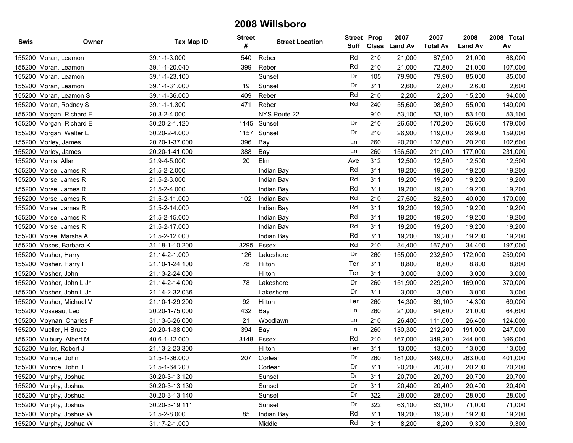| Swis | Owner                    | Tax Map ID     | <b>Street</b><br># | <b>Street Location</b> | <b>Street Prop</b><br>Suff |     | 2007<br>Class Land Av | 2007<br><b>Total Av</b> | 2008<br><b>Land Av</b> | 2008 Total<br>Av |
|------|--------------------------|----------------|--------------------|------------------------|----------------------------|-----|-----------------------|-------------------------|------------------------|------------------|
|      | 155200 Moran, Leamon     | 39.1-1-3.000   | 540                | Reber                  | Rd                         | 210 | 21,000                | 67,900                  | 21,000                 | 68,000           |
|      | 155200 Moran, Leamon     | 39.1-1-20.040  | 399                | Reber                  | Rd                         | 210 | 21,000                | 72,800                  | 21,000                 | 107,000          |
|      | 155200 Moran, Leamon     | 39.1-1-23.100  |                    | Sunset                 | Dr                         | 105 | 79,900                | 79,900                  | 85,000                 | 85,000           |
|      | 155200 Moran, Leamon     | 39.1-1-31.000  | 19                 | Sunset                 | Dr                         | 311 | 2,600                 | 2,600                   | 2,600                  | 2,600            |
|      | 155200 Moran, Leamon S   | 39.1-1-36.000  | 409                | Reber                  | Rd                         | 210 | 2,200                 | 2,200                   | 15,200                 | 94,000           |
|      | 155200 Moran, Rodney S   | 39.1-1-1.300   | 471                | Reber                  | Rd                         | 240 | 55,600                | 98,500                  | 55,000                 | 149,000          |
|      | 155200 Morgan, Richard E | 20.3-2-4.000   |                    | NYS Route 22           |                            | 910 | 53,100                | 53,100                  | 53,100                 | 53,100           |
|      | 155200 Morgan, Richard E | 30.20-2-1.120  | 1145               | Sunset                 | Dr                         | 210 | 26,600                | 170,200                 | 26,600                 | 179,000          |
|      | 155200 Morgan, Walter E  | 30.20-2-4.000  | 1157               | Sunset                 | Dr                         | 210 | 26,900                | 119,000                 | 26,900                 | 159,000          |
|      | 155200 Morley, James     | 20.20-1-37.000 | 396                | Bay                    | Ln                         | 260 | 20,200                | 102,600                 | 20,200                 | 102,600          |
|      | 155200 Morley, James     | 20.20-1-41.000 | 388                | Bay                    | Ln                         | 260 | 156,500               | 211,000                 | 177,000                | 231,000          |
|      | 155200 Morris, Allan     | 21.9-4-5.000   | 20                 | Elm                    | Ave                        | 312 | 12,500                | 12,500                  | 12,500                 | 12,500           |
|      | 155200 Morse, James R    | 21.5-2-2.000   |                    | Indian Bay             | Rd                         | 311 | 19,200                | 19,200                  | 19,200                 | 19,200           |
|      | 155200 Morse, James R    | 21.5-2-3.000   |                    | Indian Bay             | Rd                         | 311 | 19,200                | 19,200                  | 19,200                 | 19,200           |
|      | 155200 Morse, James R    | 21.5-2-4.000   |                    | Indian Bay             | Rd                         | 311 | 19,200                | 19,200                  | 19,200                 | 19,200           |
|      | 155200 Morse, James R    | 21.5-2-11.000  | 102                | Indian Bay             | Rd                         | 210 | 27,500                | 82,500                  | 40,000                 | 170,000          |
|      | 155200 Morse, James R    | 21.5-2-14.000  |                    | Indian Bay             | Rd                         | 311 | 19,200                | 19,200                  | 19,200                 | 19,200           |
|      | 155200 Morse, James R    | 21.5-2-15.000  |                    | Indian Bay             | Rd                         | 311 | 19,200                | 19,200                  | 19,200                 | 19,200           |
|      | 155200 Morse, James R    | 21.5-2-17.000  |                    | Indian Bay             | Rd                         | 311 | 19,200                | 19,200                  | 19,200                 | 19,200           |
|      | 155200 Morse, Marsha A   | 21.5-2-12.000  |                    | Indian Bay             | Rd                         | 311 | 19,200                | 19,200                  | 19,200                 | 19,200           |
|      | 155200 Moses, Barbara K  | 31.18-1-10.200 | 3295               | Essex                  | Rd                         | 210 | 34,400                | 167,500                 | 34,400                 | 197,000          |
|      | 155200 Mosher, Harry     | 21.14-2-1.000  | 126                | Lakeshore              | Dr                         | 260 | 155,000               | 232,500                 | 172,000                | 259,000          |
|      | 155200 Mosher, Harry I   | 21.10-1-24.100 | 78                 | Hilton                 | Ter                        | 311 | 8,800                 | 8,800                   | 8,800                  | 8,800            |
|      | 155200 Mosher, John      | 21.13-2-24.000 |                    | Hilton                 | Ter                        | 311 | 3,000                 | 3,000                   | 3,000                  | 3,000            |
|      | 155200 Mosher, John L Jr | 21.14-2-14.000 | 78                 | Lakeshore              | Dr                         | 260 | 151,900               | 229,200                 | 169,000                | 370,000          |
|      | 155200 Mosher, John L Jr | 21.14-2-32.036 |                    | Lakeshore              | Dr                         | 311 | 3,000                 | 3,000                   | 3,000                  | 3,000            |
|      | 155200 Mosher, Michael V | 21.10-1-29.200 | 92                 | Hilton                 | Ter                        | 260 | 14,300                | 69,100                  | 14,300                 | 69,000           |
|      | 155200 Mosseau, Leo      | 20.20-1-75.000 | 432                | Bay                    | Ln                         | 260 | 21,000                | 64,600                  | 21,000                 | 64,600           |
|      | 155200 Moynan, Charles F | 31.13-6-26.000 | 21                 | Woodlawn               | Ln                         | 210 | 26,400                | 111,000                 | 26,400                 | 124,000          |
|      | 155200 Mueller, H Bruce  | 20.20-1-38.000 | 394                | Bay                    | Ln                         | 260 | 130,300               | 212,200                 | 191,000                | 247,000          |
|      | 155200 Mulbury, Albert M | 40.6-1-12.000  |                    | 3148 Essex             | Rd                         | 210 | 167,000               | 349,200                 | 244,000                | 396,000          |
|      | 155200 Muller, Robert J  | 21.13-2-23.300 |                    | Hilton                 | Ter                        | 311 | 13,000                | 13,000                  | 13,000                 | 13,000           |
|      | 155200 Munroe, John      | 21.5-1-36.000  | 207                | Corlear                | Dr                         | 260 | 181,000               | 349,000                 | 263,000                | 401,000          |
|      | 155200 Munroe, John T    | 21.5-1-64.200  |                    | Corlear                | Dr                         | 311 | 20,200                | 20,200                  | 20,200                 | 20,200           |
|      | 155200 Murphy, Joshua    | 30.20-3-13.120 |                    | Sunset                 | Dr                         | 311 | 20,700                | 20,700                  | 20,700                 | 20,700           |
|      | 155200 Murphy, Joshua    | 30.20-3-13.130 |                    | Sunset                 | Dr                         | 311 | 20,400                | 20,400                  | 20,400                 | 20,400           |
|      | 155200 Murphy, Joshua    | 30.20-3-13.140 |                    | Sunset                 | Dr                         | 322 | 28,000                | 28,000                  | 28,000                 | 28,000           |
|      | 155200 Murphy, Joshua    | 30.20-3-19.111 |                    | Sunset                 | Dr                         | 322 | 63,100                | 63,100                  | 71,000                 | 71,000           |
|      | 155200 Murphy, Joshua W  | 21.5-2-8.000   | 85                 | Indian Bay             | Rd                         | 311 | 19,200                | 19,200                  | 19,200                 | 19,200           |
|      | 155200 Murphy, Joshua W  | 31.17-2-1.000  |                    | Middle                 | Rd                         | 311 | 8,200                 | 8,200                   | 9,300                  | 9,300            |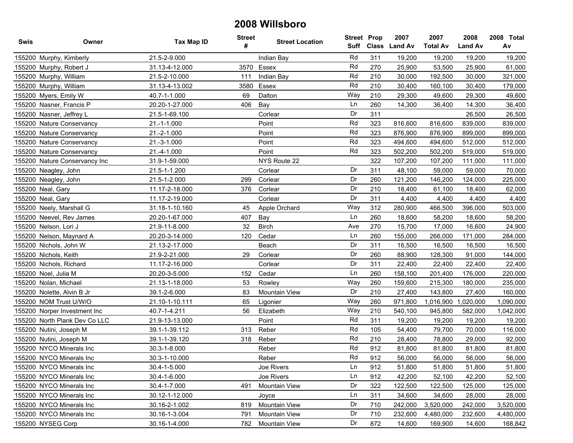| Swis | Owner                         | Tax Map ID     | <b>Street</b><br># | <b>Street Location</b> | Suff | <b>Street Prop</b> | 2007<br>Class Land Av | 2007<br><b>Total Av</b> | 2008<br><b>Land Av</b> | 2008 Total<br>Av |
|------|-------------------------------|----------------|--------------------|------------------------|------|--------------------|-----------------------|-------------------------|------------------------|------------------|
|      | 155200 Murphy, Kimberly       | 21.5-2-9.000   |                    | Indian Bay             | Rd   | 311                | 19,200                | 19,200                  | 19,200                 | 19,200           |
|      | 155200 Murphy, Robert J       | 31.13-4-12.000 | 3570               | Essex                  | Rd   | 270                | 25,900                | 53,500                  | 25,900                 | 61,000           |
|      | 155200 Murphy, William        | 21.5-2-10.000  | 111                | Indian Bay             | Rd   | 210                | 30,000                | 192,500                 | 30,000                 | 321,000          |
|      | 155200 Murphy, William        | 31.13-4-13.002 | 3580               | Essex                  | Rd   | 210                | 30,400                | 160,100                 | 30,400                 | 179,000          |
|      | 155200 Myers, Emily W         | 40.7-1-1.000   | 69                 | Dalton                 | Way  | 210                | 29,300                | 49,600                  | 29,300                 | 49,600           |
|      | 155200 Nasner, Francis P      | 20.20-1-27.000 | 406                | Bay                    | Ln   | 260                | 14,300                | 36,400                  | 14,300                 | 36,400           |
|      | 155200 Nasner, Jeffrey L      | 21.5-1-69.100  |                    | Corlear                | Dr   | 311                |                       |                         | 26,500                 | 26,500           |
|      | 155200 Nature Conservancy     | 21.-1-1.000    |                    | Point                  | Rd   | 323                | 816,600               | 816,600                 | 839,000                | 839,000          |
|      | 155200 Nature Conservancy     | 21.-2-1.000    |                    | Point                  | Rd   | 323                | 876,900               | 876,900                 | 899,000                | 899,000          |
|      | 155200 Nature Conservancy     | 21.-3-1.000    |                    | Point                  | Rd   | 323                | 494,600               | 494,600                 | 512,000                | 512,000          |
|      | 155200 Nature Conservancy     | 21.-4-1.000    |                    | Point                  | Rd   | 323                | 502,200               | 502,200                 | 519,000                | 519,000          |
|      | 155200 Nature Conservancy Inc | 31.9-1-59.000  |                    | NYS Route 22           |      | 322                | 107,200               | 107,200                 | 111,000                | 111,000          |
|      | 155200 Neagley, John          | 21.5-1-1.200   |                    | Corlear                | Dr   | 311                | 48,100                | 59,000                  | 59,000                 | 70,000           |
|      | 155200 Neagley, John          | 21.5-1-2.000   | 299                | Corlear                | Dr   | 260                | 121,200               | 146,200                 | 124,000                | 225,000          |
|      | 155200 Neal, Gary             | 11.17-2-18.000 | 376                | Corlear                | Dr   | 210                | 18,400                | 61,100                  | 18,400                 | 62,000           |
|      | 155200 Neal, Gary             | 11.17-2-19.000 |                    | Corlear                | Dr   | 311                | 4,400                 | 4,400                   | 4,400                  | 4,400            |
|      | 155200 Neely, Marshall G      | 31.18-1-10.160 | 45                 | Apple Orchard          | Way  | 312                | 280,900               | 466,500                 | 396,000                | 503,000          |
|      | 155200 Neevel, Rev James      | 20.20-1-67.000 | 407                | Bay                    | Ln   | 260                | 18,600                | 58,200                  | 18,600                 | 58,200           |
|      | 155200 Nelson, Lori J         | 21.9-11-8.000  | 32                 | <b>Birch</b>           | Ave  | 270                | 15,700                | 17,000                  | 16,600                 | 24,900           |
|      | 155200 Nelson, Maynard A      | 20.20-3-14.000 | 120                | Cedar                  | Ln   | 260                | 155,000               | 266,000                 | 171,000                | 284,000          |
|      | 155200 Nichols, John W        | 21.13-2-17.000 |                    | Beach                  | Dr   | 311                | 16,500                | 16,500                  | 16,500                 | 16,500           |
|      | 155200 Nichols, Keith         | 21.9-2-21.000  | 29                 | Corlear                | Dr   | 260                | 88,900                | 128,300                 | 91,000                 | 144,000          |
|      | 155200 Nichols, Richard       | 11.17-2-16.000 |                    | Corlear                | Dr   | 311                | 22,400                | 22,400                  | 22,400                 | 22,400           |
|      | 155200 Noel, Julia M          | 20.20-3-5.000  | 152                | Cedar                  | Ln   | 260                | 158,100               | 201,400                 | 176,000                | 220,000          |
|      | 155200 Nolan, Michael         | 21.13-1-18.000 | 53                 | Rowley                 | Way  | 260                | 159,600               | 215,300                 | 180,000                | 235,000          |
|      | 155200 Nolette, Alvin B Jr    | 39.1-2-6.000   | 83                 | Mountain View          | Dr   | 210                | 27,400                | 143,800                 | 27,400                 | 160,000          |
|      | 155200 NOM Trust U/W/O        | 21.10-1-10.111 | 65                 | Ligonier               | Way  | 260                | 971,800               | 1,016,900               | 1,020,000              | 1,090,000        |
|      | 155200 Norper Investment Inc  | 40.7-1-4.211   | 56                 | Elizabeth              | Way  | 210                | 540,100               | 945,800                 | 582,000                | 1,042,000        |
|      | 155200 North Plank Dev Co LLC | 21.9-13-13.000 |                    | Point                  | Rd   | 311                | 19,200                | 19,200                  | 19,200                 | 19,200           |
|      | 155200 Nutini, Joseph M       | 39.1-1-39.112  | 313                | Reber                  | Rd   | 105                | 54,400                | 79,700                  | 70,000                 | 116,000          |
|      | 155200 Nutini, Joseph M       | 39.1-1-39.120  | 318                | Reber                  | Rd   | 210                | 28,400                | 78,800                  | 29,000                 | 92,000           |
|      | 155200 NYCO Minerals Inc      | 30.3-1-8.000   |                    | Reber                  | Rd   | 912                | 81,800                | 81,800                  | 81,800                 | 81,800           |
|      | 155200 NYCO Minerals Inc      | 30.3-1-10.000  |                    | Reber                  | Rd   | 912                | 56,000                | 56.000                  | 56,000                 | 56,000           |
|      | 155200 NYCO Minerals Inc      | 30.4-1-5.000   |                    | Joe Rivers             | Ln   | 912                | 51,800                | 51,800                  | 51,800                 | 51,800           |
|      | 155200 NYCO Minerals Inc      | 30.4-1-6.000   |                    | Joe Rivers             | Ln   | 912                | 42,200                | 52,100                  | 42,200                 | 52,100           |
|      | 155200 NYCO Minerals Inc      | 30.4-1-7.000   | 491                | Mountain View          | Dr   | 322                | 122,500               | 122,500                 | 125,000                | 125,000          |
|      | 155200 NYCO Minerals Inc      | 30.12-1-12.000 |                    | Joyce                  | Ln   | 311                | 34,600                | 34,600                  | 28,000                 | 28,000           |
|      | 155200 NYCO Minerals Inc      | 30.16-2-1.002  | 819                | Mountain View          | Dr   | 710                | 242,000               | 3,520,000               | 242,000                | 3,520,000        |
|      | 155200 NYCO Minerals Inc      | 30.16-1-3.004  | 791                | Mountain View          | Dr   | 710                | 232,600               | 4,480,000               | 232,600                | 4,480,000        |
|      | 155200 NYSEG Corp             | 30.16-1-4.000  | 782                | Mountain View          | Dr   | 872                | 14,600                | 169,900                 | 14,600                 | 168,842          |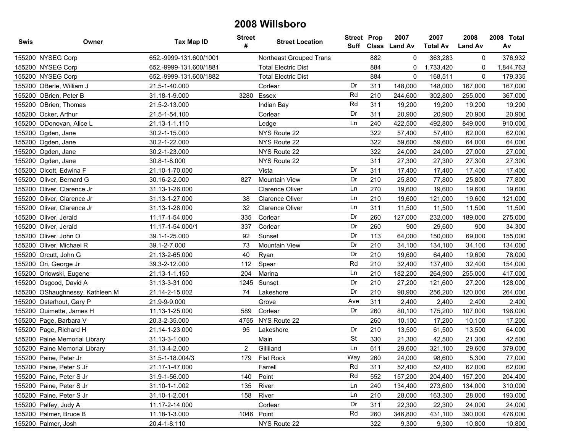| <b>Swis</b> | Owner                           | <b>Tax Map ID</b>      | <b>Street</b><br># | <b>Street Location</b>     | Street Prop | Suff Class | 2007<br><b>Land Av</b> | 2007<br><b>Total Av</b> | 2008<br><b>Land Av</b> | 2008 Total<br>Av |
|-------------|---------------------------------|------------------------|--------------------|----------------------------|-------------|------------|------------------------|-------------------------|------------------------|------------------|
|             | 155200 NYSEG Corp               | 652.-9999-131.600/1001 |                    | Northeast Grouped Trans    |             | 882        | $\Omega$               | 363,283                 | 0                      | 376,932          |
|             | 155200 NYSEG Corp               | 652.-9999-131.600/1881 |                    | <b>Total Electric Dist</b> |             | 884        | 0                      | 1,733,420               | 0                      | 1,844,763        |
|             | 155200 NYSEG Corp               | 652.-9999-131.600/1882 |                    | <b>Total Electric Dist</b> |             | 884        | 0                      | 168,511                 | 0                      | 179,335          |
|             | 155200 OBerle, William J        | 21.5-1-40.000          |                    | Corlear                    | Dr          | 311        | 148,000                | 148,000                 | 167,000                | 167,000          |
|             | 155200 OBrien, Peter B          | 31.18-1-9.000          | 3280               | Essex                      | Rd          | 210        | 244,600                | 302,800                 | 255,000                | 367,000          |
|             | 155200 OBrien, Thomas           | 21.5-2-13.000          |                    | Indian Bay                 | Rd          | 311        | 19,200                 | 19,200                  | 19,200                 | 19,200           |
|             | 155200 Ocker, Arthur            | 21.5-1-54.100          |                    | Corlear                    | Dr          | 311        | 20,900                 | 20,900                  | 20,900                 | 20,900           |
|             | 155200 ODonovan, Alice L        | 21.13-1-1.110          |                    | Ledge                      | Ln          | 240        | 422,500                | 492,800                 | 849,000                | 910,000          |
|             | 155200 Ogden, Jane              | 30.2-1-15.000          |                    | NYS Route 22               |             | 322        | 57,400                 | 57,400                  | 62,000                 | 62,000           |
|             | 155200 Ogden, Jane              | 30.2-1-22.000          |                    | NYS Route 22               |             | 322        | 59,600                 | 59,600                  | 64,000                 | 64,000           |
|             | 155200 Ogden, Jane              | 30.2-1-23.000          |                    | NYS Route 22               |             | 322        | 24,000                 | 24,000                  | 27,000                 | 27,000           |
|             | 155200 Ogden, Jane              | 30.8-1-8.000           |                    | NYS Route 22               |             | 311        | 27,300                 | 27,300                  | 27,300                 | 27,300           |
|             | 155200 Olcott, Edwina F         | 21.10-1-70.000         |                    | Vista                      | Dr          | 311        | 17,400                 | 17,400                  | 17,400                 | 17,400           |
|             | 155200 Oliver, Bernard G        | 30.16-2-2.000          | 827                | <b>Mountain View</b>       | Dr          | 210        | 25,800                 | 77,800                  | 25,800                 | 77,800           |
|             | 155200 Oliver, Clarence Jr      | 31.13-1-26.000         |                    | <b>Clarence Oliver</b>     | Ln          | 270        | 19,600                 | 19,600                  | 19,600                 | 19,600           |
|             | 155200 Oliver, Clarence Jr      | 31.13-1-27.000         | 38                 | <b>Clarence Oliver</b>     | Ln          | 210        | 19,600                 | 121,000                 | 19,600                 | 121,000          |
|             | 155200 Oliver, Clarence Jr      | 31.13-1-28.000         | 32                 | <b>Clarence Oliver</b>     | Ln          | 311        | 11,500                 | 11,500                  | 11,500                 | 11,500           |
|             | 155200 Oliver, Jerald           | 11.17-1-54.000         | 335                | Corlear                    | Dr          | 260        | 127,000                | 232,000                 | 189,000                | 275,000          |
|             | 155200 Oliver, Jerald           | 11.17-1-54.000/1       | 337                | Corlear                    | Dr          | 260        | 900                    | 29,600                  | 900                    | 34,300           |
|             | 155200 Oliver, John O           | 39.1-1-25.000          | 92                 | Sunset                     | Dr          | 113        | 64,000                 | 150,000                 | 69,000                 | 155,000          |
|             | 155200 Oliver, Michael R        | 39.1-2-7.000           | 73                 | Mountain View              | Dr          | 210        | 34,100                 | 134,100                 | 34,100                 | 134,000          |
|             | 155200 Orcutt, John G           | 21.13-2-65.000         | 40                 | Ryan                       | Dr          | 210        | 19,600                 | 64,400                  | 19,600                 | 78,000           |
|             | 155200 Ori, George Jr           | 39.3-2-12.000          | 112                | Spear                      | Rd          | 210        | 32,400                 | 137,400                 | 32,400                 | 154,000          |
| 155200      | Orlowski, Eugene                | 21.13-1-1.150          | 204                | Marina                     | Ln          | 210        | 182,200                | 264,900                 | 255,000                | 417,000          |
|             | 155200 Osgood, David A          | 31.13-3-31.000         | 1245               | Sunset                     | Dr          | 210        | 27,200                 | 121,600                 | 27,200                 | 128,000          |
|             | 155200 OShaughnessy, Kathleen M | 21.14-2-15.002         | 74                 | Lakeshore                  | Dr          | 210        | 90,900                 | 256,200                 | 120,000                | 264,000          |
|             | 155200 Osterhout, Gary P        | 21.9-9-9.000           |                    | Grove                      | Ave         | 311        | 2,400                  | 2,400                   | 2,400                  | 2,400            |
|             | 155200 Ouimette, James H        | 11.13-1-25.000         | 589                | Corlear                    | Dr          | 260        | 80,100                 | 175,200                 | 107,000                | 196,000          |
|             | 155200 Page, Barbara V          | 20.3-2-35.000          | 4755               | NYS Route 22               |             | 260        | 10,100                 | 17,200                  | 10,100                 | 17,200           |
|             | 155200 Page, Richard H          | 21.14-1-23.000         | 95                 | Lakeshore                  | Dr          | 210        | 13,500                 | 61,500                  | 13,500                 | 64,000           |
|             | 155200 Paine Memorial Library   | 31.13-3-1.000          |                    | Main                       | <b>St</b>   | 330        | 21,300                 | 42,500                  | 21,300                 | 42,500           |
|             | 155200 Paine Memorial Library   | 31.13-4-2.000          | $\overline{2}$     | Gilliland                  | Ln          | 611        | 29,600                 | 321,100                 | 29,600                 | 379,000          |
|             | 155200 Paine, Peter Jr          | 31.5-1-18.004/3        |                    | 179 Flat Rock              | Way         | 260        | 24,000                 | 98,600                  | 5,300                  | 77,000           |
|             | 155200 Paine, Peter S Jr        | 21.17-1-47.000         |                    | Farrell                    | Rd          | 311        | 52,400                 | 52,400                  | 62,000                 | 62,000           |
|             | 155200 Paine, Peter S Jr        | 31.9-1-56.000          | 140                | Point                      | Rd          | 552        | 157,200                | 204,400                 | 157,200                | 204,400          |
|             | 155200 Paine, Peter S Jr        | 31.10-1-1.002          | 135                | River                      | Ln          | 240        | 134,400                | 273,600                 | 134,000                | 310,000          |
|             | 155200 Paine, Peter S Jr        | 31.10-1-2.001          | 158                | River                      | Ln          | 210        | 28,000                 | 163,300                 | 28,000                 | 193,000          |
|             | 155200 Palfey, Judy A           | 11.17-2-14.000         |                    | Corlear                    | Dr          | 311        | 22,300                 | 22,300                  | 24,000                 | 24,000           |
|             | 155200 Palmer, Bruce B          | 11.18-1-3.000          |                    | 1046 Point                 | Rd          | 260        | 346,800                | 431,100                 | 390,000                | 476,000          |
|             | 155200 Palmer, Josh             | 20.4-1-8.110           |                    | NYS Route 22               |             | 322        | 9,300                  | 9,300                   | 10,800                 | 10,800           |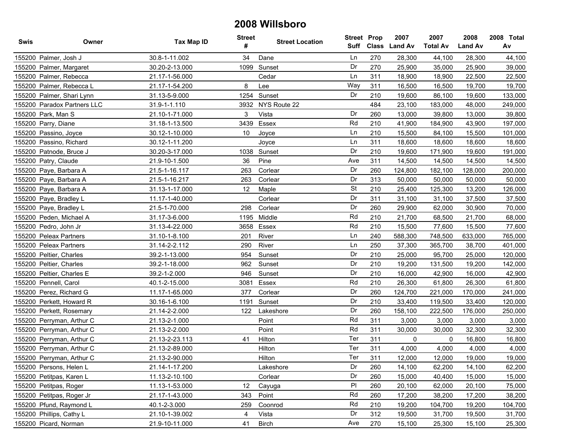| Swis | Owner                       | <b>Tax Map ID</b> | <b>Street</b><br># | <b>Street Location</b> | <b>Street Prop</b><br>Suff |     | 2007<br>Class Land Av | 2007<br><b>Total Av</b> | 2008<br><b>Land Av</b> | 2008 Total<br>Av |
|------|-----------------------------|-------------------|--------------------|------------------------|----------------------------|-----|-----------------------|-------------------------|------------------------|------------------|
|      | 155200 Palmer, Josh J       | 30.8-1-11.002     | 34                 | Dane                   | Ln                         | 270 | 28,300                | 44,100                  | 28,300                 | 44,100           |
|      | 155200 Palmer, Margaret     | 30.20-2-13.000    | 1099               | Sunset                 | Dr                         | 270 | 25,900                | 35,000                  | 25,900                 | 39,000           |
|      | 155200 Palmer, Rebecca      | 21.17-1-56.000    |                    | Cedar                  | Ln                         | 311 | 18,900                | 18,900                  | 22,500                 | 22,500           |
|      | 155200 Palmer, Rebecca L    | 21.17-1-54.200    | 8                  | Lee                    | Way                        | 311 | 16,500                | 16,500                  | 19,700                 | 19,700           |
|      | 155200 Palmer, Shari Lynn   | 31.13-5-9.000     | 1254               | Sunset                 | Dr                         | 210 | 19,600                | 86,100                  | 19,600                 | 133,000          |
|      | 155200 Paradox Partners LLC | 31.9-1-1.110      | 3932               | NYS Route 22           |                            | 484 | 23,100                | 183,000                 | 48,000                 | 249,000          |
|      | 155200 Park, Man S          | 21.10-1-71.000    | 3                  | Vista                  | Dr                         | 260 | 13,000                | 39,800                  | 13,000                 | 39,800           |
|      | 155200 Parry, Diane         | 31.18-1-13.500    | 3439               | Essex                  | Rd                         | 210 | 41,900                | 184,900                 | 43,900                 | 197,000          |
|      | 155200 Passino, Joyce       | 30.12-1-10.000    | 10                 | Joyce                  | Ln                         | 210 | 15,500                | 84,100                  | 15,500                 | 101,000          |
|      | 155200 Passino, Richard     | 30.12-1-11.200    |                    | Joyce                  | Ln                         | 311 | 18,600                | 18,600                  | 18,600                 | 18,600           |
|      | 155200 Patnode, Bruce J     | 30.20-3-17.000    | 1038               | Sunset                 | Dr                         | 210 | 19,600                | 171,900                 | 19,600                 | 191,000          |
|      | 155200 Patry, Claude        | 21.9-10-1.500     | 36                 | Pine                   | Ave                        | 311 | 14,500                | 14,500                  | 14,500                 | 14,500           |
|      | 155200 Paye, Barbara A      | 21.5-1-16.117     | 263                | Corlear                | Dr                         | 260 | 124,800               | 182,100                 | 128,000                | 200,000          |
|      | 155200 Paye, Barbara A      | 21.5-1-16.217     | 263                | Corlear                | Dr                         | 313 | 50,000                | 50,000                  | 50,000                 | 50,000           |
|      | 155200 Paye, Barbara A      | 31.13-1-17.000    | 12                 | Maple                  | <b>St</b>                  | 210 | 25,400                | 125,300                 | 13,200                 | 126,000          |
|      | 155200 Paye, Bradley L      | 11.17-1-40.000    |                    | Corlear                | Dr                         | 311 | 31,100                | 31,100                  | 37,500                 | 37,500           |
|      | 155200 Paye, Bradley L      | 21.5-1-70.000     | 298                | Corlear                | Dr                         | 260 | 29,900                | 62,000                  | 30,900                 | 70,000           |
|      | 155200 Peden, Michael A     | 31.17-3-6.000     |                    | 1195 Middle            | Rd                         | 210 | 21,700                | 68,500                  | 21,700                 | 68,000           |
|      | 155200 Pedro, John Jr       | 31.13-4-22.000    | 3658               | Essex                  | Rd                         | 210 | 15,500                | 77,600                  | 15,500                 | 77,600           |
|      | 155200 Peleax Partners      | 31.10-1-8.100     | 201                | River                  | Ln                         | 240 | 588,300               | 748,500                 | 633,000                | 765,000          |
|      | 155200 Peleax Partners      | 31.14-2-2.112     | 290                | River                  | Ln                         | 250 | 37,300                | 365,700                 | 38,700                 | 401,000          |
|      | 155200 Peltier, Charles     | 39.2-1-13.000     | 954                | Sunset                 | Dr                         | 210 | 25,000                | 95,700                  | 25,000                 | 120,000          |
|      | 155200 Peltier, Charles     | 39.2-1-18.000     | 962                | Sunset                 | Dr                         | 210 | 19,200                | 131,500                 | 19,200                 | 142,000          |
|      | 155200 Peltier, Charles E   | 39.2-1-2.000      | 946                | Sunset                 | Dr                         | 210 | 16,000                | 42,900                  | 16,000                 | 42,900           |
|      | 155200 Pennell, Carol       | 40.1-2-15.000     | 3081               | Essex                  | Rd                         | 210 | 26,300                | 61,800                  | 26,300                 | 61,800           |
|      | 155200 Perez, Richard G     | 11.17-1-65.000    | 377                | Corlear                | Dr                         | 260 | 124,700               | 221,000                 | 170,000                | 241,000          |
|      | 155200 Perkett, Howard R    | 30.16-1-6.100     | 1191               | Sunset                 | Dr                         | 210 | 33,400                | 119,500                 | 33,400                 | 120,000          |
|      | 155200 Perkett, Rosemary    | 21.14-2-2.000     | 122                | Lakeshore              | Dr                         | 260 | 158,100               | 222,500                 | 176,000                | 250,000          |
|      | 155200 Perryman, Arthur C   | 21.13-2-1.000     |                    | Point                  | Rd                         | 311 | 3,000                 | 3,000                   | 3,000                  | 3,000            |
|      | 155200 Perryman, Arthur C   | 21.13-2-2.000     |                    | Point                  | Rd                         | 311 | 30,000                | 30,000                  | 32,300                 | 32,300           |
|      | 155200 Perryman, Arthur C   | 21.13-2-23.113    | 41                 | Hilton                 | Ter                        | 311 | 0                     | 0                       | 16,800                 | 16,800           |
|      | 155200 Perryman, Arthur C   | 21.13-2-89.000    |                    | Hilton                 | Ter                        | 311 | 4,000                 | 4,000                   | 4,000                  | 4,000            |
|      | 155200 Perryman, Arthur C   | 21.13-2-90.000    |                    | Hilton                 | Ter                        | 311 | 12.000                | 12,000                  | 19,000                 | 19,000           |
|      | 155200 Persons, Helen L     | 21.14-1-17.200    |                    | Lakeshore              | Dr                         | 260 | 14,100                | 62,200                  | 14,100                 | 62,200           |
|      | 155200 Petitpas, Karen L    | 11.13-2-10.100    |                    | Corlear                | Dr                         | 260 | 15,000                | 40,400                  | 15,000                 | 15,000           |
|      | 155200 Petitpas, Roger      | 11.13-1-53.000    | 12                 | Cayuga                 | P                          | 260 | 20,100                | 62,000                  | 20,100                 | 75,000           |
|      | 155200 Petitpas, Roger Jr   | 21.17-1-43.000    | 343                | Point                  | Rd                         | 260 | 17,200                | 38,200                  | 17,200                 | 38,200           |
|      | 155200 Pfund, Raymond L     | 40.1-2-3.000      | 259                | Coonrod                | Rd                         | 210 | 19,200                | 104,700                 | 19,200                 | 104,700          |
|      | 155200 Phillips, Cathy L    | 21.10-1-39.002    | 4                  | Vista                  | Dr                         | 312 | 19,500                | 31,700                  | 19,500                 | 31,700           |
|      | 155200 Picard, Norman       | 21.9-10-11.000    | 41                 | <b>Birch</b>           | Ave                        | 270 | 15,100                | 25,300                  | 15,100                 | 25,300           |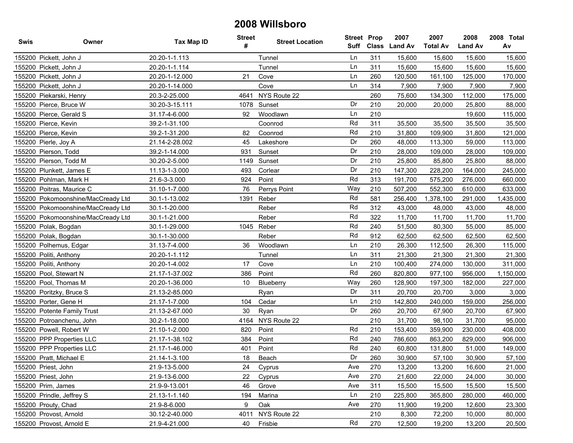| Swis | Owner                              | <b>Tax Map ID</b> | <b>Street</b><br># | <b>Street Location</b> | Suff | <b>Street Prop</b> | 2007<br>Class Land Av | 2007<br><b>Total Av</b> | 2008<br><b>Land Av</b> | 2008 Total<br>Av |
|------|------------------------------------|-------------------|--------------------|------------------------|------|--------------------|-----------------------|-------------------------|------------------------|------------------|
|      | 155200 Pickett, John J             | 20.20-1-1.113     |                    | Tunnel                 | Ln   | 311                | 15,600                | 15,600                  | 15,600                 | 15,600           |
|      | 155200 Pickett, John J             | 20.20-1-1.114     |                    | Tunnel                 | Ln   | 311                | 15,600                | 15,600                  | 15,600                 | 15,600           |
|      | 155200 Pickett, John J             | 20.20-1-12.000    | 21                 | Cove                   | Ln   | 260                | 120,500               | 161,100                 | 125,000                | 170,000          |
|      | 155200 Pickett, John J             | 20.20-1-14.000    |                    | Cove                   | Ln   | 314                | 7,900                 | 7,900                   | 7,900                  | 7,900            |
|      | 155200 Piekarski, Henry            | 20.3-2-25.000     | 4641               | NYS Route 22           |      | 260                | 75,600                | 134,300                 | 112,000                | 175,000          |
|      | 155200 Pierce, Bruce W             | 30.20-3-15.111    | 1078               | Sunset                 | Dr   | 210                | 20,000                | 20,000                  | 25,800                 | 88,000           |
|      | 155200 Pierce, Gerald S            | 31.17-4-6.000     | 92                 | Woodlawn               | Ln   | 210                |                       |                         | 19,600                 | 115,000          |
|      | 155200 Pierce, Kevin               | 39.2-1-31.100     |                    | Coonrod                | Rd   | 311                | 35,500                | 35,500                  | 35,500                 | 35,500           |
|      | 155200 Pierce, Kevin               | 39.2-1-31.200     | 82                 | Coonrod                | Rd   | 210                | 31,800                | 109,900                 | 31,800                 | 121,000          |
|      | 155200 Pierle, Joy A               | 21.14-2-28.002    | 45                 | Lakeshore              | Dr   | 260                | 48,000                | 113,300                 | 59,000                 | 113,000          |
|      | 155200 Pierson, Todd               | 39.2-1-14.000     | 931                | Sunset                 | Dr   | 210                | 28,000                | 109,000                 | 28,000                 | 109,000          |
|      | 155200 Pierson, Todd M             | 30.20-2-5.000     |                    | 1149 Sunset            | Dr   | 210                | 25,800                | 85,800                  | 25,800                 | 88,000           |
|      | 155200 Plunkett, James E           | 11.13-1-3.000     | 493                | Corlear                | Dr   | 210                | 147,300               | 228,200                 | 164,000                | 245,000          |
|      | 155200 Pohlman, Mark H             | 21.6-3-3.000      | 924                | Point                  | Rd   | 313                | 191,700               | 575,200                 | 276,000                | 660,000          |
|      | 155200 Poitras, Maurice C          | 31.10-1-7.000     | 76                 | Perrys Point           | Way  | 210                | 507,200               | 552,300                 | 610,000                | 633,000          |
|      | 155200 Pokomoonshine/MacCready Ltd | 30.1-1-13.002     | 1391               | Reber                  | Rd   | 581                | 256,400               | 1,378,100               | 291,000                | 1,435,000        |
|      | 155200 Pokomoonshine/MacCready Ltd | 30.1-1-20.000     |                    | Reber                  | Rd   | 312                | 43,000                | 48,000                  | 43,000                 | 48,000           |
|      | 155200 Pokomoonshine/MacCready Ltd | 30.1-1-21.000     |                    | Reber                  | Rd   | 322                | 11,700                | 11,700                  | 11,700                 | 11,700           |
|      | 155200 Polak, Bogdan               | 30.1-1-29.000     |                    | 1045 Reber             | Rd   | 240                | 51,500                | 80,300                  | 55,000                 | 85,000           |
|      | 155200 Polak, Bogdan               | 30.1-1-30.000     |                    | Reber                  | Rd   | 912                | 62,500                | 62,500                  | 62,500                 | 62,500           |
|      | 155200 Polhemus, Edgar             | 31.13-7-4.000     | 36                 | Woodlawn               | Ln   | 210                | 26,300                | 112,500                 | 26,300                 | 115,000          |
|      | 155200 Politi, Anthony             | 20.20-1-1.112     |                    | Tunnel                 | Ln   | 311                | 21,300                | 21,300                  | 21,300                 | 21,300           |
|      | 155200 Politi, Anthony             | 20.20-1-4.002     | 17                 | Cove                   | Ln   | 210                | 100,400               | 274,000                 | 130,000                | 311,000          |
|      | 155200 Pool, Stewart N             | 21.17-1-37.002    | 386                | Point                  | Rd   | 260                | 820,800               | 977,100                 | 956,000                | 1,150,000        |
|      | 155200 Pool, Thomas M              | 20.20-1-36.000    | 10                 | Blueberry              | Way  | 260                | 128,900               | 197,300                 | 182,000                | 227,000          |
|      | 155200 Poritzky, Bruce S           | 21.13-2-85.000    |                    | Ryan                   | Dr   | 311                | 20,700                | 20,700                  | 3,000                  | 3,000            |
|      | 155200 Porter, Gene H              | 21.17-1-7.000     | 104                | Cedar                  | Ln   | 210                | 142,800               | 240,000                 | 159,000                | 256,000          |
|      | 155200 Potente Family Trust        | 21.13-2-67.000    | 30                 | Ryan                   | Dr   | 260                | 20,700                | 67,900                  | 20,700                 | 67,900           |
|      | 155200 Potroanchenu, John          | 30.2-1-18.000     | 4164               | NYS Route 22           |      | 210                | 31,700                | 98,100                  | 31,700                 | 95,000           |
|      | 155200 Powell, Robert W            | 21.10-1-2.000     | 820                | Point                  | Rd   | 210                | 153,400               | 359,900                 | 230,000                | 408,000          |
|      | 155200 PPP Properties LLC          | 21.17-1-38.102    | 384                | Point                  | Rd   | 240                | 786,600               | 863,200                 | 829,000                | 906,000          |
|      | 155200 PPP Properties LLC          | 21.17-1-46.000    | 401                | Point                  | Rd   | 240                | 60.800                | 131,800                 | 51,000                 | 149,000          |
|      | 155200 Pratt, Michael E            | 21.14-1-3.100     | 18                 | Beach                  | Dr   | 260                | 30.900                | 57,100                  | 30.900                 | 57,100           |
|      | 155200 Priest, John                | 21.9-13-5.000     | 24                 | Cyprus                 | Ave  | 270                | 13,200                | 13,200                  | 16,600                 | 21,000           |
|      | 155200 Priest, John                | 21.9-13-6.000     | 22                 | Cyprus                 | Ave  | 270                | 21,600                | 22,000                  | 24,000                 | 30,000           |
|      | 155200 Prim, James                 | 21.9-9-13.001     | 46                 | Grove                  | Ave  | 311                | 15,500                | 15,500                  | 15,500                 | 15,500           |
|      | 155200 Prindle, Jeffrey S          | 21.13-1-1.140     | 194                | Marina                 | Ln   | 210                | 225,800               | 365,800                 | 280,000                | 460,000          |
|      | 155200 Prouty, Chad                | 21.9-8-6.000      | 9                  | Oak                    | Ave  | 270                | 11,900                | 19,200                  | 12,600                 | 23,300           |
|      | 155200 Provost, Arnold             | 30.12-2-40.000    | 4011               | NYS Route 22           |      | 210                | 8,300                 | 72,200                  | 10,000                 | 80,000           |
|      | 155200 Provost, Arnold E           | 21.9-4-21.000     | 40                 | Frisbie                | Rd   | 270                | 12,500                | 19,200                  | 13,200                 | 20,500           |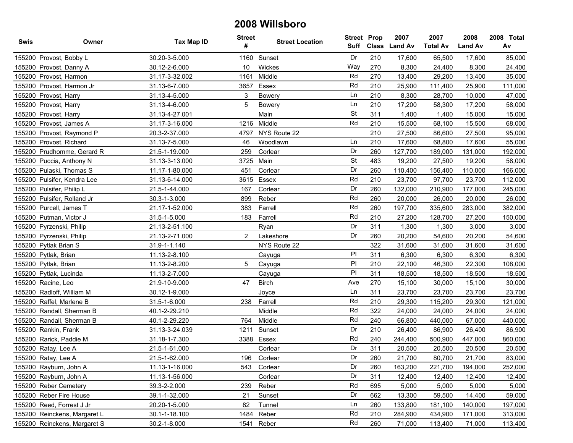| Swis | Owner                        | Tax Map ID     | <b>Street</b><br># | <b>Street Location</b> | <b>Street Prop</b> |     | 2007<br>Suff Class Land Av | 2007<br><b>Total Av</b> | 2008<br><b>Land Av</b> | 2008 Total<br>Av |
|------|------------------------------|----------------|--------------------|------------------------|--------------------|-----|----------------------------|-------------------------|------------------------|------------------|
|      | 155200 Provost, Bobby L      | 30.20-3-5.000  |                    | 1160 Sunset            | Dr                 | 210 | 17,600                     | 65,500                  | 17,600                 | 85,000           |
|      | 155200 Provost, Danny A      | 30.12-2-6.000  | 10 <sup>°</sup>    | Wickes                 | Way                | 270 | 8,300                      | 24,400                  | 8,300                  | 24,400           |
|      | 155200 Provost, Harmon       | 31.17-3-32.002 | 1161               | Middle                 | Rd                 | 270 | 13,400                     | 29,200                  | 13,400                 | 35,000           |
|      | 155200 Provost, Harmon Jr    | 31.13-6-7.000  | 3657               | Essex                  | Rd                 | 210 | 25,900                     | 111,400                 | 25,900                 | 111,000          |
|      | 155200 Provost, Harry        | 31.13-4-5.000  | 3                  | <b>Bowery</b>          | Ln                 | 210 | 8,300                      | 28,700                  | 10,000                 | 47,000           |
|      | 155200 Provost, Harry        | 31.13-4-6.000  | 5                  | Bowery                 | Ln                 | 210 | 17,200                     | 58,300                  | 17,200                 | 58,000           |
|      | 155200 Provost, Harry        | 31.13-4-27.001 |                    | Main                   | <b>St</b>          | 311 | 1,400                      | 1,400                   | 15,000                 | 15,000           |
|      | 155200 Provost, James A      | 31.17-3-16.000 | 1216               | Middle                 | Rd                 | 210 | 15,500                     | 68,100                  | 15,500                 | 68,000           |
|      | 155200 Provost, Raymond P    | 20.3-2-37.000  | 4797               | NYS Route 22           |                    | 210 | 27,500                     | 86,600                  | 27,500                 | 95,000           |
|      | 155200 Provost, Richard      | 31.13-7-5.000  | 46                 | Woodlawn               | Ln                 | 210 | 17,600                     | 68,800                  | 17,600                 | 55,000           |
|      | 155200 Prudhomme, Gerard R   | 21.5-1-19.000  | 259                | Corlear                | Dr                 | 260 | 127,700                    | 189,000                 | 131,000                | 192,000          |
|      | 155200 Puccia, Anthony N     | 31.13-3-13.000 |                    | 3725 Main              | <b>St</b>          | 483 | 19,200                     | 27,500                  | 19,200                 | 58,000           |
|      | 155200 Pulaski, Thomas S     | 11.17-1-80.000 | 451                | Corlear                | Dr                 | 260 | 110,400                    | 156,400                 | 110,000                | 166,000          |
|      | 155200 Pulsifer, Kendra Lee  | 31.13-6-14.000 | 3615               | Essex                  | Rd                 | 210 | 23,700                     | 97,700                  | 23,700                 | 112,000          |
|      | 155200 Pulsifer, Philip L    | 21.5-1-44.000  | 167                | Corlear                | Dr                 | 260 | 132,000                    | 210,900                 | 177,000                | 245,000          |
|      | 155200 Pulsifer, Rolland Jr  | 30.3-1-3.000   | 899                | Reber                  | Rd                 | 260 | 20,000                     | 26,000                  | 20,000                 | 26,000           |
|      | 155200 Purcell, James T      | 21.17-1-52.000 | 383                | Farrell                | Rd                 | 260 | 197,700                    | 335,600                 | 283,000                | 382,000          |
|      | 155200 Putman, Victor J      | 31.5-1-5.000   | 183                | Farrell                | Rd                 | 210 | 27,200                     | 128,700                 | 27,200                 | 150,000          |
|      | 155200 Pyrzenski, Philip     | 21.13-2-51.100 |                    | Ryan                   | Dr                 | 311 | 1,300                      | 1,300                   | 3,000                  | 3,000            |
|      | 155200 Pyrzenski, Philip     | 21.13-2-71.000 | $\overline{2}$     | Lakeshore              | Dr                 | 260 | 20,200                     | 54,600                  | 20,200                 | 54,600           |
|      | 155200 Pytlak Brian S        | 31.9-1-1.140   |                    | NYS Route 22           |                    | 322 | 31,600                     | 31,600                  | 31,600                 | 31,600           |
|      | 155200 Pytlak, Brian         | 11.13-2-8.100  |                    | Cayuga                 | PI                 | 311 | 6,300                      | 6,300                   | 6,300                  | 6,300            |
|      | 155200 Pytlak, Brian         | 11.13-2-8.200  | 5                  | Cayuga                 | PI                 | 210 | 22,100                     | 46,300                  | 22,300                 | 108,000          |
|      | 155200 Pytlak, Lucinda       | 11.13-2-7.000  |                    | Cayuga                 | P                  | 311 | 18,500                     | 18,500                  | 18,500                 | 18,500           |
|      | 155200 Racine, Leo           | 21.9-10-9.000  | 47                 | <b>Birch</b>           | Ave                | 270 | 15,100                     | 30,000                  | 15,100                 | 30,000           |
|      | 155200 Radloff, William M    | 30.12-1-9.000  |                    | Joyce                  | Ln                 | 311 | 23,700                     | 23,700                  | 23,700                 | 23,700           |
|      | 155200 Raffel, Marlene B     | 31.5-1-6.000   | 238                | Farrell                | Rd                 | 210 | 29,300                     | 115,200                 | 29,300                 | 121,000          |
|      | 155200 Randall, Sherman B    | 40.1-2-29.210  |                    | Middle                 | Rd                 | 322 | 24,000                     | 24,000                  | 24,000                 | 24,000           |
|      | 155200 Randall, Sherman B    | 40.1-2-29.220  | 764                | Middle                 | Rd                 | 240 | 66,800                     | 440,000                 | 67,000                 | 440,000          |
|      | 155200 Rankin, Frank         | 31.13-3-24.039 | 1211               | Sunset                 | Dr                 | 210 | 26,400                     | 86,900                  | 26,400                 | 86,900           |
|      | 155200 Rarick, Paddie M      | 31.18-1-7.300  |                    | 3388 Essex             | Rd                 | 240 | 244,400                    | 500,900                 | 447,000                | 860,000          |
|      | 155200 Ratay, Lee A          | 21.5-1-61.000  |                    | Corlear                | Dr                 | 311 | 20,500                     | 20,500                  | 20,500                 | 20,500           |
|      | 155200 Ratay, Lee A          | 21.5-1-62.000  |                    | 196 Corlear            | Dr                 | 260 | 21.700                     | 80,700                  | 21,700                 | 83,000           |
|      | 155200 Rayburn, John A       | 11.13-1-16.000 | 543                | Corlear                | Dr                 | 260 | 163,200                    | 221,700                 | 194,000                | 252,000          |
|      | 155200 Rayburn, John A       | 11.13-1-56.000 |                    | Corlear                | Dr                 | 311 | 12,400                     | 12,400                  | 12,400                 | 12,400           |
|      | 155200 Reber Cemetery        | 39.3-2-2.000   | 239                | Reber                  | Rd                 | 695 | 5,000                      | 5,000                   | 5,000                  | 5,000            |
|      | 155200 Reber Fire House      | 39.1-1-32.000  | 21                 | Sunset                 | Dr                 | 662 | 13,300                     | 59,500                  | 14,400                 | 59,000           |
|      | 155200 Reed, Forrest J Jr    | 20.20-1-5.000  | 82                 | Tunnel                 | Ln                 | 260 | 133,800                    | 181,100                 | 140,000                | 197,000          |
|      | 155200 Reinckens, Margaret L | 30.1-1-18.100  | 1484               | Reber                  | Rd                 | 210 | 284,900                    | 434,900                 | 171,000                | 313,000          |
|      | 155200 Reinckens, Margaret S | 30.2-1-8.000   | 1541               | Reber                  | Rd                 | 260 | 71,000                     | 113,400                 | 71,000                 | 113,400          |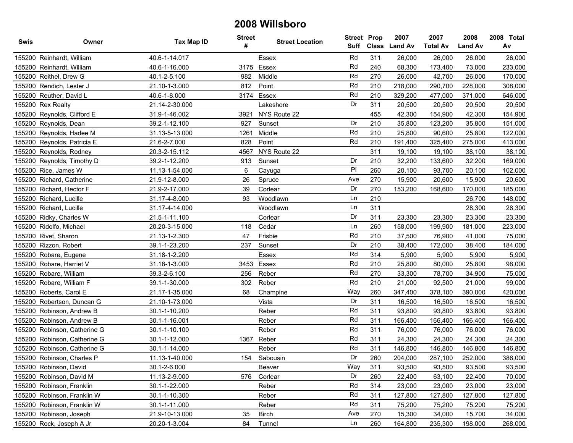| Swis | Owner                        | Tax Map ID     | <b>Street</b><br># | <b>Street Location</b> | <b>Street Prop</b> |     | 2007<br>Suff Class Land Av | 2007<br><b>Total Av</b> | 2008<br><b>Land Av</b> | 2008 Total<br>Av |
|------|------------------------------|----------------|--------------------|------------------------|--------------------|-----|----------------------------|-------------------------|------------------------|------------------|
|      | 155200 Reinhardt, William    | 40.6-1-14.017  |                    | Essex                  | Rd                 | 311 | 26,000                     | 26,000                  | 26,000                 | 26,000           |
|      | 155200 Reinhardt, William    | 40.6-1-16.000  | 3175               | Essex                  | Rd                 | 240 | 68,300                     | 173,400                 | 73,000                 | 233,000          |
|      | 155200 Reithel, Drew G       | 40.1-2-5.100   | 982                | Middle                 | Rd                 | 270 | 26,000                     | 42,700                  | 26,000                 | 170,000          |
|      | 155200 Rendich, Lester J     | 21.10-1-3.000  | 812                | Point                  | Rd                 | 210 | 218,000                    | 290,700                 | 228,000                | 308,000          |
|      | 155200 Reuther, David L      | 40.6-1-8.000   | 3174               | Essex                  | Rd                 | 210 | 329,200                    | 477,000                 | 371,000                | 646,000          |
|      | 155200 Rex Realty            | 21.14-2-30.000 |                    | Lakeshore              | Dr                 | 311 | 20,500                     | 20,500                  | 20,500                 | 20,500           |
|      | 155200 Reynolds, Clifford E  | 31.9-1-46.002  | 3921               | NYS Route 22           |                    | 455 | 42,300                     | 154,900                 | 42,300                 | 154,900          |
|      | 155200 Reynolds, Dean        | 39.2-1-12.100  | 927                | Sunset                 | Dr                 | 210 | 35,800                     | 123,200                 | 35,800                 | 151,000          |
|      | 155200 Reynolds, Hadee M     | 31.13-5-13.000 | 1261               | Middle                 | Rd                 | 210 | 25,800                     | 90,600                  | 25,800                 | 122,000          |
|      | 155200 Reynolds, Patricia E  | 21.6-2-7.000   | 828                | Point                  | Rd                 | 210 | 191,400                    | 325,400                 | 275,000                | 413,000          |
|      | 155200 Reynolds, Rodney      | 20.3-2-15.112  | 4567               | NYS Route 22           |                    | 311 | 19,100                     | 19,100                  | 38,100                 | 38,100           |
|      | 155200 Reynolds, Timothy D   | 39.2-1-12.200  | 913                | Sunset                 | Dr                 | 210 | 32,200                     | 133,600                 | 32,200                 | 169,000          |
|      | 155200 Rice, James W         | 11.13-1-54.000 | 6                  | Cayuga                 | PI                 | 260 | 20,100                     | 93,700                  | 20,100                 | 102,000          |
|      | 155200 Richard, Catherine    | 21.9-12-8.000  | 26                 | Spruce                 | Ave                | 270 | 15,900                     | 20,600                  | 15,900                 | 20,600           |
|      | 155200 Richard, Hector F     | 21.9-2-17.000  | 39                 | Corlear                | Dr                 | 270 | 153,200                    | 168,600                 | 170,000                | 185,000          |
|      | 155200 Richard, Lucille      | 31.17-4-8.000  | 93                 | Woodlawn               | Ln                 | 210 |                            |                         | 26,700                 | 148,000          |
|      | 155200 Richard, Lucille      | 31.17-4-14.000 |                    | Woodlawn               | Ln                 | 311 |                            |                         | 28,300                 | 28,300           |
|      | 155200 Ridky, Charles W      | 21.5-1-11.100  |                    | Corlear                | Dr                 | 311 | 23,300                     | 23,300                  | 23,300                 | 23,300           |
|      | 155200 Ridolfo, Michael      | 20.20-3-15.000 | 118                | Cedar                  | Ln                 | 260 | 158,000                    | 199,900                 | 181,000                | 223,000          |
|      | 155200 Rivet, Sharon         | 21.13-1-2.300  | 47                 | Frisbie                | Rd                 | 210 | 37,500                     | 76,900                  | 41,000                 | 75,000           |
|      | 155200 Rizzon, Robert        | 39.1-1-23.200  | 237                | Sunset                 | Dr                 | 210 | 38,400                     | 172,000                 | 38,400                 | 184,000          |
|      | 155200 Robare, Eugene        | 31.18-1-2.200  |                    | Essex                  | Rd                 | 314 | 5,900                      | 5,900                   | 5,900                  | 5,900            |
|      | 155200 Robare, Harriet V     | 31.18-1-3.000  | 3453               | Essex                  | Rd                 | 210 | 25,800                     | 80,000                  | 25,800                 | 98,000           |
|      | 155200 Robare, William       | 39.3-2-6.100   | 256                | Reber                  | Rd                 | 270 | 33,300                     | 78,700                  | 34,900                 | 75,000           |
|      | 155200 Robare, William F     | 39.1-1-30.000  | 302                | Reber                  | Rd                 | 210 | 21,000                     | 92,500                  | 21,000                 | 99,000           |
|      | 155200 Roberts, Carol E      | 21.17-1-35.000 | 68                 | Champine               | Way                | 260 | 347,400                    | 378,100                 | 390,000                | 420,000          |
|      | 155200 Robertson, Duncan G   | 21.10-1-73.000 |                    | Vista                  | Dr                 | 311 | 16,500                     | 16,500                  | 16,500                 | 16,500           |
|      | 155200 Robinson, Andrew B    | 30.1-1-10.200  |                    | Reber                  | Rd                 | 311 | 93,800                     | 93,800                  | 93,800                 | 93,800           |
|      | 155200 Robinson, Andrew B    | 30.1-1-16.001  |                    | Reber                  | Rd                 | 311 | 166,400                    | 166,400                 | 166,400                | 166,400          |
|      | 155200 Robinson, Catherine G | 30.1-1-10.100  |                    | Reber                  | Rd                 | 311 | 76,000                     | 76,000                  | 76,000                 | 76,000           |
|      | 155200 Robinson, Catherine G | 30.1-1-12.000  | 1367               | Reber                  | Rd                 | 311 | 24,300                     | 24,300                  | 24,300                 | 24,300           |
|      | 155200 Robinson, Catherine G | 30.1-1-14.000  |                    | Reber                  | Rd                 | 311 | 146,800                    | 146,800                 | 146,800                | 146,800          |
|      | 155200 Robinson, Charles P   | 11.13-1-40.000 |                    | 154 Sabousin           | Dr                 | 260 | 204,000                    | 287,100                 | 252,000                | 386,000          |
|      | 155200 Robinson, David       | 30.1-2-6.000   |                    | Beaver                 | Way                | 311 | 93,500                     | 93,500                  | 93,500                 | 93,500           |
|      | 155200 Robinson, David M     | 11.13-2-9.000  | 576                | Corlear                | Dr                 | 260 | 22,400                     | 63,100                  | 22,400                 | 70,000           |
|      | 155200 Robinson, Franklin    | 30.1-1-22.000  |                    | Reber                  | Rd                 | 314 | 23,000                     | 23,000                  | 23,000                 | 23,000           |
|      | 155200 Robinson, Franklin W  | 30.1-1-10.300  |                    | Reber                  | Rd                 | 311 | 127,800                    | 127,800                 | 127,800                | 127,800          |
|      | 155200 Robinson, Franklin W  | 30.1-1-11.000  |                    | Reber                  | Rd                 | 311 | 75,200                     | 75,200                  | 75,200                 | 75,200           |
|      | 155200 Robinson, Joseph      | 21.9-10-13.000 | 35                 | <b>Birch</b>           | Ave                | 270 | 15,300                     | 34,000                  | 15,700                 | 34,000           |
|      | 155200 Rock, Joseph A Jr     | 20.20-1-3.004  | 84                 | Tunnel                 | Ln                 | 260 | 164,800                    | 235,300                 | 198,000                | 268,000          |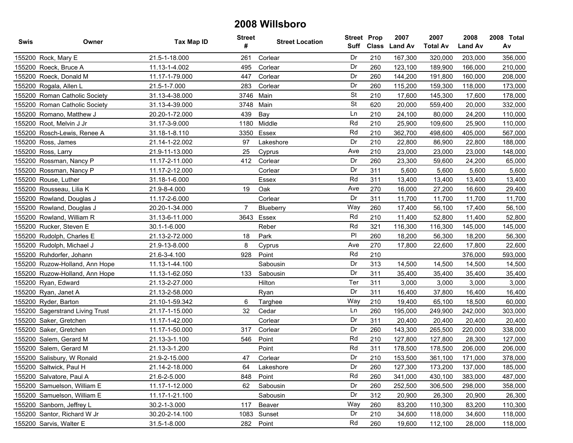| Swis   | Owner                           | Tax Map ID     | <b>Street</b><br># | <b>Street Location</b> | <b>Street Prop</b><br>Suff | <b>Class</b> | 2007<br><b>Land Av</b> | 2007<br><b>Total Av</b> | 2008<br><b>Land Av</b> | 2008 Total<br>Av |
|--------|---------------------------------|----------------|--------------------|------------------------|----------------------------|--------------|------------------------|-------------------------|------------------------|------------------|
|        | 155200 Rock, Mary E             | 21.5-1-18.000  | 261                | Corlear                | Dr                         | 210          | 167,300                | 320,000                 | 203,000                | 356,000          |
|        | 155200 Roeck, Bruce A           | 11.13-1-4.002  | 495                | Corlear                | Dr                         | 260          | 123,100                | 189,900                 | 166,000                | 210,000          |
|        | 155200 Roeck, Donald M          | 11.17-1-79.000 | 447                | Corlear                | Dr                         | 260          | 144,200                | 191,800                 | 160,000                | 208,000          |
|        | 155200 Rogala, Allen L          | 21.5-1-7.000   | 283                | Corlear                | Dr                         | 260          | 115,200                | 159,300                 | 118,000                | 173,000          |
|        | 155200 Roman Catholic Society   | 31.13-4-38.000 |                    | 3746 Main              | <b>St</b>                  | 210          | 17,600                 | 145,300                 | 17,600                 | 178,000          |
| 155200 | Roman Catholic Society          | 31.13-4-39.000 | 3748               | Main                   | <b>St</b>                  | 620          | 20,000                 | 559,400                 | 20,000                 | 332,000          |
|        | 155200 Romano, Matthew J        | 20.20-1-72.000 | 439                | Bay                    | Ln                         | 210          | 24,100                 | 80,000                  | 24,200                 | 110,000          |
|        | 155200 Root, Melvin J Jr        | 31.17-3-9.000  | 1180               | Middle                 | Rd                         | 210          | 25,900                 | 109,600                 | 25,900                 | 110,000          |
|        | 155200 Rosch-Lewis, Renee A     | 31.18-1-8.110  | 3350               | Essex                  | Rd                         | 210          | 362,700                | 498,600                 | 405,000                | 567,000          |
|        | 155200 Ross, James              | 21.14-1-22.002 | 97                 | Lakeshore              | Dr                         | 210          | 22,800                 | 86,900                  | 22,800                 | 188,000          |
|        | 155200 Ross, Larry              | 21.9-11-13.000 | 25                 | Cyprus                 | Ave                        | 210          | 23,000                 | 23,000                  | 23,000                 | 148,000          |
|        | 155200 Rossman, Nancy P         | 11.17-2-11.000 | 412                | Corlear                | Dr                         | 260          | 23,300                 | 59,600                  | 24,200                 | 65,000           |
|        | 155200 Rossman, Nancy P         | 11.17-2-12.000 |                    | Corlear                | Dr                         | 311          | 5,600                  | 5,600                   | 5,600                  | 5,600            |
|        | 155200 Rouse, Luther            | 31.18-1-6.000  |                    | Essex                  | Rd                         | 311          | 13,400                 | 13,400                  | 13,400                 | 13,400           |
|        | 155200 Rousseau, Lilia K        | 21.9-8-4.000   | 19                 | Oak                    | Ave                        | 270          | 16,000                 | 27,200                  | 16,600                 | 29,400           |
|        | 155200 Rowland, Douglas J       | 11.17-2-6.000  |                    | Corlear                | Dr                         | 311          | 11,700                 | 11,700                  | 11,700                 | 11,700           |
|        | 155200 Rowland, Douglas J       | 20.20-1-34.000 | $\overline{7}$     | Blueberry              | Way                        | 260          | 17,400                 | 56,100                  | 17,400                 | 56,100           |
|        | 155200 Rowland, William R       | 31.13-6-11.000 | 3643               | Essex                  | Rd                         | 210          | 11,400                 | 52,800                  | 11,400                 | 52,800           |
|        | 155200 Rucker, Steven E         | 30.1-1-6.000   |                    | Reber                  | Rd                         | 321          | 116,300                | 116,300                 | 145,000                | 145,000          |
|        | 155200 Rudolph, Charles E       | 21.13-2-72.000 | 18                 | Park                   | PI                         | 260          | 18,200                 | 56,300                  | 18,200                 | 56,300           |
|        | 155200 Rudolph, Michael J       | 21.9-13-8.000  | 8                  | Cyprus                 | Ave                        | 270          | 17,800                 | 22,600                  | 17,800                 | 22,600           |
|        | 155200 Ruhdorfer, Johann        | 21.6-3-4.100   | 928                | Point                  | Rd                         | 210          |                        |                         | 376,000                | 593,000          |
|        | 155200 Ruzow-Holland, Ann Hope  | 11.13-1-44.100 |                    | Sabousin               | Dr                         | 313          | 14,500                 | 14,500                  | 14,500                 | 14,500           |
|        | 155200 Ruzow-Holland, Ann Hope  | 11.13-1-62.050 | 133                | Sabousin               | Dr                         | 311          | 35,400                 | 35,400                  | 35,400                 | 35,400           |
|        | 155200 Ryan, Edward             | 21.13-2-27.000 |                    | Hilton                 | Ter                        | 311          | 3,000                  | 3,000                   | 3,000                  | 3,000            |
|        | 155200 Ryan, Janet A            | 21.13-2-58.000 |                    | Ryan                   | Dr                         | 311          | 16,400                 | 37,800                  | 16,400                 | 16,400           |
|        | 155200 Ryder, Barton            | 21.10-1-59.342 | 6                  | Targhee                | Way                        | 210          | 19,400                 | 65,100                  | 18,500                 | 60,000           |
|        | 155200 Sagerstrand Living Trust | 21.17-1-15.000 | 32                 | Cedar                  | Ln                         | 260          | 195,000                | 249,900                 | 242,000                | 303,000          |
|        | 155200 Saker, Gretchen          | 11.17-1-42.000 |                    | Corlear                | Dr                         | 311          | 20,400                 | 20,400                  | 20,400                 | 20,400           |
|        | 155200 Saker, Gretchen          | 11.17-1-50.000 | 317                | Corlear                | Dr                         | 260          | 143,300                | 265,500                 | 220,000                | 338,000          |
|        | 155200 Salem, Gerard M          | 21.13-3-1.100  | 546                | Point                  | Rd                         | 210          | 127,800                | 127,800                 | 28,300                 | 127,000          |
|        | 155200 Salem, Gerard M          | 21.13-3-1.200  |                    | Point                  | Rd                         | 311          | 178,500                | 178,500                 | 206,000                | 206,000          |
|        | 155200 Salisbury, W Ronald      | 21.9-2-15.000  | 47                 | Corlear                | Dr                         | 210          | 153,500                | 361,100                 | 171,000                | 378,000          |
|        | 155200 Saltwick, Paul H         | 21.14-2-18.000 | 64                 | Lakeshore              | Dr                         | 260          | 127,300                | 173,200                 | 137,000                | 185,000          |
|        | 155200 Salvatore, Paul A        | 21.6-2-5.000   | 848                | Point                  | Rd                         | 260          | 341,000                | 430,100                 | 383,000                | 487,000          |
|        | 155200 Samuelson, William E     | 11.17-1-12.000 | 62                 | Sabousin               | Dr                         | 260          | 252,500                | 306,500                 | 298,000                | 358,000          |
|        | 155200 Samuelson, William E     | 11.17-1-21.100 |                    | Sabousin               | Dr                         | 312          | 20,900                 | 26,300                  | 20,900                 | 26,300           |
|        | 155200 Sanborn, Jeffrey L       | 30.2-1-3.000   | 117                | Beaver                 | Way                        | 260          | 83,200                 | 110,300                 | 83,200                 | 110,300          |
|        | 155200 Santor, Richard W Jr     | 30.20-2-14.100 |                    | 1083 Sunset            | Dr                         | 210          | 34,600                 | 118,000                 | 34,600                 | 118,000          |
|        | 155200 Sarvis, Walter E         | 31.5-1-8.000   | 282                | Point                  | Rd                         | 260          | 19,600                 | 112,100                 | 28,000                 | 118,000          |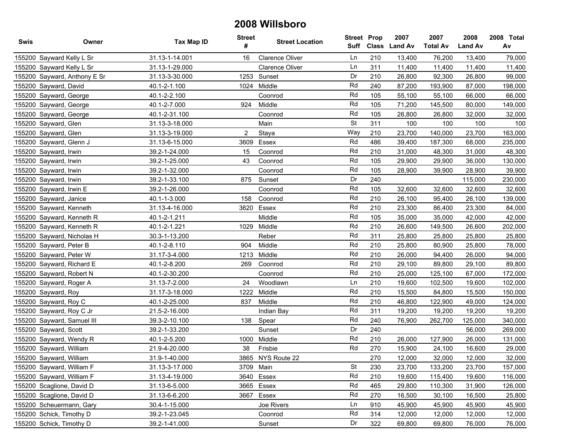| <b>Swis</b> | Owner                        | Tax Map ID     | <b>Street</b><br># | <b>Street Location</b> | <b>Street Prop</b><br>Suff | <b>Class</b> | 2007<br><b>Land Av</b> | 2007<br><b>Total Av</b> | 2008<br><b>Land Av</b> | 2008 Total<br>Av |
|-------------|------------------------------|----------------|--------------------|------------------------|----------------------------|--------------|------------------------|-------------------------|------------------------|------------------|
|             | 155200 Sayward Kelly L Sr    | 31.13-1-14.001 | 16                 | Clarence Oliver        | Ln                         | 210          | 13,400                 | 76,200                  | 13,400                 | 79,000           |
|             | 155200 Sayward Kelly L Sr    | 31.13-1-29.000 |                    | Clarence Oliver        | Ln                         | 311          | 11,400                 | 11,400                  | 11,400                 | 11,400           |
|             | 155200 Sayward, Anthony E Sr | 31.13-3-30.000 | 1253               | Sunset                 | Dr                         | 210          | 26,800                 | 92,300                  | 26,800                 | 99,000           |
|             | 155200 Sayward, David        | 40.1-2-1.100   |                    | 1024 Middle            | Rd                         | 240          | 87,200                 | 193,900                 | 87,000                 | 198,000          |
|             | 155200 Sayward, George       | 40.1-2-2.100   |                    | Coonrod                | Rd                         | 105          | 55,100                 | 55,100                  | 66,000                 | 66,000           |
|             | 155200 Sayward, George       | 40.1-2-7.000   | 924                | Middle                 | Rd                         | 105          | 71,200                 | 145,500                 | 80,000                 | 149,000          |
|             | 155200 Sayward, George       | 40.1-2-31.100  |                    | Coonrod                | Rd                         | 105          | 26,800                 | 26,800                  | 32,000                 | 32,000           |
|             | 155200 Sayward, Glen         | 31.13-3-18.000 |                    | Main                   | <b>St</b>                  | 311          | 100                    | 100                     | 100                    | 100              |
|             | 155200 Sayward, Glen         | 31.13-3-19.000 | 2                  | Staya                  | Way                        | 210          | 23,700                 | 140,000                 | 23,700                 | 163,000          |
|             | 155200 Sayward, Glenn J      | 31.13-6-15.000 | 3609               | Essex                  | Rd                         | 486          | 39,400                 | 187,300                 | 68,000                 | 235,000          |
|             | 155200 Sayward, Irwin        | 39.2-1-24.000  | 15                 | Coonrod                | Rd                         | 210          | 31,000                 | 48,300                  | 31,000                 | 48,300           |
|             | 155200 Sayward, Irwin        | 39.2-1-25.000  | 43                 | Coonrod                | Rd                         | 105          | 29,900                 | 29,900                  | 36,000                 | 130,000          |
|             | 155200 Sayward, Irwin        | 39.2-1-32.000  |                    | Coonrod                | Rd                         | 105          | 28,900                 | 39,900                  | 28,900                 | 39,900           |
|             | 155200 Sayward, Irwin        | 39.2-1-33.100  | 875                | Sunset                 | Dr                         | 240          |                        |                         | 115,000                | 230,000          |
|             | 155200 Sayward, Irwin E      | 39.2-1-26.000  |                    | Coonrod                | Rd                         | 105          | 32,600                 | 32,600                  | 32,600                 | 32,600           |
|             | 155200 Sayward, Janice       | 40.1-1-3.000   | 158                | Coonrod                | Rd                         | 210          | 26,100                 | 95,400                  | 26,100                 | 139,000          |
|             | 155200 Sayward, Kenneth      | 31.13-4-16.000 | 3620               | Essex                  | Rd                         | 210          | 23,300                 | 86,400                  | 23,300                 | 84,000           |
|             | 155200 Sayward, Kenneth R    | 40.1-2-1.211   |                    | Middle                 | Rd                         | 105          | 35,000                 | 35,000                  | 42,000                 | 42,000           |
|             | 155200 Sayward, Kenneth R    | 40.1-2-1.221   | 1029               | Middle                 | Rd                         | 210          | 26,600                 | 149,500                 | 26,600                 | 202,000          |
|             | 155200 Sayward, Nicholas H   | 30.3-1-13.200  |                    | Reber                  | Rd                         | 311          | 25,800                 | 25,800                  | 25,800                 | 25,800           |
|             | 155200 Sayward, Peter B      | 40.1-2-8.110   | 904                | Middle                 | Rd                         | 210          | 25,800                 | 80,900                  | 25,800                 | 78,000           |
|             | 155200 Sayward, Peter W      | 31.17-3-4.000  | 1213               | Middle                 | Rd                         | 210          | 26,000                 | 94,400                  | 26,000                 | 94,000           |
|             | 155200 Sayward, Richard E    | 40.1-2-8.200   | 269                | Coonrod                | Rd                         | 210          | 29,100                 | 89,800                  | 29,100                 | 89,800           |
|             | 155200 Sayward, Robert N     | 40.1-2-30.200  |                    | Coonrod                | Rd                         | 210          | 25,000                 | 125,100                 | 67,000                 | 172,000          |
|             | 155200 Sayward, Roger A      | 31.13-7-2.000  | 24                 | Woodlawn               | Ln                         | 210          | 19,600                 | 102,500                 | 19,600                 | 102,000          |
|             | 155200 Sayward, Roy          | 31.17-3-18.000 | 1222               | Middle                 | Rd                         | 210          | 15,500                 | 84,800                  | 15,500                 | 150,000          |
|             | 155200 Sayward, Roy C        | 40.1-2-25.000  | 837                | Middle                 | Rd                         | 210          | 46,800                 | 122,900                 | 49,000                 | 124,000          |
|             | 155200 Sayward, Roy C Jr     | 21.5-2-16.000  |                    | Indian Bay             | Rd                         | 311          | 19,200                 | 19,200                  | 19,200                 | 19,200           |
|             | 155200 Sayward, Samuel III   | 39.3-2-10.100  | 138                | Spear                  | Rd                         | 240          | 76,900                 | 262,700                 | 125,000                | 340,000          |
|             | 155200 Sayward, Scott        | 39.2-1-33.200  |                    | Sunset                 | Dr                         | 240          |                        |                         | 56,000                 | 269,000          |
|             | 155200 Sayward, Wendy R      | 40.1-2-5.200   | 1000               | Middle                 | Rd                         | 210          | 26,000                 | 127,900                 | 26,000                 | 131,000          |
|             | 155200 Sayward, William      | 21.9-4-20.000  | 38                 | Frisbie                | Rd                         | 270          | 15,900                 | 24,100                  | 16,600                 | 29,000           |
|             | 155200 Sayward, William      | 31.9-1-40.000  |                    | 3865 NYS Route 22      |                            | 270          | 12,000                 | 32,000                  | 12,000                 | 32,000           |
|             | 155200 Sayward, William F    | 31.13-3-17.000 |                    | 3709 Main              | <b>St</b>                  | 230          | 23,700                 | 133,200                 | 23,700                 | 157,000          |
|             | 155200 Sayward, William F    | 31.13-4-19.000 |                    | 3640 Essex             | Rd                         | 210          | 19,600                 | 115,400                 | 19,600                 | 116,000          |
|             | 155200 Scaglione, David D    | 31.13-6-5.000  |                    | 3665 Essex             | Rd                         | 465          | 29,800                 | 110,300                 | 31,900                 | 126,000          |
|             | 155200 Scaglione, David D    | 31.13-6-6.200  |                    | 3667 Essex             | Rd                         | 270          | 16,500                 | 30,100                  | 16,500                 | 25,800           |
|             | 155200 Scheuermann, Gary     | 30.4-1-15.000  |                    | Joe Rivers             | Ln                         | 910          | 45,900                 | 45,900                  | 45,900                 | 45,900           |
|             | 155200 Schick, Timothy D     | 39.2-1-23.045  |                    | Coonrod                | Rd                         | 314          | 12,000                 | 12,000                  | 12,000                 | 12,000           |
|             | 155200 Schick, Timothy D     | 39.2-1-41.000  |                    | Sunset                 | Dr                         | 322          | 69,800                 | 69,800                  | 76,000                 | 76,000           |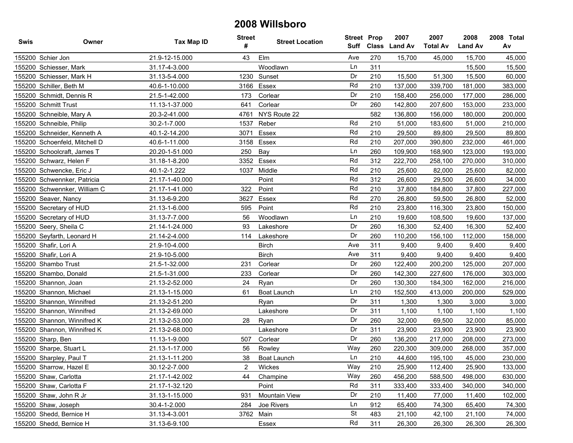| Swis | Owner                         | Tax Map ID     | <b>Street</b><br># | <b>Street Location</b> | <b>Street Prop</b><br>Suff |     | 2007<br>Class Land Av | 2007<br><b>Total Av</b> | 2008<br><b>Land Av</b> | 2008 Total<br>Av |
|------|-------------------------------|----------------|--------------------|------------------------|----------------------------|-----|-----------------------|-------------------------|------------------------|------------------|
|      | 155200 Schier Jon             | 21.9-12-15.000 | 43                 | Elm                    | Ave                        | 270 | 15,700                | 45,000                  | 15,700                 | 45,000           |
|      | 155200 Schiesser, Mark        | 31.17-4-3.000  |                    | Woodlawn               | Ln                         | 311 |                       |                         | 15,500                 | 15,500           |
|      | 155200 Schiesser, Mark H      | 31.13-5-4.000  | 1230               | Sunset                 | Dr                         | 210 | 15,500                | 51,300                  | 15,500                 | 60,000           |
|      | 155200 Schiller, Beth M       | 40.6-1-10.000  | 3166               | Essex                  | Rd                         | 210 | 137,000               | 339,700                 | 181,000                | 383,000          |
|      | 155200 Schmidt, Dennis R      | 21.5-1-42.000  | 173                | Corlear                | Dr                         | 210 | 158,400               | 256,000                 | 177,000                | 286,000          |
|      | 155200 Schmitt Trust          | 11.13-1-37.000 | 641                | Corlear                | Dr                         | 260 | 142,800               | 207,600                 | 153,000                | 233,000          |
|      | 155200 Schneible, Mary A      | 20.3-2-41.000  | 4761               | NYS Route 22           |                            | 582 | 136,800               | 156,000                 | 180,000                | 200,000          |
|      | 155200 Schneible, Philip      | 30.2-1-7.000   | 1537               | Reber                  | Rd                         | 210 | 51,000                | 183,600                 | 51,000                 | 210,000          |
|      | 155200 Schneider, Kenneth A   | 40.1-2-14.200  | 3071               | Essex                  | Rd                         | 210 | 29,500                | 89,800                  | 29,500                 | 89,800           |
|      | 155200 Schoenfeld, Mitchell D | 40.6-1-11.000  | 3158               | Essex                  | Rd                         | 210 | 207,000               | 390,800                 | 232,000                | 461,000          |
|      | 155200 Schoolcraft, James T   | 20.20-1-51.000 | 250                | Bay                    | Ln                         | 260 | 109,900               | 168,900                 | 123,000                | 193,000          |
|      | 155200 Schwarz, Helen F       | 31.18-1-8.200  |                    | 3352 Essex             | Rd                         | 312 | 222,700               | 258,100                 | 270,000                | 310,000          |
|      | 155200 Schwencke, Eric J      | 40.1-2-1.222   | 1037               | Middle                 | Rd                         | 210 | 25,600                | 82,000                  | 25,600                 | 82,000           |
|      | 155200 Schwennker, Patricia   | 21.17-1-40.000 |                    | Point                  | Rd                         | 312 | 26,600                | 29,500                  | 26,600                 | 34,000           |
|      | 155200 Schwennker, William C  | 21.17-1-41.000 | 322                | Point                  | Rd                         | 210 | 37,800                | 184,800                 | 37,800                 | 227,000          |
|      | 155200 Seaver, Nancy          | 31.13-6-9.200  | 3627               | Essex                  | Rd                         | 270 | 26,800                | 59,500                  | 26,800                 | 52,000           |
|      | 155200 Secretary of HUD       | 21.13-1-6.000  | 595                | Point                  | Rd                         | 210 | 23,800                | 116,300                 | 23,800                 | 150,000          |
|      | 155200 Secretary of HUD       | 31.13-7-7.000  | 56                 | Woodlawn               | Ln                         | 210 | 19,600                | 108,500                 | 19,600                 | 137,000          |
|      | 155200 Seery, Sheila C        | 21.14-1-24.000 | 93                 | Lakeshore              | Dr                         | 260 | 16,300                | 52,400                  | 16,300                 | 52,400           |
|      | 155200 Seyfarth, Leonard H    | 21.14-2-4.000  | 114                | Lakeshore              | Dr                         | 260 | 110,200               | 156,100                 | 112,000                | 158,000          |
|      | 155200 Shafir, Lori A         | 21.9-10-4.000  |                    | <b>Birch</b>           | Ave                        | 311 | 9,400                 | 9,400                   | 9,400                  | 9,400            |
|      | 155200 Shafir, Lori A         | 21.9-10-5.000  |                    | <b>Birch</b>           | Ave                        | 311 | 9,400                 | 9,400                   | 9,400                  | 9,400            |
|      | 155200 Shambo Trust           | 21.5-1-32.000  | 231                | Corlear                | Dr                         | 260 | 122,400               | 200,200                 | 125,000                | 207,000          |
|      | 155200 Shambo, Donald         | 21.5-1-31.000  | 233                | Corlear                | Dr                         | 260 | 142,300               | 227,600                 | 176,000                | 303,000          |
|      | 155200 Shannon, Joan          | 21.13-2-52.000 | 24                 | Ryan                   | Dr                         | 260 | 130,300               | 184,300                 | 162,000                | 216,000          |
|      | 155200 Shannon, Michael       | 21.13-1-15.000 | 61                 | Boat Launch            | Ln                         | 210 | 152,500               | 413,000                 | 200,000                | 529,000          |
|      | 155200 Shannon, Winnifred     | 21.13-2-51.200 |                    | Ryan                   | Dr                         | 311 | 1,300                 | 1,300                   | 3,000                  | 3,000            |
|      | 155200 Shannon, Winnifred     | 21.13-2-69.000 |                    | Lakeshore              | Dr                         | 311 | 1,100                 | 1,100                   | 1,100                  | 1,100            |
|      | 155200 Shannon, Winnifred K   | 21.13-2-53.000 | 28                 | Ryan                   | Dr                         | 260 | 32,000                | 69,500                  | 32,000                 | 85,000           |
|      | 155200 Shannon, Winnifred K   | 21.13-2-68.000 |                    | Lakeshore              | Dr                         | 311 | 23,900                | 23,900                  | 23,900                 | 23,900           |
|      | 155200 Sharp, Ben             | 11.13-1-9.000  | 507                | Corlear                | Dr                         | 260 | 136,200               | 217,000                 | 208,000                | 273,000          |
|      | 155200 Sharpe, Stuart L       | 21.13-1-17.000 | 56                 | Rowley                 | Way                        | 260 | 220,300               | 309,000                 | 268,000                | 357,000          |
|      | 155200 Sharpley, Paul T       | 21.13-1-11.200 | 38                 | <b>Boat Launch</b>     | Ln                         | 210 | 44,600                | 195,100                 | 45,000                 | 230,000          |
|      | 155200 Sharrow, Hazel E       | 30.12-2-7.000  | 2                  | Wickes                 | Way                        | 210 | 25,900                | 112,400                 | 25,900                 | 133,000          |
|      | 155200 Shaw, Carlotta         | 21.17-1-42.002 | 44                 | Champine               | Way                        | 260 | 456,200               | 588,500                 | 498,000                | 630,000          |
|      | 155200 Shaw, Carlotta F       | 21.17-1-32.120 |                    | Point                  | Rd                         | 311 | 333,400               | 333,400                 | 340,000                | 340,000          |
|      | 155200 Shaw, John R Jr        | 31.13-1-15.000 | 931                | <b>Mountain View</b>   | Dr                         | 210 | 11,400                | 77,000                  | 11,400                 | 102,000          |
|      | 155200 Shaw, Joseph           | 30.4-1-2.000   | 284                | Joe Rivers             | Ln                         | 912 | 65,400                | 74,300                  | 65,400                 | 74,300           |
|      | 155200 Shedd, Bernice H       | 31.13-4-3.001  |                    | 3762 Main              | St                         | 483 | 21,100                | 42,100                  | 21,100                 | 74,000           |
|      | 155200 Shedd, Bernice H       | 31.13-6-9.100  |                    | Essex                  | Rd                         | 311 | 26,300                | 26,300                  | 26,300                 | 26,300           |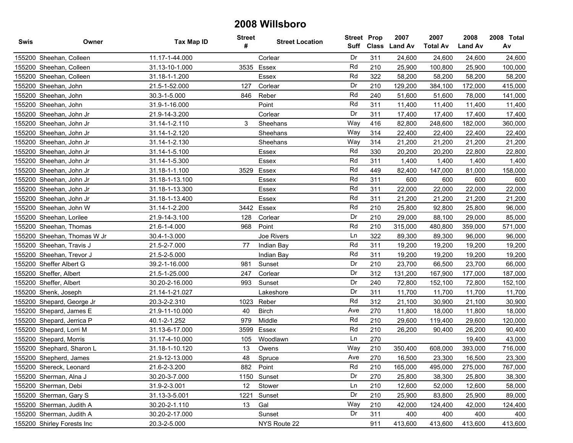| Swis | Owner                       | <b>Tax Map ID</b> | <b>Street</b><br># | <b>Street Location</b> | <b>Street Prop</b> |     | 2007<br>Suff Class Land Av | 2007<br><b>Total Av</b> | 2008<br><b>Land Av</b> | 2008 Total<br>Av |
|------|-----------------------------|-------------------|--------------------|------------------------|--------------------|-----|----------------------------|-------------------------|------------------------|------------------|
|      | 155200 Sheehan, Colleen     | 11.17-1-44.000    |                    | Corlear                | Dr                 | 311 | 24,600                     | 24,600                  | 24,600                 | 24,600           |
|      | 155200 Sheehan, Colleen     | 31.13-10-1.000    | 3535               | Essex                  | Rd                 | 210 | 25,900                     | 100,800                 | 25,900                 | 100,000          |
|      | 155200 Sheehan, Colleen     | 31.18-1-1.200     |                    | Essex                  | Rd                 | 322 | 58,200                     | 58,200                  | 58,200                 | 58,200           |
|      | 155200 Sheehan, John        | 21.5-1-52.000     | 127                | Corlear                | Dr                 | 210 | 129,200                    | 384,100                 | 172,000                | 415,000          |
|      | 155200 Sheehan, John        | 30.3-1-5.000      | 846                | Reber                  | Rd                 | 240 | 51,600                     | 51,600                  | 78,000                 | 141,000          |
|      | 155200 Sheehan, John        | 31.9-1-16.000     |                    | Point                  | Rd                 | 311 | 11,400                     | 11,400                  | 11,400                 | 11,400           |
|      | 155200 Sheehan, John Jr     | 21.9-14-3.200     |                    | Corlear                | Dr                 | 311 | 17,400                     | 17,400                  | 17,400                 | 17,400           |
|      | 155200 Sheehan, John Jr     | 31.14-1-2.110     | 3                  | Sheehans               | Way                | 416 | 82,800                     | 248,600                 | 182,000                | 360,000          |
|      | 155200 Sheehan, John Jr     | 31.14-1-2.120     |                    | Sheehans               | Way                | 314 | 22,400                     | 22,400                  | 22,400                 | 22,400           |
|      | 155200 Sheehan, John Jr     | 31.14-1-2.130     |                    | Sheehans               | Way                | 314 | 21,200                     | 21,200                  | 21,200                 | 21,200           |
|      | 155200 Sheehan, John Jr     | 31.14-1-5.100     |                    | Essex                  | Rd                 | 330 | 20,200                     | 20,200                  | 22,800                 | 22,800           |
|      | 155200 Sheehan, John Jr     | 31.14-1-5.300     |                    | Essex                  | Rd                 | 311 | 1,400                      | 1,400                   | 1,400                  | 1,400            |
|      | 155200 Sheehan, John Jr     | 31.18-1-1.100     | 3529               | Essex                  | Rd                 | 449 | 82,400                     | 147,000                 | 81,000                 | 158,000          |
|      | 155200 Sheehan, John Jr     | 31.18-1-13.100    |                    | Essex                  | Rd                 | 311 | 600                        | 600                     | 600                    | 600              |
|      | 155200 Sheehan, John Jr     | 31.18-1-13.300    |                    | Essex                  | Rd                 | 311 | 22,000                     | 22,000                  | 22,000                 | 22,000           |
|      | 155200 Sheehan, John Jr     | 31.18-1-13.400    |                    | Essex                  | Rd                 | 311 | 21,200                     | 21,200                  | 21,200                 | 21,200           |
|      | 155200 Sheehan, John W      | 31.14-1-2.200     | 3442               | Essex                  | Rd                 | 210 | 25,800                     | 92,800                  | 25,800                 | 96,000           |
|      | 155200 Sheehan, Lorilee     | 21.9-14-3.100     | 128                | Corlear                | Dr                 | 210 | 29,000                     | 88,100                  | 29,000                 | 85,000           |
|      | 155200 Sheehan, Thomas      | 21.6-1-4.000      | 968                | Point                  | Rd                 | 210 | 315,000                    | 480,800                 | 359,000                | 571,000          |
|      | 155200 Sheehan, Thomas W Jr | 30.4-1-3.000      |                    | Joe Rivers             | Ln                 | 322 | 89,300                     | 89,300                  | 96,000                 | 96,000           |
|      | 155200 Sheehan, Travis J    | 21.5-2-7.000      | 77                 | Indian Bay             | Rd                 | 311 | 19,200                     | 19,200                  | 19,200                 | 19,200           |
|      | 155200 Sheehan, Trevor J    | 21.5-2-5.000      |                    | Indian Bay             | Rd                 | 311 | 19,200                     | 19,200                  | 19,200                 | 19,200           |
|      | 155200 Sheffer Albert G     | 39.2-1-16.000     | 981                | Sunset                 | Dr                 | 210 | 23,700                     | 66,500                  | 23,700                 | 66,000           |
|      | 155200 Sheffer, Albert      | 21.5-1-25.000     | 247                | Corlear                | Dr                 | 312 | 131,200                    | 167,900                 | 177,000                | 187,000          |
|      | 155200 Sheffer, Albert      | 30.20-2-16.000    | 993                | Sunset                 | Dr                 | 240 | 72,800                     | 152,100                 | 72,800                 | 152,100          |
|      | 155200 Shenk, Joseph        | 21.14-1-21.027    |                    | Lakeshore              | Dr                 | 311 | 11,700                     | 11,700                  | 11,700                 | 11,700           |
|      | 155200 Shepard, George Jr   | 20.3-2-2.310      | 1023               | Reber                  | Rd                 | 312 | 21,100                     | 30,900                  | 21,100                 | 30,900           |
|      | 155200 Shepard, James E     | 21.9-11-10.000    | 40                 | <b>Birch</b>           | Ave                | 270 | 11,800                     | 18,000                  | 11,800                 | 18,000           |
|      | 155200 Shepard, Jerrica P   | 40.1-2-1.252      | 979                | Middle                 | Rd                 | 210 | 29,600                     | 119,400                 | 29,600                 | 120,000          |
|      | 155200 Shepard, Lorri M     | 31.13-6-17.000    | 3599               | Essex                  | Rd                 | 210 | 26,200                     | 90,400                  | 26,200                 | 90,400           |
|      | 155200 Shepard, Morris      | 31.17-4-10.000    | 105                | Woodlawn               | Ln                 | 270 |                            |                         | 19,400                 | 43,000           |
|      | 155200 Shephard, Sharon L   | 31.18-1-10.120    | 13                 | Owens                  | Way                | 210 | 350,400                    | 608,000                 | 393,000                | 716,000          |
|      | 155200 Shepherd, James      | 21.9-12-13.000    | 48                 | Spruce                 | Ave                | 270 | 16,500                     | 23,300                  | 16,500                 | 23,300           |
|      | 155200 Shereck, Leonard     | 21.6-2-3.200      | 882                | Point                  | Rd                 | 210 | 165,000                    | 495,000                 | 275,000                | 767,000          |
|      | 155200 Sherman, Alna J      | 30.20-3-7.000     |                    | 1150 Sunset            | Dr                 | 270 | 25,800                     | 38,300                  | 25,800                 | 38,300           |
|      | 155200 Sherman, Debi        | 31.9-2-3.001      | 12 <sup>°</sup>    | Stower                 | Ln                 | 210 | 12,600                     | 52,000                  | 12,600                 | 58,000           |
|      | 155200 Sherman, Gary S      | 31.13-3-5.001     | 1221               | Sunset                 | Dr                 | 210 | 25,900                     | 83,800                  | 25,900                 | 89,000           |
|      | 155200 Sherman, Judith A    | 30.20-2-1.110     | 13                 | Gal                    | Way                | 210 | 42,000                     | 124,400                 | 42,000                 | 124,400          |
|      | 155200 Sherman, Judith A    | 30.20-2-17.000    |                    | Sunset                 | Dr                 | 311 | 400                        | 400                     | 400                    | 400              |
|      | 155200 Shirley Forests Inc  | 20.3-2-5.000      |                    | NYS Route 22           |                    | 911 | 413,600                    | 413,600                 | 413,600                | 413,600          |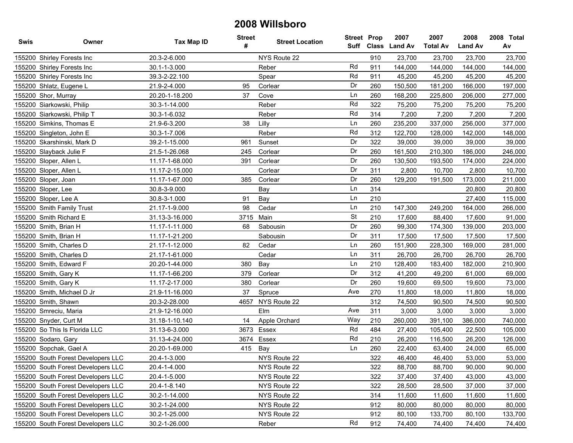| Swis | Owner                              | <b>Tax Map ID</b> | <b>Street</b><br># | <b>Street Location</b> | <b>Street Prop</b><br>Suff | <b>Class</b> | 2007<br><b>Land Av</b> | 2007<br><b>Total Av</b> | 2008<br><b>Land Av</b> | 2008 Total<br>Av |
|------|------------------------------------|-------------------|--------------------|------------------------|----------------------------|--------------|------------------------|-------------------------|------------------------|------------------|
|      | 155200 Shirley Forests Inc         | 20.3-2-6.000      |                    | NYS Route 22           |                            | 910          | 23,700                 | 23,700                  | 23,700                 | 23,700           |
|      | 155200 Shirley Forests Inc         | 30.1-1-3.000      |                    | Reber                  | Rd                         | 911          | 144,000                | 144,000                 | 144,000                | 144,000          |
|      | 155200 Shirley Forests Inc         | 39.3-2-22.100     |                    | Spear                  | Rd                         | 911          | 45,200                 | 45,200                  | 45,200                 | 45,200           |
|      | 155200 Shlatz, Eugene L            | 21.9-2-4.000      | 95                 | Corlear                | Dr                         | 260          | 150,500                | 181,200                 | 166,000                | 197,000          |
|      | 155200 Shor, Murray                | 20.20-1-18.200    | 37                 | Cove                   | Ln                         | 260          | 168,200                | 225,800                 | 206,000                | 277,000          |
|      | 155200 Siarkowski, Philip          | 30.3-1-14.000     |                    | Reber                  | Rd                         | 322          | 75,200                 | 75,200                  | 75,200                 | 75,200           |
|      | 155200 Siarkowski, Philip T        | 30.3-1-6.032      |                    | Reber                  | Rd                         | 314          | 7,200                  | 7,200                   | 7,200                  | 7,200            |
|      | 155200 Simkins, Thomas E           | 21.9-6-3.200      | 38                 | Lilly                  | Ln                         | 260          | 235,200                | 337,000                 | 256,000                | 377,000          |
|      | 155200 Singleton, John E           | 30.3-1-7.006      |                    | Reber                  | Rd                         | 312          | 122,700                | 128,000                 | 142,000                | 148,000          |
|      | 155200 Skarshinski, Mark D         | 39.2-1-15.000     | 961                | Sunset                 | Dr                         | 322          | 39,000                 | 39,000                  | 39,000                 | 39,000           |
|      | 155200 Slayback Julie F            | 21.5-1-26.068     | 245                | Corlear                | Dr                         | 260          | 161,500                | 210,300                 | 186,000                | 246,000          |
|      | 155200 Sloper, Allen L             | 11.17-1-68.000    | 391                | Corlear                | Dr                         | 260          | 130,500                | 193,500                 | 174,000                | 224,000          |
|      | 155200 Sloper, Allen L             | 11.17-2-15.000    |                    | Corlear                | Dr                         | 311          | 2,800                  | 10,700                  | 2,800                  | 10,700           |
|      | 155200 Sloper, Joan                | 11.17-1-67.000    | 385                | Corlear                | Dr                         | 260          | 129,200                | 191,500                 | 173,000                | 211,000          |
|      | 155200 Sloper, Lee                 | 30.8-3-9.000      |                    | Bay                    | Ln                         | 314          |                        |                         | 20,800                 | 20,800           |
|      | 155200 Sloper, Lee A               | 30.8-3-1.000      | 91                 | Bay                    | Ln                         | 210          |                        |                         | 27,400                 | 115,000          |
|      | 155200 Smith Family Trust          | 21.17-1-9.000     | 98                 | Cedar                  | Ln                         | 210          | 147,300                | 249,200                 | 164,000                | 266,000          |
|      | 155200 Smith Richard E             | 31.13-3-16.000    | 3715               | Main                   | <b>St</b>                  | 210          | 17,600                 | 88,400                  | 17,600                 | 91,000           |
|      | 155200 Smith, Brian H              | 11.17-1-11.000    | 68                 | Sabousin               | Dr                         | 260          | 99,300                 | 174,300                 | 139,000                | 203,000          |
|      | 155200 Smith, Brian H              | 11.17-1-21.200    |                    | Sabousin               | Dr                         | 311          | 17,500                 | 17,500                  | 17,500                 | 17,500           |
|      | 155200 Smith, Charles D            | 21.17-1-12.000    | 82                 | Cedar                  | Ln                         | 260          | 151,900                | 228,300                 | 169,000                | 281,000          |
|      | 155200 Smith, Charles D            | 21.17-1-61.000    |                    | Cedar                  | Ln                         | 311          | 26,700                 | 26,700                  | 26,700                 | 26,700           |
|      | 155200 Smith, Edward F             | 20.20-1-44.000    | 380                | Bay                    | Ln                         | 210          | 128,400                | 183,400                 | 182,000                | 210,900          |
|      | 155200 Smith, Gary K               | 11.17-1-66.200    | 379                | Corlear                | Dr                         | 312          | 41,200                 | 49,200                  | 61,000                 | 69,000           |
|      | 155200 Smith, Gary K               | 11.17-2-17.000    | 380                | Corlear                | Dr                         | 260          | 19,600                 | 69,500                  | 19,600                 | 73,000           |
|      | 155200 Smith, Michael D Jr         | 21.9-11-16.000    | 37                 | Spruce                 | Ave                        | 270          | 11,800                 | 18,000                  | 11,800                 | 18,000           |
|      | 155200 Smith, Shawn                | 20.3-2-28.000     | 4657               | NYS Route 22           |                            | 312          | 74,500                 | 90,500                  | 74,500                 | 90,500           |
|      | 155200 Smreciu, Maria              | 21.9-12-16.000    |                    | Elm                    | Ave                        | 311          | 3,000                  | 3,000                   | 3,000                  | 3,000            |
|      | 155200 Snyder, Curt M              | 31.18-1-10.140    | 14                 | Apple Orchard          | Way                        | 210          | 260,000                | 391,100                 | 386,000                | 740,000          |
|      | 155200 So This Is Florida LLC      | 31.13-6-3.000     |                    | 3673 Essex             | Rd                         | 484          | 27,400                 | 105,400                 | 22,500                 | 105,000          |
|      | 155200 Sodaro, Gary                | 31.13-4-24.000    | 3674               | Essex                  | Rd                         | 210          | 26,200                 | 116,500                 | 26,200                 | 126,000          |
|      | 155200 Sopchak, Gael A             | 20.20-1-69.000    | 415                | Bay                    | Ln                         | 260          | 22,400                 | 63,400                  | 24,000                 | 65,000           |
|      | 155200 South Forest Developers LLC | 20.4-1-3.000      |                    | NYS Route 22           |                            | 322          | 46,400                 | 46,400                  | 53,000                 | 53,000           |
|      | 155200 South Forest Developers LLC | 20.4-1-4.000      |                    | NYS Route 22           |                            | 322          | 88,700                 | 88,700                  | 90,000                 | 90,000           |
|      | 155200 South Forest Developers LLC | 20.4-1-5.000      |                    | NYS Route 22           |                            | 322          | 37,400                 | 37,400                  | 43,000                 | 43,000           |
|      | 155200 South Forest Developers LLC | 20.4-1-8.140      |                    | NYS Route 22           |                            | 322          | 28,500                 | 28,500                  | 37,000                 | 37,000           |
|      | 155200 South Forest Developers LLC | 30.2-1-14.000     |                    | NYS Route 22           |                            | 314          | 11,600                 | 11,600                  | 11,600                 | 11,600           |
|      | 155200 South Forest Developers LLC | 30.2-1-24.000     |                    | NYS Route 22           |                            | 912          | 80,000                 | 80,000                  | 80,000                 | 80,000           |
|      | 155200 South Forest Developers LLC | 30.2-1-25.000     |                    | NYS Route 22           |                            | 912          | 80,100                 | 133,700                 | 80,100                 | 133,700          |
|      | 155200 South Forest Developers LLC | 30.2-1-26.000     |                    | Reber                  | Rd                         | 912          | 74,400                 | 74,400                  | 74,400                 | 74,400           |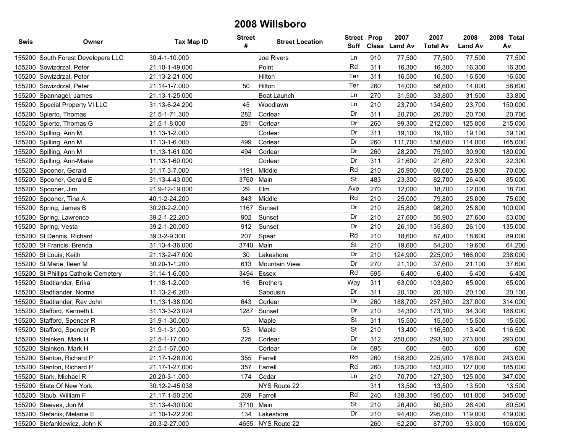| Swis | Owner                                | Tax Map ID     | <b>Street</b><br># | <b>Street Location</b> | <b>Street Prop</b><br>Suff |     | 2007<br>Class Land Av | 2007<br><b>Total Av</b> | 2008<br><b>Land Av</b> | 2008 Total<br>Av |
|------|--------------------------------------|----------------|--------------------|------------------------|----------------------------|-----|-----------------------|-------------------------|------------------------|------------------|
|      | 155200 South Forest Developers LLC   | 30.4-1-10.000  |                    | Joe Rivers             | Ln                         | 910 | 77,500                | 77,500                  | 77,500                 | 77,500           |
|      | 155200 Sowizdrzal, Peter             | 21.10-1-49.000 |                    | Point                  | Rd                         | 311 | 16,300                | 16,300                  | 16,300                 | 16,300           |
|      | 155200 Sowizdrzal, Peter             | 21.13-2-21.000 |                    | Hilton                 | Ter                        | 311 | 16,500                | 16,500                  | 16,500                 | 16,500           |
|      | 155200 Sowizdrzal, Peter             | 21.14-1-7.000  | 50                 | Hilton                 | Ter                        | 260 | 14,000                | 58,600                  | 14,000                 | 58,600           |
|      | 155200 Spannagel, James              | 21.13-1-25.000 |                    | Boat Launch            | Ln                         | 270 | 31,500                | 33,800                  | 31,500                 | 33,800           |
|      | 155200 Special Property VI LLC       | 31.13-6-24.200 | 45                 | Woodlawn               | Ln                         | 210 | 23,700                | 134,600                 | 23,700                 | 150,000          |
|      | 155200 Spierto, Thomas               | 21.5-1-71.300  | 282                | Corlear                | Dr                         | 311 | 20,700                | 20,700                  | 20,700                 | 20,700           |
|      | 155200 Spierto, Thomas G             | 21.5-1-8.000   | 281                | Corlear                | Dr                         | 260 | 99,300                | 212,000                 | 125,000                | 215,000          |
|      | 155200 Spilling, Ann M               | 11.13-1-2.000  |                    | Corlear                | Dr                         | 311 | 19,100                | 19,100                  | 19,100                 | 19,100           |
|      | 155200 Spilling, Ann M               | 11.13-1-6.000  | 499                | Corlear                | Dr                         | 260 | 111,700               | 158,600                 | 114,000                | 165,000          |
|      | 155200 Spilling, Ann M               | 11.13-1-61.000 | 494                | Corlear                | Dr                         | 260 | 28,200                | 75,900                  | 30,900                 | 180,000          |
|      | 155200 Spilling, Ann-Marie           | 11.13-1-60.000 |                    | Corlear                | Dr                         | 311 | 21,600                | 21,600                  | 22,300                 | 22,300           |
|      | 155200 Spooner, Gerald               | 31.17-3-7.000  | 1191               | Middle                 | Rd                         | 210 | 25,900                | 69,600                  | 25,900                 | 70,000           |
|      | 155200 Spooner, Gerald E             | 31.13-4-43.000 | 3760               | Main                   | St                         | 483 | 23,300                | 82,700                  | 26,400                 | 85,000           |
|      | 155200 Spooner, Jim                  | 21.9-12-19.000 | 29                 | Elm                    | Ave                        | 270 | 12,000                | 18,700                  | 12,000                 | 18,700           |
|      | 155200 Spooner, Tina A               | 40.1-2-24.200  | 843                | Middle                 | Rd                         | 210 | 25,000                | 79,800                  | 25,000                 | 75,000           |
|      | 155200 Spring, James B               | 30.20-2-2.000  | 1167               | Sunset                 | Dr                         | 210 | 25,800                | 98,200                  | 25,800                 | 100,000          |
|      | 155200 Spring, Lawrence              | 39.2-1-22.200  | 902                | Sunset                 | Dr                         | 210 | 27,600                | 55,900                  | 27,600                 | 53,000           |
|      | 155200 Spring, Vesta                 | 39.2-1-20.000  | 912                | Sunset                 | Dr                         | 210 | 26,100                | 135,800                 | 26,100                 | 135,000          |
|      | 155200 St Dennis, Richard            | 39.3-2-9.300   | 207                | Spear                  | Rd                         | 210 | 18,600                | 87,400                  | 18,600                 | 89,000           |
|      | 155200 St Francis, Brenda            | 31.13-4-36.000 | 3740               | Main                   | <b>St</b>                  | 210 | 19,600                | 64,200                  | 19,600                 | 64,200           |
|      | 155200 St Louis, Keith               | 21.13-2-47.000 | 30                 | Lakeshore              | Dr                         | 210 | 124,900               | 225,000                 | 166,000                | 238,000          |
|      | 155200 St Marie, Ileen M             | 30.20-1-1.200  | 613                | <b>Mountain View</b>   | Dr                         | 270 | 21,100                | 37,600                  | 21,100                 | 37,600           |
|      | 155200 St Phillips Catholic Cemetery | 31.14-1-6.000  | 3494               | Essex                  | Rd                         | 695 | 6,400                 | 6,400                   | 6,400                  | 6,400            |
|      | 155200 Stadtlander, Erika            | 11.18-1-2.000  | 16                 | <b>Brothers</b>        | Way                        | 311 | 63,000                | 103,800                 | 65,000                 | 65,000           |
|      | 155200 Stadtlander, Norma            | 11.13-2-6.200  |                    | Sabousin               | Dr                         | 311 | 20,100                | 20,100                  | 20,100                 | 20,100           |
|      | 155200 Stadtlander, Rev John         | 11.13-1-38.000 | 643                | Corlear                | Dr                         | 260 | 188,700               | 257,500                 | 237,000                | 314,000          |
|      | 155200 Stafford, Kenneth L           | 31.13-3-23.024 | 1287               | Sunset                 | Dr                         | 210 | 34,300                | 173,100                 | 34,300                 | 186,000          |
|      | 155200 Stafford, Spencer R           | 31.9-1-30.000  |                    | Maple                  | <b>St</b>                  | 311 | 15,500                | 15,500                  | 15,500                 | 15,500           |
|      | 155200 Stafford, Spencer R           | 31.9-1-31.000  | 53                 | Maple                  | <b>St</b>                  | 210 | 13,400                | 116,500                 | 13,400                 | 116,500          |
|      | 155200 Stainken, Mark H              | 21.5-1-17.000  | 225                | Corlear                | Dr                         | 312 | 250,000               | 293,100                 | 273,000                | 293,000          |
|      | 155200 Stainken, Mark H              | 21.5-1-67.000  |                    | Corlear                | Dr                         | 695 | 600                   | 600                     | 600                    | 600              |
|      | 155200 Stanton, Richard P            | 21.17-1-26.000 | 355                | Farrell                | Rd                         | 260 | 158,800               | 225,900                 | 176,000                | 243,000          |
|      | 155200 Stanton, Richard P            | 21.17-1-27.000 | 357                | Farrell                | Rd                         | 260 | 125,200               | 183,200                 | 127,000                | 185,000          |
|      | 155200 Stark, Michael R              | 20.20-3-1.000  | 174                | Cedar                  | Ln                         | 210 | 70,700                | 127,300                 | 125,000                | 347,000          |
|      | 155200 State Of New York             | 30.12-2-45.038 |                    | NYS Route 22           |                            | 311 | 13,500                | 13,500                  | 13,500                 | 13,500           |
|      | 155200 Staub, William F              | 21.17-1-50.200 | 269                | Farrell                | Rd                         | 240 | 138,300               | 195,600                 | 101,000                | 345,000          |
|      | 155200 Steeves, Jon M                | 31.13-4-30.000 |                    | 3710 Main              | St                         | 210 | 26,400                | 80,500                  | 26,400                 | 80,500           |
|      | 155200 Stefanik, Melanie E           | 21.10-1-22.200 | 134                | Lakeshore              | Dr                         | 210 | 94,400                | 295,000                 | 119,000                | 419,000          |
|      | 155200 Stefankiewicz, John K         | 20.3-2-27.000  |                    | 4655 NYS Route 22      |                            | 260 | 62,200                | 87,700                  | 93,000                 | 106,000          |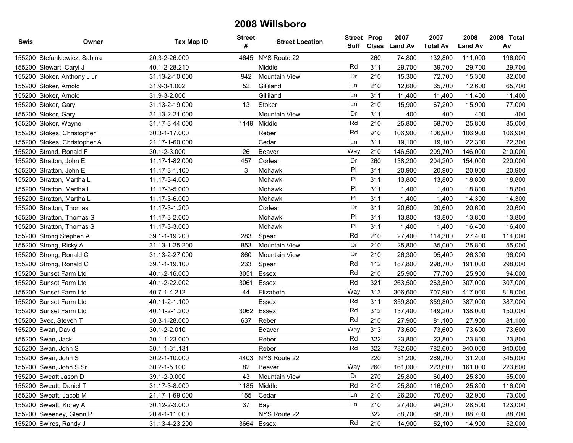| <b>Swis</b> | Owner                        | <b>Tax Map ID</b> | <b>Street</b><br># | <b>Street Location</b> | <b>Street Prop</b> | Suff Class | 2007<br><b>Land Av</b> | 2007<br><b>Total Av</b> | 2008<br><b>Land Av</b> | 2008 Total<br>Av |
|-------------|------------------------------|-------------------|--------------------|------------------------|--------------------|------------|------------------------|-------------------------|------------------------|------------------|
|             | 155200 Stefankiewicz, Sabina | 20.3-2-26.000     |                    | 4645 NYS Route 22      |                    | 260        | 74,800                 | 132,800                 | 111,000                | 196,000          |
|             | 155200 Stewart, Caryl J      | 40.1-2-28.210     |                    | Middle                 | Rd                 | 311        | 29,700                 | 39,700                  | 29,700                 | 29,700           |
|             | 155200 Stoker, Anthony J Jr  | 31.13-2-10.000    | 942                | <b>Mountain View</b>   | Dr                 | 210        | 15,300                 | 72,700                  | 15,300                 | 82,000           |
|             | 155200 Stoker, Arnold        | 31.9-3-1.002      | 52                 | Gilliland              | Ln                 | 210        | 12,600                 | 65,700                  | 12,600                 | 65,700           |
|             | 155200 Stoker, Arnold        | 31.9-3-2.000      |                    | Gilliland              | Ln                 | 311        | 11,400                 | 11,400                  | 11,400                 | 11,400           |
|             | 155200 Stoker, Gary          | 31.13-2-19.000    | 13                 | Stoker                 | Ln                 | 210        | 15,900                 | 67,200                  | 15,900                 | 77,000           |
|             | 155200 Stoker, Gary          | 31.13-2-21.000    |                    | <b>Mountain View</b>   | Dr                 | 311        | 400                    | 400                     | 400                    | 400              |
|             | 155200 Stoker, Wayne         | 31.17-3-44.000    | 1149               | Middle                 | Rd                 | 210        | 25,800                 | 68,700                  | 25,800                 | 85,000           |
|             | 155200 Stokes, Christopher   | 30.3-1-17.000     |                    | Reber                  | Rd                 | 910        | 106,900                | 106,900                 | 106,900                | 106,900          |
|             | 155200 Stokes, Christopher A | 21.17-1-60.000    |                    | Cedar                  | Ln                 | 311        | 19,100                 | 19,100                  | 22,300                 | 22,300           |
|             | 155200 Strand, Ronald F      | 30.1-2-3.000      | 26                 | Beaver                 | Way                | 210        | 146,500                | 209,700                 | 146,000                | 210,000          |
|             | 155200 Stratton, John E      | 11.17-1-82.000    | 457                | Corlear                | Dr                 | 260        | 138,200                | 204,200                 | 154,000                | 220,000          |
|             | 155200 Stratton, John E      | 11.17-3-1.100     | 3                  | Mohawk                 | PI                 | 311        | 20,900                 | 20,900                  | 20,900                 | 20,900           |
|             | 155200 Stratton, Martha L    | 11.17-3-4.000     |                    | Mohawk                 | P <sub>1</sub>     | 311        | 13,800                 | 13,800                  | 18,800                 | 18,800           |
|             | 155200 Stratton, Martha L    | 11.17-3-5.000     |                    | Mohawk                 | P <sub>1</sub>     | 311        | 1,400                  | 1,400                   | 18,800                 | 18,800           |
|             | 155200 Stratton, Martha L    | 11.17-3-6.000     |                    | Mohawk                 | P <sub>1</sub>     | 311        | 1,400                  | 1,400                   | 14,300                 | 14,300           |
|             | 155200 Stratton, Thomas      | 11.17-3-1.200     |                    | Corlear                | Dr                 | 311        | 20,600                 | 20,600                  | 20,600                 | 20,600           |
|             | 155200 Stratton, Thomas S    | 11.17-3-2.000     |                    | Mohawk                 | P <sub>1</sub>     | 311        | 13,800                 | 13,800                  | 13,800                 | 13,800           |
|             | 155200 Stratton, Thomas S    | 11.17-3-3.000     |                    | Mohawk                 | P <sub>1</sub>     | 311        | 1,400                  | 1,400                   | 16,400                 | 16,400           |
|             | 155200 Strong Stephen A      | 39.1-1-19.200     | 283                | Spear                  | Rd                 | 210        | 27,400                 | 114,300                 | 27,400                 | 114,000          |
|             | 155200 Strong, Ricky A       | 31.13-1-25.200    | 853                | Mountain View          | Dr                 | 210        | 25,800                 | 35,000                  | 25,800                 | 55,000           |
|             | 155200 Strong, Ronald C      | 31.13-2-27.000    | 860                | <b>Mountain View</b>   | Dr                 | 210        | 26,300                 | 95,400                  | 26,300                 | 96,000           |
|             | 155200 Strong, Ronald C      | 39.1-1-19.100     | 233                | Spear                  | Rd                 | 112        | 187,800                | 298,700                 | 191,000                | 298,000          |
|             | 155200 Sunset Farm Ltd       | 40.1-2-16.000     | 3051               | Essex                  | Rd                 | 210        | 25,900                 | 77,700                  | 25,900                 | 94,000           |
|             | 155200 Sunset Farm Ltd       | 40.1-2-22.002     | 3061               | Essex                  | Rd                 | 321        | 263,500                | 263,500                 | 307,000                | 307,000          |
|             | 155200 Sunset Farm Ltd       | 40.7-1-4.212      | 44                 | Elizabeth              | Way                | 313        | 306,600                | 707,900                 | 417,000                | 818,000          |
|             | 155200 Sunset Farm Ltd       | 40.11-2-1.100     |                    | Essex                  | Rd                 | 311        | 359,800                | 359,800                 | 387,000                | 387,000          |
|             | 155200 Sunset Farm Ltd       | 40.11-2-1.200     |                    | 3062 Essex             | Rd                 | 312        | 137,400                | 149,200                 | 138,000                | 150,000          |
|             | 155200 Svec, Steven T        | 30.3-1-28.000     | 637                | Reber                  | Rd                 | 210        | 27,900                 | 81,100                  | 27,900                 | 81,100           |
|             | 155200 Swan, David           | 30.1-2-2.010      |                    | Beaver                 | Way                | 313        | 73,600                 | 73,600                  | 73,600                 | 73,600           |
|             | 155200 Swan, Jack            | 30.1-1-23.000     |                    | Reber                  | Rd                 | 322        | 23,800                 | 23,800                  | 23,800                 | 23,800           |
|             | 155200 Swan, John S          | 30.1-1-31.131     |                    | Reber                  | Rd                 | 322        | 782,600                | 782,600                 | 940,000                | 940,000          |
|             | 155200 Swan, John S          | 30.2-1-10.000     |                    | 4403 NYS Route 22      |                    | 220        | 31,200                 | 269,700                 | 31,200                 | 345,000          |
|             | 155200 Swan, John S Sr       | 30.2-1-5.100      |                    | 82 Beaver              | Way                | 260        | 161,000                | 223,600                 | 161,000                | 223,600          |
|             | 155200 Sweatt Jason D        | 39.1-2-9.000      | 43                 | <b>Mountain View</b>   | Dr                 | 270        | 25,800                 | 60,400                  | 25,800                 | 55,000           |
|             | 155200 Sweatt, Daniel T      | 31.17-3-8.000     |                    | 1185 Middle            | Rd                 | 210        | 25,800                 | 116,000                 | 25,800                 | 116,000          |
|             | 155200 Sweatt, Jacob M       | 21.17-1-69.000    | 155                | Cedar                  | Ln                 | 210        | 26,200                 | 70,600                  | 32,900                 | 73,000           |
|             | 155200 Sweatt, Korey A       | 30.12-2-3.000     | 37                 | Bay                    | Ln                 | 210        | 27,400                 | 94,300                  | 28,500                 | 123,000          |
|             | 155200 Sweeney, Glenn P      | 20.4-1-11.000     |                    | NYS Route 22           |                    | 322        | 88,700                 | 88,700                  | 88,700                 | 88,700           |
|             | 155200 Swires, Randy J       | 31.13-4-23.200    |                    | 3664 Essex             | Rd                 | 210        | 14,900                 | 52,100                  | 14,900                 | 52,000           |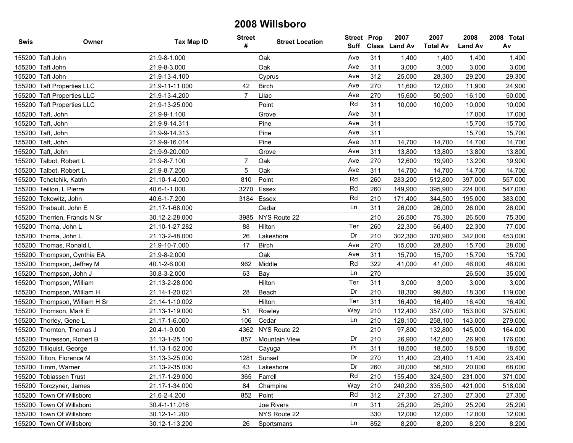| Swis   | Owner                         | Tax Map ID     | <b>Street</b><br># | <b>Street Location</b> | <b>Street Prop</b><br>Suff |     | 2007<br>Class Land Av | 2007<br><b>Total Av</b> | 2008<br><b>Land Av</b> | 2008 Total<br>Av |
|--------|-------------------------------|----------------|--------------------|------------------------|----------------------------|-----|-----------------------|-------------------------|------------------------|------------------|
|        | 155200 Taft John              | 21.9-8-1.000   |                    | Oak                    | Ave                        | 311 | 1,400                 | 1,400                   | 1,400                  | 1,400            |
|        | 155200 Taft John              | 21.9-8-3.000   |                    | Oak                    | Ave                        | 311 | 3,000                 | 3,000                   | 3,000                  | 3,000            |
|        | 155200 Taft John              | 21.9-13-4.100  |                    | Cyprus                 | Ave                        | 312 | 25,000                | 28,300                  | 29,200                 | 29,300           |
|        | 155200 Taft Properties LLC    | 21.9-11-11.000 | 42                 | <b>Birch</b>           | Ave                        | 270 | 11,600                | 12,000                  | 11,900                 | 24,900           |
|        | 155200 Taft Properties LLC    | 21.9-13-4.200  | $\overline{7}$     | Lilac                  | Ave                        | 270 | 15,600                | 50,900                  | 16,100                 | 50,000           |
|        | 155200 Taft Properties LLC    | 21.9-13-25.000 |                    | Point                  | Rd                         | 311 | 10,000                | 10,000                  | 10,000                 | 10,000           |
|        | 155200 Taft, John             | 21.9-9-1.100   |                    | Grove                  | Ave                        | 311 |                       |                         | 17,000                 | 17,000           |
|        | 155200 Taft, John             | 21.9-9-14.311  |                    | Pine                   | Ave                        | 311 |                       |                         | 15,700                 | 15,700           |
|        | 155200 Taft, John             | 21.9-9-14.313  |                    | Pine                   | Ave                        | 311 |                       |                         | 15,700                 | 15,700           |
|        | 155200 Taft, John             | 21.9-9-16.014  |                    | Pine                   | Ave                        | 311 | 14,700                | 14,700                  | 14,700                 | 14,700           |
|        | 155200 Taft, John             | 21.9-9-20.000  |                    | Grove                  | Ave                        | 311 | 13,800                | 13,800                  | 13,800                 | 13,800           |
|        | 155200 Talbot, Robert L       | 21.9-8-7.100   | $\overline{7}$     | Oak                    | Ave                        | 270 | 12,600                | 19,900                  | 13,200                 | 19,900           |
| 155200 | Talbot, Robert L              | 21.9-8-7.200   | 5                  | Oak                    | Ave                        | 311 | 14,700                | 14,700                  | 14,700                 | 14,700           |
|        | 155200 Tchetchik, Katrin      | 21.10-1-4.000  | 810                | Point                  | Rd                         | 260 | 283,200               | 512,800                 | 397,000                | 557,000          |
|        | 155200 Teillon, L Pierre      | 40.6-1-1.000   | 3270               | Essex                  | Rd                         | 260 | 149,900               | 395,900                 | 224,000                | 547,000          |
|        | 155200 Tekowitz, John         | 40.6-1-7.200   | 3184               | Essex                  | Rd                         | 210 | 171,400               | 344,500                 | 195,000                | 383,000          |
|        | 155200 Thabault, John E       | 21.17-1-68.000 |                    | Cedar                  | Ln                         | 311 | 26,000                | 26,000                  | 26,000                 | 26,000           |
|        | 155200 Therrien, Francis N Sr | 30.12-2-28.000 | 3985               | NYS Route 22           |                            | 210 | 26,500                | 75,300                  | 26,500                 | 75,300           |
|        | 155200 Thoma, John L          | 21.10-1-27.282 | 88                 | Hilton                 | Ter                        | 260 | 22,300                | 66,400                  | 22,300                 | 77,000           |
|        | 155200 Thoma, John L          | 21.13-2-48.000 | 26                 | Lakeshore              | Dr                         | 210 | 302,300               | 370,900                 | 342,000                | 453,000          |
|        | 155200 Thomas, Ronald L       | 21.9-10-7.000  | 17                 | <b>Birch</b>           | Ave                        | 270 | 15,000                | 28,800                  | 15,700                 | 28,000           |
|        | 155200 Thompson, Cynthia EA   | 21.9-8-2.000   |                    | Oak                    | Ave                        | 311 | 15,700                | 15,700                  | 15,700                 | 15,700           |
|        | 155200 Thompson, Jeffrey M    | 40.1-2-6.000   | 962                | Middle                 | Rd                         | 322 | 41,000                | 41,000                  | 46,000                 | 46,000           |
|        | 155200 Thompson, John J       | 30.8-3-2.000   | 63                 | Bay                    | Ln                         | 270 |                       |                         | 26,500                 | 35,000           |
| 155200 | Thompson, William             | 21.13-2-28.000 |                    | Hilton                 | Ter                        | 311 | 3,000                 | 3,000                   | 3,000                  | 3,000            |
|        | 155200 Thompson, William H    | 21.14-1-20.021 | 28                 | Beach                  | Dr                         | 210 | 18,300                | 99,800                  | 18,300                 | 119,000          |
|        | 155200 Thompson, William H Sr | 21.14-1-10.002 |                    | Hilton                 | Ter                        | 311 | 16,400                | 16,400                  | 16,400                 | 16,400           |
|        | 155200 Thomson, Mark E        | 21.13-1-19.000 | 51                 | Rowley                 | Way                        | 210 | 112,400               | 357,000                 | 153,000                | 375,000          |
|        | 155200 Thorley, Gene L        | 21.17-1-6.000  | 106                | Cedar                  | Ln                         | 210 | 128,100               | 258,100                 | 143,000                | 279,000          |
|        | 155200 Thornton, Thomas J     | 20.4-1-9.000   | 4362               | NYS Route 22           |                            | 210 | 97,800                | 132,800                 | 145,000                | 164,000          |
|        | 155200 Thuresson, Robert B    | 31.13-1-25.100 | 857                | Mountain View          | Dr                         | 210 | 26,900                | 142,600                 | 26,900                 | 176,000          |
|        | 155200 Tilliquist, George     | 11.13-1-52.000 |                    | Cayuga                 | PI                         | 311 | 18,500                | 18,500                  | 18,500                 | 18,500           |
|        | 155200 Tilton, Florence M     | 31.13-3-25.000 |                    | 1281 Sunset            | Dr                         | 270 | 11,400                | 23,400                  | 11,400                 | 23,400           |
|        | 155200 Timm, Warner           | 21.13-2-35.000 | 43                 | Lakeshore              | Dr                         | 260 | 20,000                | 56,500                  | 20,000                 | 68,000           |
|        | 155200 Tobiassen Trust        | 21.17-1-29.000 | 365                | Farrell                | Rd                         | 210 | 155,400               | 324,500                 | 231,000                | 371,000          |
|        | 155200 Torczyner, James       | 21.17-1-34.000 | 84                 | Champine               | Way                        | 210 | 240,200               | 335,500                 | 421,000                | 518,000          |
|        | 155200 Town Of Willsboro      | 21.6-2-4.200   | 852                | Point                  | Rd                         | 312 | 27,300                | 27,300                  | 27,300                 | 27,300           |
|        | 155200 Town Of Willsboro      | 30.4-1-11.016  |                    | Joe Rivers             | Ln                         | 311 | 25,200                | 25,200                  | 25,200                 | 25,200           |
|        | 155200 Town Of Willsboro      | 30.12-1-1.200  |                    | NYS Route 22           |                            | 330 | 12,000                | 12,000                  | 12,000                 | 12,000           |
|        | 155200 Town Of Willsboro      | 30.12-1-13.200 | 26                 | Sportsmans             | Ln                         | 852 | 8,200                 | 8,200                   | 8,200                  | 8,200            |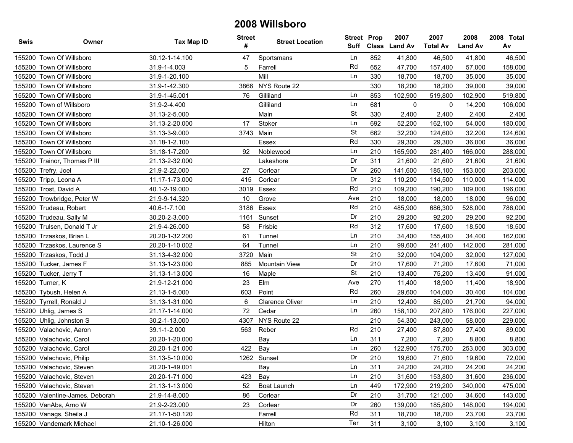| <b>Swis</b> | Owner                           | <b>Tax Map ID</b> | Street<br># | <b>Street Location</b> | <b>Street Prop</b><br>Suff | Class | 2007<br><b>Land Av</b> | 2007<br><b>Total Av</b> | 2008<br><b>Land Av</b> | 2008 Total<br>Av |
|-------------|---------------------------------|-------------------|-------------|------------------------|----------------------------|-------|------------------------|-------------------------|------------------------|------------------|
|             | 155200 Town Of Willsboro        | 30.12-1-14.100    | 47          | Sportsmans             | Ln                         | 852   | 41,800                 | 46,500                  | 41,800                 | 46,500           |
|             | 155200 Town Of Willsboro        | 31.9-1-4.003      | 5           | Farrell                | Rd                         | 652   | 47,700                 | 157,400                 | 57,000                 | 158,000          |
|             | 155200 Town Of Willsboro        | 31.9-1-20.100     |             | Mill                   | Ln                         | 330   | 18,700                 | 18,700                  | 35,000                 | 35,000           |
| 155200      | Town Of Willsboro               | 31.9-1-42.300     | 3866        | NYS Route 22           |                            | 330   | 18,200                 | 18,200                  | 39,000                 | 39,000           |
|             | 155200 Town Of Willsboro        | 31.9-1-45.001     | 76          | Gilliland              | Ln                         | 853   | 102,900                | 519,800                 | 102,900                | 519,800          |
| 155200      | Town of Willsboro               | 31.9-2-4.400      |             | Gilliland              | Ln                         | 681   | 0                      | 0                       | 14,200                 | 106,000          |
| 155200      | Town Of Willsboro               | 31.13-2-5.000     |             | Main                   | <b>St</b>                  | 330   | 2,400                  | 2,400                   | 2,400                  | 2,400            |
|             | 155200 Town Of Willsboro        | 31.13-2-20.000    | 17          | Stoker                 | Ln                         | 692   | 52,200                 | 162,100                 | 54,000                 | 180,000          |
|             | 155200 Town Of Willsboro        | 31.13-3-9.000     | 3743        | Main                   | <b>St</b>                  | 662   | 32,200                 | 124,600                 | 32,200                 | 124,600          |
| 155200      | Town Of Willsboro               | 31.18-1-2.100     |             | Essex                  | Rd                         | 330   | 29,300                 | 29,300                  | 36,000                 | 36,000           |
|             | 155200 Town Of Willsboro        | 31.18-1-7.200     | 92          | Noblewood              | Ln                         | 210   | 165,900                | 281,400                 | 166,000                | 288,000          |
| 155200      | Trainor, Thomas P III           | 21.13-2-32.000    |             | Lakeshore              | Dr                         | 311   | 21,600                 | 21,600                  | 21,600                 | 21,600           |
|             | 155200 Trefry, Joel             | 21.9-2-22.000     | 27          | Corlear                | Dr                         | 260   | 141,600                | 185,100                 | 153,000                | 203,000          |
|             | 155200 Tripp, Leona A           | 11.17-1-73.000    | 415         | Corlear                | Dr                         | 312   | 110,200                | 114,500                 | 110,000                | 114,000          |
|             | 155200 Trost, David A           | 40.1-2-19.000     | 3019        | Essex                  | Rd                         | 210   | 109,200                | 190,200                 | 109,000                | 196,000          |
|             | 155200 Trowbridge, Peter W      | 21.9-9-14.320     | 10          | Grove                  | Ave                        | 210   | 18,000                 | 18,000                  | 18,000                 | 96,000           |
|             | 155200 Trudeau, Robert          | 40.6-1-7.100      |             | 3186 Essex             | Rd                         | 210   | 485,900                | 686,300                 | 528,000                | 786,000          |
| 155200      | Trudeau, Sally M                | 30.20-2-3.000     | 1161        | Sunset                 | Dr                         | 210   | 29,200                 | 92,200                  | 29,200                 | 92,200           |
|             | 155200 Trulsen, Donald T Jr     | 21.9-4-26.000     | 58          | Frisbie                | Rd                         | 312   | 17,600                 | 17,600                  | 18,500                 | 18,500           |
|             | 155200 Trzaskos, Brian L        | 20.20-1-32.200    | 61          | Tunnel                 | Ln                         | 210   | 34,400                 | 155,400                 | 34,400                 | 162,000          |
|             | 155200 Trzaskos, Laurence S     | 20.20-1-10.002    | 64          | Tunnel                 | Ln                         | 210   | 99,600                 | 241,400                 | 142,000                | 281,000          |
|             | 155200 Trzaskos, Todd J         | 31.13-4-32.000    | 3720        | Main                   | <b>St</b>                  | 210   | 32,000                 | 104,000                 | 32,000                 | 127,000          |
|             | 155200 Tucker, James F          | 31.13-1-23.000    | 885         | <b>Mountain View</b>   | Dr                         | 210   | 17,600                 | 71,200                  | 17,600                 | 71,000           |
|             | 155200 Tucker, Jerry T          | 31.13-1-13.000    | 16          | Maple                  | <b>St</b>                  | 210   | 13,400                 | 75,200                  | 13,400                 | 91,000           |
|             | 155200 Turner, K                | 21.9-12-21.000    | 23          | Elm                    | Ave                        | 270   | 11,400                 | 18,900                  | 11,400                 | 18,900           |
|             | 155200 Tybush, Helen A          | 21.13-1-5.000     | 603         | Point                  | Rd                         | 260   | 29,600                 | 104,000                 | 30,400                 | 104,000          |
|             | 155200 Tyrrell, Ronald J        | 31.13-1-31.000    | 6           | <b>Clarence Oliver</b> | Ln                         | 210   | 12,400                 | 85,000                  | 21,700                 | 94,000           |
|             | 155200 Uhlig, James S           | 21.17-1-14.000    | 72          | Cedar                  | Ln                         | 260   | 158,100                | 207,800                 | 176,000                | 227,000          |
|             | 155200 Uhlig, Johnston S        | 30.2-1-13.000     | 4307        | NYS Route 22           |                            | 210   | 54,300                 | 243,000                 | 58,000                 | 229,000          |
|             | 155200 Valachovic, Aaron        | 39.1-1-2.000      | 563         | Reber                  | Rd                         | 210   | 27,400                 | 87,800                  | 27,400                 | 89,000           |
|             | 155200 Valachovic, Carol        | 20.20-1-20.000    |             | Bay                    | Ln                         | 311   | 7,200                  | 7,200                   | 8,800                  | 8,800            |
|             | 155200 Valachovic, Carol        | 20.20-1-21.000    | 422         | Bay                    | Ln                         | 260   | 122,900                | 175,700                 | 253,000                | 303,000          |
|             | 155200 Valachovic, Philip       | 31.13-5-10.000    |             | 1262 Sunset            | Dr                         | 210   | 19,600                 | 71,600                  | 19,600                 | 72,000           |
|             | 155200 Valachovic, Steven       | 20.20-1-49.001    |             | Bay                    | Ln                         | 311   | 24,200                 | 24,200                  | 24,200                 | 24,200           |
|             | 155200 Valachovic, Steven       | 20.20-1-71.000    | 423         | Bay                    | Ln                         | 210   | 31,600                 | 153,800                 | 31,600                 | 236,000          |
|             | 155200 Valachovic, Steven       | 21.13-1-13.000    | 52          | Boat Launch            | Ln                         | 449   | 172,900                | 219,200                 | 340,000                | 475,000          |
|             | 155200 Valentine-James, Deborah | 21.9-14-8.000     | 86          | Corlear                | Dr                         | 210   | 31,700                 | 121,000                 | 34,600                 | 143,000          |
|             | 155200 VanAbs, Arno W           | 21.9-2-23.000     | 23          | Corlear                | Dr                         | 260   | 139,000                | 185,800                 | 148,000                | 194,000          |
|             | 155200 Vanags, Sheila J         | 21.17-1-50.120    |             | Farrell                | Rd                         | 311   | 18,700                 | 18,700                  | 23,700                 | 23,700           |
|             | 155200 Vandemark Michael        | 21.10-1-26.000    |             | Hilton                 | Ter                        | 311   | 3,100                  | 3,100                   | 3,100                  | 3,100            |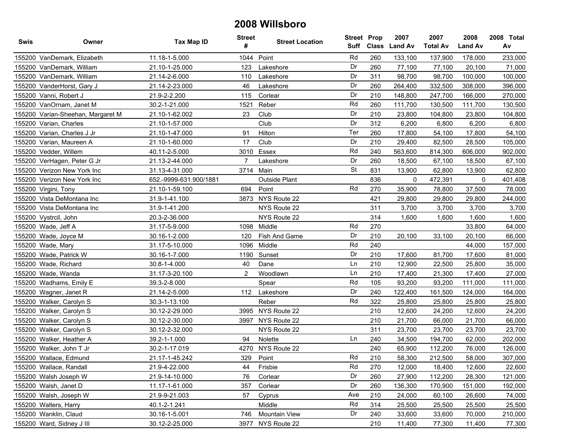| Swis | Owner                             | Tax Map ID             | <b>Street</b><br># | <b>Street Location</b> | <b>Street Prop</b><br>Suff | <b>Class</b> | 2007<br><b>Land Av</b> | 2007<br><b>Total Av</b> | 2008<br><b>Land Av</b> | 2008 Total<br>Av |
|------|-----------------------------------|------------------------|--------------------|------------------------|----------------------------|--------------|------------------------|-------------------------|------------------------|------------------|
|      | 155200 VanDemark, Elizabeth       | 11.18-1-5.000          | 1044               | Point                  | Rd                         | 260          | 133,100                | 137,900                 | 178,000                | 233,000          |
|      | 155200 VanDemark, William         | 21.10-1-25.000         | 123                | Lakeshore              | Dr                         | 260          | 77,100                 | 77,100                  | 20,100                 | 71,000           |
|      | 155200 VanDemark, William         | 21.14-2-6.000          | 110                | Lakeshore              | Dr                         | 311          | 98,700                 | 98,700                  | 100,000                | 100,000          |
|      | 155200 VanderHorst, Gary J        | 21.14-2-23.000         | 46                 | Lakeshore              | Dr                         | 260          | 264,400                | 332,500                 | 308,000                | 396,000          |
|      | 155200 Vanni, Robert J            | 21.9-2-2.200           | 115                | Corlear                | Dr                         | 210          | 148,800                | 247,700                 | 166,000                | 270,000          |
|      | 155200 VanOrnam, Janet M          | 30.2-1-21.000          | 1521               | Reber                  | Rd                         | 260          | 111,700                | 130,500                 | 111,700                | 130,500          |
|      | 155200 Varian-Sheehan, Margaret M | 21.10-1-62.002         | 23                 | Club                   | Dr                         | 210          | 23,800                 | 104,800                 | 23,800                 | 104,800          |
|      | 155200 Varian, Charles            | 21.10-1-57.000         |                    | Club                   | Dr                         | 312          | 6,200                  | 6,800                   | 6,200                  | 6,800            |
|      | 155200 Varian, Charles J Jr       | 21.10-1-47.000         | 91                 | Hilton                 | Ter                        | 260          | 17,800                 | 54,100                  | 17,800                 | 54,100           |
|      | 155200 Varian, Maureen A          | 21.10-1-60.000         | 17                 | Club                   | Dr                         | 210          | 29,400                 | 82,500                  | 28,500                 | 105,000          |
|      | 155200 Vedder, Willem             | 40.11-2-5.000          |                    | 3010 Essex             | Rd                         | 240          | 563,600                | 814,300                 | 606,000                | 902,000          |
|      | 155200 VerHagen, Peter G Jr       | 21.13-2-44.000         | $\overline{7}$     | Lakeshore              | Dr                         | 260          | 18,500                 | 67,100                  | 18,500                 | 67,100           |
|      | 155200 Verizon New York Inc       | 31.13-4-31.000         |                    | 3714 Main              | <b>St</b>                  | 831          | 13,900                 | 62,800                  | 13,900                 | 62,800           |
|      | 155200 Verizon New York Inc       | 652.-9999-631.900/1881 |                    | Outside Plant          |                            | 836          | 0                      | 472,391                 | 0                      | 401,408          |
|      | 155200 Virgini, Tony              | 21.10-1-59.100         | 694                | Point                  | Rd                         | 270          | 35,900                 | 78,800                  | 37,500                 | 78,000           |
|      | 155200 Vista DeMontana Inc        | 31.9-1-41.100          |                    | 3873 NYS Route 22      |                            | 421          | 29,800                 | 29,800                  | 29,800                 | 244,000          |
|      | 155200 Vista DeMontana Inc        | 31.9-1-41.200          |                    | NYS Route 22           |                            | 311          | 3,700                  | 3,700                   | 3,700                  | 3,700            |
|      | 155200 Vystrcil, John             | 20.3-2-36.000          |                    | NYS Route 22           |                            | 314          | 1,600                  | 1,600                   | 1,600                  | 1,600            |
|      | 155200 Wade, Jeff A               | 31.17-5-9.000          | 1098               | Middle                 | Rd                         | 270          |                        |                         | 33,800                 | 64,000           |
|      | 155200 Wade, Joyce M              | 30.16-1-2.000          | 120                | Fish And Game          | Dr                         | 210          | 20,100                 | 33,100                  | 20,100                 | 66,000           |
|      | 155200 Wade, Mary                 | 31.17-5-10.000         | 1096               | Middle                 | Rd                         | 240          |                        |                         | 44,000                 | 157,000          |
|      | 155200 Wade, Patrick W            | 30.16-1-7.000          | 1190               | Sunset                 | Dr                         | 210          | 17,600                 | 81,700                  | 17,600                 | 81,000           |
|      | 155200 Wade, Richard              | 30.8-1-4.000           | 40                 | Dane                   | Ln                         | 210          | 12,900                 | 22,500                  | 25,800                 | 35,000           |
|      | 155200 Wade, Wanda                | 31.17-3-20.100         | $\overline{2}$     | Woodlawn               | Ln                         | 210          | 17,400                 | 21,300                  | 17,400                 | 27,000           |
|      | 155200 Wadhams, Emily E           | 39.3-2-8.000           |                    | Spear                  | Rd                         | 105          | 93,200                 | 93,200                  | 111,000                | 111,000          |
|      | 155200 Wagner, Janet R            | 21.14-2-5.000          | 112                | Lakeshore              | Dr                         | 240          | 122,400                | 161,500                 | 124,000                | 164,000          |
|      | 155200 Walker, Carolyn S          | 30.3-1-13.100          |                    | Reber                  | Rd                         | 322          | 25,800                 | 25,800                  | 25,800                 | 25,800           |
|      | 155200 Walker, Carolyn S          | 30.12-2-29.000         |                    | 3995 NYS Route 22      |                            | 210          | 12,600                 | 24,200                  | 12,600                 | 24,200           |
|      | 155200 Walker, Carolyn S          | 30.12-2-30.000         | 3997               | NYS Route 22           |                            | 210          | 21,700                 | 66,000                  | 21,700                 | 66,000           |
|      | 155200 Walker, Carolyn S          | 30.12-2-32.000         |                    | NYS Route 22           |                            | 311          | 23,700                 | 23,700                  | 23,700                 | 23,700           |
|      | 155200 Walker, Heather A          | 39.2-1-1.000           | 94                 | Nolette                | Ln                         | 240          | 34,500                 | 194,700                 | 62,000                 | 202,000          |
|      | 155200 Walker, John T Jr          | 30.2-1-17.019          | 4270               | NYS Route 22           |                            | 240          | 65,900                 | 112,200                 | 76,000                 | 126,000          |
|      | 155200 Wallace, Edmund            | 21.17-1-45.242         | 329                | Point                  | Rd                         | 210          | 58,300                 | 212,500                 | 58,000                 | 307,000          |
|      | 155200 Wallace, Randall           | 21.9-4-22.000          | 44                 | Frisbie                | Rd                         | 270          | 12,000                 | 18,400                  | 12,600                 | 22,600           |
|      | 155200 Walsh Joseph W             | 21.9-14-10.000         | 76                 | Corlear                | Dr                         | 260          | 27,900                 | 112,200                 | 28,300                 | 121,000          |
|      | 155200 Walsh, Janet D             | 11.17-1-61.000         | 357                | Corlear                | Dr                         | 260          | 136,300                | 170,900                 | 151,000                | 192,000          |
|      | 155200 Walsh, Joseph W            | 21.9-9-21.003          | 57                 | Cyprus                 | Ave                        | 210          | 24,000                 | 60,100                  | 26,600                 | 74,000           |
|      | 155200 Walters, Harry             | 40.1-2-1.241           |                    | Middle                 | Rd                         | 314          | 25,500                 | 25,500                  | 25,500                 | 25,500           |
|      | 155200 Wanklin, Claud             | 30.16-1-5.001          | 746                | <b>Mountain View</b>   | Dr                         | 240          | 33,600                 | 33,600                  | 70,000                 | 210,000          |
|      | 155200 Ward, Sidney J III         | 30.12-2-25.000         |                    | 3977 NYS Route 22      |                            | 210          | 11,400                 | 77,300                  | 11,400                 | 77,300           |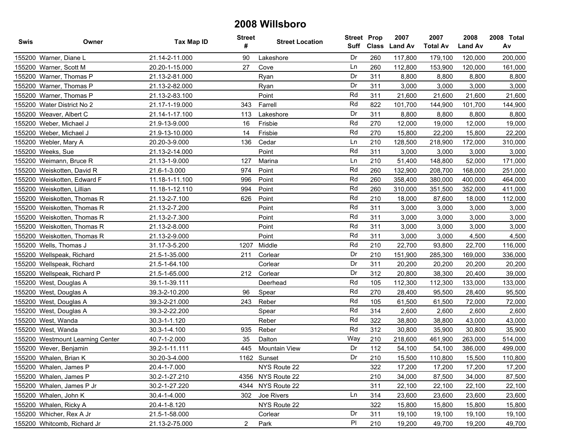| <b>Swis</b> | Owner                            | <b>Tax Map ID</b> | <b>Street</b><br># | <b>Street Location</b> | <b>Street Prop</b><br>Suff | Class | 2007<br><b>Land Av</b> | 2007<br><b>Total Av</b> | 2008<br><b>Land Av</b> | 2008 Total<br>Av |
|-------------|----------------------------------|-------------------|--------------------|------------------------|----------------------------|-------|------------------------|-------------------------|------------------------|------------------|
|             | 155200 Warner, Diane L           | 21.14-2-11.000    | 90                 | Lakeshore              | Dr                         | 260   | 117,800                | 179,100                 | 120.000                | 200,000          |
|             | 155200 Warner, Scott M           | 20.20-1-15.000    | 27                 | Cove                   | Ln                         | 260   | 112,800                | 153,900                 | 120,000                | 161,000          |
|             | 155200 Warner, Thomas P          | 21.13-2-81.000    |                    | Ryan                   | Dr                         | 311   | 8,800                  | 8,800                   | 8,800                  | 8,800            |
|             | 155200 Warner, Thomas P          | 21.13-2-82.000    |                    | Ryan                   | Dr                         | 311   | 3,000                  | 3,000                   | 3,000                  | 3,000            |
|             | 155200 Warner, Thomas P          | 21.13-2-83.100    |                    | Point                  | Rd                         | 311   | 21,600                 | 21,600                  | 21,600                 | 21,600           |
|             | 155200 Water District No 2       | 21.17-1-19.000    | 343                | Farrell                | Rd                         | 822   | 101,700                | 144,900                 | 101,700                | 144,900          |
|             | 155200 Weaver, Albert C          | 21.14-1-17.100    | 113                | Lakeshore              | Dr                         | 311   | 8,800                  | 8,800                   | 8,800                  | 8,800            |
|             | 155200 Weber, Michael J          | 21.9-13-9.000     | 16                 | Frisbie                | Rd                         | 270   | 12,000                 | 19,000                  | 12,000                 | 19,000           |
|             | 155200 Weber, Michael J          | 21.9-13-10.000    | 14                 | Frisbie                | Rd                         | 270   | 15,800                 | 22,200                  | 15,800                 | 22,200           |
|             | 155200 Webler, Mary A            | 20.20-3-9.000     | 136                | Cedar                  | Ln                         | 210   | 128,500                | 218,900                 | 172,000                | 310,000          |
|             | 155200 Weeks, Sue                | 21.13-2-14.000    |                    | Point                  | Rd                         | 311   | 3,000                  | 3,000                   | 3,000                  | 3,000            |
|             | 155200 Weimann, Bruce R          | 21.13-1-9.000     | 127                | Marina                 | Ln                         | 210   | 51,400                 | 148,800                 | 52,000                 | 171,000          |
| 155200      | Weiskotten, David R              | 21.6-1-3.000      | 974                | Point                  | Rd                         | 260   | 132,900                | 208,700                 | 168,000                | 251,000          |
|             | 155200 Weiskotten, Edward F      | 11.18-1-11.100    | 996                | Point                  | Rd                         | 260   | 358,400                | 380,000                 | 400,000                | 464,000          |
|             | 155200 Weiskotten, Lillian       | 11.18-1-12.110    | 994                | Point                  | Rd                         | 260   | 310,000                | 351,500                 | 352,000                | 411,000          |
|             | 155200 Weiskotten, Thomas R      | 21.13-2-7.100     | 626                | Point                  | Rd                         | 210   | 18,000                 | 87,600                  | 18,000                 | 112,000          |
|             | 155200 Weiskotten, Thomas R      | 21.13-2-7.200     |                    | Point                  | Rd                         | 311   | 3,000                  | 3,000                   | 3,000                  | 3,000            |
|             | 155200 Weiskotten, Thomas R      | 21.13-2-7.300     |                    | Point                  | Rd                         | 311   | 3,000                  | 3,000                   | 3,000                  | 3,000            |
|             | 155200 Weiskotten, Thomas R      | 21.13-2-8.000     |                    | Point                  | Rd                         | 311   | 3,000                  | 3,000                   | 3,000                  | 3,000            |
| 155200      | Weiskotten, Thomas R             | 21.13-2-9.000     |                    | Point                  | Rd                         | 311   | 3,000                  | 3,000                   | 4,500                  | 4,500            |
|             | 155200 Wells, Thomas J           | 31.17-3-5.200     | 1207               | Middle                 | Rd                         | 210   | 22,700                 | 93,800                  | 22,700                 | 116,000          |
|             | 155200 Wellspeak, Richard        | 21.5-1-35.000     | 211                | Corlear                | Dr                         | 210   | 151,900                | 285,300                 | 169,000                | 336,000          |
|             | 155200 Wellspeak, Richard        | 21.5-1-64.100     |                    | Corlear                | Dr                         | 311   | 20,200                 | 20,200                  | 20,200                 | 20,200           |
|             | 155200 Wellspeak, Richard P      | 21.5-1-65.000     | 212                | Corlear                | Dr                         | 312   | 20,800                 | 38,300                  | 20,400                 | 39,000           |
|             | 155200 West, Douglas A           | 39.1-1-39.111     |                    | Deerhead               | Rd                         | 105   | 112,300                | 112,300                 | 133,000                | 133,000          |
|             | 155200 West, Douglas A           | 39.3-2-10.200     | 96                 | Spear                  | Rd                         | 270   | 28,400                 | 95,500                  | 28,400                 | 95,500           |
|             | 155200 West, Douglas A           | 39.3-2-21.000     | 243                | Reber                  | Rd                         | 105   | 61,500                 | 61,500                  | 72,000                 | 72,000           |
|             | 155200 West, Douglas A           | 39.3-2-22.200     |                    | Spear                  | Rd                         | 314   | 2,600                  | 2,600                   | 2,600                  | 2,600            |
|             | 155200 West, Wanda               | 30.3-1-1.120      |                    | Reber                  | Rd                         | 322   | 38,800                 | 38,800                  | 43,000                 | 43,000           |
|             | 155200 West, Wanda               | 30.3-1-4.100      | 935                | Reber                  | Rd                         | 312   | 30,800                 | 35,900                  | 30,800                 | 35,900           |
|             | 155200 Westmount Learning Center | 40.7-1-2.000      | 35                 | Dalton                 | Way                        | 210   | 218,600                | 461,900                 | 263,000                | 514,000          |
|             | 155200 Wever, Benjamin           | 39.2-1-11.111     | 445                | <b>Mountain View</b>   | Dr                         | 112   | 54,100                 | 54,100                  | 386,000                | 499,000          |
|             | 155200 Whalen, Brian K           | 30.20-3-4.000     |                    | 1162 Sunset            | Dr                         | 210   | 15,500                 | 110.800                 | 15,500                 | 110,800          |
|             | 155200 Whalen, James P           | 20.4-1-7.000      |                    | NYS Route 22           |                            | 322   | 17,200                 | 17,200                  | 17,200                 | 17,200           |
|             | 155200 Whalen, James P           | 30.2-1-27.210     |                    | 4356 NYS Route 22      |                            | 210   | 34,000                 | 87,500                  | 34,000                 | 87,500           |
|             | 155200 Whalen, James P Jr        | 30.2-1-27.220     |                    | 4344 NYS Route 22      |                            | 311   | 22,100                 | 22,100                  | 22,100                 | 22,100           |
|             | 155200 Whalen, John K            | 30.4-1-4.000      | 302                | Joe Rivers             | Ln                         | 314   | 23,600                 | 23,600                  | 23,600                 | 23,600           |
|             | 155200 Whalen, Ricky A           | 20.4-1-8.120      |                    | NYS Route 22           |                            | 322   | 15,800                 | 15,800                  | 15,800                 | 15,800           |
|             | 155200 Whicher, Rex A Jr         | 21.5-1-58.000     |                    | Corlear                | Dr                         | 311   | 19,100                 | 19,100                  | 19,100                 | 19,100           |
|             | 155200 Whitcomb, Richard Jr      | 21.13-2-75.000    | $\overline{2}$     | Park                   | PI                         | 210   | 19,200                 | 49,700                  | 19,200                 | 49,700           |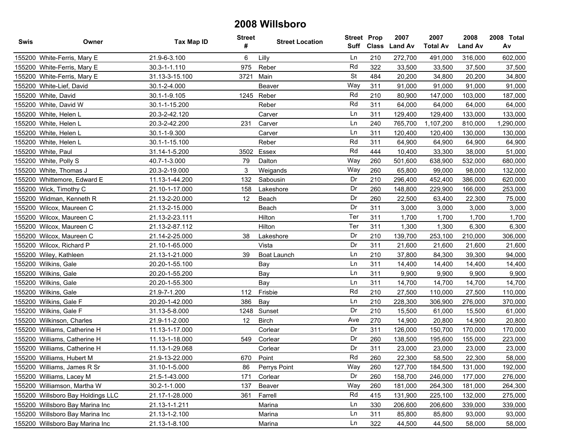| <b>Swis</b> | Owner                             | <b>Tax Map ID</b> | <b>Street</b><br># | <b>Street Location</b> | <b>Street Prop</b><br>Suff | <b>Class</b> | 2007<br><b>Land Av</b> | 2007<br><b>Total Av</b> | 2008<br><b>Land Av</b> | 2008 Total<br>Av |
|-------------|-----------------------------------|-------------------|--------------------|------------------------|----------------------------|--------------|------------------------|-------------------------|------------------------|------------------|
|             | 155200 White-Ferris, Mary E       | 21.9-6-3.100      | 6                  | Lilly                  | Ln                         | 210          | 272,700                | 491,000                 | 316,000                | 602,000          |
|             | 155200 White-Ferris, Mary E       | 30.3-1-1.110      | 975                | Reber                  | Rd                         | 322          | 33,500                 | 33,500                  | 37,500                 | 37,500           |
|             | 155200 White-Ferris, Mary E       | 31.13-3-15.100    | 3721               | Main                   | <b>St</b>                  | 484          | 20,200                 | 34,800                  | 20,200                 | 34,800           |
|             | 155200 White-Lief, David          | 30.1-2-4.000      |                    | Beaver                 | Way                        | 311          | 91,000                 | 91,000                  | 91,000                 | 91,000           |
|             | 155200 White, David               | 30.1-1-9.105      |                    | 1245 Reber             | Rd                         | 210          | 80,900                 | 147,000                 | 103,000                | 187,000          |
|             | 155200 White, David W             | 30.1-1-15.200     |                    | Reber                  | Rd                         | 311          | 64,000                 | 64,000                  | 64,000                 | 64,000           |
|             | 155200 White, Helen L             | 20.3-2-42.120     |                    | Carver                 | Ln                         | 311          | 129,400                | 129,400                 | 133,000                | 133,000          |
|             | 155200 White, Helen L             | 20.3-2-42.200     | 231                | Carver                 | Ln                         | 240          | 765,700                | 1,107,200               | 810,000                | 1,290,000        |
|             | 155200 White, Helen L             | 30.1-1-9.300      |                    | Carver                 | Ln                         | 311          | 120,400                | 120,400                 | 130,000                | 130,000          |
|             | 155200 White, Helen L             | 30.1-1-15.100     |                    | Reber                  | Rd                         | 311          | 64,900                 | 64,900                  | 64,900                 | 64,900           |
|             | 155200 White, Paul                | 31.14-1-5.200     | 3502               | Essex                  | Rd                         | 444          | 10,400                 | 33,300                  | 38,000                 | 51,000           |
|             | 155200 White, Polly S             | 40.7-1-3.000      | 79                 | Dalton                 | Way                        | 260          | 501,600                | 638,900                 | 532,000                | 680,000          |
|             | 155200 White, Thomas J            | 20.3-2-19.000     | 3                  | Weigands               | Way                        | 260          | 65,800                 | 99,000                  | 98,000                 | 132,000          |
|             | 155200 Whittemore, Edward E       | 11.13-1-44.200    | 132                | Sabousin               | Dr                         | 210          | 296,400                | 452,400                 | 386,000                | 620,000          |
|             | 155200 Wick, Timothy C            | 21.10-1-17.000    | 158                | Lakeshore              | Dr                         | 260          | 148,800                | 229,900                 | 166,000                | 253,000          |
|             | 155200 Widman, Kenneth R          | 21.13-2-20.000    | 12                 | Beach                  | Dr                         | 260          | 22,500                 | 63,400                  | 22,300                 | 75,000           |
|             | 155200 Wilcox, Maureen C          | 21.13-2-15.000    |                    | Beach                  | Dr                         | 311          | 3,000                  | 3,000                   | 3,000                  | 3,000            |
|             | 155200 Wilcox, Maureen C          | 21.13-2-23.111    |                    | Hilton                 | Ter                        | 311          | 1,700                  | 1,700                   | 1,700                  | 1,700            |
|             | 155200 Wilcox, Maureen C          | 21.13-2-87.112    |                    | Hilton                 | Ter                        | 311          | 1,300                  | 1,300                   | 6,300                  | 6,300            |
|             | 155200 Wilcox, Maureen C          | 21.14-2-25.000    | 38                 | Lakeshore              | Dr                         | 210          | 139,700                | 253,100                 | 210,000                | 306,000          |
|             | 155200 Wilcox, Richard P          | 21.10-1-65.000    |                    | Vista                  | Dr                         | 311          | 21,600                 | 21,600                  | 21,600                 | 21,600           |
|             | 155200 Wiley, Kathleen            | 21.13-1-21.000    | 39                 | Boat Launch            | Ln                         | 210          | 37,800                 | 84,300                  | 39,300                 | 94,000           |
|             | 155200 Wilkins, Gale              | 20.20-1-55.100    |                    | Bay                    | Ln                         | 311          | 14,400                 | 14,400                  | 14,400                 | 14,400           |
|             | 155200 Wilkins, Gale              | 20.20-1-55.200    |                    | Bay                    | Ln                         | 311          | 9,900                  | 9,900                   | 9,900                  | 9,900            |
|             | 155200 Wilkins, Gale              | 20.20-1-55.300    |                    | Bay                    | Ln                         | 311          | 14,700                 | 14,700                  | 14,700                 | 14,700           |
|             | 155200 Wilkins, Gale              | 21.9-7-1.200      | 112                | Frisbie                | Rd                         | 210          | 27,500                 | 110,000                 | 27,500                 | 110,000          |
|             | 155200 Wilkins, Gale F            | 20.20-1-42.000    | 386                | Bay                    | Ln                         | 210          | 228,300                | 306,900                 | 276,000                | 370,000          |
|             | 155200 Wilkins, Gale F            | 31.13-5-8.000     | 1248               | Sunset                 | Dr                         | 210          | 15,500                 | 61,000                  | 15,500                 | 61,000           |
|             | 155200 Wilkinson, Charles         | 21.9-11-2.000     | 12                 | <b>Birch</b>           | Ave                        | 270          | 14,900                 | 20,800                  | 14,900                 | 20,800           |
|             | 155200 Williams, Catherine H      | 11.13-1-17.000    |                    | Corlear                | Dr                         | 311          | 126,000                | 150,700                 | 170,000                | 170,000          |
|             | 155200 Williams, Catherine H      | 11.13-1-18.000    | 549                | Corlear                | Dr                         | 260          | 138,500                | 195,600                 | 155,000                | 223,000          |
|             | 155200 Williams, Catherine H      | 11.13-1-29.068    |                    | Corlear                | Dr                         | 311          | 23,000                 | 23,000                  | 23,000                 | 23,000           |
|             | 155200 Williams, Hubert M         | 21.9-13-22.000    | 670                | Point                  | Rd                         | 260          | 22,300                 | 58,500                  | 22,300                 | 58,000           |
|             | 155200 Williams, James R Sr       | 31.10-1-5.000     | 86                 | Perrys Point           | Way                        | 260          | 127,700                | 184,500                 | 131,000                | 192,000          |
|             | 155200 Williams, Lacey M          | 21.5-1-43.000     | 171                | Corlear                | Dr                         | 260          | 158,700                | 246,000                 | 177,000                | 276,000          |
|             | 155200 Williamson, Martha W       | 30.2-1-1.000      | 137                | Beaver                 | Way                        | 260          | 181,000                | 264,300                 | 181,000                | 264,300          |
|             | 155200 Willsboro Bay Holdings LLC | 21.17-1-28.000    | 361                | Farrell                | Rd                         | 415          | 131,900                | 225,100                 | 132,000                | 275,000          |
|             | 155200 Willsboro Bay Marina Inc   | 21.13-1-1.211     |                    | Marina                 | Ln                         | 330          | 206,600                | 206,600                 | 339,000                | 339,000          |
|             | 155200 Willsboro Bay Marina Inc   | 21.13-1-2.100     |                    | Marina                 | Ln                         | 311          | 85,800                 | 85,800                  | 93,000                 | 93,000           |
|             | 155200 Willsboro Bay Marina Inc   | 21.13-1-8.100     |                    | Marina                 | Ln                         | 322          | 44,500                 | 44,500                  | 58,000                 | 58,000           |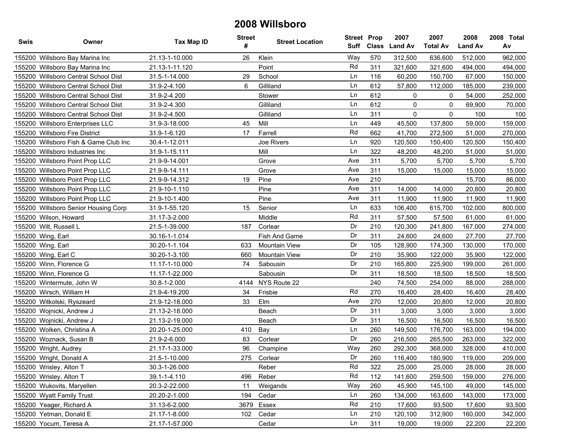| <b>Swis</b> | Owner                                | <b>Tax Map ID</b> | <b>Street</b><br># | <b>Street Location</b> | <b>Street Prop</b><br>Suff | Class | 2007<br><b>Land Av</b> | 2007<br><b>Total Av</b> | 2008<br><b>Land Av</b> | 2008 Total<br>Av |
|-------------|--------------------------------------|-------------------|--------------------|------------------------|----------------------------|-------|------------------------|-------------------------|------------------------|------------------|
|             | 155200 Willsboro Bay Marina Inc      | 21.13-1-10.000    | 26                 | Klein                  | Way                        | 570   | 312,500                | 636,600                 | 512,000                | 962,000          |
|             | 155200 Willsboro Bay Marina Inc      | 21.13-1-11.120    |                    | Point                  | Rd                         | 311   | 321,600                | 321,600                 | 494,000                | 494,000          |
|             | 155200 Willsboro Central School Dist | 31.5-1-14.000     | 29                 | School                 | Ln                         | 116   | 60,200                 | 150,700                 | 67,000                 | 150,000          |
|             | 155200 Willsboro Central School Dist | 31.9-2-4.100      | 6                  | Gilliland              | Ln                         | 612   | 57,800                 | 112,000                 | 185,000                | 239,000          |
|             | 155200 Willsboro Central School Dist | 31.9-2-4.200      |                    | Stower                 | Ln                         | 612   | 0                      | 0                       | 54,000                 | 252,000          |
| 155200      | <b>Willsboro Central School Dist</b> | 31.9-2-4.300      |                    | Gilliland              | Ln                         | 612   | 0                      | $\mathbf{0}$            | 69,900                 | 70,000           |
| 155200      | Willsboro Central School Dist        | 31.9-2-4.500      |                    | Gilliland              | Ln                         | 311   | 0                      | 0                       | 100                    | 100              |
|             | 155200 Willsboro Enterprises LLC     | 31.9-3-18.000     | 45                 | Mill                   | Ln                         | 449   | 45,500                 | 137,800                 | 59,000                 | 159,000          |
|             | 155200 Willsboro Fire District       | 31.9-1-6.120      | 17                 | Farrell                | Rd                         | 662   | 41,700                 | 272,500                 | 51,000                 | 270,000          |
| 155200      | Willsboro Fish & Game Club Inc       | 30.4-1-12.011     |                    | Joe Rivers             | Ln                         | 920   | 120,500                | 150,400                 | 120,500                | 150,400          |
|             | 155200 Willsboro Industries Inc      | 31.9-1-15.111     |                    | Mill                   | Ln                         | 322   | 48,200                 | 48,200                  | 51,000                 | 51,000           |
| 155200      | Willsboro Point Prop LLC             | 21.9-9-14.001     |                    | Grove                  | Ave                        | 311   | 5,700                  | 5,700                   | 5,700                  | 5,700            |
| 155200      | Willsboro Point Prop LLC             | 21.9-9-14.111     |                    | Grove                  | Ave                        | 311   | 15,000                 | 15,000                  | 15,000                 | 15,000           |
|             | 155200 Willsboro Point Prop LLC      | 21.9-9-14.312     | 19                 | Pine                   | Ave                        | 210   |                        |                         | 15,700                 | 86,000           |
|             | 155200 Willsboro Point Prop LLC      | 21.9-10-1.110     |                    | Pine                   | Ave                        | 311   | 14,000                 | 14,000                  | 20,800                 | 20,800           |
|             | 155200 Willsboro Point Prop LLC      | 21.9-10-1.400     |                    | Pine                   | Ave                        | 311   | 11,900                 | 11,900                  | 11,900                 | 11,900           |
|             | 155200 Willsboro Senior Housing Corp | 31.9-1-55.120     | 15                 | Senior                 | Ln                         | 633   | 106,400                | 615,700                 | 102,000                | 800,000          |
| 155200      | Wilson, Howard                       | 31.17-3-2.000     |                    | Middle                 | Rd                         | 311   | 57,500                 | 57,500                  | 61,000                 | 61,000           |
|             | 155200 Wilt, Russell L               | 21.5-1-39.000     | 187                | Corlear                | Dr                         | 210   | 120,300                | 241,800                 | 167,000                | 274,000          |
|             | 155200 Wing, Earl                    | 30.16-1-1.014     |                    | Fish And Game          | Dr                         | 311   | 24,600                 | 24,600                  | 27,700                 | 27,700           |
|             | 155200 Wing, Earl                    | 30.20-1-1.104     | 633                | <b>Mountain View</b>   | Dr                         | 105   | 128,900                | 174,300                 | 130,000                | 170,000          |
|             | 155200 Wing, Earl C                  | 30.20-1-3.100     | 660                | <b>Mountain View</b>   | Dr                         | 210   | 35,900                 | 122,000                 | 35,900                 | 122,000          |
|             | 155200 Winn, Florence G              | 11.17-1-10.000    | 74                 | Sabousin               | Dr                         | 210   | 165,800                | 225,900                 | 199,000                | 261,000          |
| 155200      | Winn, Florence G                     | 11.17-1-22.000    |                    | Sabousin               | Dr                         | 311   | 18,500                 | 18,500                  | 18,500                 | 18,500           |
| 155200      | Wintermute, John W                   | 30.8-1-2.000      | 4144               | NYS Route 22           |                            | 240   | 74,500                 | 254,000                 | 88,000                 | 288,000          |
| 155200      | Wirsch, William H                    | 21.9-4-19.200     | 34                 | Frisbie                | Rd                         | 270   | 16,400                 | 28,400                  | 16,400                 | 28,400           |
|             | 155200 Witkolski, Ryszeard           | 21.9-12-18.000    | 33                 | Elm                    | Ave                        | 270   | 12,000                 | 20,800                  | 12,000                 | 20,800           |
|             | 155200 Wojnicki, Andrew J            | 21.13-2-18.000    |                    | Beach                  | Dr                         | 311   | 3,000                  | 3,000                   | 3,000                  | 3,000            |
| 155200      | Wojnicki, Andrew J                   | 21.13-2-19.000    |                    | Beach                  | Dr                         | 311   | 16,500                 | 16,500                  | 16,500                 | 16,500           |
|             | 155200 Wolken, Christina A           | 20.20-1-25.000    | 410                | Bay                    | Ln                         | 260   | 149,500                | 176,700                 | 163,000                | 194,000          |
| 155200      | Woznack, Susan B                     | 21.9-2-6.000      | 83                 | Corlear                | Dr                         | 260   | 216,500                | 265,500                 | 263,000                | 322,000          |
|             | 155200 Wright, Audrey                | 21.17-1-33.000    | 96                 | Champine               | Way                        | 260   | 292,300                | 368,000                 | 328,000                | 410,000          |
|             | 155200 Wright, Donald A              | 21.5-1-10.000     | 275                | Corlear                | Dr                         | 260   | 116,400                | 180,900                 | 119,000                | 209,000          |
|             | 155200 Wrisley, Alton T              | 30.3-1-26.000     |                    | Reber                  | Rd                         | 322   | 25,000                 | 25,000                  | 28,000                 | 28,000           |
|             | 155200 Wrisley, Alton T              | 39.1-1-4.110      | 496                | Reber                  | Rd                         | 112   | 141,600                | 259,500                 | 159,000                | 276,000          |
|             | 155200 Wukovits, Maryellen           | 20.3-2-22.000     | 11                 | Weigands               | Way                        | 260   | 45,900                 | 145,100                 | 49,000                 | 145,000          |
|             | 155200 Wyatt Family Trust            | 20.20-2-1.000     | 194                | Cedar                  | Ln                         | 260   | 134,000                | 163,600                 | 143,000                | 173,000          |
|             | 155200 Yeager, Richard A             | 31.13-6-2.000     |                    | 3679 Essex             | Rd                         | 210   | 17,600                 | 93,500                  | 17,600                 | 93,500           |
|             | 155200 Yetman, Donald E              | 21.17-1-8.000     | 102                | Cedar                  | Ln                         | 210   | 120,100                | 312,900                 | 160,000                | 342,000          |
|             | 155200 Yocum, Teresa A               | 21.17-1-57.000    |                    | Cedar                  | Ln                         | 311   | 19,000                 | 19,000                  | 22,200                 | 22,200           |